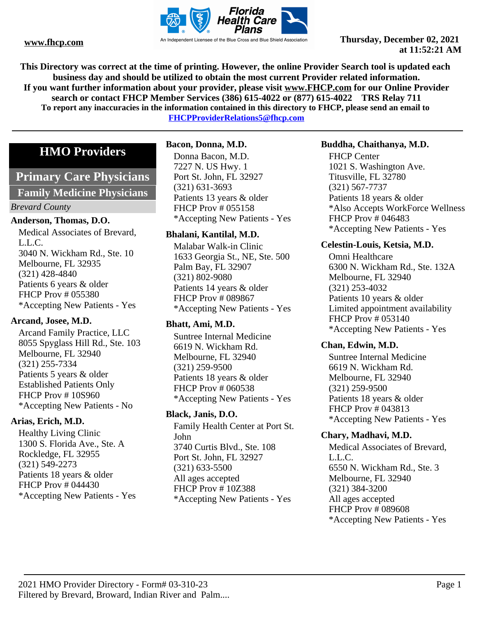

**This Directory was correct at the time of printing. However, the online Provider Search tool is updated each business day and should be utilized to obtain the most current Provider related information. If you want further information about your provider, please visit www.FHCP.com for our Online Provider search or contact FHCP Member Services (386) 615-4022 or (877) 615-4022 TRS Relay 711 To report any inaccuracies in the information contained in this directory to FHCP, please send an email to FHCPProviderRelations5@fhcp.com**

# **HMO Providers**

# **Primary Care Physicians**

**Family Medicine Physicians**

# *Brevard County*

### **Anderson, Thomas, D.O.**

Medical Associates of Brevard, L.L.C. 3040 N. Wickham Rd., Ste. 10 Melbourne, FL 32935 (321) 428-4840 Patients 6 years & older FHCP Prov # 055380 \*Accepting New Patients - Yes

# **Arcand, Josee, M.D.**

Arcand Family Practice, LLC 8055 Spyglass Hill Rd., Ste. 103 Melbourne, FL 32940 (321) 255-7334 Patients 5 years & older Established Patients Only FHCP Prov # 10S960 \*Accepting New Patients - No

# **Arias, Erich, M.D.**

Healthy Living Clinic 1300 S. Florida Ave., Ste. A Rockledge, FL 32955 (321) 549-2273 Patients 18 years & older FHCP Prov # 044430 \*Accepting New Patients - Yes

# **Bacon, Donna, M.D.**

Donna Bacon, M.D. 7227 N. US Hwy. 1 Port St. John, FL 32927 (321) 631-3693 Patients 13 years & older FHCP Prov # 055158 \*Accepting New Patients - Yes

# **Bhalani, Kantilal, M.D.**

Malabar Walk-in Clinic 1633 Georgia St., NE, Ste. 500 Palm Bay, FL 32907 (321) 802-9080 Patients 14 years & older FHCP Prov # 089867 \*Accepting New Patients - Yes

# **Bhatt, Ami, M.D.**

Suntree Internal Medicine 6619 N. Wickham Rd. Melbourne, FL 32940 (321) 259-9500 Patients 18 years & older FHCP Prov # 060538 \*Accepting New Patients - Yes

# **Black, Janis, D.O.**

Family Health Center at Port St. John 3740 Curtis Blvd., Ste. 108 Port St. John, FL 32927 (321) 633-5500 All ages accepted FHCP Prov # 10Z388 \*Accepting New Patients - Yes

# **Buddha, Chaithanya, M.D.**

FHCP Center 1021 S. Washington Ave. Titusville, FL 32780 (321) 567-7737 Patients 18 years & older \*Also Accepts WorkForce Wellness FHCP Prov # 046483 \*Accepting New Patients - Yes

# **Celestin-Louis, Ketsia, M.D.**

Omni Healthcare 6300 N. Wickham Rd., Ste. 132A Melbourne, FL 32940 (321) 253-4032 Patients 10 years & older Limited appointment availability FHCP Prov # 053140 \*Accepting New Patients - Yes

### **Chan, Edwin, M.D.**

Suntree Internal Medicine 6619 N. Wickham Rd. Melbourne, FL 32940 (321) 259-9500 Patients 18 years & older FHCP Prov # 043813 \*Accepting New Patients - Yes

# **Chary, Madhavi, M.D.**

Medical Associates of Brevard, L.L.C. 6550 N. Wickham Rd., Ste. 3 Melbourne, FL 32940 (321) 384-3200 All ages accepted FHCP Prov # 089608 \*Accepting New Patients - Yes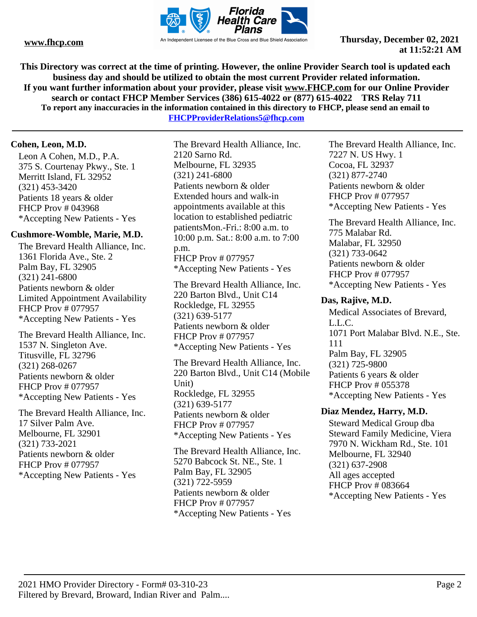

**This Directory was correct at the time of printing. However, the online Provider Search tool is updated each business day and should be utilized to obtain the most current Provider related information. If you want further information about your provider, please visit www.FHCP.com for our Online Provider search or contact FHCP Member Services (386) 615-4022 or (877) 615-4022 TRS Relay 711 To report any inaccuracies in the information contained in this directory to FHCP, please send an email to** 

**FHCPProviderRelations5@fhcp.com**

# **Cohen, Leon, M.D.**

Leon A Cohen, M.D., P.A. 375 S. Courtenay Pkwy., Ste. 1 Merritt Island, FL 32952 (321) 453-3420 Patients 18 years & older FHCP Prov # 043968 \*Accepting New Patients - Yes

### **Cushmore-Womble, Marie, M.D.**

The Brevard Health Alliance, Inc. 1361 Florida Ave., Ste. 2 Palm Bay, FL 32905 (321) 241-6800 Patients newborn & older Limited Appointment Availability FHCP Prov # 077957 \*Accepting New Patients - Yes

The Brevard Health Alliance, Inc. 1537 N. Singleton Ave. Titusville, FL 32796 (321) 268-0267 Patients newborn & older FHCP Prov # 077957 \*Accepting New Patients - Yes

The Brevard Health Alliance, Inc. 17 Silver Palm Ave. Melbourne, FL 32901 (321) 733-2021 Patients newborn & older FHCP Prov # 077957 \*Accepting New Patients - Yes

The Brevard Health Alliance, Inc. 2120 Sarno Rd. Melbourne, FL 32935 (321) 241-6800 Patients newborn & older Extended hours and walk-in appointments available at this location to established pediatric patientsMon.-Fri.: 8:00 a.m. to 10:00 p.m. Sat.: 8:00 a.m. to 7:00 p.m. FHCP Prov # 077957 \*Accepting New Patients - Yes

The Brevard Health Alliance, Inc. 220 Barton Blvd., Unit C14 Rockledge, FL 32955 (321) 639-5177 Patients newborn & older FHCP Prov # 077957 \*Accepting New Patients - Yes

The Brevard Health Alliance, Inc. 220 Barton Blvd., Unit C14 (Mobile Unit) Rockledge, FL 32955 (321) 639-5177 Patients newborn & older FHCP Prov # 077957 \*Accepting New Patients - Yes

The Brevard Health Alliance, Inc. 5270 Babcock St. NE., Ste. 1 Palm Bay, FL 32905 (321) 722-5959 Patients newborn & older FHCP Prov # 077957 \*Accepting New Patients - Yes

The Brevard Health Alliance, Inc. 7227 N. US Hwy. 1 Cocoa, FL 32937 (321) 877-2740 Patients newborn & older FHCP Prov # 077957 \*Accepting New Patients - Yes

The Brevard Health Alliance, Inc. 775 Malabar Rd. Malabar, FL 32950 (321) 733-0642 Patients newborn & older FHCP Prov # 077957 \*Accepting New Patients - Yes

# **Das, Rajive, M.D.**

Medical Associates of Brevard, L.L.C. 1071 Port Malabar Blvd. N.E., Ste. 111 Palm Bay, FL 32905 (321) 725-9800 Patients 6 years & older FHCP Prov # 055378 \*Accepting New Patients - Yes

### **Diaz Mendez, Harry, M.D.**

Steward Medical Group dba Steward Family Medicine, Viera 7970 N. Wickham Rd., Ste. 101 Melbourne, FL 32940 (321) 637-2908 All ages accepted FHCP Prov # 083664 \*Accepting New Patients - Yes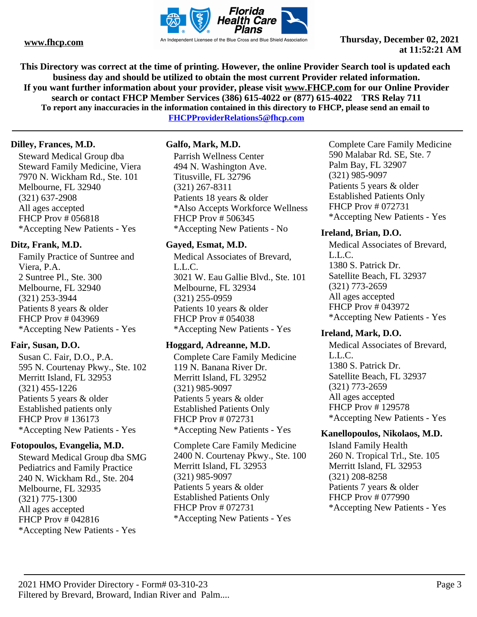

**This Directory was correct at the time of printing. However, the online Provider Search tool is updated each business day and should be utilized to obtain the most current Provider related information. If you want further information about your provider, please visit www.FHCP.com for our Online Provider search or contact FHCP Member Services (386) 615-4022 or (877) 615-4022 TRS Relay 711 To report any inaccuracies in the information contained in this directory to FHCP, please send an email to FHCPProviderRelations5@fhcp.com**

# **Dilley, Frances, M.D.**

Steward Medical Group dba Steward Family Medicine, Viera 7970 N. Wickham Rd., Ste. 101 Melbourne, FL 32940 (321) 637-2908 All ages accepted FHCP Prov # 056818 \*Accepting New Patients - Yes

# **Ditz, Frank, M.D.**

Family Practice of Suntree and Viera, P.A. 2 Suntree Pl., Ste. 300 Melbourne, FL 32940 (321) 253-3944 Patients 8 years & older FHCP Prov # 043969 \*Accepting New Patients - Yes

# **Fair, Susan, D.O.**

Susan C. Fair, D.O., P.A. 595 N. Courtenay Pkwy., Ste. 102 Merritt Island, FL 32953 (321) 455-1226 Patients 5 years & older Established patients only FHCP Prov # 136173 \*Accepting New Patients - Yes

# **Fotopoulos, Evangelia, M.D.**

Steward Medical Group dba SMG Pediatrics and Family Practice 240 N. Wickham Rd., Ste. 204 Melbourne, FL 32935 (321) 775-1300 All ages accepted FHCP Prov # 042816 \*Accepting New Patients - Yes

# **Galfo, Mark, M.D.**

Parrish Wellness Center 494 N. Washington Ave. Titusville, FL 32796 (321) 267-8311 Patients 18 years & older \*Also Accepts Workforce Wellness FHCP Prov # 506345 \*Accepting New Patients - No

# **Gayed, Esmat, M.D.**

Medical Associates of Brevard, L.L.C. 3021 W. Eau Gallie Blvd., Ste. 101 Melbourne, FL 32934 (321) 255-0959 Patients 10 years & older FHCP Prov # 054038 \*Accepting New Patients - Yes

# **Hoggard, Adreanne, M.D.**

Complete Care Family Medicine 119 N. Banana River Dr. Merritt Island, FL 32952 (321) 985-9097 Patients 5 years & older Established Patients Only FHCP Prov # 072731 \*Accepting New Patients - Yes

Complete Care Family Medicine 2400 N. Courtenay Pkwy., Ste. 100 Merritt Island, FL 32953 (321) 985-9097 Patients 5 years & older Established Patients Only FHCP Prov # 072731 \*Accepting New Patients - Yes

Complete Care Family Medicine 590 Malabar Rd. SE, Ste. 7 Palm Bay, FL 32907 (321) 985-9097 Patients 5 years & older Established Patients Only FHCP Prov # 072731 \*Accepting New Patients - Yes

# **Ireland, Brian, D.O.**

Medical Associates of Brevard, L.L.C. 1380 S. Patrick Dr. Satellite Beach, FL 32937 (321) 773-2659 All ages accepted FHCP Prov # 043972 \*Accepting New Patients - Yes

# **Ireland, Mark, D.O.**

Medical Associates of Brevard, L.L.C. 1380 S. Patrick Dr. Satellite Beach, FL 32937 (321) 773-2659 All ages accepted FHCP Prov # 129578 \*Accepting New Patients - Yes

# **Kanellopoulos, Nikolaos, M.D.**

Island Family Health 260 N. Tropical Trl., Ste. 105 Merritt Island, FL 32953 (321) 208-8258 Patients 7 years & older FHCP Prov # 077990 \*Accepting New Patients - Yes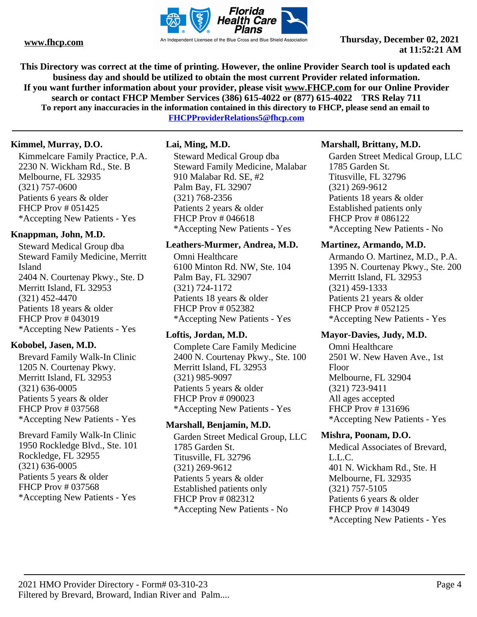

**This Directory was correct at the time of printing. However, the online Provider Search tool is updated each business day and should be utilized to obtain the most current Provider related information. If you want further information about your provider, please visit www.FHCP.com for our Online Provider search or contact FHCP Member Services (386) 615-4022 or (877) 615-4022 TRS Relay 711 To report any inaccuracies in the information contained in this directory to FHCP, please send an email to** 

**FHCPProviderRelations5@fhcp.com**

# **Kimmel, Murray, D.O.**

Kimmelcare Family Practice, P.A. 2230 N. Wickham Rd., Ste. B Melbourne, FL 32935 (321) 757-0600 Patients 6 years & older FHCP Prov # 051425 \*Accepting New Patients - Yes

# **Knappman, John, M.D.**

Steward Medical Group dba Steward Family Medicine, Merritt Island 2404 N. Courtenay Pkwy., Ste. D Merritt Island, FL 32953 (321) 452-4470 Patients 18 years & older FHCP Prov # 043019 \*Accepting New Patients - Yes

### **Kobobel, Jasen, M.D.**

Brevard Family Walk-In Clinic 1205 N. Courtenay Pkwy. Merritt Island, FL 32953 (321) 636-0005 Patients 5 years & older FHCP Prov # 037568 \*Accepting New Patients - Yes

Brevard Family Walk-In Clinic 1950 Rockledge Blvd., Ste. 101 Rockledge, FL 32955 (321) 636-0005 Patients 5 years & older FHCP Prov # 037568 \*Accepting New Patients - Yes

# **Lai, Ming, M.D.**

Steward Medical Group dba Steward Family Medicine, Malabar 910 Malabar Rd. SE, #2 Palm Bay, FL 32907 (321) 768-2356 Patients 2 years & older FHCP Prov # 046618 \*Accepting New Patients - Yes

#### **Leathers-Murmer, Andrea, M.D.**

Omni Healthcare 6100 Minton Rd. NW, Ste. 104 Palm Bay, FL 32907 (321) 724-1172 Patients 18 years & older FHCP Prov # 052382 \*Accepting New Patients - Yes

### **Loftis, Jordan, M.D.**

Complete Care Family Medicine 2400 N. Courtenay Pkwy., Ste. 100 Merritt Island, FL 32953 (321) 985-9097 Patients 5 years & older FHCP Prov # 090023 \*Accepting New Patients - Yes

### **Marshall, Benjamin, M.D.**

Garden Street Medical Group, LLC 1785 Garden St. Titusville, FL 32796 (321) 269-9612 Patients 5 years & older Established patients only FHCP Prov # 082312 \*Accepting New Patients - No

# **Marshall, Brittany, M.D.**

Garden Street Medical Group, LLC 1785 Garden St. Titusville, FL 32796 (321) 269-9612 Patients 18 years & older Established patients only FHCP Prov # 086122 \*Accepting New Patients - No

### **Martinez, Armando, M.D.**

Armando O. Martinez, M.D., P.A. 1395 N. Courtenay Pkwy., Ste. 200 Merritt Island, FL 32953 (321) 459-1333 Patients 21 years & older FHCP Prov # 052125 \*Accepting New Patients - Yes

### **Mayor-Davies, Judy, M.D.**

Omni Healthcare 2501 W. New Haven Ave., 1st Floor Melbourne, FL 32904 (321) 723-9411 All ages accepted FHCP Prov # 131696 \*Accepting New Patients - Yes

### **Mishra, Poonam, D.O.**

Medical Associates of Brevard, L.L.C. 401 N. Wickham Rd., Ste. H Melbourne, FL 32935 (321) 757-5105 Patients 6 years & older FHCP Prov # 143049 \*Accepting New Patients - Yes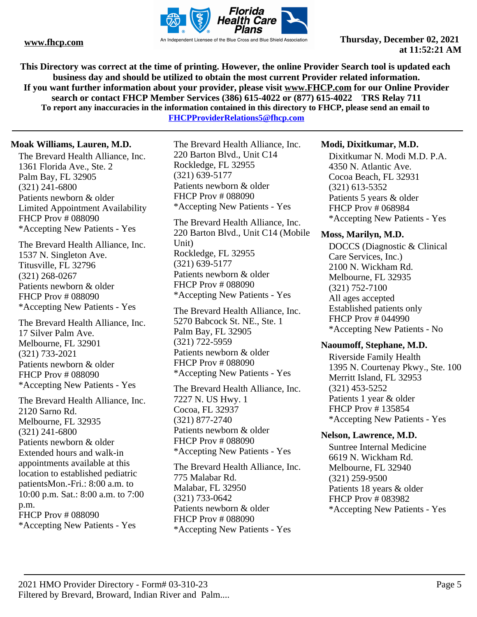

**This Directory was correct at the time of printing. However, the online Provider Search tool is updated each business day and should be utilized to obtain the most current Provider related information. If you want further information about your provider, please visit www.FHCP.com for our Online Provider search or contact FHCP Member Services (386) 615-4022 or (877) 615-4022 TRS Relay 711 To report any inaccuracies in the information contained in this directory to FHCP, please send an email to** 

**FHCPProviderRelations5@fhcp.com**

# **Moak Williams, Lauren, M.D.**

The Brevard Health Alliance, Inc. 1361 Florida Ave., Ste. 2 Palm Bay, FL 32905 (321) 241-6800 Patients newborn & older Limited Appointment Availability FHCP Prov # 088090 \*Accepting New Patients - Yes

The Brevard Health Alliance, Inc. 1537 N. Singleton Ave. Titusville, FL 32796 (321) 268-0267 Patients newborn & older FHCP Prov # 088090 \*Accepting New Patients - Yes

The Brevard Health Alliance, Inc. 17 Silver Palm Ave. Melbourne, FL 32901 (321) 733-2021 Patients newborn & older FHCP Prov # 088090 \*Accepting New Patients - Yes

The Brevard Health Alliance, Inc. 2120 Sarno Rd. Melbourne, FL 32935 (321) 241-6800 Patients newborn & older Extended hours and walk-in appointments available at this location to established pediatric patientsMon.-Fri.: 8:00 a.m. to 10:00 p.m. Sat.: 8:00 a.m. to 7:00 p.m. FHCP Prov # 088090 \*Accepting New Patients - Yes

The Brevard Health Alliance, Inc. 220 Barton Blvd., Unit C14 Rockledge, FL 32955 (321) 639-5177 Patients newborn & older FHCP Prov # 088090 \*Accepting New Patients - Yes

The Brevard Health Alliance, Inc. 220 Barton Blvd., Unit C14 (Mobile Unit) Rockledge, FL 32955 (321) 639-5177 Patients newborn & older FHCP Prov # 088090 \*Accepting New Patients - Yes

The Brevard Health Alliance, Inc. 5270 Babcock St. NE., Ste. 1 Palm Bay, FL 32905 (321) 722-5959 Patients newborn & older FHCP Prov # 088090 \*Accepting New Patients - Yes

The Brevard Health Alliance, Inc. 7227 N. US Hwy. 1 Cocoa, FL 32937 (321) 877-2740 Patients newborn & older FHCP Prov # 088090 \*Accepting New Patients - Yes

The Brevard Health Alliance, Inc. 775 Malabar Rd. Malabar, FL 32950 (321) 733-0642 Patients newborn & older FHCP Prov # 088090 \*Accepting New Patients - Yes

# **Modi, Dixitkumar, M.D.**

Dixitkumar N. Modi M.D. P.A. 4350 N. Atlantic Ave. Cocoa Beach, FL 32931 (321) 613-5352 Patients 5 years & older FHCP Prov # 068984 \*Accepting New Patients - Yes

# **Moss, Marilyn, M.D.**

DOCCS (Diagnostic & Clinical Care Services, Inc.) 2100 N. Wickham Rd. Melbourne, FL 32935 (321) 752-7100 All ages accepted Established patients only FHCP Prov # 044990 \*Accepting New Patients - No

### **Naoumoff, Stephane, M.D.**

Riverside Family Health 1395 N. Courtenay Pkwy., Ste. 100 Merritt Island, FL 32953 (321) 453-5252 Patients 1 year & older FHCP Prov # 135854 \*Accepting New Patients - Yes

# **Nelson, Lawrence, M.D.**

Suntree Internal Medicine 6619 N. Wickham Rd. Melbourne, FL 32940 (321) 259-9500 Patients 18 years & older FHCP Prov # 083982 \*Accepting New Patients - Yes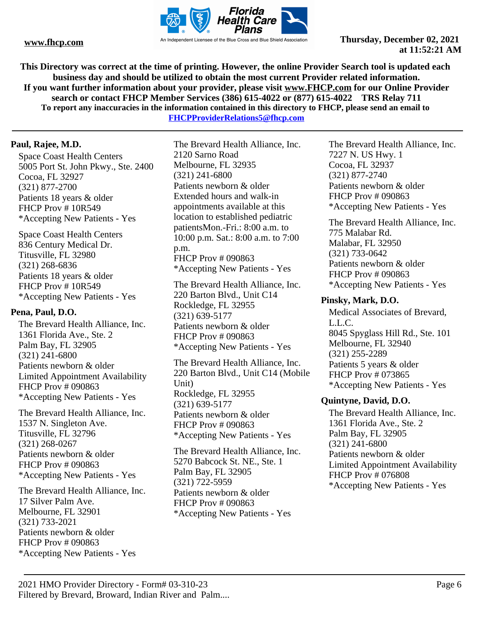

**This Directory was correct at the time of printing. However, the online Provider Search tool is updated each business day and should be utilized to obtain the most current Provider related information. If you want further information about your provider, please visit www.FHCP.com for our Online Provider search or contact FHCP Member Services (386) 615-4022 or (877) 615-4022 TRS Relay 711 To report any inaccuracies in the information contained in this directory to FHCP, please send an email to FHCPProviderRelations5@fhcp.com**

# **Paul, Rajee, M.D.**

Space Coast Health Centers 5005 Port St. John Pkwy., Ste. 2400 Cocoa, FL 32927 (321) 877-2700 Patients 18 years & older FHCP Prov # 10R549 \*Accepting New Patients - Yes

Space Coast Health Centers 836 Century Medical Dr. Titusville, FL 32980 (321) 268-6836 Patients 18 years & older FHCP Prov # 10R549 \*Accepting New Patients - Yes

# **Pena, Paul, D.O.**

The Brevard Health Alliance, Inc. 1361 Florida Ave., Ste. 2 Palm Bay, FL 32905 (321) 241-6800 Patients newborn & older Limited Appointment Availability FHCP Prov # 090863 \*Accepting New Patients - Yes

The Brevard Health Alliance, Inc. 1537 N. Singleton Ave. Titusville, FL 32796 (321) 268-0267 Patients newborn & older FHCP Prov # 090863 \*Accepting New Patients - Yes

The Brevard Health Alliance, Inc. 17 Silver Palm Ave. Melbourne, FL 32901 (321) 733-2021 Patients newborn & older FHCP Prov # 090863 \*Accepting New Patients - Yes

The Brevard Health Alliance, Inc. 2120 Sarno Road Melbourne, FL 32935 (321) 241-6800 Patients newborn & older Extended hours and walk-in appointments available at this location to established pediatric patientsMon.-Fri.: 8:00 a.m. to 10:00 p.m. Sat.: 8:00 a.m. to 7:00 p.m. FHCP Prov # 090863 \*Accepting New Patients - Yes

The Brevard Health Alliance, Inc. 220 Barton Blvd., Unit C14 Rockledge, FL 32955 (321) 639-5177 Patients newborn & older FHCP Prov # 090863 \*Accepting New Patients - Yes

The Brevard Health Alliance, Inc. 220 Barton Blvd., Unit C14 (Mobile Unit) Rockledge, FL 32955 (321) 639-5177 Patients newborn & older FHCP Prov # 090863 \*Accepting New Patients - Yes

The Brevard Health Alliance, Inc. 5270 Babcock St. NE., Ste. 1 Palm Bay, FL 32905 (321) 722-5959 Patients newborn & older FHCP Prov # 090863 \*Accepting New Patients - Yes

The Brevard Health Alliance, Inc. 7227 N. US Hwy. 1 Cocoa, FL 32937 (321) 877-2740 Patients newborn & older FHCP Prov # 090863 \*Accepting New Patients - Yes

The Brevard Health Alliance, Inc. 775 Malabar Rd. Malabar, FL 32950 (321) 733-0642 Patients newborn & older FHCP Prov # 090863 \*Accepting New Patients - Yes

# **Pinsky, Mark, D.O.**

Medical Associates of Brevard, L.L.C. 8045 Spyglass Hill Rd., Ste. 101 Melbourne, FL 32940 (321) 255-2289 Patients 5 years & older FHCP Prov # 073865 \*Accepting New Patients - Yes

# **Quintyne, David, D.O.**

The Brevard Health Alliance, Inc. 1361 Florida Ave., Ste. 2 Palm Bay, FL 32905 (321) 241-6800 Patients newborn & older Limited Appointment Availability FHCP Prov # 076808 \*Accepting New Patients - Yes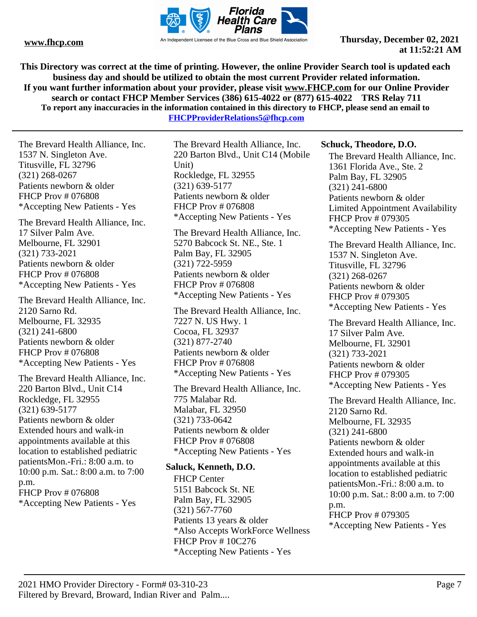

**This Directory was correct at the time of printing. However, the online Provider Search tool is updated each business day and should be utilized to obtain the most current Provider related information. If you want further information about your provider, please visit www.FHCP.com for our Online Provider search or contact FHCP Member Services (386) 615-4022 or (877) 615-4022 TRS Relay 711 To report any inaccuracies in the information contained in this directory to FHCP, please send an email to** 

**FHCPProviderRelations5@fhcp.com**

The Brevard Health Alliance, Inc. 1537 N. Singleton Ave. Titusville, FL 32796 (321) 268-0267 Patients newborn & older FHCP Prov # 076808 \*Accepting New Patients - Yes

The Brevard Health Alliance, Inc. 17 Silver Palm Ave. Melbourne, FL 32901 (321) 733-2021 Patients newborn & older FHCP Prov # 076808 \*Accepting New Patients - Yes

The Brevard Health Alliance, Inc. 2120 Sarno Rd. Melbourne, FL 32935 (321) 241-6800 Patients newborn & older FHCP Prov # 076808 \*Accepting New Patients - Yes

The Brevard Health Alliance, Inc. 220 Barton Blvd., Unit C14 Rockledge, FL 32955 (321) 639-5177 Patients newborn & older Extended hours and walk-in appointments available at this location to established pediatric patientsMon.-Fri.: 8:00 a.m. to 10:00 p.m. Sat.: 8:00 a.m. to 7:00 p.m. FHCP Prov # 076808 \*Accepting New Patients - Yes

The Brevard Health Alliance, Inc. 220 Barton Blvd., Unit C14 (Mobile Unit) Rockledge, FL 32955 (321) 639-5177 Patients newborn & older FHCP Prov # 076808 \*Accepting New Patients - Yes

The Brevard Health Alliance, Inc. 5270 Babcock St. NE., Ste. 1 Palm Bay, FL 32905 (321) 722-5959 Patients newborn & older FHCP Prov # 076808 \*Accepting New Patients - Yes

The Brevard Health Alliance, Inc. 7227 N. US Hwy. 1 Cocoa, FL 32937 (321) 877-2740 Patients newborn & older FHCP Prov # 076808 \*Accepting New Patients - Yes

The Brevard Health Alliance, Inc. 775 Malabar Rd. Malabar, FL 32950 (321) 733-0642 Patients newborn & older FHCP Prov # 076808 \*Accepting New Patients - Yes

### **Saluck, Kenneth, D.O.**

FHCP Center 5151 Babcock St. NE Palm Bay, FL 32905 (321) 567-7760 Patients 13 years & older \*Also Accepts WorkForce Wellness FHCP Prov # 10C276 \*Accepting New Patients - Yes

### **Schuck, Theodore, D.O.**

The Brevard Health Alliance, Inc. 1361 Florida Ave., Ste. 2 Palm Bay, FL 32905 (321) 241-6800 Patients newborn & older Limited Appointment Availability FHCP Prov # 079305 \*Accepting New Patients - Yes

The Brevard Health Alliance, Inc. 1537 N. Singleton Ave. Titusville, FL 32796 (321) 268-0267 Patients newborn & older FHCP Prov # 079305 \*Accepting New Patients - Yes

The Brevard Health Alliance, Inc. 17 Silver Palm Ave. Melbourne, FL 32901 (321) 733-2021 Patients newborn & older FHCP Prov # 079305 \*Accepting New Patients - Yes

The Brevard Health Alliance, Inc. 2120 Sarno Rd. Melbourne, FL 32935 (321) 241-6800 Patients newborn & older Extended hours and walk-in appointments available at this location to established pediatric patientsMon.-Fri.: 8:00 a.m. to 10:00 p.m. Sat.: 8:00 a.m. to 7:00 p.m. FHCP Prov # 079305 \*Accepting New Patients - Yes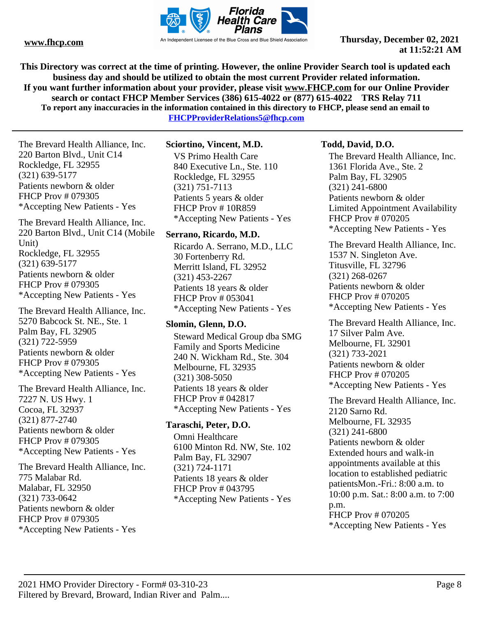

**This Directory was correct at the time of printing. However, the online Provider Search tool is updated each business day and should be utilized to obtain the most current Provider related information. If you want further information about your provider, please visit www.FHCP.com for our Online Provider search or contact FHCP Member Services (386) 615-4022 or (877) 615-4022 TRS Relay 711 To report any inaccuracies in the information contained in this directory to FHCP, please send an email to FHCPProviderRelations5@fhcp.com**

The Brevard Health Alliance, Inc. 220 Barton Blvd., Unit C14 Rockledge, FL 32955 (321) 639-5177 Patients newborn & older FHCP Prov # 079305

The Brevard Health Alliance, Inc. 220 Barton Blvd., Unit C14 (Mobile Unit) Rockledge, FL 32955 (321) 639-5177 Patients newborn & older FHCP Prov # 079305 \*Accepting New Patients - Yes

\*Accepting New Patients - Yes

The Brevard Health Alliance, Inc. 5270 Babcock St. NE., Ste. 1 Palm Bay, FL 32905 (321) 722-5959 Patients newborn & older FHCP Prov # 079305 \*Accepting New Patients - Yes

The Brevard Health Alliance, Inc. 7227 N. US Hwy. 1 Cocoa, FL 32937 (321) 877-2740 Patients newborn & older FHCP Prov # 079305 \*Accepting New Patients - Yes

The Brevard Health Alliance, Inc. 775 Malabar Rd. Malabar, FL 32950 (321) 733-0642 Patients newborn & older FHCP Prov # 079305 \*Accepting New Patients - Yes

# **Sciortino, Vincent, M.D.**

VS Primo Health Care 840 Executive Ln., Ste. 110 Rockledge, FL 32955 (321) 751-7113 Patients 5 years & older FHCP Prov # 10R859 \*Accepting New Patients - Yes

### **Serrano, Ricardo, M.D.**

Ricardo A. Serrano, M.D., LLC 30 Fortenberry Rd. Merritt Island, FL 32952 (321) 453-2267 Patients 18 years & older FHCP Prov # 053041 \*Accepting New Patients - Yes

# **Slomin, Glenn, D.O.**

Steward Medical Group dba SMG Family and Sports Medicine 240 N. Wickham Rd., Ste. 304 Melbourne, FL 32935 (321) 308-5050 Patients 18 years & older FHCP Prov # 042817 \*Accepting New Patients - Yes

### **Taraschi, Peter, D.O.**

Omni Healthcare 6100 Minton Rd. NW, Ste. 102 Palm Bay, FL 32907 (321) 724-1171 Patients 18 years & older FHCP Prov # 043795 \*Accepting New Patients - Yes

# **Todd, David, D.O.**

The Brevard Health Alliance, Inc. 1361 Florida Ave., Ste. 2 Palm Bay, FL 32905 (321) 241-6800 Patients newborn & older Limited Appointment Availability FHCP Prov # 070205 \*Accepting New Patients - Yes

The Brevard Health Alliance, Inc. 1537 N. Singleton Ave. Titusville, FL 32796 (321) 268-0267 Patients newborn & older FHCP Prov # 070205 \*Accepting New Patients - Yes

The Brevard Health Alliance, Inc. 17 Silver Palm Ave. Melbourne, FL 32901 (321) 733-2021 Patients newborn & older FHCP Prov # 070205 \*Accepting New Patients - Yes

The Brevard Health Alliance, Inc. 2120 Sarno Rd. Melbourne, FL 32935 (321) 241-6800 Patients newborn & older Extended hours and walk-in appointments available at this location to established pediatric patientsMon.-Fri.: 8:00 a.m. to 10:00 p.m. Sat.: 8:00 a.m. to 7:00 p.m. FHCP Prov # 070205 \*Accepting New Patients - Yes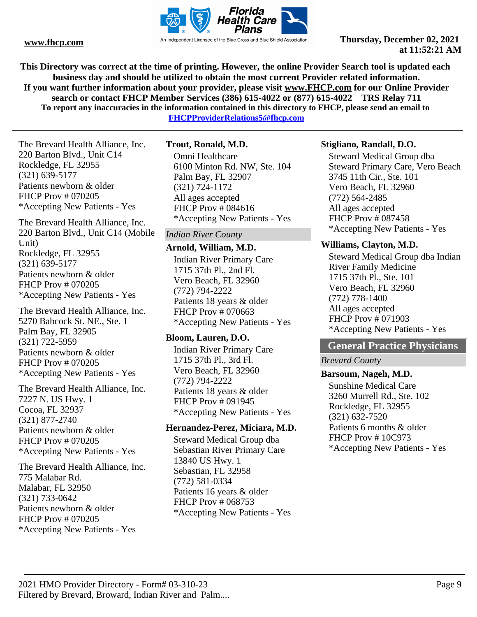

**This Directory was correct at the time of printing. However, the online Provider Search tool is updated each business day and should be utilized to obtain the most current Provider related information. If you want further information about your provider, please visit www.FHCP.com for our Online Provider search or contact FHCP Member Services (386) 615-4022 or (877) 615-4022 TRS Relay 711 To report any inaccuracies in the information contained in this directory to FHCP, please send an email to FHCPProviderRelations5@fhcp.com**

The Brevard Health Alliance, Inc. 220 Barton Blvd., Unit C14 Rockledge, FL 32955 (321) 639-5177 Patients newborn & older FHCP Prov # 070205 \*Accepting New Patients - Yes

The Brevard Health Alliance, Inc. 220 Barton Blvd., Unit C14 (Mobile Unit) Rockledge, FL 32955 (321) 639-5177 Patients newborn & older FHCP Prov # 070205 \*Accepting New Patients - Yes

The Brevard Health Alliance, Inc. 5270 Babcock St. NE., Ste. 1 Palm Bay, FL 32905 (321) 722-5959 Patients newborn & older FHCP Prov # 070205 \*Accepting New Patients - Yes

The Brevard Health Alliance, Inc. 7227 N. US Hwy. 1 Cocoa, FL 32937 (321) 877-2740 Patients newborn & older FHCP Prov # 070205 \*Accepting New Patients - Yes

The Brevard Health Alliance, Inc. 775 Malabar Rd. Malabar, FL 32950 (321) 733-0642 Patients newborn & older FHCP Prov # 070205 \*Accepting New Patients - Yes

# **Trout, Ronald, M.D.**

Omni Healthcare 6100 Minton Rd. NW, Ste. 104 Palm Bay, FL 32907 (321) 724-1172 All ages accepted FHCP Prov # 084616 \*Accepting New Patients - Yes

### *Indian River County*

#### **Arnold, William, M.D.**

Indian River Primary Care 1715 37th Pl., 2nd Fl. Vero Beach, FL 32960 (772) 794-2222 Patients 18 years & older FHCP Prov # 070663 \*Accepting New Patients - Yes

### **Bloom, Lauren, D.O.**

Indian River Primary Care 1715 37th Pl., 3rd Fl. Vero Beach, FL 32960 (772) 794-2222 Patients 18 years & older FHCP Prov # 091945 \*Accepting New Patients - Yes

### **Hernandez-Perez, Miciara, M.D.**

Steward Medical Group dba Sebastian River Primary Care 13840 US Hwy. 1 Sebastian, FL 32958 (772) 581-0334 Patients 16 years & older FHCP Prov # 068753 \*Accepting New Patients - Yes

#### **Stigliano, Randall, D.O.**

Steward Medical Group dba Steward Primary Care, Vero Beach 3745 11th Cir., Ste. 101 Vero Beach, FL 32960 (772) 564-2485 All ages accepted FHCP Prov # 087458 \*Accepting New Patients - Yes

#### **Williams, Clayton, M.D.**

Steward Medical Group dba Indian River Family Medicine 1715 37th Pl., Ste. 101 Vero Beach, FL 32960 (772) 778-1400 All ages accepted FHCP Prov # 071903 \*Accepting New Patients - Yes

# **General Practice Physicians**

*Brevard County*

### **Barsoum, Nageh, M.D.**

Sunshine Medical Care 3260 Murrell Rd., Ste. 102 Rockledge, FL 32955 (321) 632-7520 Patients 6 months & older FHCP Prov # 10C973 \*Accepting New Patients - Yes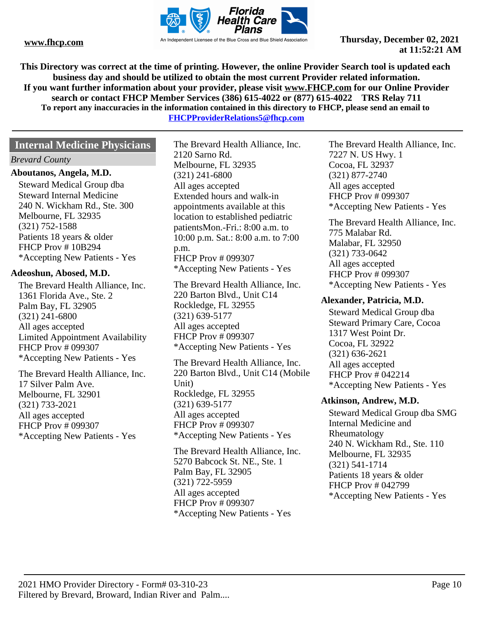

**This Directory was correct at the time of printing. However, the online Provider Search tool is updated each business day and should be utilized to obtain the most current Provider related information. If you want further information about your provider, please visit www.FHCP.com for our Online Provider search or contact FHCP Member Services (386) 615-4022 or (877) 615-4022 TRS Relay 711 To report any inaccuracies in the information contained in this directory to FHCP, please send an email to FHCPProviderRelations5@fhcp.com**

# **Internal Medicine Physicians**

#### *Brevard County*

#### **Aboutanos, Angela, M.D.**

Steward Medical Group dba Steward Internal Medicine 240 N. Wickham Rd., Ste. 300 Melbourne, FL 32935 (321) 752-1588 Patients 18 years & older FHCP Prov # 10B294 \*Accepting New Patients - Yes

#### **Adeoshun, Abosed, M.D.**

The Brevard Health Alliance, Inc. 1361 Florida Ave., Ste. 2 Palm Bay, FL 32905 (321) 241-6800 All ages accepted Limited Appointment Availability FHCP Prov # 099307 \*Accepting New Patients - Yes

The Brevard Health Alliance, Inc. 17 Silver Palm Ave. Melbourne, FL 32901 (321) 733-2021 All ages accepted FHCP Prov # 099307 \*Accepting New Patients - Yes

The Brevard Health Alliance, Inc. 2120 Sarno Rd. Melbourne, FL 32935 (321) 241-6800 All ages accepted Extended hours and walk-in appointments available at this location to established pediatric patientsMon.-Fri.: 8:00 a.m. to 10:00 p.m. Sat.: 8:00 a.m. to 7:00 p.m. FHCP Prov # 099307 \*Accepting New Patients - Yes

The Brevard Health Alliance, Inc. 220 Barton Blvd., Unit C14 Rockledge, FL 32955 (321) 639-5177 All ages accepted FHCP Prov # 099307 \*Accepting New Patients - Yes

The Brevard Health Alliance, Inc. 220 Barton Blvd., Unit C14 (Mobile Unit) Rockledge, FL 32955 (321) 639-5177 All ages accepted FHCP Prov # 099307 \*Accepting New Patients - Yes

The Brevard Health Alliance, Inc. 5270 Babcock St. NE., Ste. 1 Palm Bay, FL 32905 (321) 722-5959 All ages accepted FHCP Prov # 099307 \*Accepting New Patients - Yes

The Brevard Health Alliance, Inc. 7227 N. US Hwy. 1 Cocoa, FL 32937 (321) 877-2740 All ages accepted FHCP Prov # 099307 \*Accepting New Patients - Yes

The Brevard Health Alliance, Inc. 775 Malabar Rd. Malabar, FL 32950 (321) 733-0642 All ages accepted FHCP Prov # 099307 \*Accepting New Patients - Yes

#### **Alexander, Patricia, M.D.**

Steward Medical Group dba Steward Primary Care, Cocoa 1317 West Point Dr. Cocoa, FL 32922 (321) 636-2621 All ages accepted FHCP Prov # 042214 \*Accepting New Patients - Yes

#### **Atkinson, Andrew, M.D.**

Steward Medical Group dba SMG Internal Medicine and Rheumatology 240 N. Wickham Rd., Ste. 110 Melbourne, FL 32935 (321) 541-1714 Patients 18 years & older FHCP Prov # 042799 \*Accepting New Patients - Yes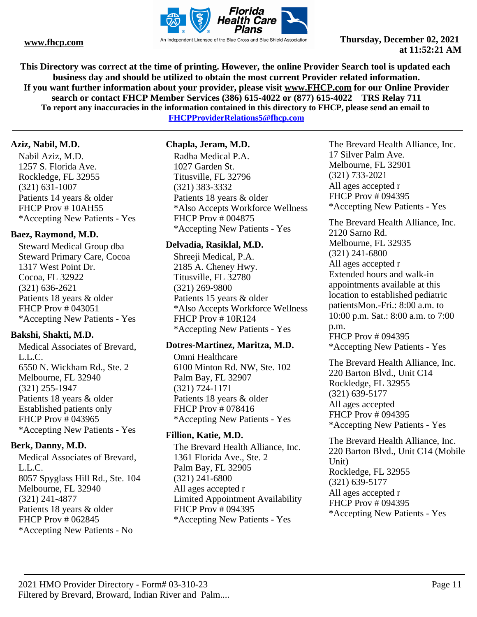

**This Directory was correct at the time of printing. However, the online Provider Search tool is updated each business day and should be utilized to obtain the most current Provider related information. If you want further information about your provider, please visit www.FHCP.com for our Online Provider search or contact FHCP Member Services (386) 615-4022 or (877) 615-4022 TRS Relay 711 To report any inaccuracies in the information contained in this directory to FHCP, please send an email to** 

**FHCPProviderRelations5@fhcp.com**

#### **Aziz, Nabil, M.D.**

Nabil Aziz, M.D. 1257 S. Florida Ave. Rockledge, FL 32955 (321) 631-1007 Patients 14 years & older FHCP Prov # 10AH55 \*Accepting New Patients - Yes

# **Baez, Raymond, M.D.**

Steward Medical Group dba Steward Primary Care, Cocoa 1317 West Point Dr. Cocoa, FL 32922 (321) 636-2621 Patients 18 years & older FHCP Prov # 043051 \*Accepting New Patients - Yes

# **Bakshi, Shakti, M.D.**

Medical Associates of Brevard, L.L.C. 6550 N. Wickham Rd., Ste. 2 Melbourne, FL 32940 (321) 255-1947 Patients 18 years & older Established patients only FHCP Prov # 043965 \*Accepting New Patients - Yes

# **Berk, Danny, M.D.**

Medical Associates of Brevard, L.L.C. 8057 Spyglass Hill Rd., Ste. 104 Melbourne, FL 32940 (321) 241-4877 Patients 18 years & older FHCP Prov # 062845 \*Accepting New Patients - No

# **Chapla, Jeram, M.D.**

Radha Medical P.A. 1027 Garden St. Titusville, FL 32796 (321) 383-3332 Patients 18 years & older \*Also Accepts Workforce Wellness FHCP Prov # 004875 \*Accepting New Patients - Yes

### **Delvadia, Rasiklal, M.D.**

Shreeji Medical, P.A. 2185 A. Cheney Hwy. Titusville, FL 32780 (321) 269-9800 Patients 15 years & older \*Also Accepts Workforce Wellness FHCP Prov # 10R124 \*Accepting New Patients - Yes

### **Dotres-Martinez, Maritza, M.D.**

Omni Healthcare 6100 Minton Rd. NW, Ste. 102 Palm Bay, FL 32907 (321) 724-1171 Patients 18 years & older FHCP Prov # 078416 \*Accepting New Patients - Yes

# **Fillion, Katie, M.D.**

The Brevard Health Alliance, Inc. 1361 Florida Ave., Ste. 2 Palm Bay, FL 32905 (321) 241-6800 All ages accepted r Limited Appointment Availability FHCP Prov # 094395 \*Accepting New Patients - Yes

The Brevard Health Alliance, Inc. 17 Silver Palm Ave. Melbourne, FL 32901 (321) 733-2021 All ages accepted r FHCP Prov # 094395 \*Accepting New Patients - Yes

The Brevard Health Alliance, Inc. 2120 Sarno Rd. Melbourne, FL 32935 (321) 241-6800 All ages accepted r Extended hours and walk-in appointments available at this location to established pediatric patientsMon.-Fri.: 8:00 a.m. to 10:00 p.m. Sat.: 8:00 a.m. to 7:00 p.m. FHCP Prov # 094395 \*Accepting New Patients - Yes

The Brevard Health Alliance, Inc. 220 Barton Blvd., Unit C14 Rockledge, FL 32955 (321) 639-5177 All ages accepted FHCP Prov # 094395 \*Accepting New Patients - Yes

The Brevard Health Alliance, Inc. 220 Barton Blvd., Unit C14 (Mobile Unit) Rockledge, FL 32955 (321) 639-5177 All ages accepted r FHCP Prov # 094395 \*Accepting New Patients - Yes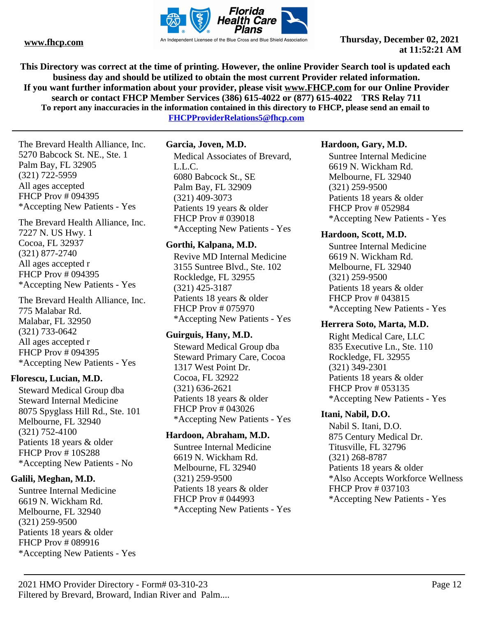

**This Directory was correct at the time of printing. However, the online Provider Search tool is updated each business day and should be utilized to obtain the most current Provider related information. If you want further information about your provider, please visit www.FHCP.com for our Online Provider search or contact FHCP Member Services (386) 615-4022 or (877) 615-4022 TRS Relay 711 To report any inaccuracies in the information contained in this directory to FHCP, please send an email to FHCPProviderRelations5@fhcp.com**

The Brevard Health Alliance, Inc. 5270 Babcock St. NE., Ste. 1 Palm Bay, FL 32905 (321) 722-5959 All ages accepted FHCP Prov # 094395 \*Accepting New Patients - Yes

The Brevard Health Alliance, Inc. 7227 N. US Hwy. 1 Cocoa, FL 32937 (321) 877-2740 All ages accepted r FHCP Prov # 094395 \*Accepting New Patients - Yes

The Brevard Health Alliance, Inc. 775 Malabar Rd. Malabar, FL 32950 (321) 733-0642 All ages accepted r FHCP Prov # 094395 \*Accepting New Patients - Yes

### **Florescu, Lucian, M.D.**

Steward Medical Group dba Steward Internal Medicine 8075 Spyglass Hill Rd., Ste. 101 Melbourne, FL 32940 (321) 752-4100 Patients 18 years & older FHCP Prov # 10S288 \*Accepting New Patients - No

### **Galili, Meghan, M.D.**

Suntree Internal Medicine 6619 N. Wickham Rd. Melbourne, FL 32940 (321) 259-9500 Patients 18 years & older FHCP Prov # 089916 \*Accepting New Patients - Yes

#### **Garcia, Joven, M.D.**

Medical Associates of Brevard, L.L.C. 6080 Babcock St., SE Palm Bay, FL 32909 (321) 409-3073 Patients 19 years & older FHCP Prov # 039018 \*Accepting New Patients - Yes

#### **Gorthi, Kalpana, M.D.**

Revive MD Internal Medicine 3155 Suntree Blvd., Ste. 102 Rockledge, FL 32955 (321) 425-3187 Patients 18 years & older FHCP Prov # 075970 \*Accepting New Patients - Yes

#### **Guirguis, Hany, M.D.**

Steward Medical Group dba Steward Primary Care, Cocoa 1317 West Point Dr. Cocoa, FL 32922 (321) 636-2621 Patients 18 years & older FHCP Prov # 043026 \*Accepting New Patients - Yes

#### **Hardoon, Abraham, M.D.**

Suntree Internal Medicine 6619 N. Wickham Rd. Melbourne, FL 32940 (321) 259-9500 Patients 18 years & older FHCP Prov # 044993 \*Accepting New Patients - Yes

#### **Hardoon, Gary, M.D.**

Suntree Internal Medicine 6619 N. Wickham Rd. Melbourne, FL 32940 (321) 259-9500 Patients 18 years & older FHCP Prov # 052984 \*Accepting New Patients - Yes

#### **Hardoon, Scott, M.D.**

Suntree Internal Medicine 6619 N. Wickham Rd. Melbourne, FL 32940 (321) 259-9500 Patients 18 years & older FHCP Prov # 043815 \*Accepting New Patients - Yes

#### **Herrera Soto, Marta, M.D.**

Right Medical Care, LLC 835 Executive Ln., Ste. 110 Rockledge, FL 32955 (321) 349-2301 Patients 18 years & older FHCP Prov # 053135 \*Accepting New Patients - Yes

### **Itani, Nabil, D.O.**

Nabil S. Itani, D.O. 875 Century Medical Dr. Titusville, FL 32796 (321) 268-8787 Patients 18 years & older \*Also Accepts Workforce Wellness FHCP Prov # 037103 \*Accepting New Patients - Yes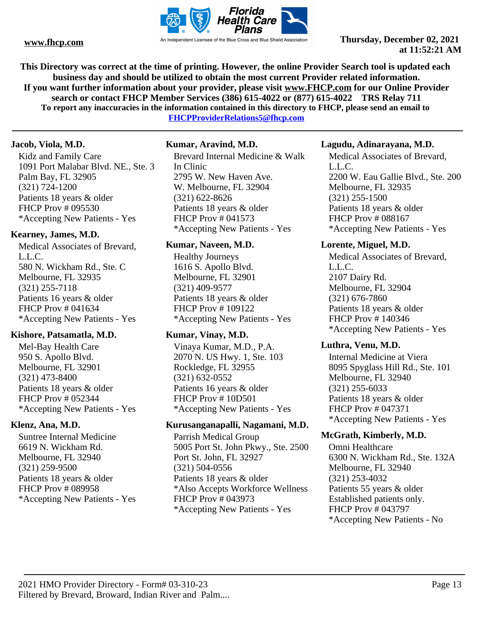

**This Directory was correct at the time of printing. However, the online Provider Search tool is updated each business day and should be utilized to obtain the most current Provider related information. If you want further information about your provider, please visit www.FHCP.com for our Online Provider search or contact FHCP Member Services (386) 615-4022 or (877) 615-4022 TRS Relay 711 To report any inaccuracies in the information contained in this directory to FHCP, please send an email to** 

**FHCPProviderRelations5@fhcp.com**

# **Jacob, Viola, M.D.**

Kidz and Family Care 1091 Port Malabar Blvd. NE., Ste. 3 Palm Bay, FL 32905 (321) 724-1200 Patients 18 years & older FHCP Prov # 095530 \*Accepting New Patients - Yes

# **Kearney, James, M.D.**

Medical Associates of Brevard, L.L.C. 580 N. Wickham Rd., Ste. C Melbourne, FL 32935 (321) 255-7118 Patients 16 years & older FHCP Prov # 041634 \*Accepting New Patients - Yes

# **Kishore, Patsamatla, M.D.**

Mel-Bay Health Care 950 S. Apollo Blvd. Melbourne, FL 32901 (321) 473-8400 Patients 18 years & older FHCP Prov # 052344 \*Accepting New Patients - Yes

# **Klenz, Ana, M.D.**

Suntree Internal Medicine 6619 N. Wickham Rd. Melbourne, FL 32940 (321) 259-9500 Patients 18 years & older FHCP Prov # 089958 \*Accepting New Patients - Yes

### **Kumar, Aravind, M.D.**

Brevard Internal Medicine & Walk In Clinic 2795 W. New Haven Ave. W. Melbourne, FL 32904 (321) 622-8626 Patients 18 years & older FHCP Prov # 041573 \*Accepting New Patients - Yes

### **Kumar, Naveen, M.D.**

Healthy Journeys 1616 S. Apollo Blvd. Melbourne, FL 32901 (321) 409-9577 Patients 18 years & older FHCP Prov # 109122 \*Accepting New Patients - Yes

# **Kumar, Vinay, M.D.**

Vinaya Kumar, M.D., P.A. 2070 N. US Hwy. 1, Ste. 103 Rockledge, FL 32955 (321) 632-0552 Patients 16 years & older FHCP Prov # 10D501 \*Accepting New Patients - Yes

# **Kurusanganapalli, Nagamani, M.D.**

Parrish Medical Group 5005 Port St. John Pkwy., Ste. 2500 Port St. John, FL 32927 (321) 504-0556 Patients 18 years & older \*Also Accepts Workforce Wellness FHCP Prov # 043973 \*Accepting New Patients - Yes

### **Lagudu, Adinarayana, M.D.**

Medical Associates of Brevard, L.L.C. 2200 W. Eau Gallie Blvd., Ste. 200 Melbourne, FL 32935 (321) 255-1500 Patients 18 years & older FHCP Prov # 088167 \*Accepting New Patients - Yes

### **Lorente, Miguel, M.D.**

Medical Associates of Brevard, L.L.C. 2107 Dairy Rd. Melbourne, FL 32904 (321) 676-7860 Patients 18 years & older FHCP Prov # 140346 \*Accepting New Patients - Yes

## **Luthra, Venu, M.D.**

Internal Medicine at Viera 8095 Spyglass Hill Rd., Ste. 101 Melbourne, FL 32940 (321) 255-6033 Patients 18 years & older FHCP Prov # 047371 \*Accepting New Patients - Yes

# **McGrath, Kimberly, M.D.**

Omni Healthcare 6300 N. Wickham Rd., Ste. 132A Melbourne, FL 32940 (321) 253-4032 Patients 55 years & older Established patients only. FHCP Prov # 043797 \*Accepting New Patients - No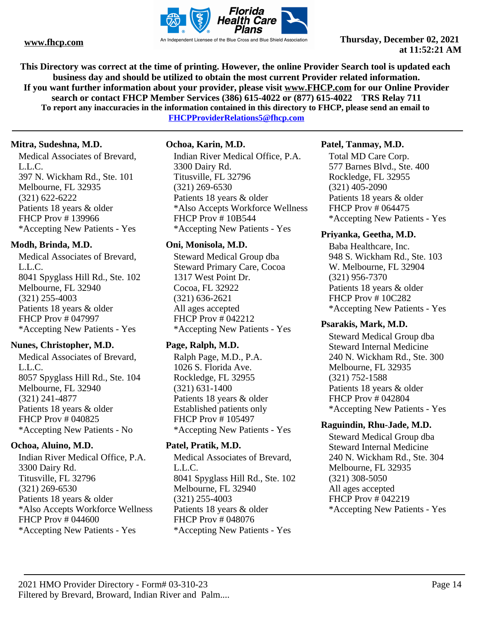

**This Directory was correct at the time of printing. However, the online Provider Search tool is updated each business day and should be utilized to obtain the most current Provider related information. If you want further information about your provider, please visit www.FHCP.com for our Online Provider search or contact FHCP Member Services (386) 615-4022 or (877) 615-4022 TRS Relay 711 To report any inaccuracies in the information contained in this directory to FHCP, please send an email to** 

**FHCPProviderRelations5@fhcp.com**

# **Mitra, Sudeshna, M.D.**

Medical Associates of Brevard, L.L.C. 397 N. Wickham Rd., Ste. 101 Melbourne, FL 32935 (321) 622-6222 Patients 18 years & older FHCP Prov # 139966 \*Accepting New Patients - Yes

# **Modh, Brinda, M.D.**

Medical Associates of Brevard, L.L.C. 8041 Spyglass Hill Rd., Ste. 102 Melbourne, FL 32940 (321) 255-4003 Patients 18 years & older FHCP Prov # 047997 \*Accepting New Patients - Yes

# **Nunes, Christopher, M.D.**

Medical Associates of Brevard, L.L.C. 8057 Spyglass Hill Rd., Ste. 104 Melbourne, FL 32940 (321) 241-4877 Patients 18 years & older FHCP Prov # 040825 \*Accepting New Patients - No

# **Ochoa, Aluino, M.D.**

Indian River Medical Office, P.A. 3300 Dairy Rd. Titusville, FL 32796 (321) 269-6530 Patients 18 years & older \*Also Accepts Workforce Wellness FHCP Prov # 044600 \*Accepting New Patients - Yes

# **Ochoa, Karin, M.D.**

Indian River Medical Office, P.A. 3300 Dairy Rd. Titusville, FL 32796 (321) 269-6530 Patients 18 years & older \*Also Accepts Workforce Wellness FHCP Prov # 10B544 \*Accepting New Patients - Yes

# **Oni, Monisola, M.D.**

Steward Medical Group dba Steward Primary Care, Cocoa 1317 West Point Dr. Cocoa, FL 32922 (321) 636-2621 All ages accepted FHCP Prov # 042212 \*Accepting New Patients - Yes

# **Page, Ralph, M.D.**

Ralph Page, M.D., P.A. 1026 S. Florida Ave. Rockledge, FL 32955 (321) 631-1400 Patients 18 years & older Established patients only FHCP Prov # 105497 \*Accepting New Patients - Yes

# **Patel, Pratik, M.D.**

Medical Associates of Brevard, L.L.C. 8041 Spyglass Hill Rd., Ste. 102 Melbourne, FL 32940 (321) 255-4003 Patients 18 years & older FHCP Prov # 048076 \*Accepting New Patients - Yes

# **Patel, Tanmay, M.D.**

Total MD Care Corp. 577 Barnes Blvd., Ste. 400 Rockledge, FL 32955 (321) 405-2090 Patients 18 years & older FHCP Prov # 064475 \*Accepting New Patients - Yes

# **Priyanka, Geetha, M.D.**

Baba Healthcare, Inc. 948 S. Wickham Rd., Ste. 103 W. Melbourne, FL 32904 (321) 956-7370 Patients 18 years & older FHCP Prov # 10C282 \*Accepting New Patients - Yes

# **Psarakis, Mark, M.D.**

Steward Medical Group dba Steward Internal Medicine 240 N. Wickham Rd., Ste. 300 Melbourne, FL 32935 (321) 752-1588 Patients 18 years & older FHCP Prov # 042804 \*Accepting New Patients - Yes

# **Raguindin, Rhu-Jade, M.D.**

Steward Medical Group dba Steward Internal Medicine 240 N. Wickham Rd., Ste. 304 Melbourne, FL 32935 (321) 308-5050 All ages accepted FHCP Prov # 042219 \*Accepting New Patients - Yes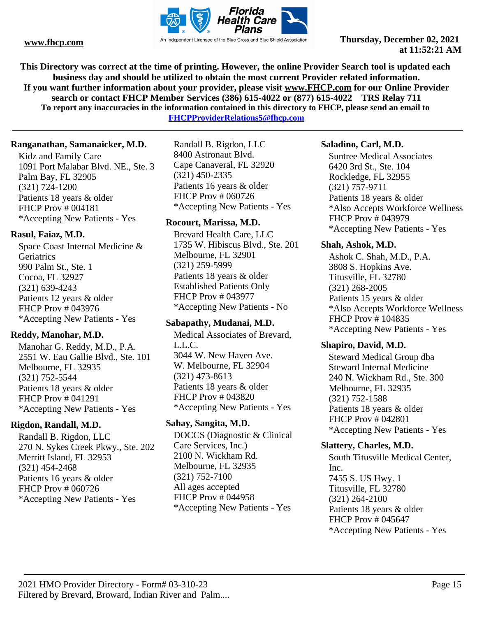

**This Directory was correct at the time of printing. However, the online Provider Search tool is updated each business day and should be utilized to obtain the most current Provider related information. If you want further information about your provider, please visit www.FHCP.com for our Online Provider search or contact FHCP Member Services (386) 615-4022 or (877) 615-4022 TRS Relay 711 To report any inaccuracies in the information contained in this directory to FHCP, please send an email to** 

**FHCPProviderRelations5@fhcp.com**

# **Ranganathan, Samanaicker, M.D.**

Kidz and Family Care 1091 Port Malabar Blvd. NE., Ste. 3 Palm Bay, FL 32905 (321) 724-1200 Patients 18 years & older FHCP Prov # 004181 \*Accepting New Patients - Yes

# **Rasul, Faiaz, M.D.**

Space Coast Internal Medicine & **Geriatrics** 990 Palm St., Ste. 1 Cocoa, FL 32927 (321) 639-4243 Patients 12 years & older FHCP Prov # 043976 \*Accepting New Patients - Yes

# **Reddy, Manohar, M.D.**

Manohar G. Reddy, M.D., P.A. 2551 W. Eau Gallie Blvd., Ste. 101 Melbourne, FL 32935 (321) 752-5544 Patients 18 years & older FHCP Prov # 041291 \*Accepting New Patients - Yes

### **Rigdon, Randall, M.D.**

Randall B. Rigdon, LLC 270 N. Sykes Creek Pkwy., Ste. 202 Merritt Island, FL 32953 (321) 454-2468 Patients 16 years & older FHCP Prov # 060726 \*Accepting New Patients - Yes

Randall B. Rigdon, LLC 8400 Astronaut Blvd. Cape Canaveral, FL 32920 (321) 450-2335 Patients 16 years & older FHCP Prov # 060726 \*Accepting New Patients - Yes

# **Rocourt, Marissa, M.D.**

Brevard Health Care, LLC 1735 W. Hibiscus Blvd., Ste. 201 Melbourne, FL 32901 (321) 259-5999 Patients 18 years & older Established Patients Only FHCP Prov # 043977 \*Accepting New Patients - No

### **Sabapathy, Mudanai, M.D.**

Medical Associates of Brevard, L.L.C. 3044 W. New Haven Ave. W. Melbourne, FL 32904 (321) 473-8613 Patients 18 years & older FHCP Prov # 043820 \*Accepting New Patients - Yes

# **Sahay, Sangita, M.D.**

DOCCS (Diagnostic & Clinical Care Services, Inc.) 2100 N. Wickham Rd. Melbourne, FL 32935 (321) 752-7100 All ages accepted FHCP Prov # 044958 \*Accepting New Patients - Yes

### **Saladino, Carl, M.D.**

Suntree Medical Associates 6420 3rd St., Ste. 104 Rockledge, FL 32955 (321) 757-9711 Patients 18 years & older \*Also Accepts Workforce Wellness FHCP Prov # 043979 \*Accepting New Patients - Yes

### **Shah, Ashok, M.D.**

Ashok C. Shah, M.D., P.A. 3808 S. Hopkins Ave. Titusville, FL 32780 (321) 268-2005 Patients 15 years & older \*Also Accepts Workforce Wellness FHCP Prov # 104835 \*Accepting New Patients - Yes

### **Shapiro, David, M.D.**

Steward Medical Group dba Steward Internal Medicine 240 N. Wickham Rd., Ste. 300 Melbourne, FL 32935 (321) 752-1588 Patients 18 years & older FHCP Prov # 042801 \*Accepting New Patients - Yes

# **Slattery, Charles, M.D.**

South Titusville Medical Center, Inc. 7455 S. US Hwy. 1 Titusville, FL 32780 (321) 264-2100 Patients 18 years & older FHCP Prov # 045647 \*Accepting New Patients - Yes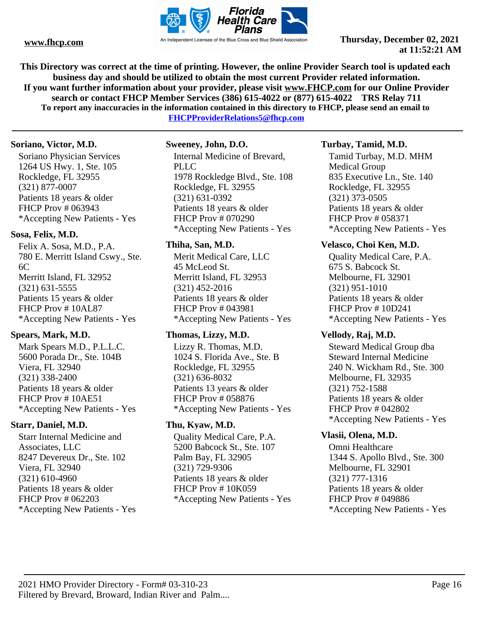

**This Directory was correct at the time of printing. However, the online Provider Search tool is updated each business day and should be utilized to obtain the most current Provider related information. If you want further information about your provider, please visit www.FHCP.com for our Online Provider search or contact FHCP Member Services (386) 615-4022 or (877) 615-4022 TRS Relay 711 To report any inaccuracies in the information contained in this directory to FHCP, please send an email to** 

**FHCPProviderRelations5@fhcp.com**

#### **Soriano, Victor, M.D.**

Soriano Physician Services 1264 US Hwy. 1, Ste. 105 Rockledge, FL 32955 (321) 877-0007 Patients 18 years & older FHCP Prov # 063943 \*Accepting New Patients - Yes

### **Sosa, Felix, M.D.**

Felix A. Sosa, M.D., P.A. 780 E. Merritt Island Cswy., Ste. 6C Merritt Island, FL 32952 (321) 631-5555 Patients 15 years & older FHCP Prov # 10AL87 \*Accepting New Patients - Yes

# **Spears, Mark, M.D.**

Mark Spears M.D., P.L.L.C. 5600 Porada Dr., Ste. 104B Viera, FL 32940 (321) 338-2400 Patients 18 years & older FHCP Prov # 10AE51 \*Accepting New Patients - Yes

# **Starr, Daniel, M.D.**

Starr Internal Medicine and Associates, LLC 8247 Devereux Dr., Ste. 102 Viera, FL 32940 (321) 610-4960 Patients 18 years & older FHCP Prov # 062203 \*Accepting New Patients - Yes

# **Sweeney, John, D.O.**

Internal Medicine of Brevard, PLLC 1978 Rockledge Blvd., Ste. 108 Rockledge, FL 32955 (321) 631-0392 Patients 18 years & older FHCP Prov # 070290 \*Accepting New Patients - Yes

# **Thiha, San, M.D.**

Merit Medical Care, LLC 45 McLeod St. Merritt Island, FL 32953 (321) 452-2016 Patients 18 years & older FHCP Prov # 043981 \*Accepting New Patients - Yes

# **Thomas, Lizzy, M.D.**

Lizzy R. Thomas, M.D. 1024 S. Florida Ave., Ste. B Rockledge, FL 32955 (321) 636-8032 Patients 13 years & older FHCP Prov # 058876 \*Accepting New Patients - Yes

# **Thu, Kyaw, M.D.**

Quality Medical Care, P.A. 5200 Babcock St., Ste. 107 Palm Bay, FL 32905 (321) 729-9306 Patients 18 years & older FHCP Prov # 10K059 \*Accepting New Patients - Yes

# **Turbay, Tamid, M.D.**

Tamid Turbay, M.D. MHM Medical Group 835 Executive Ln., Ste. 140 Rockledge, FL 32955 (321) 373-0505 Patients 18 years & older FHCP Prov # 058371 \*Accepting New Patients - Yes

# **Velasco, Choi Ken, M.D.**

Quality Medical Care, P.A. 675 S. Babcock St. Melbourne, FL 32901 (321) 951-1010 Patients 18 years & older FHCP Prov # 10D241 \*Accepting New Patients - Yes

### **Vellody, Raj, M.D.**

Steward Medical Group dba Steward Internal Medicine 240 N. Wickham Rd., Ste. 300 Melbourne, FL 32935 (321) 752-1588 Patients 18 years & older FHCP Prov # 042802 \*Accepting New Patients - Yes

# **Vlasii, Olena, M.D.**

Omni Healthcare 1344 S. Apollo Blvd., Ste. 300 Melbourne, FL 32901 (321) 777-1316 Patients 18 years & older FHCP Prov # 049886 \*Accepting New Patients - Yes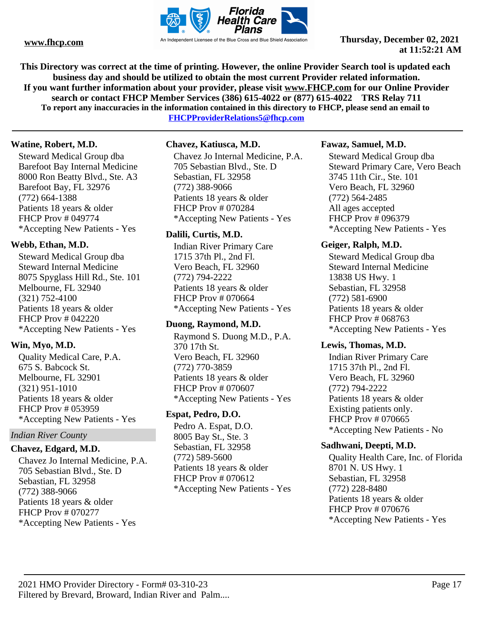

**This Directory was correct at the time of printing. However, the online Provider Search tool is updated each business day and should be utilized to obtain the most current Provider related information. If you want further information about your provider, please visit www.FHCP.com for our Online Provider search or contact FHCP Member Services (386) 615-4022 or (877) 615-4022 TRS Relay 711 To report any inaccuracies in the information contained in this directory to FHCP, please send an email to** 

**FHCPProviderRelations5@fhcp.com**

# **Watine, Robert, M.D.**

Steward Medical Group dba Barefoot Bay Internal Medicine 8000 Ron Beatty Blvd., Ste. A3 Barefoot Bay, FL 32976 (772) 664-1388 Patients 18 years & older FHCP Prov # 049774 \*Accepting New Patients - Yes

# **Webb, Ethan, M.D.**

Steward Medical Group dba Steward Internal Medicine 8075 Spyglass Hill Rd., Ste. 101 Melbourne, FL 32940 (321) 752-4100 Patients 18 years & older FHCP Prov # 042220 \*Accepting New Patients - Yes

# **Win, Myo, M.D.**

Quality Medical Care, P.A. 675 S. Babcock St. Melbourne, FL 32901 (321) 951-1010 Patients 18 years & older FHCP Prov # 053959 \*Accepting New Patients - Yes

# *Indian River County*

### **Chavez, Edgard, M.D.**

Chavez Jo Internal Medicine, P.A. 705 Sebastian Blvd., Ste. D Sebastian, FL 32958 (772) 388-9066 Patients 18 years & older FHCP Prov # 070277 \*Accepting New Patients - Yes

# **Chavez, Katiusca, M.D.**

Chavez Jo Internal Medicine, P.A. 705 Sebastian Blvd., Ste. D Sebastian, FL 32958 (772) 388-9066 Patients 18 years & older FHCP Prov # 070284 \*Accepting New Patients - Yes

# **Dalili, Curtis, M.D.**

Indian River Primary Care 1715 37th Pl., 2nd Fl. Vero Beach, FL 32960 (772) 794-2222 Patients 18 years & older FHCP Prov # 070664 \*Accepting New Patients - Yes

# **Duong, Raymond, M.D.**

Raymond S. Duong M.D., P.A. 370 17th St. Vero Beach, FL 32960 (772) 770-3859 Patients 18 years & older FHCP Prov # 070607 \*Accepting New Patients - Yes

# **Espat, Pedro, D.O.**

Pedro A. Espat, D.O. 8005 Bay St., Ste. 3 Sebastian, FL 32958 (772) 589-5600 Patients 18 years & older FHCP Prov # 070612 \*Accepting New Patients - Yes

### **Fawaz, Samuel, M.D.**

Steward Medical Group dba Steward Primary Care, Vero Beach 3745 11th Cir., Ste. 101 Vero Beach, FL 32960 (772) 564-2485 All ages accepted FHCP Prov # 096379 \*Accepting New Patients - Yes

### **Geiger, Ralph, M.D.**

Steward Medical Group dba Steward Internal Medicine 13838 US Hwy. 1 Sebastian, FL 32958 (772) 581-6900 Patients 18 years & older FHCP Prov # 068763 \*Accepting New Patients - Yes

### **Lewis, Thomas, M.D.**

Indian River Primary Care 1715 37th Pl., 2nd Fl. Vero Beach, FL 32960 (772) 794-2222 Patients 18 years & older Existing patients only. FHCP Prov # 070665 \*Accepting New Patients - No

# **Sadhwani, Deepti, M.D.**

Quality Health Care, Inc. of Florida 8701 N. US Hwy. 1 Sebastian, FL 32958 (772) 228-8480 Patients 18 years & older FHCP Prov # 070676 \*Accepting New Patients - Yes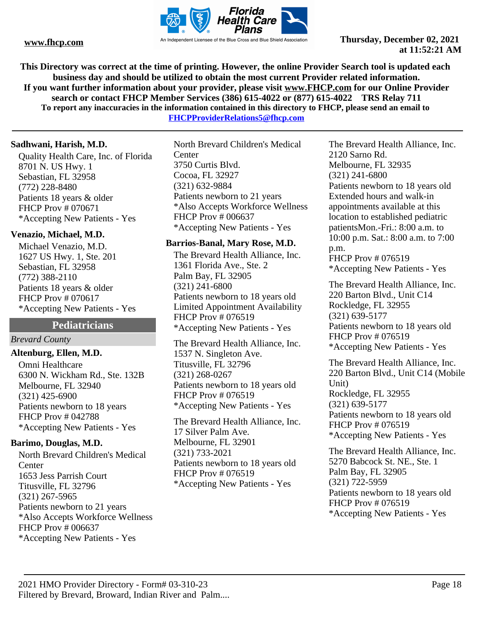

**This Directory was correct at the time of printing. However, the online Provider Search tool is updated each business day and should be utilized to obtain the most current Provider related information. If you want further information about your provider, please visit www.FHCP.com for our Online Provider search or contact FHCP Member Services (386) 615-4022 or (877) 615-4022 TRS Relay 711 To report any inaccuracies in the information contained in this directory to FHCP, please send an email to** 

**FHCPProviderRelations5@fhcp.com**

#### **Sadhwani, Harish, M.D.**

Quality Health Care, Inc. of Florida 8701 N. US Hwy. 1 Sebastian, FL 32958 (772) 228-8480 Patients 18 years & older FHCP Prov # 070671 \*Accepting New Patients - Yes

### **Venazio, Michael, M.D.**

Michael Venazio, M.D. 1627 US Hwy. 1, Ste. 201 Sebastian, FL 32958 (772) 388-2110 Patients 18 years & older FHCP Prov # 070617 \*Accepting New Patients - Yes

# **Pediatricians**

# *Brevard County*

### **Altenburg, Ellen, M.D.**

Omni Healthcare 6300 N. Wickham Rd., Ste. 132B Melbourne, FL 32940 (321) 425-6900 Patients newborn to 18 years FHCP Prov # 042788 \*Accepting New Patients - Yes

#### **Barimo, Douglas, M.D.**

North Brevard Children's Medical **C**enter 1653 Jess Parrish Court Titusville, FL 32796 (321) 267-5965 Patients newborn to 21 years \*Also Accepts Workforce Wellness FHCP Prov # 006637 \*Accepting New Patients - Yes

North Brevard Children's Medical **Center** 3750 Curtis Blvd. Cocoa, FL 32927 (321) 632-9884 Patients newborn to 21 years \*Also Accepts Workforce Wellness FHCP Prov # 006637 \*Accepting New Patients - Yes

#### **Barrios-Banal, Mary Rose, M.D.**

The Brevard Health Alliance, Inc. 1361 Florida Ave., Ste. 2 Palm Bay, FL 32905 (321) 241-6800 Patients newborn to 18 years old Limited Appointment Availability FHCP Prov # 076519 \*Accepting New Patients - Yes

The Brevard Health Alliance, Inc. 1537 N. Singleton Ave. Titusville, FL 32796 (321) 268-0267 Patients newborn to 18 years old FHCP Prov # 076519 \*Accepting New Patients - Yes

The Brevard Health Alliance, Inc. 17 Silver Palm Ave. Melbourne, FL 32901 (321) 733-2021 Patients newborn to 18 years old FHCP Prov # 076519 \*Accepting New Patients - Yes

The Brevard Health Alliance, Inc. 2120 Sarno Rd. Melbourne, FL 32935 (321) 241-6800 Patients newborn to 18 years old Extended hours and walk-in appointments available at this location to established pediatric patientsMon.-Fri.: 8:00 a.m. to 10:00 p.m. Sat.: 8:00 a.m. to 7:00 p.m. FHCP Prov # 076519

\*Accepting New Patients - Yes

The Brevard Health Alliance, Inc. 220 Barton Blvd., Unit C14 Rockledge, FL 32955 (321) 639-5177 Patients newborn to 18 years old FHCP Prov # 076519 \*Accepting New Patients - Yes

The Brevard Health Alliance, Inc. 220 Barton Blvd., Unit C14 (Mobile Unit) Rockledge, FL 32955 (321) 639-5177 Patients newborn to 18 years old FHCP Prov # 076519 \*Accepting New Patients - Yes

The Brevard Health Alliance, Inc. 5270 Babcock St. NE., Ste. 1 Palm Bay, FL 32905 (321) 722-5959 Patients newborn to 18 years old FHCP Prov # 076519 \*Accepting New Patients - Yes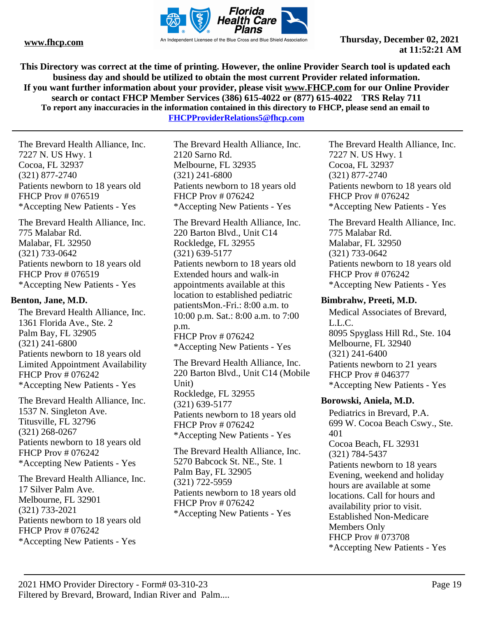

**This Directory was correct at the time of printing. However, the online Provider Search tool is updated each business day and should be utilized to obtain the most current Provider related information. If you want further information about your provider, please visit www.FHCP.com for our Online Provider search or contact FHCP Member Services (386) 615-4022 or (877) 615-4022 TRS Relay 711 To report any inaccuracies in the information contained in this directory to FHCP, please send an email to FHCPProviderRelations5@fhcp.com**

The Brevard Health Alliance, Inc. 7227 N. US Hwy. 1 Cocoa, FL 32937 (321) 877-2740 Patients newborn to 18 years old FHCP Prov # 076519 \*Accepting New Patients - Yes

The Brevard Health Alliance, Inc. 775 Malabar Rd. Malabar, FL 32950 (321) 733-0642 Patients newborn to 18 years old FHCP Prov # 076519 \*Accepting New Patients - Yes

# **Benton, Jane, M.D.**

The Brevard Health Alliance, Inc. 1361 Florida Ave., Ste. 2 Palm Bay, FL 32905 (321) 241-6800 Patients newborn to 18 years old Limited Appointment Availability FHCP Prov # 076242 \*Accepting New Patients - Yes

The Brevard Health Alliance, Inc. 1537 N. Singleton Ave. Titusville, FL 32796 (321) 268-0267 Patients newborn to 18 years old FHCP Prov # 076242 \*Accepting New Patients - Yes

The Brevard Health Alliance, Inc. 17 Silver Palm Ave. Melbourne, FL 32901 (321) 733-2021 Patients newborn to 18 years old FHCP Prov # 076242 \*Accepting New Patients - Yes

The Brevard Health Alliance, Inc. 2120 Sarno Rd. Melbourne, FL 32935 (321) 241-6800 Patients newborn to 18 years old FHCP Prov # 076242 \*Accepting New Patients - Yes

The Brevard Health Alliance, Inc. 220 Barton Blvd., Unit C14 Rockledge, FL 32955 (321) 639-5177 Patients newborn to 18 years old Extended hours and walk-in appointments available at this location to established pediatric patientsMon.-Fri.: 8:00 a.m. to 10:00 p.m. Sat.: 8:00 a.m. to 7:00 p.m. FHCP Prov # 076242 \*Accepting New Patients - Yes

The Brevard Health Alliance, Inc. 220 Barton Blvd., Unit C14 (Mobile Unit) Rockledge, FL 32955 (321) 639-5177 Patients newborn to 18 years old FHCP Prov # 076242 \*Accepting New Patients - Yes

The Brevard Health Alliance, Inc. 5270 Babcock St. NE., Ste. 1 Palm Bay, FL 32905 (321) 722-5959 Patients newborn to 18 years old FHCP Prov # 076242 \*Accepting New Patients - Yes

The Brevard Health Alliance, Inc. 7227 N. US Hwy. 1 Cocoa, FL 32937 (321) 877-2740 Patients newborn to 18 years old FHCP Prov # 076242 \*Accepting New Patients - Yes

The Brevard Health Alliance, Inc. 775 Malabar Rd. Malabar, FL 32950 (321) 733-0642 Patients newborn to 18 years old FHCP Prov # 076242 \*Accepting New Patients - Yes

# **Bimbrahw, Preeti, M.D.**

Medical Associates of Brevard, L.L.C. 8095 Spyglass Hill Rd., Ste. 104 Melbourne, FL 32940 (321) 241-6400 Patients newborn to 21 years FHCP Prov # 046377 \*Accepting New Patients - Yes

# **Borowski, Aniela, M.D.**

Pediatrics in Brevard, P.A. 699 W. Cocoa Beach Cswy., Ste. 401 Cocoa Beach, FL 32931 (321) 784-5437 Patients newborn to 18 years Evening, weekend and holiday hours are available at some locations. Call for hours and availability prior to visit. Established Non-Medicare Members Only FHCP Prov # 073708 \*Accepting New Patients - Yes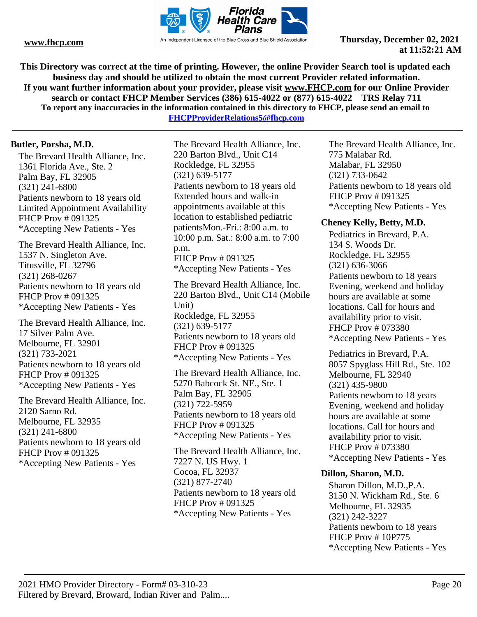

**This Directory was correct at the time of printing. However, the online Provider Search tool is updated each business day and should be utilized to obtain the most current Provider related information. If you want further information about your provider, please visit www.FHCP.com for our Online Provider search or contact FHCP Member Services (386) 615-4022 or (877) 615-4022 TRS Relay 711 To report any inaccuracies in the information contained in this directory to FHCP, please send an email to** 

**FHCPProviderRelations5@fhcp.com**

### **Butler, Porsha, M.D.**

The Brevard Health Alliance, Inc. 1361 Florida Ave., Ste. 2 Palm Bay, FL 32905 (321) 241-6800 Patients newborn to 18 years old Limited Appointment Availability FHCP Prov # 091325 \*Accepting New Patients - Yes

The Brevard Health Alliance, Inc. 1537 N. Singleton Ave. Titusville, FL 32796 (321) 268-0267 Patients newborn to 18 years old FHCP Prov # 091325 \*Accepting New Patients - Yes

The Brevard Health Alliance, Inc. 17 Silver Palm Ave. Melbourne, FL 32901 (321) 733-2021 Patients newborn to 18 years old FHCP Prov # 091325 \*Accepting New Patients - Yes

The Brevard Health Alliance, Inc. 2120 Sarno Rd. Melbourne, FL 32935 (321) 241-6800 Patients newborn to 18 years old FHCP Prov # 091325 \*Accepting New Patients - Yes

The Brevard Health Alliance, Inc. 220 Barton Blvd., Unit C14 Rockledge, FL 32955 (321) 639-5177 Patients newborn to 18 years old Extended hours and walk-in appointments available at this location to established pediatric patientsMon.-Fri.: 8:00 a.m. to 10:00 p.m. Sat.: 8:00 a.m. to 7:00 p.m. FHCP Prov # 091325

\*Accepting New Patients - Yes The Brevard Health Alliance, Inc.

220 Barton Blvd., Unit C14 (Mobile Unit) Rockledge, FL 32955 (321) 639-5177 Patients newborn to 18 years old FHCP Prov # 091325 \*Accepting New Patients - Yes

The Brevard Health Alliance, Inc. 5270 Babcock St. NE., Ste. 1 Palm Bay, FL 32905 (321) 722-5959 Patients newborn to 18 years old FHCP Prov # 091325 \*Accepting New Patients - Yes

The Brevard Health Alliance, Inc. 7227 N. US Hwy. 1 Cocoa, FL 32937 (321) 877-2740 Patients newborn to 18 years old FHCP Prov # 091325 \*Accepting New Patients - Yes

The Brevard Health Alliance, Inc. 775 Malabar Rd. Malabar, FL 32950 (321) 733-0642 Patients newborn to 18 years old FHCP Prov # 091325 \*Accepting New Patients - Yes

#### **Cheney Kelly, Betty, M.D.**

Pediatrics in Brevard, P.A. 134 S. Woods Dr. Rockledge, FL 32955 (321) 636-3066 Patients newborn to 18 years Evening, weekend and holiday hours are available at some locations. Call for hours and availability prior to visit. FHCP Prov # 073380 \*Accepting New Patients - Yes

Pediatrics in Brevard, P.A. 8057 Spyglass Hill Rd., Ste. 102 Melbourne, FL 32940 (321) 435-9800 Patients newborn to 18 years Evening, weekend and holiday hours are available at some locations. Call for hours and availability prior to visit. FHCP Prov # 073380 \*Accepting New Patients - Yes

#### **Dillon, Sharon, M.D.**

Sharon Dillon, M.D.,P.A. 3150 N. Wickham Rd., Ste. 6 Melbourne, FL 32935 (321) 242-3227 Patients newborn to 18 years FHCP Prov # 10P775 \*Accepting New Patients - Yes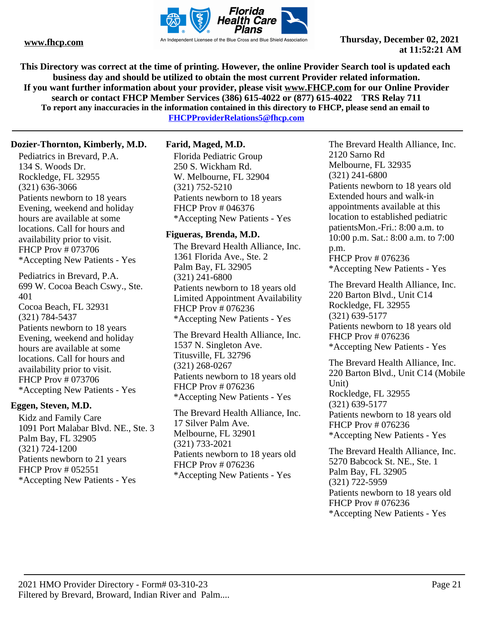

**This Directory was correct at the time of printing. However, the online Provider Search tool is updated each business day and should be utilized to obtain the most current Provider related information. If you want further information about your provider, please visit www.FHCP.com for our Online Provider search or contact FHCP Member Services (386) 615-4022 or (877) 615-4022 TRS Relay 711 To report any inaccuracies in the information contained in this directory to FHCP, please send an email to FHCPProviderRelations5@fhcp.com**

**Dozier-Thornton, Kimberly, M.D.**

Pediatrics in Brevard, P.A. 134 S. Woods Dr. Rockledge, FL 32955 (321) 636-3066 Patients newborn to 18 years Evening, weekend and holiday hours are available at some locations. Call for hours and availability prior to visit. FHCP Prov # 073706 \*Accepting New Patients - Yes

Pediatrics in Brevard, P.A. 699 W. Cocoa Beach Cswy., Ste. 401 Cocoa Beach, FL 32931 (321) 784-5437 Patients newborn to 18 years Evening, weekend and holiday hours are available at some locations. Call for hours and availability prior to visit. FHCP Prov # 073706 \*Accepting New Patients - Yes

### **Eggen, Steven, M.D.**

Kidz and Family Care 1091 Port Malabar Blvd. NE., Ste. 3 Palm Bay, FL 32905 (321) 724-1200 Patients newborn to 21 years FHCP Prov # 052551 \*Accepting New Patients - Yes

# **Farid, Maged, M.D.**

Florida Pediatric Group 250 S. Wickham Rd. W. Melbourne, FL 32904 (321) 752-5210 Patients newborn to 18 years FHCP Prov # 046376 \*Accepting New Patients - Yes

### **Figueras, Brenda, M.D.**

The Brevard Health Alliance, Inc. 1361 Florida Ave., Ste. 2 Palm Bay, FL 32905 (321) 241-6800 Patients newborn to 18 years old Limited Appointment Availability FHCP Prov # 076236 \*Accepting New Patients - Yes

The Brevard Health Alliance, Inc. 1537 N. Singleton Ave. Titusville, FL 32796 (321) 268-0267 Patients newborn to 18 years old FHCP Prov # 076236 \*Accepting New Patients - Yes

The Brevard Health Alliance, Inc. 17 Silver Palm Ave. Melbourne, FL 32901 (321) 733-2021 Patients newborn to 18 years old FHCP Prov # 076236 \*Accepting New Patients - Yes

The Brevard Health Alliance, Inc. 2120 Sarno Rd Melbourne, FL 32935 (321) 241-6800 Patients newborn to 18 years old Extended hours and walk-in appointments available at this location to established pediatric patientsMon.-Fri.: 8:00 a.m. to 10:00 p.m. Sat.: 8:00 a.m. to 7:00 p.m. FHCP Prov # 076236 \*Accepting New Patients - Yes

The Brevard Health Alliance, Inc. 220 Barton Blvd., Unit C14 Rockledge, FL 32955 (321) 639-5177 Patients newborn to 18 years old FHCP Prov # 076236 \*Accepting New Patients - Yes

The Brevard Health Alliance, Inc. 220 Barton Blvd., Unit C14 (Mobile Unit) Rockledge, FL 32955 (321) 639-5177 Patients newborn to 18 years old FHCP Prov # 076236 \*Accepting New Patients - Yes

The Brevard Health Alliance, Inc. 5270 Babcock St. NE., Ste. 1 Palm Bay, FL 32905 (321) 722-5959 Patients newborn to 18 years old FHCP Prov # 076236 \*Accepting New Patients - Yes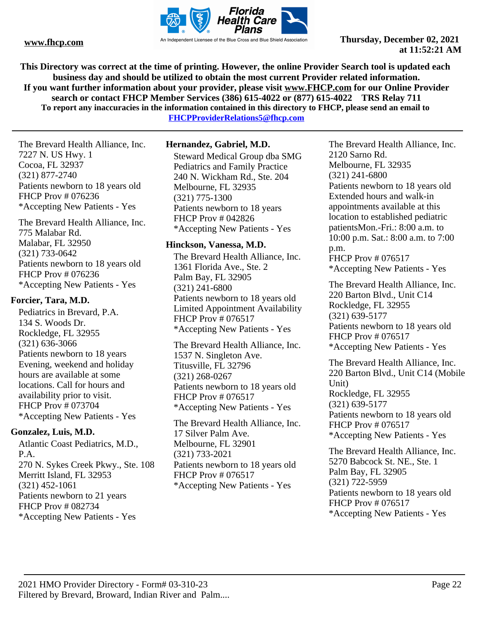

**This Directory was correct at the time of printing. However, the online Provider Search tool is updated each business day and should be utilized to obtain the most current Provider related information. If you want further information about your provider, please visit www.FHCP.com for our Online Provider search or contact FHCP Member Services (386) 615-4022 or (877) 615-4022 TRS Relay 711 To report any inaccuracies in the information contained in this directory to FHCP, please send an email to** 

**FHCPProviderRelations5@fhcp.com**

The Brevard Health Alliance, Inc. 7227 N. US Hwy. 1 Cocoa, FL 32937 (321) 877-2740 Patients newborn to 18 years old FHCP Prov # 076236 \*Accepting New Patients - Yes

The Brevard Health Alliance, Inc. 775 Malabar Rd. Malabar, FL 32950 (321) 733-0642 Patients newborn to 18 years old FHCP Prov # 076236 \*Accepting New Patients - Yes

### **Forcier, Tara, M.D.**

Pediatrics in Brevard, P.A. 134 S. Woods Dr. Rockledge, FL 32955 (321) 636-3066 Patients newborn to 18 years Evening, weekend and holiday hours are available at some locations. Call for hours and availability prior to visit. FHCP Prov # 073704 \*Accepting New Patients - Yes

# **Gonzalez, Luis, M.D.**

Atlantic Coast Pediatrics, M.D., P.A. 270 N. Sykes Creek Pkwy., Ste. 108 Merritt Island, FL 32953 (321) 452-1061 Patients newborn to 21 years FHCP Prov # 082734 \*Accepting New Patients - Yes

# **Hernandez, Gabriel, M.D.**

Steward Medical Group dba SMG Pediatrics and Family Practice 240 N. Wickham Rd., Ste. 204 Melbourne, FL 32935 (321) 775-1300 Patients newborn to 18 years FHCP Prov # 042826 \*Accepting New Patients - Yes

### **Hinckson, Vanessa, M.D.**

The Brevard Health Alliance, Inc. 1361 Florida Ave., Ste. 2 Palm Bay, FL 32905 (321) 241-6800 Patients newborn to 18 years old Limited Appointment Availability FHCP Prov # 076517 \*Accepting New Patients - Yes

The Brevard Health Alliance, Inc. 1537 N. Singleton Ave. Titusville, FL 32796 (321) 268-0267 Patients newborn to 18 years old FHCP Prov # 076517 \*Accepting New Patients - Yes

The Brevard Health Alliance, Inc. 17 Silver Palm Ave. Melbourne, FL 32901 (321) 733-2021 Patients newborn to 18 years old FHCP Prov # 076517 \*Accepting New Patients - Yes

The Brevard Health Alliance, Inc. 2120 Sarno Rd. Melbourne, FL 32935 (321) 241-6800 Patients newborn to 18 years old Extended hours and walk-in appointments available at this location to established pediatric patientsMon.-Fri.: 8:00 a.m. to 10:00 p.m. Sat.: 8:00 a.m. to 7:00 p.m. FHCP Prov # 076517

\*Accepting New Patients - Yes

The Brevard Health Alliance, Inc. 220 Barton Blvd., Unit C14 Rockledge, FL 32955 (321) 639-5177 Patients newborn to 18 years old FHCP Prov # 076517 \*Accepting New Patients - Yes

The Brevard Health Alliance, Inc. 220 Barton Blvd., Unit C14 (Mobile Unit) Rockledge, FL 32955 (321) 639-5177 Patients newborn to 18 years old FHCP Prov # 076517 \*Accepting New Patients - Yes

The Brevard Health Alliance, Inc. 5270 Babcock St. NE., Ste. 1 Palm Bay, FL 32905 (321) 722-5959 Patients newborn to 18 years old FHCP Prov # 076517 \*Accepting New Patients - Yes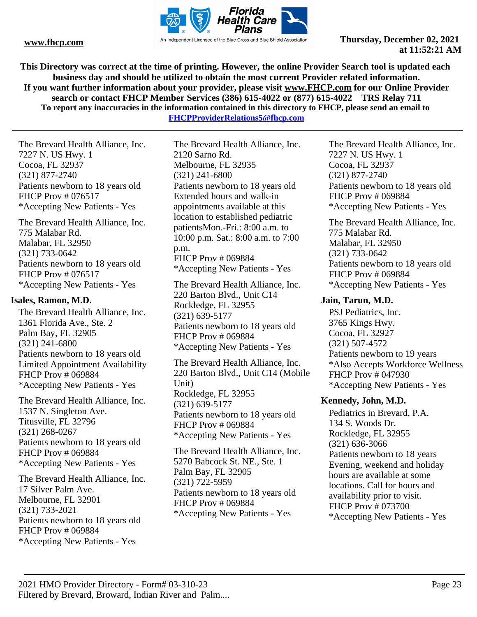

**This Directory was correct at the time of printing. However, the online Provider Search tool is updated each business day and should be utilized to obtain the most current Provider related information. If you want further information about your provider, please visit www.FHCP.com for our Online Provider search or contact FHCP Member Services (386) 615-4022 or (877) 615-4022 TRS Relay 711 To report any inaccuracies in the information contained in this directory to FHCP, please send an email to FHCPProviderRelations5@fhcp.com**

The Brevard Health Alliance, Inc. 7227 N. US Hwy. 1 Cocoa, FL 32937 (321) 877-2740 Patients newborn to 18 years old FHCP Prov # 076517 \*Accepting New Patients - Yes

The Brevard Health Alliance, Inc. 775 Malabar Rd. Malabar, FL 32950 (321) 733-0642 Patients newborn to 18 years old FHCP Prov # 076517 \*Accepting New Patients - Yes

#### **Isales, Ramon, M.D.**

The Brevard Health Alliance, Inc. 1361 Florida Ave., Ste. 2 Palm Bay, FL 32905 (321) 241-6800 Patients newborn to 18 years old Limited Appointment Availability FHCP Prov # 069884 \*Accepting New Patients - Yes

The Brevard Health Alliance, Inc. 1537 N. Singleton Ave. Titusville, FL 32796 (321) 268-0267 Patients newborn to 18 years old FHCP Prov # 069884 \*Accepting New Patients - Yes

The Brevard Health Alliance, Inc. 17 Silver Palm Ave. Melbourne, FL 32901 (321) 733-2021 Patients newborn to 18 years old FHCP Prov # 069884 \*Accepting New Patients - Yes

The Brevard Health Alliance, Inc. 2120 Sarno Rd. Melbourne, FL 32935 (321) 241-6800 Patients newborn to 18 years old Extended hours and walk-in appointments available at this location to established pediatric patientsMon.-Fri.: 8:00 a.m. to 10:00 p.m. Sat.: 8:00 a.m. to 7:00 p.m. FHCP Prov # 069884 \*Accepting New Patients - Yes

The Brevard Health Alliance, Inc. 220 Barton Blvd., Unit C14 Rockledge, FL 32955 (321) 639-5177 Patients newborn to 18 years old FHCP Prov # 069884 \*Accepting New Patients - Yes

The Brevard Health Alliance, Inc. 220 Barton Blvd., Unit C14 (Mobile Unit) Rockledge, FL 32955 (321) 639-5177 Patients newborn to 18 years old FHCP Prov # 069884 \*Accepting New Patients - Yes

The Brevard Health Alliance, Inc. 5270 Babcock St. NE., Ste. 1 Palm Bay, FL 32905 (321) 722-5959 Patients newborn to 18 years old FHCP Prov # 069884 \*Accepting New Patients - Yes

The Brevard Health Alliance, Inc. 7227 N. US Hwy. 1 Cocoa, FL 32937 (321) 877-2740 Patients newborn to 18 years old FHCP Prov # 069884 \*Accepting New Patients - Yes

The Brevard Health Alliance, Inc. 775 Malabar Rd. Malabar, FL 32950 (321) 733-0642 Patients newborn to 18 years old FHCP Prov # 069884 \*Accepting New Patients - Yes

#### **Jain, Tarun, M.D.**

PSJ Pediatrics, Inc. 3765 Kings Hwy. Cocoa, FL 32927 (321) 507-4572 Patients newborn to 19 years \*Also Accepts Workforce Wellness FHCP Prov # 047930 \*Accepting New Patients - Yes

### **Kennedy, John, M.D.**

Pediatrics in Brevard, P.A. 134 S. Woods Dr. Rockledge, FL 32955 (321) 636-3066 Patients newborn to 18 years Evening, weekend and holiday hours are available at some locations. Call for hours and availability prior to visit. FHCP Prov # 073700 \*Accepting New Patients - Yes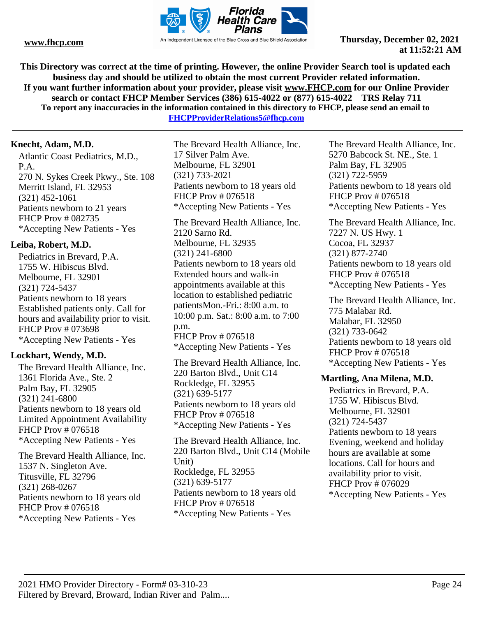

**This Directory was correct at the time of printing. However, the online Provider Search tool is updated each business day and should be utilized to obtain the most current Provider related information. If you want further information about your provider, please visit www.FHCP.com for our Online Provider search or contact FHCP Member Services (386) 615-4022 or (877) 615-4022 TRS Relay 711 To report any inaccuracies in the information contained in this directory to FHCP, please send an email to** 

**FHCPProviderRelations5@fhcp.com**

# **Knecht, Adam, M.D.**

Atlantic Coast Pediatrics, M.D., P.A. 270 N. Sykes Creek Pkwy., Ste. 108 Merritt Island, FL 32953 (321) 452-1061 Patients newborn to 21 years FHCP Prov # 082735 \*Accepting New Patients - Yes

# **Leiba, Robert, M.D.**

Pediatrics in Brevard, P.A. 1755 W. Hibiscus Blvd. Melbourne, FL 32901 (321) 724-5437 Patients newborn to 18 years Established patients only. Call for hours and availability prior to visit. FHCP Prov # 073698 \*Accepting New Patients - Yes

# **Lockhart, Wendy, M.D.**

The Brevard Health Alliance, Inc. 1361 Florida Ave., Ste. 2 Palm Bay, FL 32905 (321) 241-6800 Patients newborn to 18 years old Limited Appointment Availability FHCP Prov # 076518 \*Accepting New Patients - Yes

The Brevard Health Alliance, Inc. 1537 N. Singleton Ave. Titusville, FL 32796 (321) 268-0267 Patients newborn to 18 years old FHCP Prov # 076518 \*Accepting New Patients - Yes

The Brevard Health Alliance, Inc. 17 Silver Palm Ave. Melbourne, FL 32901 (321) 733-2021 Patients newborn to 18 years old FHCP Prov # 076518 \*Accepting New Patients - Yes

The Brevard Health Alliance, Inc. 2120 Sarno Rd. Melbourne, FL 32935 (321) 241-6800 Patients newborn to 18 years old Extended hours and walk-in appointments available at this location to established pediatric patientsMon.-Fri.: 8:00 a.m. to 10:00 p.m. Sat.: 8:00 a.m. to 7:00 p.m. FHCP Prov # 076518 \*Accepting New Patients - Yes

The Brevard Health Alliance, Inc. 220 Barton Blvd., Unit C14 Rockledge, FL 32955 (321) 639-5177 Patients newborn to 18 years old FHCP Prov # 076518 \*Accepting New Patients - Yes

The Brevard Health Alliance, Inc. 220 Barton Blvd., Unit C14 (Mobile Unit) Rockledge, FL 32955 (321) 639-5177 Patients newborn to 18 years old FHCP Prov # 076518 \*Accepting New Patients - Yes

The Brevard Health Alliance, Inc. 5270 Babcock St. NE., Ste. 1 Palm Bay, FL 32905 (321) 722-5959 Patients newborn to 18 years old FHCP Prov # 076518 \*Accepting New Patients - Yes

The Brevard Health Alliance, Inc. 7227 N. US Hwy. 1 Cocoa, FL 32937 (321) 877-2740 Patients newborn to 18 years old FHCP Prov # 076518 \*Accepting New Patients - Yes

The Brevard Health Alliance, Inc. 775 Malabar Rd. Malabar, FL 32950 (321) 733-0642 Patients newborn to 18 years old FHCP Prov # 076518 \*Accepting New Patients - Yes

#### **Martling, Ana Milena, M.D.**

Pediatrics in Brevard, P.A. 1755 W. Hibiscus Blvd. Melbourne, FL 32901 (321) 724-5437 Patients newborn to 18 years Evening, weekend and holiday hours are available at some locations. Call for hours and availability prior to visit. FHCP Prov # 076029 \*Accepting New Patients - Yes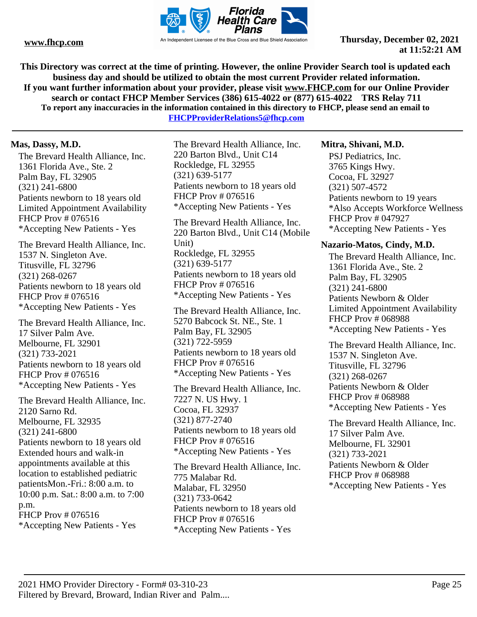

**This Directory was correct at the time of printing. However, the online Provider Search tool is updated each business day and should be utilized to obtain the most current Provider related information. If you want further information about your provider, please visit www.FHCP.com for our Online Provider search or contact FHCP Member Services (386) 615-4022 or (877) 615-4022 TRS Relay 711 To report any inaccuracies in the information contained in this directory to FHCP, please send an email to** 

**FHCPProviderRelations5@fhcp.com**

### **Mas, Dassy, M.D.**

The Brevard Health Alliance, Inc. 1361 Florida Ave., Ste. 2 Palm Bay, FL 32905 (321) 241-6800 Patients newborn to 18 years old Limited Appointment Availability FHCP Prov # 076516 \*Accepting New Patients - Yes

The Brevard Health Alliance, Inc. 1537 N. Singleton Ave. Titusville, FL 32796 (321) 268-0267 Patients newborn to 18 years old FHCP Prov # 076516 \*Accepting New Patients - Yes

The Brevard Health Alliance, Inc. 17 Silver Palm Ave. Melbourne, FL 32901 (321) 733-2021 Patients newborn to 18 years old FHCP Prov # 076516 \*Accepting New Patients - Yes

The Brevard Health Alliance, Inc. 2120 Sarno Rd. Melbourne, FL 32935 (321) 241-6800 Patients newborn to 18 years old Extended hours and walk-in appointments available at this location to established pediatric patientsMon.-Fri.: 8:00 a.m. to 10:00 p.m. Sat.: 8:00 a.m. to 7:00 p.m. FHCP Prov # 076516 \*Accepting New Patients - Yes

The Brevard Health Alliance, Inc. 220 Barton Blvd., Unit C14 Rockledge, FL 32955 (321) 639-5177 Patients newborn to 18 years old FHCP Prov # 076516 \*Accepting New Patients - Yes

The Brevard Health Alliance, Inc. 220 Barton Blvd., Unit C14 (Mobile Unit) Rockledge, FL 32955 (321) 639-5177 Patients newborn to 18 years old FHCP Prov # 076516 \*Accepting New Patients - Yes

The Brevard Health Alliance, Inc. 5270 Babcock St. NE., Ste. 1 Palm Bay, FL 32905 (321) 722-5959 Patients newborn to 18 years old FHCP Prov # 076516 \*Accepting New Patients - Yes

The Brevard Health Alliance, Inc. 7227 N. US Hwy. 1 Cocoa, FL 32937 (321) 877-2740 Patients newborn to 18 years old FHCP Prov # 076516 \*Accepting New Patients - Yes

The Brevard Health Alliance, Inc. 775 Malabar Rd. Malabar, FL 32950 (321) 733-0642 Patients newborn to 18 years old FHCP Prov # 076516 \*Accepting New Patients - Yes

#### **Mitra, Shivani, M.D.**

PSJ Pediatrics, Inc. 3765 Kings Hwy. Cocoa, FL 32927 (321) 507-4572 Patients newborn to 19 years \*Also Accepts Workforce Wellness FHCP Prov # 047927 \*Accepting New Patients - Yes

#### **Nazario-Matos, Cindy, M.D.**

The Brevard Health Alliance, Inc. 1361 Florida Ave., Ste. 2 Palm Bay, FL 32905 (321) 241-6800 Patients Newborn & Older Limited Appointment Availability FHCP Prov # 068988 \*Accepting New Patients - Yes

The Brevard Health Alliance, Inc. 1537 N. Singleton Ave. Titusville, FL 32796 (321) 268-0267 Patients Newborn & Older FHCP Prov # 068988 \*Accepting New Patients - Yes

The Brevard Health Alliance, Inc. 17 Silver Palm Ave. Melbourne, FL 32901 (321) 733-2021 Patients Newborn & Older FHCP Prov # 068988 \*Accepting New Patients - Yes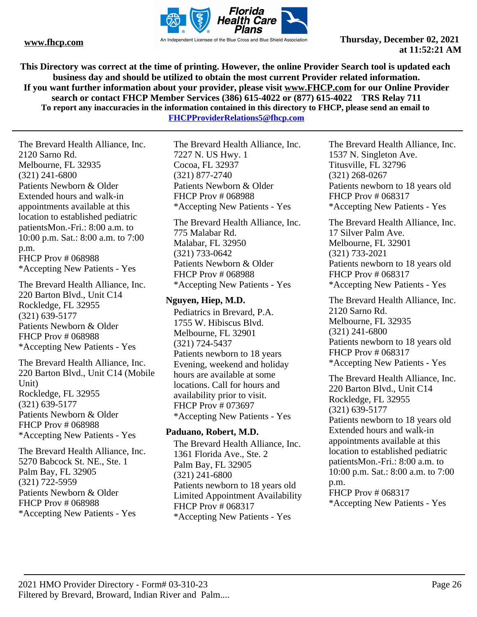

**This Directory was correct at the time of printing. However, the online Provider Search tool is updated each business day and should be utilized to obtain the most current Provider related information. If you want further information about your provider, please visit www.FHCP.com for our Online Provider search or contact FHCP Member Services (386) 615-4022 or (877) 615-4022 TRS Relay 711 To report any inaccuracies in the information contained in this directory to FHCP, please send an email to FHCPProviderRelations5@fhcp.com**

The Brevard Health Alliance, Inc. 2120 Sarno Rd. Melbourne, FL 32935 (321) 241-6800 Patients Newborn & Older Extended hours and walk-in appointments available at this location to established pediatric patientsMon.-Fri.: 8:00 a.m. to 10:00 p.m. Sat.: 8:00 a.m. to 7:00 p.m. FHCP Prov # 068988 \*Accepting New Patients - Yes

The Brevard Health Alliance, Inc. 220 Barton Blvd., Unit C14 Rockledge, FL 32955 (321) 639-5177 Patients Newborn & Older FHCP Prov # 068988 \*Accepting New Patients - Yes

The Brevard Health Alliance, Inc. 220 Barton Blvd., Unit C14 (Mobile Unit) Rockledge, FL 32955 (321) 639-5177 Patients Newborn & Older FHCP Prov # 068988 \*Accepting New Patients - Yes

The Brevard Health Alliance, Inc. 5270 Babcock St. NE., Ste. 1 Palm Bay, FL 32905 (321) 722-5959 Patients Newborn & Older FHCP Prov # 068988 \*Accepting New Patients - Yes

The Brevard Health Alliance, Inc. 7227 N. US Hwy. 1 Cocoa, FL 32937 (321) 877-2740 Patients Newborn & Older FHCP Prov # 068988 \*Accepting New Patients - Yes

The Brevard Health Alliance, Inc. 775 Malabar Rd. Malabar, FL 32950 (321) 733-0642 Patients Newborn & Older FHCP Prov # 068988 \*Accepting New Patients - Yes

# **Nguyen, Hiep, M.D.**

Pediatrics in Brevard, P.A. 1755 W. Hibiscus Blvd. Melbourne, FL 32901 (321) 724-5437 Patients newborn to 18 years Evening, weekend and holiday hours are available at some locations. Call for hours and availability prior to visit. FHCP Prov # 073697 \*Accepting New Patients - Yes

### **Paduano, Robert, M.D.**

The Brevard Health Alliance, Inc. 1361 Florida Ave., Ste. 2 Palm Bay, FL 32905 (321) 241-6800 Patients newborn to 18 years old Limited Appointment Availability FHCP Prov # 068317 \*Accepting New Patients - Yes

The Brevard Health Alliance, Inc. 1537 N. Singleton Ave. Titusville, FL 32796 (321) 268-0267 Patients newborn to 18 years old FHCP Prov # 068317 \*Accepting New Patients - Yes

The Brevard Health Alliance, Inc. 17 Silver Palm Ave. Melbourne, FL 32901 (321) 733-2021 Patients newborn to 18 years old FHCP Prov # 068317 \*Accepting New Patients - Yes

The Brevard Health Alliance, Inc. 2120 Sarno Rd. Melbourne, FL 32935 (321) 241-6800 Patients newborn to 18 years old FHCP Prov # 068317 \*Accepting New Patients - Yes

The Brevard Health Alliance, Inc. 220 Barton Blvd., Unit C14 Rockledge, FL 32955 (321) 639-5177 Patients newborn to 18 years old Extended hours and walk-in appointments available at this location to established pediatric patientsMon.-Fri.: 8:00 a.m. to 10:00 p.m. Sat.: 8:00 a.m. to 7:00 p.m. FHCP Prov # 068317 \*Accepting New Patients - Yes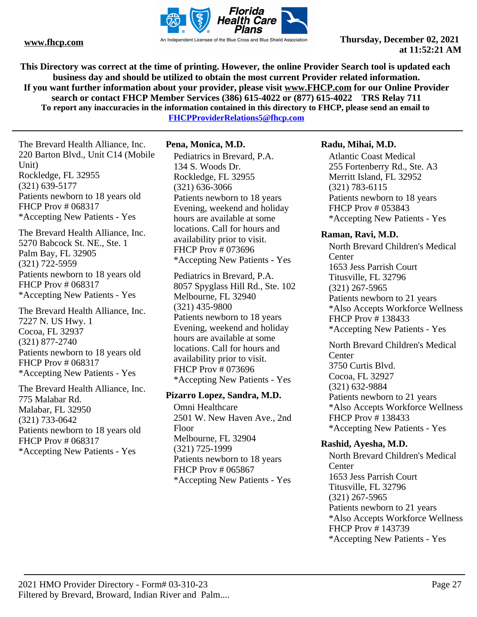

**This Directory was correct at the time of printing. However, the online Provider Search tool is updated each business day and should be utilized to obtain the most current Provider related information. If you want further information about your provider, please visit www.FHCP.com for our Online Provider search or contact FHCP Member Services (386) 615-4022 or (877) 615-4022 TRS Relay 711 To report any inaccuracies in the information contained in this directory to FHCP, please send an email to** 

**FHCPProviderRelations5@fhcp.com**

The Brevard Health Alliance, Inc. 220 Barton Blvd., Unit C14 (Mobile Unit) Rockledge, FL 32955 (321) 639-5177 Patients newborn to 18 years old FHCP Prov # 068317 \*Accepting New Patients - Yes

The Brevard Health Alliance, Inc. 5270 Babcock St. NE., Ste. 1 Palm Bay, FL 32905 (321) 722-5959 Patients newborn to 18 years old FHCP Prov # 068317 \*Accepting New Patients - Yes

The Brevard Health Alliance, Inc. 7227 N. US Hwy. 1 Cocoa, FL 32937 (321) 877-2740 Patients newborn to 18 years old FHCP Prov # 068317 \*Accepting New Patients - Yes

The Brevard Health Alliance, Inc. 775 Malabar Rd. Malabar, FL 32950 (321) 733-0642 Patients newborn to 18 years old FHCP Prov # 068317 \*Accepting New Patients - Yes

# **Pena, Monica, M.D.**

Pediatrics in Brevard, P.A. 134 S. Woods Dr. Rockledge, FL 32955 (321) 636-3066 Patients newborn to 18 years Evening, weekend and holiday hours are available at some locations. Call for hours and availability prior to visit. FHCP Prov # 073696 \*Accepting New Patients - Yes

Pediatrics in Brevard, P.A. 8057 Spyglass Hill Rd., Ste. 102 Melbourne, FL 32940 (321) 435-9800 Patients newborn to 18 years Evening, weekend and holiday hours are available at some locations. Call for hours and availability prior to visit. FHCP Prov # 073696 \*Accepting New Patients - Yes

#### **Pizarro Lopez, Sandra, M.D.**

Omni Healthcare 2501 W. New Haven Ave., 2nd Floor Melbourne, FL 32904 (321) 725-1999 Patients newborn to 18 years FHCP Prov # 065867 \*Accepting New Patients - Yes

# **Radu, Mihai, M.D.**

Atlantic Coast Medical 255 Fortenberry Rd., Ste. A3 Merritt Island, FL 32952 (321) 783-6115 Patients newborn to 18 years FHCP Prov # 053843 \*Accepting New Patients - Yes

### **Raman, Ravi, M.D.**

North Brevard Children's Medical **Center** 1653 Jess Parrish Court Titusville, FL 32796 (321) 267-5965 Patients newborn to 21 years \*Also Accepts Workforce Wellness FHCP Prov # 138433 \*Accepting New Patients - Yes

North Brevard Children's Medical **Center** 3750 Curtis Blvd. Cocoa, FL 32927 (321) 632-9884 Patients newborn to 21 years \*Also Accepts Workforce Wellness FHCP Prov # 138433 \*Accepting New Patients - Yes

# **Rashid, Ayesha, M.D.**

North Brevard Children's Medical **Center** 1653 Jess Parrish Court Titusville, FL 32796 (321) 267-5965 Patients newborn to 21 years \*Also Accepts Workforce Wellness FHCP Prov # 143739 \*Accepting New Patients - Yes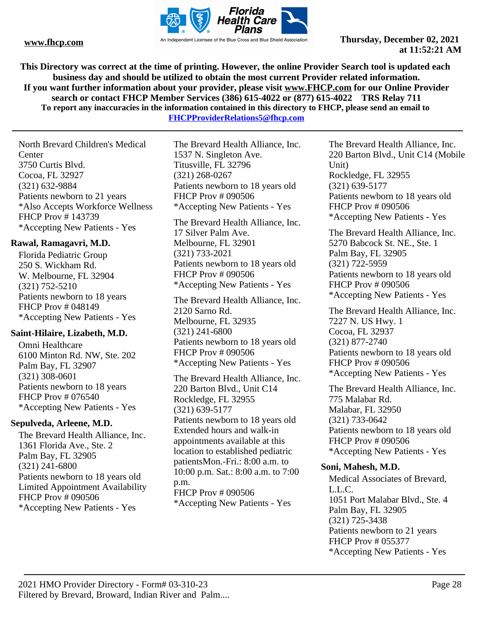

**This Directory was correct at the time of printing. However, the online Provider Search tool is updated each business day and should be utilized to obtain the most current Provider related information. If you want further information about your provider, please visit www.FHCP.com for our Online Provider search or contact FHCP Member Services (386) 615-4022 or (877) 615-4022 TRS Relay 711 To report any inaccuracies in the information contained in this directory to FHCP, please send an email to** 

**FHCPProviderRelations5@fhcp.com**

North Brevard Children's Medical **Center** 3750 Curtis Blvd. Cocoa, FL 32927 (321) 632-9884 Patients newborn to 21 years \*Also Accepts Workforce Wellness FHCP Prov # 143739 \*Accepting New Patients - Yes

# **Rawal, Ramagavri, M.D.**

Florida Pediatric Group 250 S. Wickham Rd. W. Melbourne, FL 32904 (321) 752-5210 Patients newborn to 18 years FHCP Prov # 048149 \*Accepting New Patients - Yes

### **Saint-Hilaire, Lizabeth, M.D.**

Omni Healthcare 6100 Minton Rd. NW, Ste. 202 Palm Bay, FL 32907 (321) 308-0601 Patients newborn to 18 years FHCP Prov # 076540 \*Accepting New Patients - Yes

### **Sepulveda, Arleene, M.D.**

The Brevard Health Alliance, Inc. 1361 Florida Ave., Ste. 2 Palm Bay, FL 32905 (321) 241-6800 Patients newborn to 18 years old Limited Appointment Availability FHCP Prov # 090506 \*Accepting New Patients - Yes

The Brevard Health Alliance, Inc. 1537 N. Singleton Ave. Titusville, FL 32796 (321) 268-0267 Patients newborn to 18 years old FHCP Prov # 090506 \*Accepting New Patients - Yes

The Brevard Health Alliance, Inc. 17 Silver Palm Ave. Melbourne, FL 32901 (321) 733-2021 Patients newborn to 18 years old FHCP Prov # 090506 \*Accepting New Patients - Yes

The Brevard Health Alliance, Inc. 2120 Sarno Rd. Melbourne, FL 32935 (321) 241-6800 Patients newborn to 18 years old FHCP Prov # 090506 \*Accepting New Patients - Yes

The Brevard Health Alliance, Inc. 220 Barton Blvd., Unit C14 Rockledge, FL 32955 (321) 639-5177 Patients newborn to 18 years old Extended hours and walk-in appointments available at this location to established pediatric patientsMon.-Fri.: 8:00 a.m. to 10:00 p.m. Sat.: 8:00 a.m. to 7:00 p.m. FHCP Prov # 090506 \*Accepting New Patients - Yes

The Brevard Health Alliance, Inc. 220 Barton Blvd., Unit C14 (Mobile Unit) Rockledge, FL 32955 (321) 639-5177 Patients newborn to 18 years old FHCP Prov # 090506 \*Accepting New Patients - Yes

The Brevard Health Alliance, Inc. 5270 Babcock St. NE., Ste. 1 Palm Bay, FL 32905 (321) 722-5959 Patients newborn to 18 years old FHCP Prov # 090506 \*Accepting New Patients - Yes

The Brevard Health Alliance, Inc. 7227 N. US Hwy. 1 Cocoa, FL 32937 (321) 877-2740 Patients newborn to 18 years old FHCP Prov # 090506 \*Accepting New Patients - Yes

The Brevard Health Alliance, Inc. 775 Malabar Rd. Malabar, FL 32950 (321) 733-0642 Patients newborn to 18 years old FHCP Prov # 090506 \*Accepting New Patients - Yes

### **Soni, Mahesh, M.D.**

Medical Associates of Brevard, L.L.C. 1051 Port Malabar Blvd., Ste. 4 Palm Bay, FL 32905 (321) 725-3438 Patients newborn to 21 years FHCP Prov # 055377 \*Accepting New Patients - Yes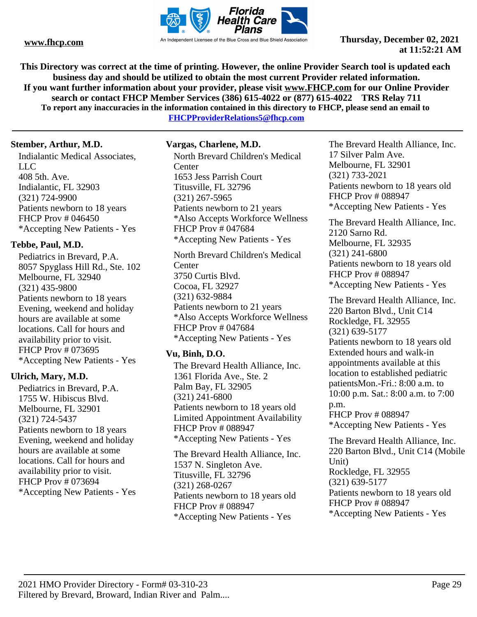

**This Directory was correct at the time of printing. However, the online Provider Search tool is updated each business day and should be utilized to obtain the most current Provider related information. If you want further information about your provider, please visit www.FHCP.com for our Online Provider search or contact FHCP Member Services (386) 615-4022 or (877) 615-4022 TRS Relay 711 To report any inaccuracies in the information contained in this directory to FHCP, please send an email to FHCPProviderRelations5@fhcp.com**

**Stember, Arthur, M.D.**

Indialantic Medical Associates, LLC 408 5th. Ave. Indialantic, FL 32903 (321) 724-9900 Patients newborn to 18 years FHCP Prov # 046450 \*Accepting New Patients - Yes

# **Tebbe, Paul, M.D.**

Pediatrics in Brevard, P.A. 8057 Spyglass Hill Rd., Ste. 102 Melbourne, FL 32940 (321) 435-9800 Patients newborn to 18 years Evening, weekend and holiday hours are available at some locations. Call for hours and availability prior to visit. FHCP Prov # 073695 \*Accepting New Patients - Yes

# **Ulrich, Mary, M.D.**

Pediatrics in Brevard, P.A. 1755 W. Hibiscus Blvd. Melbourne, FL 32901 (321) 724-5437 Patients newborn to 18 years Evening, weekend and holiday hours are available at some locations. Call for hours and availability prior to visit. FHCP Prov # 073694 \*Accepting New Patients - Yes

# **Vargas, Charlene, M.D.**

North Brevard Children's Medical **Center** 1653 Jess Parrish Court Titusville, FL 32796 (321) 267-5965 Patients newborn to 21 years \*Also Accepts Workforce Wellness FHCP Prov # 047684 \*Accepting New Patients - Yes

North Brevard Children's Medical **Center** 3750 Curtis Blvd. Cocoa, FL 32927 (321) 632-9884 Patients newborn to 21 years \*Also Accepts Workforce Wellness FHCP Prov # 047684 \*Accepting New Patients - Yes

# **Vu, Binh, D.O.**

The Brevard Health Alliance, Inc. 1361 Florida Ave., Ste. 2 Palm Bay, FL 32905 (321) 241-6800 Patients newborn to 18 years old Limited Appointment Availability FHCP Prov # 088947 \*Accepting New Patients - Yes

The Brevard Health Alliance, Inc. 1537 N. Singleton Ave. Titusville, FL 32796 (321) 268-0267 Patients newborn to 18 years old FHCP Prov # 088947 \*Accepting New Patients - Yes

The Brevard Health Alliance, Inc. 17 Silver Palm Ave. Melbourne, FL 32901 (321) 733-2021 Patients newborn to 18 years old FHCP Prov # 088947 \*Accepting New Patients - Yes

The Brevard Health Alliance, Inc. 2120 Sarno Rd. Melbourne, FL 32935 (321) 241-6800 Patients newborn to 18 years old FHCP Prov # 088947 \*Accepting New Patients - Yes

The Brevard Health Alliance, Inc. 220 Barton Blvd., Unit C14 Rockledge, FL 32955 (321) 639-5177 Patients newborn to 18 years old Extended hours and walk-in appointments available at this location to established pediatric patientsMon.-Fri.: 8:00 a.m. to 10:00 p.m. Sat.: 8:00 a.m. to 7:00 p.m. FHCP Prov # 088947

\*Accepting New Patients - Yes The Brevard Health Alliance, Inc.

220 Barton Blvd., Unit C14 (Mobile Unit) Rockledge, FL 32955 (321) 639-5177 Patients newborn to 18 years old FHCP Prov # 088947 \*Accepting New Patients - Yes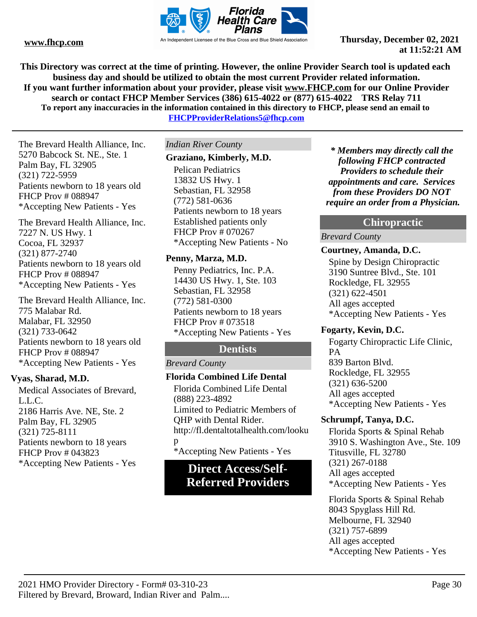

**This Directory was correct at the time of printing. However, the online Provider Search tool is updated each business day and should be utilized to obtain the most current Provider related information. If you want further information about your provider, please visit www.FHCP.com for our Online Provider search or contact FHCP Member Services (386) 615-4022 or (877) 615-4022 TRS Relay 711 To report any inaccuracies in the information contained in this directory to FHCP, please send an email to FHCPProviderRelations5@fhcp.com**

The Brevard Health Alliance, Inc. 5270 Babcock St. NE., Ste. 1 Palm Bay, FL 32905 (321) 722-5959 Patients newborn to 18 years old FHCP Prov # 088947 \*Accepting New Patients - Yes

The Brevard Health Alliance, Inc. 7227 N. US Hwy. 1 Cocoa, FL 32937 (321) 877-2740 Patients newborn to 18 years old FHCP Prov # 088947 \*Accepting New Patients - Yes

The Brevard Health Alliance, Inc. 775 Malabar Rd. Malabar, FL 32950 (321) 733-0642 Patients newborn to 18 years old FHCP Prov # 088947 \*Accepting New Patients - Yes

### **Vyas, Sharad, M.D.**

Medical Associates of Brevard, L.L.C. 2186 Harris Ave. NE, Ste. 2 Palm Bay, FL 32905 (321) 725-8111 Patients newborn to 18 years FHCP Prov # 043823 \*Accepting New Patients - Yes **Direct Access/Self-**

*Indian River County*

#### **Graziano, Kimberly, M.D.**

Pelican Pediatrics 13832 US Hwy. 1 Sebastian, FL 32958 (772) 581-0636 Patients newborn to 18 years Established patients only FHCP Prov # 070267 \*Accepting New Patients - No

#### **Penny, Marza, M.D.**

Penny Pediatrics, Inc. P.A. 14430 US Hwy. 1, Ste. 103 Sebastian, FL 32958 (772) 581-0300 Patients newborn to 18 years FHCP Prov # 073518 \*Accepting New Patients - Yes

# **Dentists**

#### *Brevard County*

### **Florida Combined Life Dental**

Florida Combined Life Dental (888) 223-4892 Limited to Pediatric Members of QHP with Dental Rider. http://fl.dentaltotalhealth.com/looku p \*Accepting New Patients - Yes

# **Referred Providers**

*\* Members may directly call the following FHCP contracted Providers to schedule their appointments and care. Services from these Providers DO NOT require an order from a Physician.*

# **Chiropractic**

#### *Brevard County*

#### **Courtney, Amanda, D.C.**

Spine by Design Chiropractic 3190 Suntree Blvd., Ste. 101 Rockledge, FL 32955 (321) 622-4501 All ages accepted \*Accepting New Patients - Yes

# **Fogarty, Kevin, D.C.**

Fogarty Chiropractic Life Clinic, PA 839 Barton Blvd. Rockledge, FL 32955 (321) 636-5200 All ages accepted \*Accepting New Patients - Yes

### **Schrumpf, Tanya, D.C.**

Florida Sports & Spinal Rehab 3910 S. Washington Ave., Ste. 109 Titusville, FL 32780 (321) 267-0188 All ages accepted \*Accepting New Patients - Yes

Florida Sports & Spinal Rehab 8043 Spyglass Hill Rd. Melbourne, FL 32940 (321) 757-6899 All ages accepted \*Accepting New Patients - Yes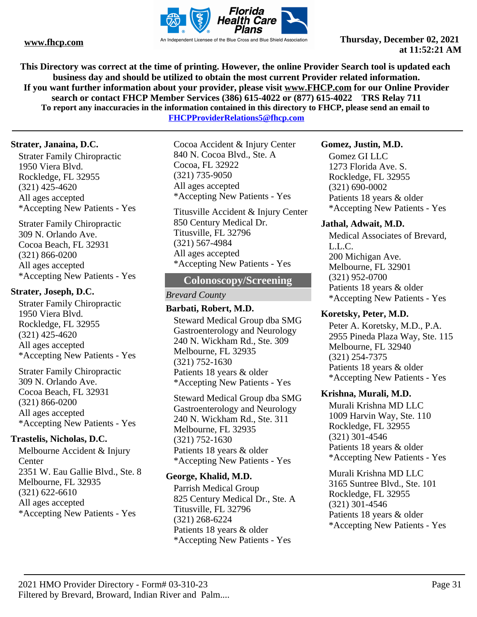

**This Directory was correct at the time of printing. However, the online Provider Search tool is updated each business day and should be utilized to obtain the most current Provider related information. If you want further information about your provider, please visit www.FHCP.com for our Online Provider search or contact FHCP Member Services (386) 615-4022 or (877) 615-4022 TRS Relay 711 To report any inaccuracies in the information contained in this directory to FHCP, please send an email to** 

**FHCPProviderRelations5@fhcp.com**

### **Strater, Janaina, D.C.**

Strater Family Chiropractic 1950 Viera Blvd. Rockledge, FL 32955 (321) 425-4620 All ages accepted \*Accepting New Patients - Yes

Strater Family Chiropractic 309 N. Orlando Ave. Cocoa Beach, FL 32931 (321) 866-0200 All ages accepted \*Accepting New Patients - Yes

### **Strater, Joseph, D.C.**

Strater Family Chiropractic 1950 Viera Blvd. Rockledge, FL 32955 (321) 425-4620 All ages accepted \*Accepting New Patients - Yes

Strater Family Chiropractic 309 N. Orlando Ave. Cocoa Beach, FL 32931 (321) 866-0200 All ages accepted \*Accepting New Patients - Yes

### **Trastelis, Nicholas, D.C.**

Melbourne Accident & Injury Center 2351 W. Eau Gallie Blvd., Ste. 8 Melbourne, FL 32935 (321) 622-6610 All ages accepted \*Accepting New Patients - Yes

Cocoa Accident & Injury Center 840 N. Cocoa Blvd., Ste. A Cocoa, FL 32922 (321) 735-9050 All ages accepted \*Accepting New Patients - Yes

Titusville Accident & Injury Center 850 Century Medical Dr. Titusville, FL 32796 (321) 567-4984 All ages accepted \*Accepting New Patients - Yes

### **Colonoscopy/Screening**

*Brevard County*

# **Barbati, Robert, M.D.**

Steward Medical Group dba SMG Gastroenterology and Neurology 240 N. Wickham Rd., Ste. 309 Melbourne, FL 32935 (321) 752-1630 Patients 18 years & older \*Accepting New Patients - Yes

Steward Medical Group dba SMG Gastroenterology and Neurology 240 N. Wickham Rd., Ste. 311 Melbourne, FL 32935 (321) 752-1630 Patients 18 years & older \*Accepting New Patients - Yes

### **George, Khalid, M.D.**

Parrish Medical Group 825 Century Medical Dr., Ste. A Titusville, FL 32796 (321) 268-6224 Patients 18 years & older \*Accepting New Patients - Yes

#### **Gomez, Justin, M.D.**

Gomez GI LLC 1273 Florida Ave. S. Rockledge, FL 32955 (321) 690-0002 Patients 18 years & older \*Accepting New Patients - Yes

#### **Jathal, Adwait, M.D.**

Medical Associates of Brevard, L.L.C. 200 Michigan Ave. Melbourne, FL 32901 (321) 952-0700 Patients 18 years & older \*Accepting New Patients - Yes

### **Koretsky, Peter, M.D.**

Peter A. Koretsky, M.D., P.A. 2955 Pineda Plaza Way, Ste. 115 Melbourne, FL 32940 (321) 254-7375 Patients 18 years & older \*Accepting New Patients - Yes

### **Krishna, Murali, M.D.**

Murali Krishna MD LLC 1009 Harvin Way, Ste. 110 Rockledge, FL 32955 (321) 301-4546 Patients 18 years & older \*Accepting New Patients - Yes

Murali Krishna MD LLC 3165 Suntree Blvd., Ste. 101 Rockledge, FL 32955 (321) 301-4546 Patients 18 years & older \*Accepting New Patients - Yes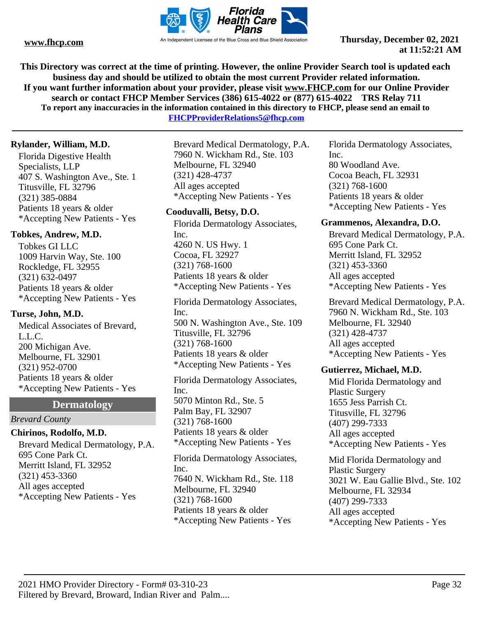

**This Directory was correct at the time of printing. However, the online Provider Search tool is updated each business day and should be utilized to obtain the most current Provider related information. If you want further information about your provider, please visit www.FHCP.com for our Online Provider search or contact FHCP Member Services (386) 615-4022 or (877) 615-4022 TRS Relay 711 To report any inaccuracies in the information contained in this directory to FHCP, please send an email to** 

**FHCPProviderRelations5@fhcp.com**

# **Rylander, William, M.D.**

Florida Digestive Health Specialists, LLP 407 S. Washington Ave., Ste. 1 Titusville, FL 32796 (321) 385-0884 Patients 18 years & older \*Accepting New Patients - Yes

# **Tobkes, Andrew, M.D.**

Tobkes GI LLC 1009 Harvin Way, Ste. 100 Rockledge, FL 32955 (321) 632-0497 Patients 18 years & older \*Accepting New Patients - Yes

### **Turse, John, M.D.**

Medical Associates of Brevard, L.L.C. 200 Michigan Ave. Melbourne, FL 32901 (321) 952-0700 Patients 18 years & older \*Accepting New Patients - Yes

# **Dermatology**

*Brevard County*

# **Chirinos, Rodolfo, M.D.**

Brevard Medical Dermatology, P.A. 695 Cone Park Ct. Merritt Island, FL 32952 (321) 453-3360 All ages accepted \*Accepting New Patients - Yes

Brevard Medical Dermatology, P.A. 7960 N. Wickham Rd., Ste. 103 Melbourne, FL 32940 (321) 428-4737 All ages accepted \*Accepting New Patients - Yes

### **Cooduvalli, Betsy, D.O.**

Florida Dermatology Associates, Inc. 4260 N. US Hwy. 1 Cocoa, FL 32927 (321) 768-1600 Patients 18 years & older \*Accepting New Patients - Yes

Florida Dermatology Associates, Inc. 500 N. Washington Ave., Ste. 109 Titusville, FL 32796 (321) 768-1600 Patients 18 years & older \*Accepting New Patients - Yes

Florida Dermatology Associates, Inc. 5070 Minton Rd., Ste. 5 Palm Bay, FL 32907 (321) 768-1600 Patients 18 years & older \*Accepting New Patients - Yes

Florida Dermatology Associates, Inc. 7640 N. Wickham Rd., Ste. 118 Melbourne, FL 32940 (321) 768-1600 Patients 18 years & older \*Accepting New Patients - Yes

Florida Dermatology Associates, Inc. 80 Woodland Ave. Cocoa Beach, FL 32931 (321) 768-1600

Patients 18 years & older \*Accepting New Patients - Yes

### **Grammenos, Alexandra, D.O.**

Brevard Medical Dermatology, P.A. 695 Cone Park Ct. Merritt Island, FL 32952 (321) 453-3360 All ages accepted \*Accepting New Patients - Yes

Brevard Medical Dermatology, P.A. 7960 N. Wickham Rd., Ste. 103 Melbourne, FL 32940 (321) 428-4737 All ages accepted \*Accepting New Patients - Yes

### **Gutierrez, Michael, M.D.**

Mid Florida Dermatology and Plastic Surgery 1655 Jess Parrish Ct. Titusville, FL 32796 (407) 299-7333 All ages accepted \*Accepting New Patients - Yes

Mid Florida Dermatology and Plastic Surgery 3021 W. Eau Gallie Blvd., Ste. 102 Melbourne, FL 32934 (407) 299-7333 All ages accepted \*Accepting New Patients - Yes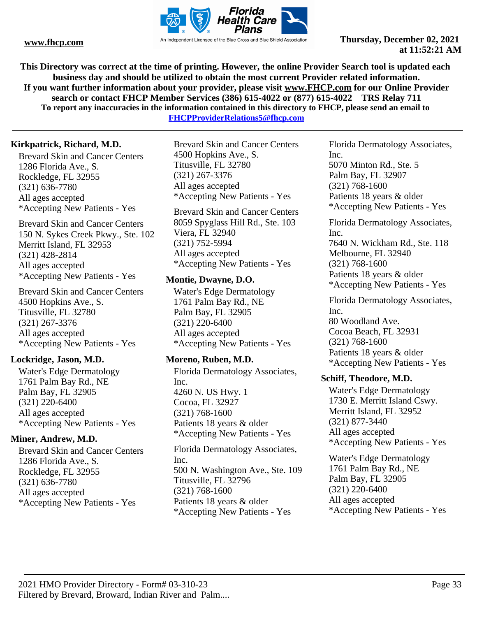

**This Directory was correct at the time of printing. However, the online Provider Search tool is updated each business day and should be utilized to obtain the most current Provider related information. If you want further information about your provider, please visit www.FHCP.com for our Online Provider search or contact FHCP Member Services (386) 615-4022 or (877) 615-4022 TRS Relay 711 To report any inaccuracies in the information contained in this directory to FHCP, please send an email to** 

**FHCPProviderRelations5@fhcp.com**

# **Kirkpatrick, Richard, M.D.**

Brevard Skin and Cancer Centers 1286 Florida Ave., S. Rockledge, FL 32955 (321) 636-7780 All ages accepted \*Accepting New Patients - Yes

Brevard Skin and Cancer Centers 150 N. Sykes Creek Pkwy., Ste. 102 Merritt Island, FL 32953 (321) 428-2814 All ages accepted \*Accepting New Patients - Yes

Brevard Skin and Cancer Centers 4500 Hopkins Ave., S. Titusville, FL 32780 (321) 267-3376 All ages accepted \*Accepting New Patients - Yes

# **Lockridge, Jason, M.D.**

Water's Edge Dermatology 1761 Palm Bay Rd., NE Palm Bay, FL 32905 (321) 220-6400 All ages accepted \*Accepting New Patients - Yes

# **Miner, Andrew, M.D.**

Brevard Skin and Cancer Centers 1286 Florida Ave., S. Rockledge, FL 32955 (321) 636-7780 All ages accepted \*Accepting New Patients - Yes

Brevard Skin and Cancer Centers 4500 Hopkins Ave., S. Titusville, FL 32780 (321) 267-3376 All ages accepted \*Accepting New Patients - Yes

Brevard Skin and Cancer Centers 8059 Spyglass Hill Rd., Ste. 103 Viera, FL 32940 (321) 752-5994 All ages accepted \*Accepting New Patients - Yes

# **Montie, Dwayne, D.O.**

Water's Edge Dermatology 1761 Palm Bay Rd., NE Palm Bay, FL 32905 (321) 220-6400 All ages accepted \*Accepting New Patients - Yes

# **Moreno, Ruben, M.D.**

Florida Dermatology Associates, Inc. 4260 N. US Hwy. 1 Cocoa, FL 32927 (321) 768-1600 Patients 18 years & older \*Accepting New Patients - Yes

Florida Dermatology Associates, Inc. 500 N. Washington Ave., Ste. 109 Titusville, FL 32796 (321) 768-1600 Patients 18 years & older \*Accepting New Patients - Yes

Florida Dermatology Associates, Inc. 5070 Minton Rd., Ste. 5 Palm Bay, FL 32907 (321) 768-1600 Patients 18 years & older \*Accepting New Patients - Yes

Florida Dermatology Associates, Inc. 7640 N. Wickham Rd., Ste. 118 Melbourne, FL 32940 (321) 768-1600 Patients 18 years & older \*Accepting New Patients - Yes

Florida Dermatology Associates, Inc. 80 Woodland Ave. Cocoa Beach, FL 32931 (321) 768-1600 Patients 18 years & older \*Accepting New Patients - Yes

# **Schiff, Theodore, M.D.**

Water's Edge Dermatology 1730 E. Merritt Island Cswy. Merritt Island, FL 32952 (321) 877-3440 All ages accepted \*Accepting New Patients - Yes

Water's Edge Dermatology 1761 Palm Bay Rd., NE Palm Bay, FL 32905 (321) 220-6400 All ages accepted \*Accepting New Patients - Yes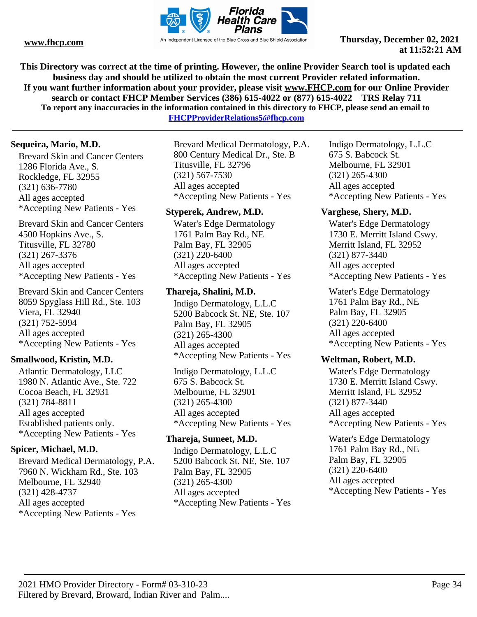

**This Directory was correct at the time of printing. However, the online Provider Search tool is updated each business day and should be utilized to obtain the most current Provider related information. If you want further information about your provider, please visit www.FHCP.com for our Online Provider search or contact FHCP Member Services (386) 615-4022 or (877) 615-4022 TRS Relay 711 To report any inaccuracies in the information contained in this directory to FHCP, please send an email to** 

**FHCPProviderRelations5@fhcp.com**

# **Sequeira, Mario, M.D.**

Brevard Skin and Cancer Centers 1286 Florida Ave., S. Rockledge, FL 32955 (321) 636-7780 All ages accepted \*Accepting New Patients - Yes

Brevard Skin and Cancer Centers 4500 Hopkins Ave., S. Titusville, FL 32780 (321) 267-3376 All ages accepted \*Accepting New Patients - Yes

Brevard Skin and Cancer Centers 8059 Spyglass Hill Rd., Ste. 103 Viera, FL 32940 (321) 752-5994 All ages accepted \*Accepting New Patients - Yes

### **Smallwood, Kristin, M.D.**

Atlantic Dermatology, LLC 1980 N. Atlantic Ave., Ste. 722 Cocoa Beach, FL 32931 (321) 784-8811 All ages accepted Established patients only. \*Accepting New Patients - Yes

### **Spicer, Michael, M.D.**

Brevard Medical Dermatology, P.A. 7960 N. Wickham Rd., Ste. 103 Melbourne, FL 32940 (321) 428-4737 All ages accepted \*Accepting New Patients - Yes

Brevard Medical Dermatology, P.A. 800 Century Medical Dr., Ste. B Titusville, FL 32796 (321) 567-7530 All ages accepted \*Accepting New Patients - Yes

# **Styperek, Andrew, M.D.**

Water's Edge Dermatology 1761 Palm Bay Rd., NE Palm Bay, FL 32905 (321) 220-6400 All ages accepted \*Accepting New Patients - Yes

# **Thareja, Shalini, M.D.**

Indigo Dermatology, L.L.C 5200 Babcock St. NE, Ste. 107 Palm Bay, FL 32905 (321) 265-4300 All ages accepted \*Accepting New Patients - Yes

Indigo Dermatology, L.L.C 675 S. Babcock St. Melbourne, FL 32901 (321) 265-4300 All ages accepted \*Accepting New Patients - Yes

# **Thareja, Sumeet, M.D.**

Indigo Dermatology, L.L.C 5200 Babcock St. NE, Ste. 107 Palm Bay, FL 32905 (321) 265-4300 All ages accepted \*Accepting New Patients - Yes

Indigo Dermatology, L.L.C 675 S. Babcock St. Melbourne, FL 32901 (321) 265-4300 All ages accepted \*Accepting New Patients - Yes

# **Varghese, Shery, M.D.**

Water's Edge Dermatology 1730 E. Merritt Island Cswy. Merritt Island, FL 32952 (321) 877-3440 All ages accepted \*Accepting New Patients - Yes

Water's Edge Dermatology 1761 Palm Bay Rd., NE Palm Bay, FL 32905 (321) 220-6400 All ages accepted \*Accepting New Patients - Yes

### **Weltman, Robert, M.D.**

Water's Edge Dermatology 1730 E. Merritt Island Cswy. Merritt Island, FL 32952 (321) 877-3440 All ages accepted \*Accepting New Patients - Yes

Water's Edge Dermatology 1761 Palm Bay Rd., NE Palm Bay, FL 32905 (321) 220-6400 All ages accepted \*Accepting New Patients - Yes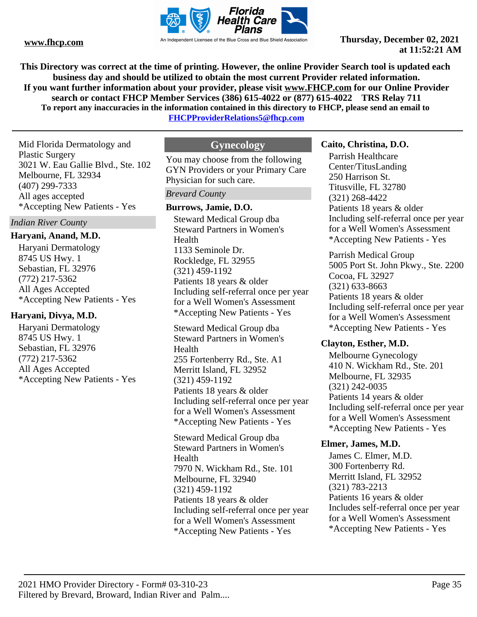

**This Directory was correct at the time of printing. However, the online Provider Search tool is updated each business day and should be utilized to obtain the most current Provider related information. If you want further information about your provider, please visit www.FHCP.com for our Online Provider search or contact FHCP Member Services (386) 615-4022 or (877) 615-4022 TRS Relay 711 To report any inaccuracies in the information contained in this directory to FHCP, please send an email to** 

**FHCPProviderRelations5@fhcp.com**

Mid Florida Dermatology and Plastic Surgery 3021 W. Eau Gallie Blvd., Ste. 102 Melbourne, FL 32934 (407) 299-7333 All ages accepted \*Accepting New Patients - Yes

*Indian River County*

# **Haryani, Anand, M.D.**

Haryani Dermatology 8745 US Hwy. 1 Sebastian, FL 32976 (772) 217-5362 All Ages Accepted \*Accepting New Patients - Yes

# **Haryani, Divya, M.D.**

Haryani Dermatology 8745 US Hwy. 1 Sebastian, FL 32976 (772) 217-5362 All Ages Accepted \*Accepting New Patients - Yes

# **Gynecology**

You may choose from the following GYN Providers or your Primary Care Physician for such care.

#### *Brevard County*

#### **Burrows, Jamie, D.O.**

Steward Medical Group dba Steward Partners in Women's Health 1133 Seminole Dr. Rockledge, FL 32955 (321) 459-1192 Patients 18 years & older Including self-referral once per year for a Well Women's Assessment \*Accepting New Patients - Yes

Steward Medical Group dba Steward Partners in Women's Health 255 Fortenberry Rd., Ste. A1 Merritt Island, FL 32952 (321) 459-1192 Patients 18 years & older Including self-referral once per year for a Well Women's Assessment \*Accepting New Patients - Yes

Steward Medical Group dba Steward Partners in Women's Health 7970 N. Wickham Rd., Ste. 101 Melbourne, FL 32940 (321) 459-1192 Patients 18 years & older Including self-referral once per year for a Well Women's Assessment \*Accepting New Patients - Yes

#### **Caito, Christina, D.O.**

Parrish Healthcare Center/TitusLanding 250 Harrison St. Titusville, FL 32780 (321) 268-4422 Patients 18 years & older Including self-referral once per year for a Well Women's Assessment \*Accepting New Patients - Yes

Parrish Medical Group 5005 Port St. John Pkwy., Ste. 2200 Cocoa, FL 32927 (321) 633-8663 Patients 18 years & older Including self-referral once per year for a Well Women's Assessment \*Accepting New Patients - Yes

#### **Clayton, Esther, M.D.**

Melbourne Gynecology 410 N. Wickham Rd., Ste. 201 Melbourne, FL 32935 (321) 242-0035 Patients 14 years & older Including self-referral once per year for a Well Women's Assessment \*Accepting New Patients - Yes

#### **Elmer, James, M.D.**

James C. Elmer, M.D. 300 Fortenberry Rd. Merritt Island, FL 32952 (321) 783-2213 Patients 16 years & older Includes self-referral once per year for a Well Women's Assessment \*Accepting New Patients - Yes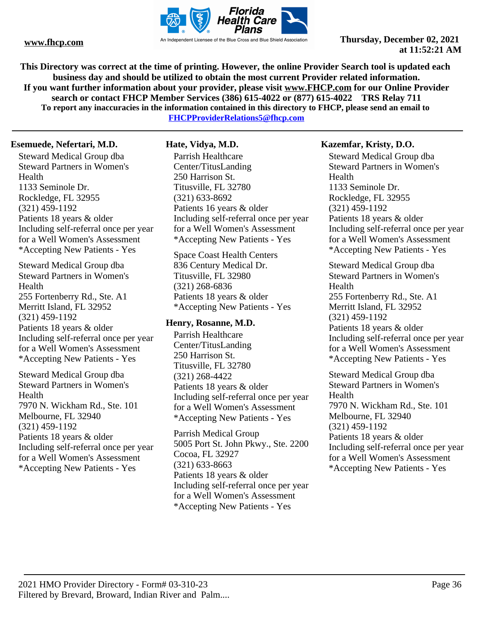

**This Directory was correct at the time of printing. However, the online Provider Search tool is updated each business day and should be utilized to obtain the most current Provider related information. If you want further information about your provider, please visit www.FHCP.com for our Online Provider search or contact FHCP Member Services (386) 615-4022 or (877) 615-4022 TRS Relay 711 To report any inaccuracies in the information contained in this directory to FHCP, please send an email to FHCPProviderRelations5@fhcp.com**

#### **Esemuede, Nefertari, M.D.**

Steward Medical Group dba Steward Partners in Women's Health 1133 Seminole Dr. Rockledge, FL 32955 (321) 459-1192 Patients 18 years & older Including self-referral once per year for a Well Women's Assessment \*Accepting New Patients - Yes

Steward Medical Group dba Steward Partners in Women's Health 255 Fortenberry Rd., Ste. A1 Merritt Island, FL 32952 (321) 459-1192 Patients 18 years & older Including self-referral once per year for a Well Women's Assessment \*Accepting New Patients - Yes

Steward Medical Group dba Steward Partners in Women's Health 7970 N. Wickham Rd., Ste. 101 Melbourne, FL 32940 (321) 459-1192 Patients 18 years & older Including self-referral once per year for a Well Women's Assessment \*Accepting New Patients - Yes

# **Hate, Vidya, M.D.**

Parrish Healthcare Center/TitusLanding 250 Harrison St. Titusville, FL 32780 (321) 633-8692 Patients 16 years & older Including self-referral once per year for a Well Women's Assessment \*Accepting New Patients - Yes

Space Coast Health Centers 836 Century Medical Dr. Titusville, FL 32980 (321) 268-6836 Patients 18 years & older \*Accepting New Patients - Yes

### **Henry, Rosanne, M.D.**

Parrish Healthcare Center/TitusLanding 250 Harrison St. Titusville, FL 32780 (321) 268-4422 Patients 18 years & older Including self-referral once per year for a Well Women's Assessment \*Accepting New Patients - Yes

Parrish Medical Group 5005 Port St. John Pkwy., Ste. 2200 Cocoa, FL 32927 (321) 633-8663 Patients 18 years & older Including self-referral once per year for a Well Women's Assessment \*Accepting New Patients - Yes

# **Kazemfar, Kristy, D.O.**

Steward Medical Group dba Steward Partners in Women's Health 1133 Seminole Dr. Rockledge, FL 32955 (321) 459-1192 Patients 18 years & older Including self-referral once per year for a Well Women's Assessment \*Accepting New Patients - Yes

Steward Medical Group dba Steward Partners in Women's Health 255 Fortenberry Rd., Ste. A1 Merritt Island, FL 32952 (321) 459-1192 Patients 18 years & older Including self-referral once per year for a Well Women's Assessment \*Accepting New Patients - Yes

Steward Medical Group dba Steward Partners in Women's **Health** 7970 N. Wickham Rd., Ste. 101 Melbourne, FL 32940 (321) 459-1192 Patients 18 years & older Including self-referral once per year for a Well Women's Assessment \*Accepting New Patients - Yes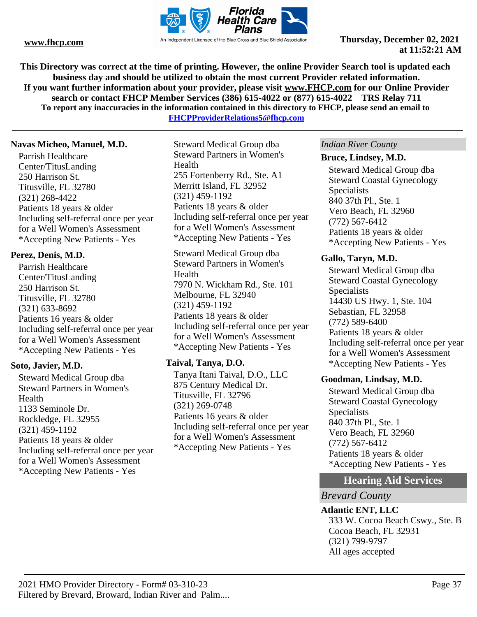

**This Directory was correct at the time of printing. However, the online Provider Search tool is updated each business day and should be utilized to obtain the most current Provider related information. If you want further information about your provider, please visit www.FHCP.com for our Online Provider search or contact FHCP Member Services (386) 615-4022 or (877) 615-4022 TRS Relay 711 To report any inaccuracies in the information contained in this directory to FHCP, please send an email to** 

**FHCPProviderRelations5@fhcp.com**

#### **Navas Micheo, Manuel, M.D.**

Parrish Healthcare Center/TitusLanding 250 Harrison St. Titusville, FL 32780 (321) 268-4422 Patients 18 years & older Including self-referral once per year for a Well Women's Assessment \*Accepting New Patients - Yes

## **Perez, Denis, M.D.**

Parrish Healthcare Center/TitusLanding 250 Harrison St. Titusville, FL 32780 (321) 633-8692 Patients 16 years & older Including self-referral once per year for a Well Women's Assessment \*Accepting New Patients - Yes

## **Soto, Javier, M.D.**

Steward Medical Group dba Steward Partners in Women's Health 1133 Seminole Dr. Rockledge, FL 32955 (321) 459-1192 Patients 18 years & older Including self-referral once per year for a Well Women's Assessment \*Accepting New Patients - Yes

Steward Medical Group dba Steward Partners in Women's Health 255 Fortenberry Rd., Ste. A1 Merritt Island, FL 32952 (321) 459-1192 Patients 18 years & older Including self-referral once per year for a Well Women's Assessment \*Accepting New Patients - Yes

Steward Medical Group dba Steward Partners in Women's Health 7970 N. Wickham Rd., Ste. 101 Melbourne, FL 32940 (321) 459-1192 Patients 18 years & older Including self-referral once per year for a Well Women's Assessment \*Accepting New Patients - Yes

## **Taival, Tanya, D.O.**

Tanya Itani Taival, D.O., LLC 875 Century Medical Dr. Titusville, FL 32796 (321) 269-0748 Patients 16 years & older Including self-referral once per year for a Well Women's Assessment \*Accepting New Patients - Yes

#### *Indian River County*

#### **Bruce, Lindsey, M.D.**

Steward Medical Group dba Steward Coastal Gynecology **Specialists** 840 37th Pl., Ste. 1 Vero Beach, FL 32960 (772) 567-6412 Patients 18 years & older \*Accepting New Patients - Yes

### **Gallo, Taryn, M.D.**

Steward Medical Group dba Steward Coastal Gynecology Specialists 14430 US Hwy. 1, Ste. 104 Sebastian, FL 32958 (772) 589-6400 Patients 18 years & older Including self-referral once per year for a Well Women's Assessment \*Accepting New Patients - Yes

## **Goodman, Lindsay, M.D.**

Steward Medical Group dba Steward Coastal Gynecology Specialists 840 37th Pl., Ste. 1 Vero Beach, FL 32960 (772) 567-6412 Patients 18 years & older \*Accepting New Patients - Yes

# **Hearing Aid Services**

## *Brevard County*

**Atlantic ENT, LLC** 333 W. Cocoa Beach Cswy., Ste. B Cocoa Beach, FL 32931 (321) 799-9797 All ages accepted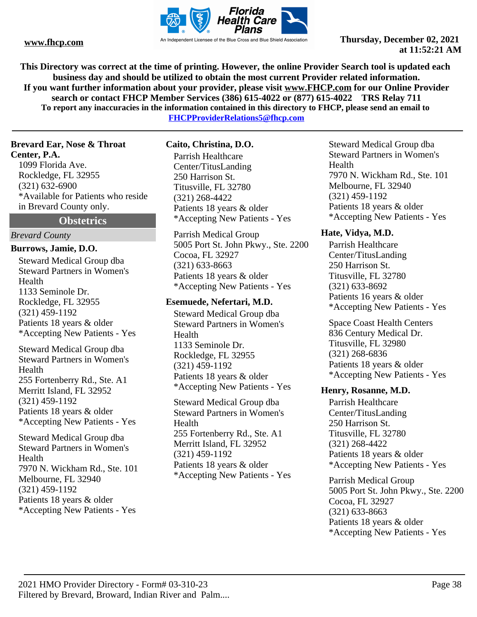

**This Directory was correct at the time of printing. However, the online Provider Search tool is updated each business day and should be utilized to obtain the most current Provider related information. If you want further information about your provider, please visit www.FHCP.com for our Online Provider search or contact FHCP Member Services (386) 615-4022 or (877) 615-4022 TRS Relay 711 To report any inaccuracies in the information contained in this directory to FHCP, please send an email to FHCPProviderRelations5@fhcp.com**

**Brevard Ear, Nose & Throat Center, P.A.**

1099 Florida Ave. Rockledge, FL 32955 (321) 632-6900 \*Available for Patients who reside in Brevard County only.

**Obstetrics**

#### *Brevard County*

**Burrows, Jamie, D.O.**

Steward Medical Group dba Steward Partners in Women's Health 1133 Seminole Dr. Rockledge, FL 32955 (321) 459-1192 Patients 18 years & older \*Accepting New Patients - Yes

Steward Medical Group dba Steward Partners in Women's Health 255 Fortenberry Rd., Ste. A1 Merritt Island, FL 32952 (321) 459-1192 Patients 18 years & older \*Accepting New Patients - Yes

Steward Medical Group dba Steward Partners in Women's Health 7970 N. Wickham Rd., Ste. 101 Melbourne, FL 32940 (321) 459-1192 Patients 18 years & older \*Accepting New Patients - Yes

**Caito, Christina, D.O.**

Parrish Healthcare Center/TitusLanding 250 Harrison St. Titusville, FL 32780 (321) 268-4422 Patients 18 years & older \*Accepting New Patients - Yes

Parrish Medical Group 5005 Port St. John Pkwy., Ste. 2200 Cocoa, FL 32927 (321) 633-8663 Patients 18 years & older \*Accepting New Patients - Yes

## **Esemuede, Nefertari, M.D.**

Steward Medical Group dba Steward Partners in Women's Health 1133 Seminole Dr. Rockledge, FL 32955 (321) 459-1192 Patients 18 years & older \*Accepting New Patients - Yes

Steward Medical Group dba Steward Partners in Women's Health 255 Fortenberry Rd., Ste. A1 Merritt Island, FL 32952 (321) 459-1192 Patients 18 years & older \*Accepting New Patients - Yes

Steward Medical Group dba Steward Partners in Women's Health 7970 N. Wickham Rd., Ste. 101 Melbourne, FL 32940 (321) 459-1192 Patients 18 years & older \*Accepting New Patients - Yes

## **Hate, Vidya, M.D.**

Parrish Healthcare Center/TitusLanding 250 Harrison St. Titusville, FL 32780 (321) 633-8692 Patients 16 years & older \*Accepting New Patients - Yes

Space Coast Health Centers 836 Century Medical Dr. Titusville, FL 32980 (321) 268-6836 Patients 18 years & older \*Accepting New Patients - Yes

## **Henry, Rosanne, M.D.**

Parrish Healthcare Center/TitusLanding 250 Harrison St. Titusville, FL 32780 (321) 268-4422 Patients 18 years & older \*Accepting New Patients - Yes

Parrish Medical Group 5005 Port St. John Pkwy., Ste. 2200 Cocoa, FL 32927 (321) 633-8663 Patients 18 years & older \*Accepting New Patients - Yes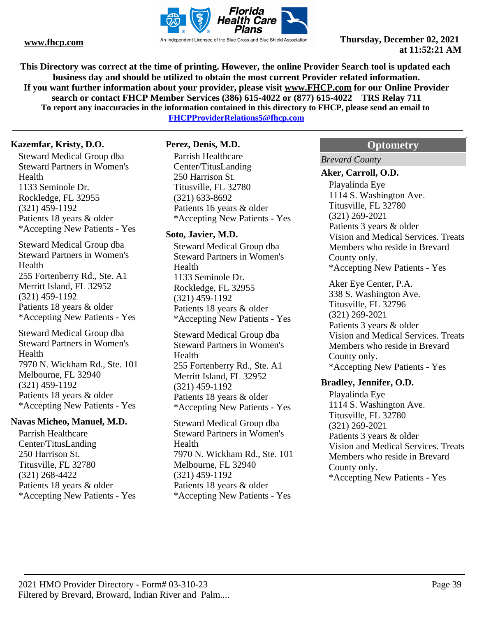

**This Directory was correct at the time of printing. However, the online Provider Search tool is updated each business day and should be utilized to obtain the most current Provider related information. If you want further information about your provider, please visit www.FHCP.com for our Online Provider search or contact FHCP Member Services (386) 615-4022 or (877) 615-4022 TRS Relay 711 To report any inaccuracies in the information contained in this directory to FHCP, please send an email to** 

**FHCPProviderRelations5@fhcp.com**

## **Kazemfar, Kristy, D.O.**

Steward Medical Group dba Steward Partners in Women's Health 1133 Seminole Dr. Rockledge, FL 32955 (321) 459-1192 Patients 18 years & older \*Accepting New Patients - Yes

Steward Medical Group dba Steward Partners in Women's Health 255 Fortenberry Rd., Ste. A1 Merritt Island, FL 32952 (321) 459-1192 Patients 18 years & older \*Accepting New Patients - Yes

Steward Medical Group dba Steward Partners in Women's Health 7970 N. Wickham Rd., Ste. 101 Melbourne, FL 32940 (321) 459-1192 Patients 18 years & older \*Accepting New Patients - Yes

#### **Navas Micheo, Manuel, M.D.**

Parrish Healthcare Center/TitusLanding 250 Harrison St. Titusville, FL 32780 (321) 268-4422 Patients 18 years & older \*Accepting New Patients - Yes

## **Perez, Denis, M.D.**

Parrish Healthcare Center/TitusLanding 250 Harrison St. Titusville, FL 32780 (321) 633-8692 Patients 16 years & older \*Accepting New Patients - Yes

#### **Soto, Javier, M.D.**

Steward Medical Group dba Steward Partners in Women's Health 1133 Seminole Dr. Rockledge, FL 32955 (321) 459-1192 Patients 18 years & older \*Accepting New Patients - Yes

Steward Medical Group dba Steward Partners in Women's Health 255 Fortenberry Rd., Ste. A1 Merritt Island, FL 32952 (321) 459-1192 Patients 18 years & older \*Accepting New Patients - Yes

Steward Medical Group dba Steward Partners in Women's Health 7970 N. Wickham Rd., Ste. 101 Melbourne, FL 32940 (321) 459-1192 Patients 18 years & older \*Accepting New Patients - Yes

## **Optometry**

*Brevard County*

#### **Aker, Carroll, O.D.**

Playalinda Eye 1114 S. Washington Ave. Titusville, FL 32780 (321) 269-2021 Patients 3 years & older Vision and Medical Services. Treats Members who reside in Brevard County only. \*Accepting New Patients - Yes

Aker Eye Center, P.A. 338 S. Washington Ave. Titusville, FL 32796 (321) 269-2021 Patients 3 years & older Vision and Medical Services. Treats Members who reside in Brevard County only. \*Accepting New Patients - Yes

#### **Bradley, Jennifer, O.D.**

Playalinda Eye 1114 S. Washington Ave. Titusville, FL 32780 (321) 269-2021 Patients 3 years & older Vision and Medical Services. Treats Members who reside in Brevard County only. \*Accepting New Patients - Yes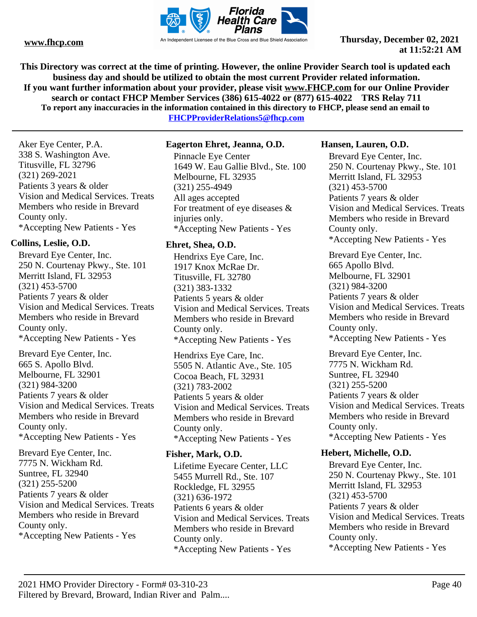

**This Directory was correct at the time of printing. However, the online Provider Search tool is updated each business day and should be utilized to obtain the most current Provider related information. If you want further information about your provider, please visit www.FHCP.com for our Online Provider search or contact FHCP Member Services (386) 615-4022 or (877) 615-4022 TRS Relay 711 To report any inaccuracies in the information contained in this directory to FHCP, please send an email to** 

**FHCPProviderRelations5@fhcp.com**

Aker Eye Center, P.A. 338 S. Washington Ave. Titusville, FL 32796 (321) 269-2021 Patients 3 years & older Vision and Medical Services. Treats Members who reside in Brevard County only. \*Accepting New Patients - Yes

## **Collins, Leslie, O.D.**

Brevard Eye Center, Inc. 250 N. Courtenay Pkwy., Ste. 101 Merritt Island, FL 32953 (321) 453-5700 Patients 7 years & older Vision and Medical Services. Treats Members who reside in Brevard County only. \*Accepting New Patients - Yes

Brevard Eye Center, Inc. 665 S. Apollo Blvd. Melbourne, FL 32901 (321) 984-3200 Patients 7 years & older Vision and Medical Services. Treats Members who reside in Brevard County only. \*Accepting New Patients - Yes

Brevard Eye Center, Inc. 7775 N. Wickham Rd. Suntree, FL 32940 (321) 255-5200 Patients 7 years & older Vision and Medical Services. Treats Members who reside in Brevard County only. \*Accepting New Patients - Yes

## **Eagerton Ehret, Jeanna, O.D.**

Pinnacle Eye Center 1649 W. Eau Gallie Blvd., Ste. 100 Melbourne, FL 32935 (321) 255-4949 All ages accepted For treatment of eye diseases & injuries only. \*Accepting New Patients - Yes

## **Ehret, Shea, O.D.**

Hendrixs Eye Care, Inc. 1917 Knox McRae Dr. Titusville, FL 32780 (321) 383-1332 Patients 5 years & older Vision and Medical Services. Treats Members who reside in Brevard County only. \*Accepting New Patients - Yes

Hendrixs Eye Care, Inc. 5505 N. Atlantic Ave., Ste. 105 Cocoa Beach, FL 32931 (321) 783-2002 Patients 5 years & older Vision and Medical Services. Treats Members who reside in Brevard County only. \*Accepting New Patients - Yes

## **Fisher, Mark, O.D.**

Lifetime Eyecare Center, LLC 5455 Murrell Rd., Ste. 107 Rockledge, FL 32955 (321) 636-1972 Patients 6 years & older Vision and Medical Services. Treats Members who reside in Brevard County only. \*Accepting New Patients - Yes

## **Hansen, Lauren, O.D.**

Brevard Eye Center, Inc. 250 N. Courtenay Pkwy., Ste. 101 Merritt Island, FL 32953 (321) 453-5700 Patients 7 years & older Vision and Medical Services. Treats Members who reside in Brevard County only. \*Accepting New Patients - Yes

Brevard Eye Center, Inc. 665 Apollo Blvd. Melbourne, FL 32901 (321) 984-3200 Patients 7 years & older Vision and Medical Services. Treats Members who reside in Brevard County only. \*Accepting New Patients - Yes

Brevard Eye Center, Inc. 7775 N. Wickham Rd. Suntree, FL 32940 (321) 255-5200 Patients 7 years & older Vision and Medical Services. Treats Members who reside in Brevard County only. \*Accepting New Patients - Yes

## **Hebert, Michelle, O.D.**

Brevard Eye Center, Inc. 250 N. Courtenay Pkwy., Ste. 101 Merritt Island, FL 32953 (321) 453-5700 Patients 7 years & older Vision and Medical Services. Treats Members who reside in Brevard County only. \*Accepting New Patients - Yes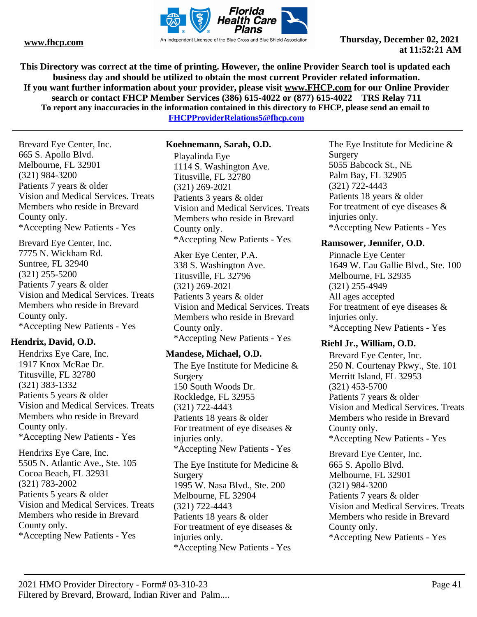

**This Directory was correct at the time of printing. However, the online Provider Search tool is updated each business day and should be utilized to obtain the most current Provider related information. If you want further information about your provider, please visit www.FHCP.com for our Online Provider search or contact FHCP Member Services (386) 615-4022 or (877) 615-4022 TRS Relay 711 To report any inaccuracies in the information contained in this directory to FHCP, please send an email to FHCPProviderRelations5@fhcp.com**

Brevard Eye Center, Inc. **Koehnemann, Sarah, O.D.**

665 S. Apollo Blvd. Melbourne, FL 32901 (321) 984-3200 Patients 7 years & older Vision and Medical Services. Treats Members who reside in Brevard County only. \*Accepting New Patients - Yes

Brevard Eye Center, Inc. 7775 N. Wickham Rd. Suntree, FL 32940 (321) 255-5200 Patients 7 years & older Vision and Medical Services. Treats Members who reside in Brevard County only. \*Accepting New Patients - Yes

## **Hendrix, David, O.D.**

Hendrixs Eye Care, Inc. 1917 Knox McRae Dr. Titusville, FL 32780 (321) 383-1332 Patients 5 years & older Vision and Medical Services. Treats Members who reside in Brevard County only. \*Accepting New Patients - Yes

Hendrixs Eye Care, Inc. 5505 N. Atlantic Ave., Ste. 105 Cocoa Beach, FL 32931 (321) 783-2002 Patients 5 years & older Vision and Medical Services. Treats Members who reside in Brevard County only. \*Accepting New Patients - Yes

Playalinda Eye 1114 S. Washington Ave. Titusville, FL 32780 (321) 269-2021 Patients 3 years & older Vision and Medical Services. Treats Members who reside in Brevard County only. \*Accepting New Patients - Yes

Aker Eye Center, P.A. 338 S. Washington Ave. Titusville, FL 32796 (321) 269-2021 Patients 3 years & older Vision and Medical Services. Treats Members who reside in Brevard County only. \*Accepting New Patients - Yes

## **Mandese, Michael, O.D.**

The Eye Institute for Medicine & Surgery 150 South Woods Dr. Rockledge, FL 32955 (321) 722-4443 Patients 18 years & older For treatment of eye diseases & injuries only. \*Accepting New Patients - Yes The Eye Institute for Medicine &

Surgery 1995 W. Nasa Blvd., Ste. 200 Melbourne, FL 32904 (321) 722-4443 Patients 18 years & older For treatment of eye diseases & injuries only. \*Accepting New Patients - Yes

The Eye Institute for Medicine & Surgery 5055 Babcock St., NE Palm Bay, FL 32905 (321) 722-4443 Patients 18 years & older For treatment of eye diseases & injuries only. \*Accepting New Patients - Yes

## **Ramsower, Jennifer, O.D.**

Pinnacle Eye Center 1649 W. Eau Gallie Blvd., Ste. 100 Melbourne, FL 32935 (321) 255-4949 All ages accepted For treatment of eye diseases & injuries only. \*Accepting New Patients - Yes

# **Riehl Jr., William, O.D.**

Brevard Eye Center, Inc. 250 N. Courtenay Pkwy., Ste. 101 Merritt Island, FL 32953 (321) 453-5700 Patients 7 years & older Vision and Medical Services. Treats Members who reside in Brevard County only. \*Accepting New Patients - Yes

Brevard Eye Center, Inc. 665 S. Apollo Blvd. Melbourne, FL 32901 (321) 984-3200 Patients 7 years & older Vision and Medical Services. Treats Members who reside in Brevard County only. \*Accepting New Patients - Yes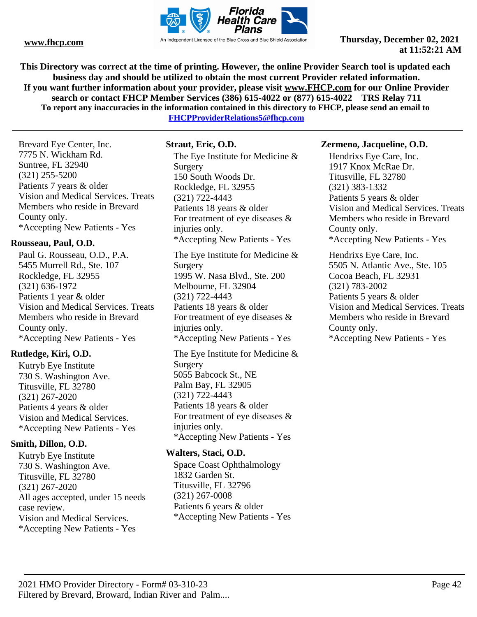

**This Directory was correct at the time of printing. However, the online Provider Search tool is updated each business day and should be utilized to obtain the most current Provider related information. If you want further information about your provider, please visit www.FHCP.com for our Online Provider search or contact FHCP Member Services (386) 615-4022 or (877) 615-4022 TRS Relay 711 To report any inaccuracies in the information contained in this directory to FHCP, please send an email to** 

**FHCPProviderRelations5@fhcp.com**

Brevard Eye Center, Inc. 7775 N. Wickham Rd. Suntree, FL 32940 (321) 255-5200 Patients 7 years & older Vision and Medical Services. Treats Members who reside in Brevard County only. \*Accepting New Patients - Yes

## **Rousseau, Paul, O.D.**

Paul G. Rousseau, O.D., P.A. 5455 Murrell Rd., Ste. 107 Rockledge, FL 32955 (321) 636-1972 Patients 1 year & older Vision and Medical Services. Treats Members who reside in Brevard County only. \*Accepting New Patients - Yes

## **Rutledge, Kiri, O.D.**

Kutryb Eye Institute 730 S. Washington Ave. Titusville, FL 32780 (321) 267-2020 Patients 4 years & older Vision and Medical Services. \*Accepting New Patients - Yes

## **Smith, Dillon, O.D.**

Kutryb Eye Institute 730 S. Washington Ave. Titusville, FL 32780 (321) 267-2020 All ages accepted, under 15 needs case review. Vision and Medical Services. \*Accepting New Patients - Yes

## **Straut, Eric, O.D.**

The Eye Institute for Medicine & Surgery 150 South Woods Dr. Rockledge, FL 32955 (321) 722-4443 Patients 18 years & older For treatment of eye diseases & injuries only. \*Accepting New Patients - Yes The Eye Institute for Medicine & Surgery 1995 W. Nasa Blvd., Ste. 200 Melbourne, FL 32904 (321) 722-4443

Patients 18 years & older For treatment of eye diseases & injuries only. \*Accepting New Patients - Yes

The Eye Institute for Medicine & Surgery 5055 Babcock St., NE Palm Bay, FL 32905 (321) 722-4443 Patients 18 years & older For treatment of eye diseases & injuries only. \*Accepting New Patients - Yes

## **Walters, Staci, O.D.**

Space Coast Ophthalmology 1832 Garden St. Titusville, FL 32796 (321) 267-0008 Patients 6 years & older \*Accepting New Patients - Yes

#### **Zermeno, Jacqueline, O.D.**

Hendrixs Eye Care, Inc. 1917 Knox McRae Dr. Titusville, FL 32780 (321) 383-1332 Patients 5 years & older Vision and Medical Services. Treats Members who reside in Brevard County only. \*Accepting New Patients - Yes

Hendrixs Eye Care, Inc. 5505 N. Atlantic Ave., Ste. 105 Cocoa Beach, FL 32931 (321) 783-2002 Patients 5 years & older Vision and Medical Services. Treats Members who reside in Brevard County only. \*Accepting New Patients - Yes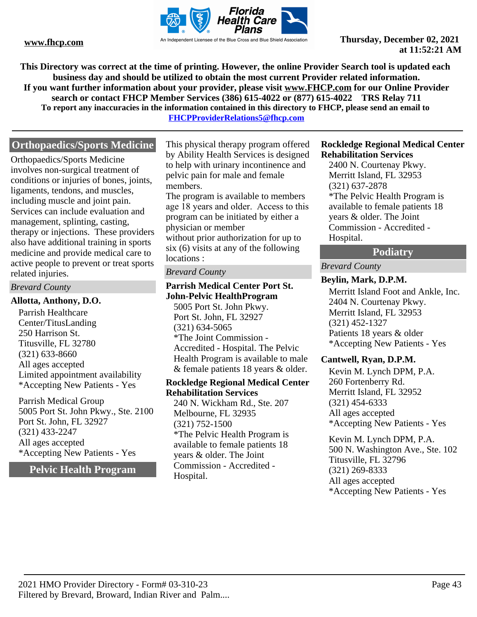

**This Directory was correct at the time of printing. However, the online Provider Search tool is updated each business day and should be utilized to obtain the most current Provider related information. If you want further information about your provider, please visit www.FHCP.com for our Online Provider search or contact FHCP Member Services (386) 615-4022 or (877) 615-4022 TRS Relay 711 To report any inaccuracies in the information contained in this directory to FHCP, please send an email to FHCPProviderRelations5@fhcp.com**

# **Orthopaedics/Sports Medicine**

Orthopaedics/Sports Medicine involves non-surgical treatment of conditions or injuries of bones, joints, ligaments, tendons, and muscles, including muscle and joint pain. Services can include evaluation and management, splinting, casting, therapy or injections. These providers also have additional training in sports medicine and provide medical care to active people to prevent or treat sports related injuries.

#### *Brevard County*

#### **Allotta, Anthony, D.O.**

Parrish Healthcare Center/TitusLanding 250 Harrison St. Titusville, FL 32780 (321) 633-8660 All ages accepted Limited appointment availability \*Accepting New Patients - Yes

Parrish Medical Group 5005 Port St. John Pkwy., Ste. 2100 Port St. John, FL 32927 (321) 433-2247 All ages accepted \*Accepting New Patients - Yes

**Pelvic Health Program**

This physical therapy program offered by Ability Health Services is designed to help with urinary incontinence and pelvic pain for male and female members.

The program is available to members age 18 years and older. Access to this program can be initiated by either a physician or member without prior authorization for up to six (6) visits at any of the following locations :

#### *Brevard County*

## **Parrish Medical Center Port St. John-Pelvic HealthProgram**

5005 Port St. John Pkwy. Port St. John, FL 32927 (321) 634-5065 \*The Joint Commission - Accredited - Hospital. The Pelvic Health Program is available to male & female patients 18 years & older.

#### **Rockledge Regional Medical Center Rehabilitation Services**

240 N. Wickham Rd., Ste. 207 Melbourne, FL 32935 (321) 752-1500 \*The Pelvic Health Program is available to female patients 18 years & older. The Joint Commission - Accredited - Hospital.

#### **Rockledge Regional Medical Center Rehabilitation Services**

2400 N. Courtenay Pkwy. Merritt Island, FL 32953 (321) 637-2878 \*The Pelvic Health Program is available to female patients 18 years & older. The Joint Commission - Accredited - Hospital.

## **Podiatry**

## *Brevard County*

#### **Beylin, Mark, D.P.M.**

Merritt Island Foot and Ankle, Inc. 2404 N. Courtenay Pkwy. Merritt Island, FL 32953 (321) 452-1327 Patients 18 years & older \*Accepting New Patients - Yes

## **Cantwell, Ryan, D.P.M.**

Kevin M. Lynch DPM, P.A. 260 Fortenberry Rd. Merritt Island, FL 32952 (321) 454-6333 All ages accepted \*Accepting New Patients - Yes

Kevin M. Lynch DPM, P.A. 500 N. Washington Ave., Ste. 102 Titusville, FL 32796 (321) 269-8333 All ages accepted \*Accepting New Patients - Yes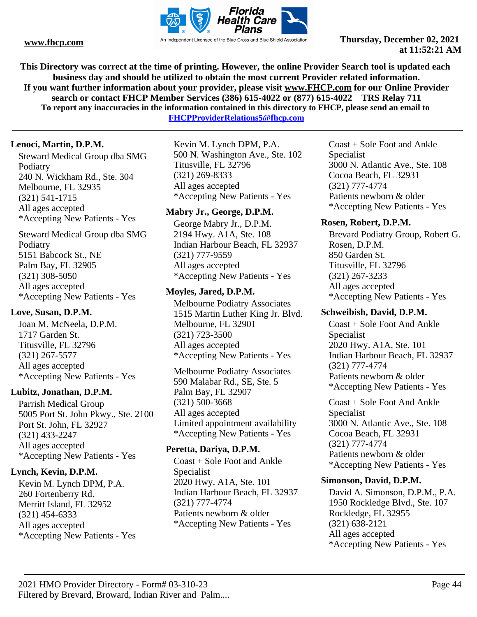

**This Directory was correct at the time of printing. However, the online Provider Search tool is updated each business day and should be utilized to obtain the most current Provider related information. If you want further information about your provider, please visit www.FHCP.com for our Online Provider search or contact FHCP Member Services (386) 615-4022 or (877) 615-4022 TRS Relay 711 To report any inaccuracies in the information contained in this directory to FHCP, please send an email to** 

**FHCPProviderRelations5@fhcp.com**

## **Lenoci, Martin, D.P.M.**

Steward Medical Group dba SMG Podiatry 240 N. Wickham Rd., Ste. 304 Melbourne, FL 32935 (321) 541-1715 All ages accepted \*Accepting New Patients - Yes

Steward Medical Group dba SMG Podiatry 5151 Babcock St., NE Palm Bay, FL 32905 (321) 308-5050 All ages accepted \*Accepting New Patients - Yes

## **Love, Susan, D.P.M.**

Joan M. McNeela, D.P.M. 1717 Garden St. Titusville, FL 32796 (321) 267-5577 All ages accepted \*Accepting New Patients - Yes

## **Lubitz, Jonathan, D.P.M.**

Parrish Medical Group 5005 Port St. John Pkwy., Ste. 2100 Port St. John, FL 32927 (321) 433-2247 All ages accepted \*Accepting New Patients - Yes

## **Lynch, Kevin, D.P.M.**

Kevin M. Lynch DPM, P.A. 260 Fortenberry Rd. Merritt Island, FL 32952 (321) 454-6333 All ages accepted \*Accepting New Patients - Yes Kevin M. Lynch DPM, P.A. 500 N. Washington Ave., Ste. 102 Titusville, FL 32796 (321) 269-8333 All ages accepted \*Accepting New Patients - Yes

## **Mabry Jr., George, D.P.M.**

George Mabry Jr., D.P.M. 2194 Hwy. A1A, Ste. 108 Indian Harbour Beach, FL 32937 (321) 777-9559 All ages accepted \*Accepting New Patients - Yes

## **Moyles, Jared, D.P.M.**

Melbourne Podiatry Associates 1515 Martin Luther King Jr. Blvd. Melbourne, FL 32901 (321) 723-3500 All ages accepted \*Accepting New Patients - Yes

Melbourne Podiatry Associates 590 Malabar Rd., SE, Ste. 5 Palm Bay, FL 32907 (321) 500-3668 All ages accepted Limited appointment availability \*Accepting New Patients - Yes

## **Peretta, Dariya, D.P.M.**

Coast + Sole Foot and Ankle Specialist 2020 Hwy. A1A, Ste. 101 Indian Harbour Beach, FL 32937 (321) 777-4774 Patients newborn & older \*Accepting New Patients - Yes

Coast + Sole Foot and Ankle Specialist 3000 N. Atlantic Ave., Ste. 108 Cocoa Beach, FL 32931 (321) 777-4774 Patients newborn & older \*Accepting New Patients - Yes

## **Rosen, Robert, D.P.M.**

Brevard Podiatry Group, Robert G. Rosen, D.P.M. 850 Garden St. Titusville, FL 32796 (321) 267-3233 All ages accepted \*Accepting New Patients - Yes

## **Schweibish, David, D.P.M.**

Coast + Sole Foot And Ankle Specialist 2020 Hwy. A1A, Ste. 101 Indian Harbour Beach, FL 32937 (321) 777-4774 Patients newborn & older \*Accepting New Patients - Yes

Coast + Sole Foot And Ankle Specialist 3000 N. Atlantic Ave., Ste. 108 Cocoa Beach, FL 32931 (321) 777-4774 Patients newborn & older \*Accepting New Patients - Yes

## **Simonson, David, D.P.M.**

David A. Simonson, D.P.M., P.A. 1950 Rockledge Blvd., Ste. 107 Rockledge, FL 32955 (321) 638-2121 All ages accepted \*Accepting New Patients - Yes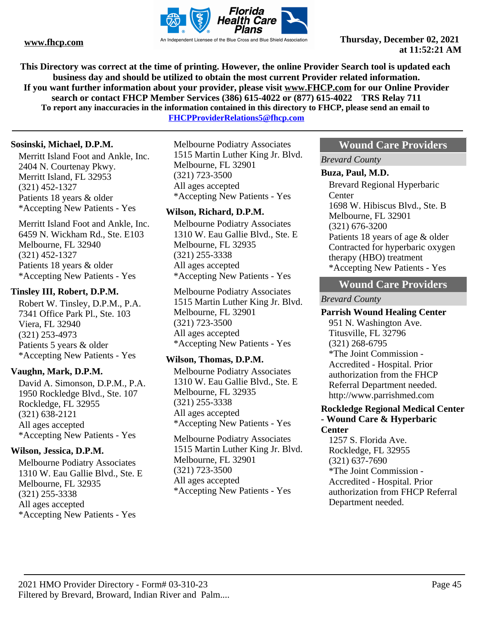

**This Directory was correct at the time of printing. However, the online Provider Search tool is updated each business day and should be utilized to obtain the most current Provider related information. If you want further information about your provider, please visit www.FHCP.com for our Online Provider search or contact FHCP Member Services (386) 615-4022 or (877) 615-4022 TRS Relay 711 To report any inaccuracies in the information contained in this directory to FHCP, please send an email to** 

**FHCPProviderRelations5@fhcp.com**

## **Sosinski, Michael, D.P.M.**

Merritt Island Foot and Ankle, Inc. 2404 N. Courtenay Pkwy. Merritt Island, FL 32953 (321) 452-1327 Patients 18 years & older \*Accepting New Patients - Yes

Merritt Island Foot and Ankle, Inc. 6459 N. Wickham Rd., Ste. E103 Melbourne, FL 32940 (321) 452-1327 Patients 18 years & older \*Accepting New Patients - Yes

#### **Tinsley III, Robert, D.P.M.**

Robert W. Tinsley, D.P.M., P.A. 7341 Office Park Pl., Ste. 103 Viera, FL 32940 (321) 253-4973 Patients 5 years & older \*Accepting New Patients - Yes

## **Vaughn, Mark, D.P.M.**

David A. Simonson, D.P.M., P.A. 1950 Rockledge Blvd., Ste. 107 Rockledge, FL 32955 (321) 638-2121 All ages accepted \*Accepting New Patients - Yes

## **Wilson, Jessica, D.P.M.**

Melbourne Podiatry Associates 1310 W. Eau Gallie Blvd., Ste. E Melbourne, FL 32935 (321) 255-3338 All ages accepted \*Accepting New Patients - Yes

Melbourne Podiatry Associates 1515 Martin Luther King Jr. Blvd. Melbourne, FL 32901 (321) 723-3500 All ages accepted \*Accepting New Patients - Yes

#### **Wilson, Richard, D.P.M.**

Melbourne Podiatry Associates 1310 W. Eau Gallie Blvd., Ste. E Melbourne, FL 32935 (321) 255-3338 All ages accepted \*Accepting New Patients - Yes

Melbourne Podiatry Associates 1515 Martin Luther King Jr. Blvd. Melbourne, FL 32901 (321) 723-3500 All ages accepted \*Accepting New Patients - Yes

## **Wilson, Thomas, D.P.M.**

Melbourne Podiatry Associates 1310 W. Eau Gallie Blvd., Ste. E Melbourne, FL 32935 (321) 255-3338 All ages accepted \*Accepting New Patients - Yes

Melbourne Podiatry Associates 1515 Martin Luther King Jr. Blvd. Melbourne, FL 32901 (321) 723-3500 All ages accepted \*Accepting New Patients - Yes

## **Wound Care Providers**

*Brevard County*

#### **Buza, Paul, M.D.**

Brevard Regional Hyperbaric **Center** 1698 W. Hibiscus Blvd., Ste. B Melbourne, FL 32901 (321) 676-3200 Patients 18 years of age & older Contracted for hyperbaric oxygen therapy (HBO) treatment \*Accepting New Patients - Yes

# **Wound Care Providers**

#### *Brevard County*

#### **Parrish Wound Healing Center**

951 N. Washington Ave. Titusville, FL 32796 (321) 268-6795 \*The Joint Commission - Accredited - Hospital. Prior authorization from the FHCP Referral Department needed. http://www.parrishmed.com

#### **Rockledge Regional Medical Center - Wound Care & Hyperbaric Center**

1257 S. Florida Ave. Rockledge, FL 32955 (321) 637-7690 \*The Joint Commission - Accredited - Hospital. Prior authorization from FHCP Referral Department needed.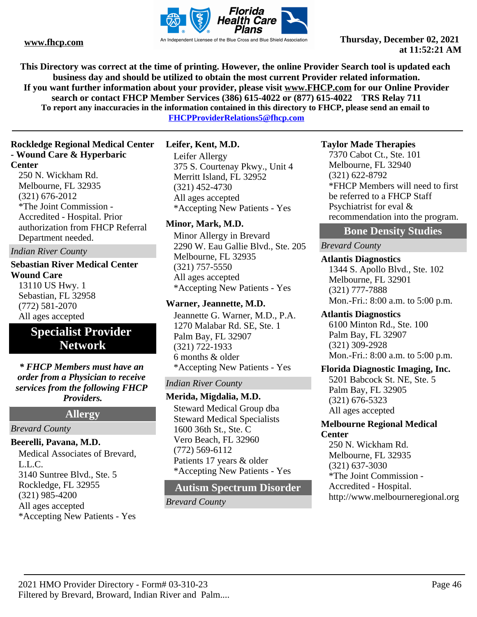

**This Directory was correct at the time of printing. However, the online Provider Search tool is updated each business day and should be utilized to obtain the most current Provider related information. If you want further information about your provider, please visit www.FHCP.com for our Online Provider search or contact FHCP Member Services (386) 615-4022 or (877) 615-4022 TRS Relay 711 To report any inaccuracies in the information contained in this directory to FHCP, please send an email to** 

**FHCPProviderRelations5@fhcp.com**

## **Rockledge Regional Medical Center - Wound Care & Hyperbaric Center**

250 N. Wickham Rd. Melbourne, FL 32935 (321) 676-2012 \*The Joint Commission - Accredited - Hospital. Prior authorization from FHCP Referral Department needed.

*Indian River County*

## **Sebastian River Medical Center Wound Care** 13110 US Hwy. 1 Sebastian, FL 32958

(772) 581-2070 All ages accepted

# **Specialist Provider Network**

*\* FHCP Members must have an order from a Physician to receive services from the following FHCP Providers.*

**Allergy**

## *Brevard County*

## **Beerelli, Pavana, M.D.**

Medical Associates of Brevard, L.L.C. 3140 Suntree Blvd., Ste. 5 Rockledge, FL 32955 (321) 985-4200 All ages accepted \*Accepting New Patients - Yes

## **Leifer, Kent, M.D.**

Leifer Allergy 375 S. Courtenay Pkwy., Unit 4 Merritt Island, FL 32952 (321) 452-4730 All ages accepted \*Accepting New Patients - Yes

## **Minor, Mark, M.D.**

Minor Allergy in Brevard 2290 W. Eau Gallie Blvd., Ste. 205 Melbourne, FL 32935 (321) 757-5550 All ages accepted \*Accepting New Patients - Yes

## **Warner, Jeannette, M.D.**

Jeannette G. Warner, M.D., P.A. 1270 Malabar Rd. SE, Ste. 1 Palm Bay, FL 32907 (321) 722-1933 6 months & older \*Accepting New Patients - Yes

## *Indian River County*

**Merida, Migdalia, M.D.** Steward Medical Group dba

Steward Medical Specialists 1600 36th St., Ste. C Vero Beach, FL 32960 (772) 569-6112 Patients 17 years & older \*Accepting New Patients - Yes

# **Autism Spectrum Disorder**

*Brevard County*

## **Taylor Made Therapies**

7370 Cabot Ct., Ste. 101 Melbourne, FL 32940 (321) 622-8792 \*FHCP Members will need to first be referred to a FHCP Staff Psychiatrist for eval & recommendation into the program.

# **Bone Density Studies**

## *Brevard County*

**Atlantis Diagnostics** 1344 S. Apollo Blvd., Ste. 102 Melbourne, FL 32901 (321) 777-7888 Mon.-Fri.: 8:00 a.m. to 5:00 p.m.

## **Atlantis Diagnostics**

6100 Minton Rd., Ste. 100 Palm Bay, FL 32907 (321) 309-2928 Mon.-Fri.: 8:00 a.m. to 5:00 p.m.

## **Florida Diagnostic Imaging, Inc.**

5201 Babcock St. NE, Ste. 5 Palm Bay, FL 32905 (321) 676-5323 All ages accepted

## **Melbourne Regional Medical Center**

250 N. Wickham Rd. Melbourne, FL 32935 (321) 637-3030 \*The Joint Commission - Accredited - Hospital. http://www.melbourneregional.org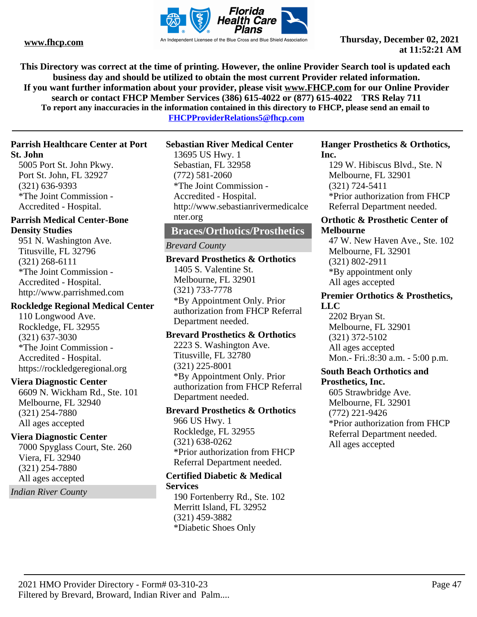

**This Directory was correct at the time of printing. However, the online Provider Search tool is updated each business day and should be utilized to obtain the most current Provider related information. If you want further information about your provider, please visit www.FHCP.com for our Online Provider search or contact FHCP Member Services (386) 615-4022 or (877) 615-4022 TRS Relay 711 To report any inaccuracies in the information contained in this directory to FHCP, please send an email to** 

**FHCPProviderRelations5@fhcp.com**

#### **Parrish Healthcare Center at Port St. John**

5005 Port St. John Pkwy. Port St. John, FL 32927 (321) 636-9393 \*The Joint Commission - Accredited - Hospital.

## **Parrish Medical Center-Bone Density Studies**

951 N. Washington Ave. Titusville, FL 32796 (321) 268-6111 \*The Joint Commission - Accredited - Hospital. http://www.parrishmed.com

## **Rockledge Regional Medical Center**

110 Longwood Ave. Rockledge, FL 32955 (321) 637-3030 \*The Joint Commission - Accredited - Hospital. https://rockledgeregional.org

## **Viera Diagnostic Center**

6609 N. Wickham Rd., Ste. 101 Melbourne, FL 32940 (321) 254-7880 All ages accepted

## **Viera Diagnostic Center**

7000 Spyglass Court, Ste. 260 Viera, FL 32940 (321) 254-7880 All ages accepted

*Indian River County*

## **Sebastian River Medical Center**

13695 US Hwy. 1 Sebastian, FL 32958 (772) 581-2060 \*The Joint Commission - Accredited - Hospital. http://www.sebastianrivermedicalce nter.org

## **Braces/Orthotics/Prosthetics**

#### *Brevard County*

**Brevard Prosthetics & Orthotics** 1405 S. Valentine St. Melbourne, FL 32901 (321) 733-7778 \*By Appointment Only. Prior authorization from FHCP Referral Department needed.

#### **Brevard Prosthetics & Orthotics**

2223 S. Washington Ave. Titusville, FL 32780 (321) 225-8001 \*By Appointment Only. Prior authorization from FHCP Referral Department needed.

# **Brevard Prosthetics & Orthotics**

966 US Hwy. 1 Rockledge, FL 32955 (321) 638-0262 \*Prior authorization from FHCP Referral Department needed.

#### **Certified Diabetic & Medical Services**

190 Fortenberry Rd., Ste. 102 Merritt Island, FL 32952 (321) 459-3882 \*Diabetic Shoes Only

#### **Hanger Prosthetics & Orthotics, Inc.**

129 W. Hibiscus Blvd., Ste. N Melbourne, FL 32901 (321) 724-5411 \*Prior authorization from FHCP Referral Department needed.

#### **Orthotic & Prosthetic Center of Melbourne**

47 W. New Haven Ave., Ste. 102 Melbourne, FL 32901 (321) 802-2911 \*By appointment only All ages accepted

#### **Premier Orthotics & Prosthetics, LLC**

2202 Bryan St. Melbourne, FL 32901 (321) 372-5102 All ages accepted Mon.- Fri.:8:30 a.m. - 5:00 p.m.

#### **South Beach Orthotics and Prosthetics, Inc.**

605 Strawbridge Ave. Melbourne, FL 32901 (772) 221-9426 \*Prior authorization from FHCP Referral Department needed. All ages accepted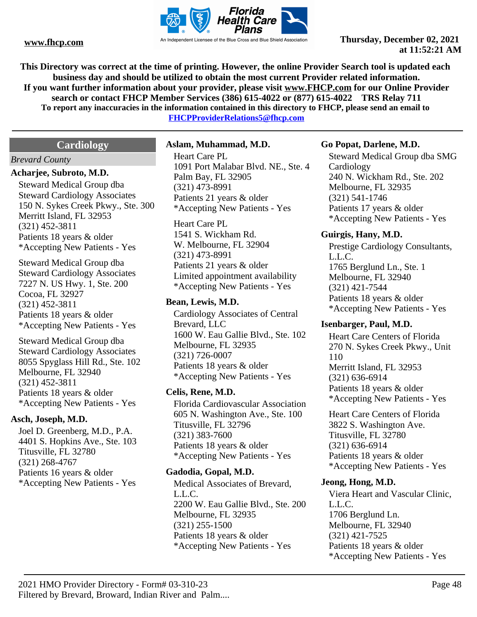

**This Directory was correct at the time of printing. However, the online Provider Search tool is updated each business day and should be utilized to obtain the most current Provider related information. If you want further information about your provider, please visit www.FHCP.com for our Online Provider search or contact FHCP Member Services (386) 615-4022 or (877) 615-4022 TRS Relay 711 To report any inaccuracies in the information contained in this directory to FHCP, please send an email to** 

**FHCPProviderRelations5@fhcp.com**

# **Cardiology**

#### *Brevard County*

#### **Acharjee, Subroto, M.D.**

Steward Medical Group dba Steward Cardiology Associates 150 N. Sykes Creek Pkwy., Ste. 300 Merritt Island, FL 32953 (321) 452-3811 Patients 18 years & older \*Accepting New Patients - Yes

Steward Medical Group dba Steward Cardiology Associates 7227 N. US Hwy. 1, Ste. 200 Cocoa, FL 32927 (321) 452-3811 Patients 18 years & older \*Accepting New Patients - Yes

Steward Medical Group dba Steward Cardiology Associates 8055 Spyglass Hill Rd., Ste. 102 Melbourne, FL 32940 (321) 452-3811 Patients 18 years & older \*Accepting New Patients - Yes

#### **Asch, Joseph, M.D.**

Joel D. Greenberg, M.D., P.A. 4401 S. Hopkins Ave., Ste. 103 Titusville, FL 32780 (321) 268-4767 Patients 16 years & older \*Accepting New Patients - Yes

#### **Aslam, Muhammad, M.D.**

Heart Care PL 1091 Port Malabar Blvd. NE., Ste. 4 Palm Bay, FL 32905 (321) 473-8991 Patients 21 years & older \*Accepting New Patients - Yes

Heart Care PL 1541 S. Wickham Rd. W. Melbourne, FL 32904 (321) 473-8991 Patients 21 years & older Limited appointment availability \*Accepting New Patients - Yes

#### **Bean, Lewis, M.D.**

Cardiology Associates of Central Brevard, LLC 1600 W. Eau Gallie Blvd., Ste. 102 Melbourne, FL 32935 (321) 726-0007 Patients 18 years & older \*Accepting New Patients - Yes

## **Celis, Rene, M.D.**

Florida Cardiovascular Association 605 N. Washington Ave., Ste. 100 Titusville, FL 32796 (321) 383-7600 Patients 18 years & older \*Accepting New Patients - Yes

## **Gadodia, Gopal, M.D.**

Medical Associates of Brevard, L.L.C. 2200 W. Eau Gallie Blvd., Ste. 200 Melbourne, FL 32935 (321) 255-1500 Patients 18 years & older \*Accepting New Patients - Yes

#### **Go Popat, Darlene, M.D.**

Steward Medical Group dba SMG **Cardiology** 240 N. Wickham Rd., Ste. 202 Melbourne, FL 32935 (321) 541-1746 Patients 17 years & older \*Accepting New Patients - Yes

#### **Guirgis, Hany, M.D.**

Prestige Cardiology Consultants, L.L.C. 1765 Berglund Ln., Ste. 1 Melbourne, FL 32940 (321) 421-7544 Patients 18 years & older \*Accepting New Patients - Yes

## **Isenbarger, Paul, M.D.**

Heart Care Centers of Florida 270 N. Sykes Creek Pkwy., Unit 110 Merritt Island, FL 32953 (321) 636-6914 Patients 18 years & older \*Accepting New Patients - Yes

Heart Care Centers of Florida 3822 S. Washington Ave. Titusville, FL 32780 (321) 636-6914 Patients 18 years & older \*Accepting New Patients - Yes

#### **Jeong, Hong, M.D.**

Viera Heart and Vascular Clinic, L.L.C. 1706 Berglund Ln. Melbourne, FL 32940 (321) 421-7525 Patients 18 years & older \*Accepting New Patients - Yes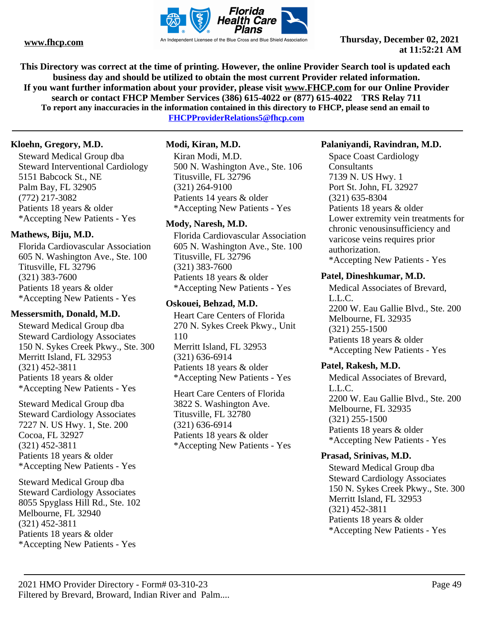

**This Directory was correct at the time of printing. However, the online Provider Search tool is updated each business day and should be utilized to obtain the most current Provider related information. If you want further information about your provider, please visit www.FHCP.com for our Online Provider search or contact FHCP Member Services (386) 615-4022 or (877) 615-4022 TRS Relay 711 To report any inaccuracies in the information contained in this directory to FHCP, please send an email to** 

**FHCPProviderRelations5@fhcp.com**

## **Kloehn, Gregory, M.D.**

Steward Medical Group dba Steward Interventional Cardiology 5151 Babcock St., NE Palm Bay, FL 32905 (772) 217-3082 Patients 18 years & older \*Accepting New Patients - Yes

## **Mathews, Biju, M.D.**

Florida Cardiovascular Association 605 N. Washington Ave., Ste. 100 Titusville, FL 32796 (321) 383-7600 Patients 18 years & older \*Accepting New Patients - Yes

## **Messersmith, Donald, M.D.**

Steward Medical Group dba Steward Cardiology Associates 150 N. Sykes Creek Pkwy., Ste. 300 Merritt Island, FL 32953 (321) 452-3811 Patients 18 years & older \*Accepting New Patients - Yes

Steward Medical Group dba Steward Cardiology Associates 7227 N. US Hwy. 1, Ste. 200 Cocoa, FL 32927 (321) 452-3811 Patients 18 years & older \*Accepting New Patients - Yes

Steward Medical Group dba Steward Cardiology Associates 8055 Spyglass Hill Rd., Ste. 102 Melbourne, FL 32940 (321) 452-3811 Patients 18 years & older \*Accepting New Patients - Yes

## **Modi, Kiran, M.D.**

Kiran Modi, M.D. 500 N. Washington Ave., Ste. 106 Titusville, FL 32796 (321) 264-9100 Patients 14 years & older \*Accepting New Patients - Yes

## **Mody, Naresh, M.D.**

Florida Cardiovascular Association 605 N. Washington Ave., Ste. 100 Titusville, FL 32796 (321) 383-7600 Patients 18 years & older \*Accepting New Patients - Yes

## **Oskouei, Behzad, M.D.**

Heart Care Centers of Florida 270 N. Sykes Creek Pkwy., Unit 110 Merritt Island, FL 32953 (321) 636-6914 Patients 18 years & older \*Accepting New Patients - Yes

Heart Care Centers of Florida 3822 S. Washington Ave. Titusville, FL 32780 (321) 636-6914 Patients 18 years & older \*Accepting New Patients - Yes

#### **Palaniyandi, Ravindran, M.D.**

Space Coast Cardiology **Consultants** 7139 N. US Hwy. 1 Port St. John, FL 32927 (321) 635-8304 Patients 18 years & older Lower extremity vein treatments for chronic venousinsufficiency and varicose veins requires prior authorization. \*Accepting New Patients - Yes

## **Patel, Dineshkumar, M.D.**

Medical Associates of Brevard, L.L.C. 2200 W. Eau Gallie Blvd., Ste. 200 Melbourne, FL 32935 (321) 255-1500 Patients 18 years & older \*Accepting New Patients - Yes

## **Patel, Rakesh, M.D.**

Medical Associates of Brevard, L.L.C. 2200 W. Eau Gallie Blvd., Ste. 200 Melbourne, FL 32935 (321) 255-1500 Patients 18 years & older \*Accepting New Patients - Yes

## **Prasad, Srinivas, M.D.**

Steward Medical Group dba Steward Cardiology Associates 150 N. Sykes Creek Pkwy., Ste. 300 Merritt Island, FL 32953 (321) 452-3811 Patients 18 years & older \*Accepting New Patients - Yes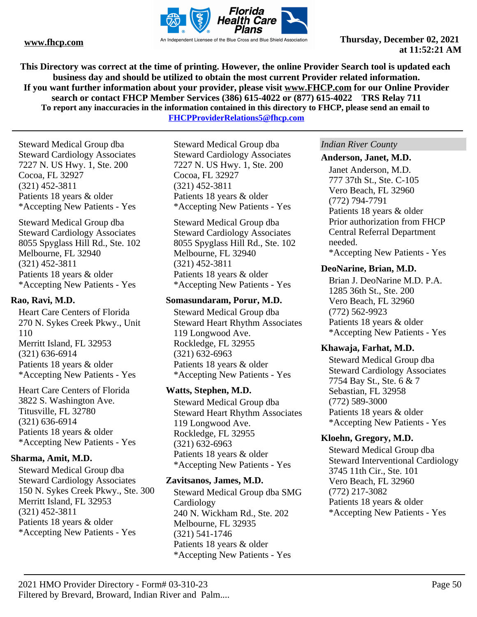

**This Directory was correct at the time of printing. However, the online Provider Search tool is updated each business day and should be utilized to obtain the most current Provider related information. If you want further information about your provider, please visit www.FHCP.com for our Online Provider search or contact FHCP Member Services (386) 615-4022 or (877) 615-4022 TRS Relay 711 To report any inaccuracies in the information contained in this directory to FHCP, please send an email to** 

**FHCPProviderRelations5@fhcp.com**

Steward Medical Group dba Steward Cardiology Associates 7227 N. US Hwy. 1, Ste. 200 Cocoa, FL 32927 (321) 452-3811 Patients 18 years & older \*Accepting New Patients - Yes

Steward Medical Group dba Steward Cardiology Associates 8055 Spyglass Hill Rd., Ste. 102 Melbourne, FL 32940 (321) 452-3811 Patients 18 years & older \*Accepting New Patients - Yes

## **Rao, Ravi, M.D.**

Heart Care Centers of Florida 270 N. Sykes Creek Pkwy., Unit 110 Merritt Island, FL 32953 (321) 636-6914 Patients 18 years & older \*Accepting New Patients - Yes

Heart Care Centers of Florida 3822 S. Washington Ave. Titusville, FL 32780 (321) 636-6914 Patients 18 years & older \*Accepting New Patients - Yes

## **Sharma, Amit, M.D.**

Steward Medical Group dba Steward Cardiology Associates 150 N. Sykes Creek Pkwy., Ste. 300 Merritt Island, FL 32953 (321) 452-3811 Patients 18 years & older \*Accepting New Patients - Yes

Steward Medical Group dba Steward Cardiology Associates 7227 N. US Hwy. 1, Ste. 200 Cocoa, FL 32927 (321) 452-3811 Patients 18 years & older \*Accepting New Patients - Yes

Steward Medical Group dba Steward Cardiology Associates 8055 Spyglass Hill Rd., Ste. 102 Melbourne, FL 32940 (321) 452-3811 Patients 18 years & older \*Accepting New Patients - Yes

## **Somasundaram, Porur, M.D.**

Steward Medical Group dba Steward Heart Rhythm Associates 119 Longwood Ave. Rockledge, FL 32955 (321) 632-6963 Patients 18 years & older \*Accepting New Patients - Yes

## **Watts, Stephen, M.D.**

Steward Medical Group dba Steward Heart Rhythm Associates 119 Longwood Ave. Rockledge, FL 32955 (321) 632-6963 Patients 18 years & older \*Accepting New Patients - Yes

## **Zavitsanos, James, M.D.**

Steward Medical Group dba SMG Cardiology 240 N. Wickham Rd., Ste. 202 Melbourne, FL 32935 (321) 541-1746 Patients 18 years & older \*Accepting New Patients - Yes

## *Indian River County*

#### **Anderson, Janet, M.D.**

Janet Anderson, M.D. 777 37th St., Ste. C-105 Vero Beach, FL 32960 (772) 794-7791 Patients 18 years & older Prior authorization from FHCP Central Referral Department needed. \*Accepting New Patients - Yes

## **DeoNarine, Brian, M.D.**

Brian J. DeoNarine M.D. P.A. 1285 36th St., Ste. 200 Vero Beach, FL 32960 (772) 562-9923 Patients 18 years & older \*Accepting New Patients - Yes

## **Khawaja, Farhat, M.D.**

Steward Medical Group dba Steward Cardiology Associates 7754 Bay St., Ste. 6 & 7 Sebastian, FL 32958 (772) 589-3000 Patients 18 years & older \*Accepting New Patients - Yes

## **Kloehn, Gregory, M.D.**

Steward Medical Group dba Steward Interventional Cardiology 3745 11th Cir., Ste. 101 Vero Beach, FL 32960 (772) 217-3082 Patients 18 years & older \*Accepting New Patients - Yes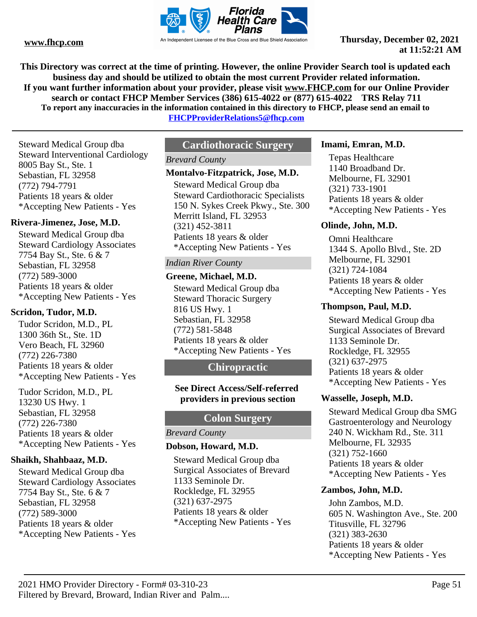

**This Directory was correct at the time of printing. However, the online Provider Search tool is updated each business day and should be utilized to obtain the most current Provider related information. If you want further information about your provider, please visit www.FHCP.com for our Online Provider search or contact FHCP Member Services (386) 615-4022 or (877) 615-4022 TRS Relay 711 To report any inaccuracies in the information contained in this directory to FHCP, please send an email to** 

**FHCPProviderRelations5@fhcp.com**

Steward Medical Group dba Steward Interventional Cardiology 8005 Bay St., Ste. 1 Sebastian, FL 32958 (772) 794-7791 Patients 18 years & older \*Accepting New Patients - Yes

## **Rivera-Jimenez, Jose, M.D.**

Steward Medical Group dba Steward Cardiology Associates 7754 Bay St., Ste. 6 & 7 Sebastian, FL 32958 (772) 589-3000 Patients 18 years & older \*Accepting New Patients - Yes

## **Scridon, Tudor, M.D.**

Tudor Scridon, M.D., PL 1300 36th St., Ste. 1D Vero Beach, FL 32960 (772) 226-7380 Patients 18 years & older \*Accepting New Patients - Yes

Tudor Scridon, M.D., PL 13230 US Hwy. 1 Sebastian, FL 32958 (772) 226-7380 Patients 18 years & older \*Accepting New Patients - Yes

## **Shaikh, Shahbaaz, M.D.**

Steward Medical Group dba Steward Cardiology Associates 7754 Bay St., Ste. 6 & 7 Sebastian, FL 32958 (772) 589-3000 Patients 18 years & older \*Accepting New Patients - Yes

# **Cardiothoracic Surgery**

## *Brevard County*

#### **Montalvo-Fitzpatrick, Jose, M.D.**

Steward Medical Group dba Steward Cardiothoracic Specialists 150 N. Sykes Creek Pkwy., Ste. 300 Merritt Island, FL 32953 (321) 452-3811 Patients 18 years & older \*Accepting New Patients - Yes

## *Indian River County*

#### **Greene, Michael, M.D.**

Steward Medical Group dba Steward Thoracic Surgery 816 US Hwy. 1 Sebastian, FL 32958 (772) 581-5848 Patients 18 years & older \*Accepting New Patients - Yes

## **Chiropractic**

#### **See Direct Access/Self-referred providers in previous section**

# **Colon Surgery**

## *Brevard County*

## **Dobson, Howard, M.D.**

Steward Medical Group dba Surgical Associates of Brevard 1133 Seminole Dr. Rockledge, FL 32955 (321) 637-2975 Patients 18 years & older \*Accepting New Patients - Yes

#### **Imami, Emran, M.D.**

Tepas Healthcare 1140 Broadband Dr. Melbourne, FL 32901 (321) 733-1901 Patients 18 years & older \*Accepting New Patients - Yes

## **Olinde, John, M.D.**

Omni Healthcare 1344 S. Apollo Blvd., Ste. 2D Melbourne, FL 32901 (321) 724-1084 Patients 18 years & older \*Accepting New Patients - Yes

#### **Thompson, Paul, M.D.**

Steward Medical Group dba Surgical Associates of Brevard 1133 Seminole Dr. Rockledge, FL 32955 (321) 637-2975 Patients 18 years & older \*Accepting New Patients - Yes

#### **Wasselle, Joseph, M.D.**

Steward Medical Group dba SMG Gastroenterology and Neurology 240 N. Wickham Rd., Ste. 311 Melbourne, FL 32935 (321) 752-1660 Patients 18 years & older \*Accepting New Patients - Yes

#### **Zambos, John, M.D.**

John Zambos, M.D. 605 N. Washington Ave., Ste. 200 Titusville, FL 32796 (321) 383-2630 Patients 18 years & older \*Accepting New Patients - Yes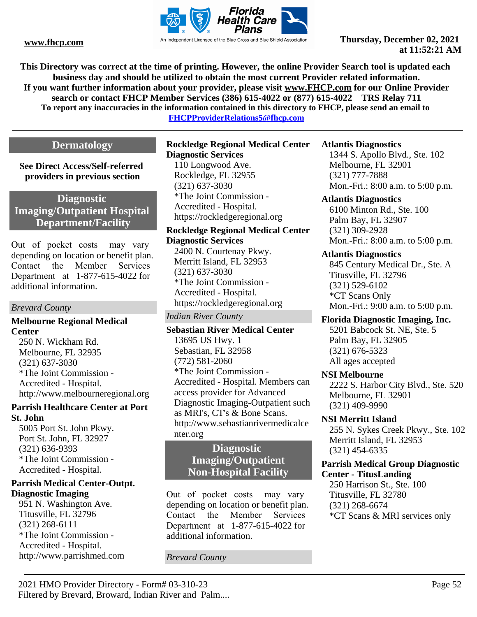

**This Directory was correct at the time of printing. However, the online Provider Search tool is updated each business day and should be utilized to obtain the most current Provider related information. If you want further information about your provider, please visit www.FHCP.com for our Online Provider search or contact FHCP Member Services (386) 615-4022 or (877) 615-4022 TRS Relay 711 To report any inaccuracies in the information contained in this directory to FHCP, please send an email to** 

**FHCPProviderRelations5@fhcp.com**

# **Dermatology**

**See Direct Access/Self-referred providers in previous section**

# **Diagnostic Imaging/Outpatient Hospital Department/Facility**

Out of pocket costs may vary depending on location or benefit plan. Contact the Member Services Department at 1-877-615-4022 for additional information.

## *Brevard County*

## **Melbourne Regional Medical Center**

250 N. Wickham Rd. Melbourne, FL 32935 (321) 637-3030 \*The Joint Commission - Accredited - Hospital. http://www.melbourneregional.org

## **Parrish Healthcare Center at Port St. John**

5005 Port St. John Pkwy. Port St. John, FL 32927 (321) 636-9393 \*The Joint Commission - Accredited - Hospital.

## **Parrish Medical Center-Outpt. Diagnostic Imaging**

951 N. Washington Ave. Titusville, FL 32796 (321) 268-6111 \*The Joint Commission - Accredited - Hospital. http://www.parrishmed.com

#### **Rockledge Regional Medical Center Diagnostic Services**

110 Longwood Ave. Rockledge, FL 32955 (321) 637-3030 \*The Joint Commission - Accredited - Hospital. https://rockledgeregional.org

**Rockledge Regional Medical Center Diagnostic Services** 2400 N. Courtenay Pkwy. Merritt Island, FL 32953 (321) 637-3030 \*The Joint Commission - Accredited - Hospital. https://rockledgeregional.org

## *Indian River County*

**Sebastian River Medical Center** 13695 US Hwy. 1 Sebastian, FL 32958 (772) 581-2060 \*The Joint Commission - Accredited - Hospital. Members can access provider for Advanced Diagnostic Imaging-Outpatient such as MRI's, CT's & Bone Scans. http://www.sebastianrivermedicalce nter.org

# **Diagnostic Imaging/Outpatient Non-Hospital Facility**

Out of pocket costs may vary depending on location or benefit plan. Contact the Member Services Department at 1-877-615-4022 for additional information.

*Brevard County*

## **Atlantis Diagnostics**

1344 S. Apollo Blvd., Ste. 102 Melbourne, FL 32901 (321) 777-7888 Mon.-Fri.: 8:00 a.m. to 5:00 p.m.

#### **Atlantis Diagnostics**

6100 Minton Rd., Ste. 100 Palm Bay, FL 32907 (321) 309-2928 Mon.-Fri.: 8:00 a.m. to 5:00 p.m.

## **Atlantis Diagnostics**

845 Century Medical Dr., Ste. A Titusville, FL 32796 (321) 529-6102 \*CT Scans Only Mon.-Fri.: 9:00 a.m. to 5:00 p.m.

# **Florida Diagnostic Imaging, Inc.**

5201 Babcock St. NE, Ste. 5 Palm Bay, FL 32905 (321) 676-5323 All ages accepted

## **NSI Melbourne**

2222 S. Harbor City Blvd., Ste. 520 Melbourne, FL 32901 (321) 409-9990

## **NSI Merritt Island**

255 N. Sykes Creek Pkwy., Ste. 102 Merritt Island, FL 32953 (321) 454-6335

## **Parrish Medical Group Diagnostic Center - TitusLanding**

250 Harrison St., Ste. 100 Titusville, FL 32780 (321) 268-6674 \*CT Scans & MRI services only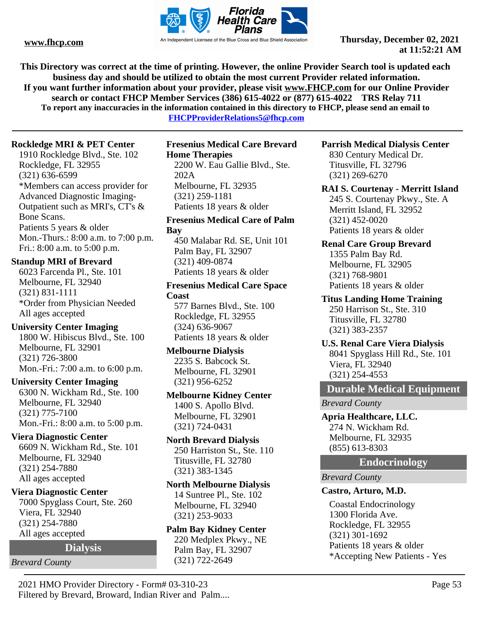

**This Directory was correct at the time of printing. However, the online Provider Search tool is updated each business day and should be utilized to obtain the most current Provider related information. If you want further information about your provider, please visit www.FHCP.com for our Online Provider search or contact FHCP Member Services (386) 615-4022 or (877) 615-4022 TRS Relay 711 To report any inaccuracies in the information contained in this directory to FHCP, please send an email to** 

**FHCPProviderRelations5@fhcp.com**

## **Rockledge MRI & PET Center**

1910 Rockledge Blvd., Ste. 102 Rockledge, FL 32955 (321) 636-6599 \*Members can access provider for Advanced Diagnostic Imaging-Outpatient such as MRI's, CT's & Bone Scans. Patients 5 years & older Mon.-Thurs.: 8:00 a.m. to 7:00 p.m. Fri.: 8:00 a.m. to 5:00 p.m.

## **Standup MRI of Brevard**

6023 Farcenda Pl., Ste. 101 Melbourne, FL 32940 (321) 831-1111 \*Order from Physician Needed All ages accepted

## **University Center Imaging** 1800 W. Hibiscus Blvd., Ste. 100 Melbourne, FL 32901 (321) 726-3800

Mon.-Fri.: 7:00 a.m. to 6:00 p.m.

# **University Center Imaging**

6300 N. Wickham Rd., Ste. 100 Melbourne, FL 32940 (321) 775-7100 Mon.-Fri.: 8:00 a.m. to 5:00 p.m.

## **Viera Diagnostic Center**

6609 N. Wickham Rd., Ste. 101 Melbourne, FL 32940 (321) 254-7880 All ages accepted

## **Viera Diagnostic Center**

7000 Spyglass Court, Ste. 260 Viera, FL 32940 (321) 254-7880 All ages accepted

**Dialysis**

# *Brevard County*

**Fresenius Medical Care Brevard Home Therapies** 2200 W. Eau Gallie Blvd., Ste.

202A Melbourne, FL 32935 (321) 259-1181 Patients 18 years & older

#### **Fresenius Medical Care of Palm Bay**

450 Malabar Rd. SE, Unit 101 Palm Bay, FL 32907 (321) 409-0874 Patients 18 years & older

## **Fresenius Medical Care Space Coast**

577 Barnes Blvd., Ste. 100 Rockledge, FL 32955 (324) 636-9067 Patients 18 years & older

# **Melbourne Dialysis** 2235 S. Babcock St. Melbourne, FL 32901

(321) 956-6252 **Melbourne Kidney Center**

1400 S. Apollo Blvd. Melbourne, FL 32901 (321) 724-0431

#### **North Brevard Dialysis** 250 Harriston St., Ste. 110 Titusville, FL 32780 (321) 383-1345

# **North Melbourne Dialysis**

14 Suntree Pl., Ste. 102 Melbourne, FL 32940 (321) 253-9033

# **Palm Bay Kidney Center**

220 Medplex Pkwy., NE Palm Bay, FL 32907 (321) 722-2649

## **Parrish Medical Dialysis Center**

830 Century Medical Dr. Titusville, FL 32796 (321) 269-6270

## **RAI S. Courtenay - Merritt Island**

245 S. Courtenay Pkwy., Ste. A Merritt Island, FL 32952 (321) 452-0020 Patients 18 years & older

## **Renal Care Group Brevard**

1355 Palm Bay Rd. Melbourne, FL 32905 (321) 768-9801 Patients 18 years & older

## **Titus Landing Home Training**

250 Harrison St., Ste. 310 Titusville, FL 32780 (321) 383-2357

# **U.S. Renal Care Viera Dialysis**

8041 Spyglass Hill Rd., Ste. 101 Viera, FL 32940 (321) 254-4553

# **Durable Medical Equipment**

*Brevard County*

## **Apria Healthcare, LLC.** 274 N. Wickham Rd. Melbourne, FL 32935 (855) 613-8303

**Endocrinology**

*Brevard County*

# **Castro, Arturo, M.D.**

Coastal Endocrinology 1300 Florida Ave. Rockledge, FL 32955 (321) 301-1692 Patients 18 years & older \*Accepting New Patients - Yes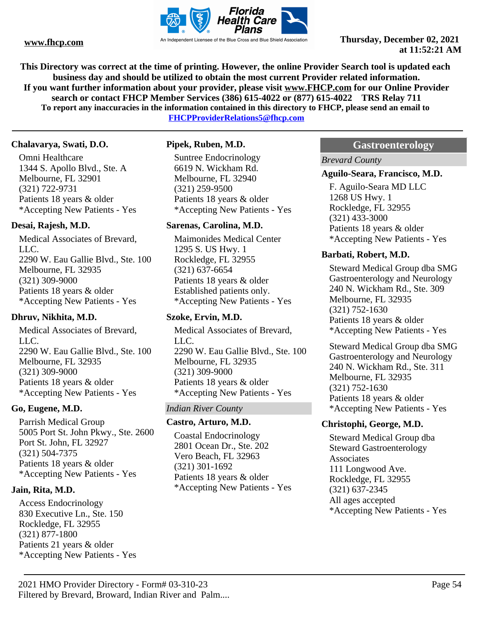

**This Directory was correct at the time of printing. However, the online Provider Search tool is updated each business day and should be utilized to obtain the most current Provider related information. If you want further information about your provider, please visit www.FHCP.com for our Online Provider search or contact FHCP Member Services (386) 615-4022 or (877) 615-4022 TRS Relay 711 To report any inaccuracies in the information contained in this directory to FHCP, please send an email to** 

**FHCPProviderRelations5@fhcp.com**

#### **Chalavarya, Swati, D.O.**

Omni Healthcare 1344 S. Apollo Blvd., Ste. A Melbourne, FL 32901 (321) 722-9731 Patients 18 years & older \*Accepting New Patients - Yes

## **Desai, Rajesh, M.D.**

Medical Associates of Brevard, LLC. 2290 W. Eau Gallie Blvd., Ste. 100 Melbourne, FL 32935 (321) 309-9000 Patients 18 years & older \*Accepting New Patients - Yes

## **Dhruv, Nikhita, M.D.**

Medical Associates of Brevard, LLC. 2290 W. Eau Gallie Blvd., Ste. 100 Melbourne, FL 32935 (321) 309-9000 Patients 18 years & older \*Accepting New Patients - Yes

## **Go, Eugene, M.D.**

Parrish Medical Group 5005 Port St. John Pkwy., Ste. 2600 Port St. John, FL 32927 (321) 504-7375 Patients 18 years & older \*Accepting New Patients - Yes

## **Jain, Rita, M.D.**

Access Endocrinology 830 Executive Ln., Ste. 150 Rockledge, FL 32955 (321) 877-1800 Patients 21 years & older \*Accepting New Patients - Yes

## **Pipek, Ruben, M.D.**

Suntree Endocrinology 6619 N. Wickham Rd. Melbourne, FL 32940 (321) 259-9500 Patients 18 years & older \*Accepting New Patients - Yes

#### **Sarenas, Carolina, M.D.**

Maimonides Medical Center 1295 S. US Hwy. 1 Rockledge, FL 32955 (321) 637-6654 Patients 18 years & older Established patients only. \*Accepting New Patients - Yes

## **Szoke, Ervin, M.D.**

Medical Associates of Brevard, LLC. 2290 W. Eau Gallie Blvd., Ste. 100 Melbourne, FL 32935 (321) 309-9000 Patients 18 years & older \*Accepting New Patients - Yes

## *Indian River County*

## **Castro, Arturo, M.D.**

Coastal Endocrinology 2801 Ocean Dr., Ste. 202 Vero Beach, FL 32963 (321) 301-1692 Patients 18 years & older \*Accepting New Patients - Yes

## **Gastroenterology**

*Brevard County*

#### **Aguilo-Seara, Francisco, M.D.**

F. Aguilo-Seara MD LLC 1268 US Hwy. 1 Rockledge, FL 32955 (321) 433-3000 Patients 18 years & older \*Accepting New Patients - Yes

#### **Barbati, Robert, M.D.**

Steward Medical Group dba SMG Gastroenterology and Neurology 240 N. Wickham Rd., Ste. 309 Melbourne, FL 32935 (321) 752-1630 Patients 18 years & older \*Accepting New Patients - Yes

Steward Medical Group dba SMG Gastroenterology and Neurology 240 N. Wickham Rd., Ste. 311 Melbourne, FL 32935 (321) 752-1630 Patients 18 years & older \*Accepting New Patients - Yes

## **Christophi, George, M.D.**

Steward Medical Group dba Steward Gastroenterology **Associates** 111 Longwood Ave. Rockledge, FL 32955 (321) 637-2345 All ages accepted \*Accepting New Patients - Yes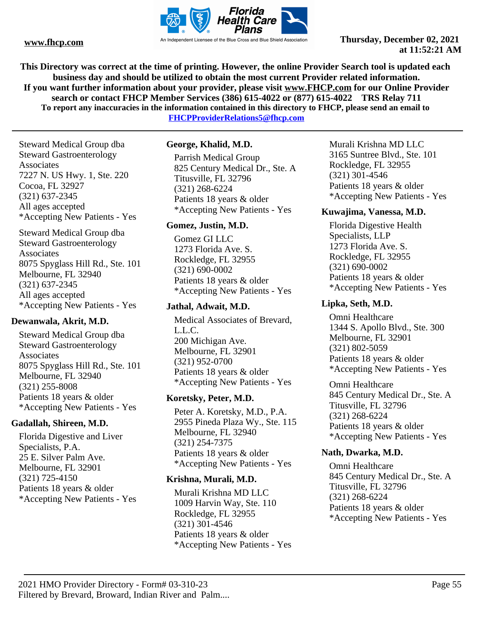

**This Directory was correct at the time of printing. However, the online Provider Search tool is updated each business day and should be utilized to obtain the most current Provider related information. If you want further information about your provider, please visit www.FHCP.com for our Online Provider search or contact FHCP Member Services (386) 615-4022 or (877) 615-4022 TRS Relay 711 To report any inaccuracies in the information contained in this directory to FHCP, please send an email to FHCPProviderRelations5@fhcp.com**

Steward Medical Group dba Steward Gastroenterology Associates 7227 N. US Hwy. 1, Ste. 220 Cocoa, FL 32927 (321) 637-2345 All ages accepted \*Accepting New Patients - Yes

Steward Medical Group dba Steward Gastroenterology Associates 8075 Spyglass Hill Rd., Ste. 101 Melbourne, FL 32940 (321) 637-2345 All ages accepted \*Accepting New Patients - Yes

## **Dewanwala, Akrit, M.D.**

Steward Medical Group dba Steward Gastroenterology Associates 8075 Spyglass Hill Rd., Ste. 101 Melbourne, FL 32940 (321) 255-8008 Patients 18 years & older \*Accepting New Patients - Yes

## **Gadallah, Shireen, M.D.**

Florida Digestive and Liver Specialists, P.A. 25 E. Silver Palm Ave. Melbourne, FL 32901 (321) 725-4150 Patients 18 years & older \*Accepting New Patients - Yes

## **George, Khalid, M.D.**

Parrish Medical Group 825 Century Medical Dr., Ste. A Titusville, FL 32796 (321) 268-6224 Patients 18 years & older \*Accepting New Patients - Yes

## **Gomez, Justin, M.D.**

Gomez GI LLC 1273 Florida Ave. S. Rockledge, FL 32955 (321) 690-0002 Patients 18 years & older \*Accepting New Patients - Yes

## **Jathal, Adwait, M.D.**

Medical Associates of Brevard, L.L.C. 200 Michigan Ave. Melbourne, FL 32901 (321) 952-0700 Patients 18 years & older \*Accepting New Patients - Yes

## **Koretsky, Peter, M.D.**

Peter A. Koretsky, M.D., P.A. 2955 Pineda Plaza Wy., Ste. 115 Melbourne, FL 32940 (321) 254-7375 Patients 18 years & older \*Accepting New Patients - Yes

## **Krishna, Murali, M.D.**

Murali Krishna MD LLC 1009 Harvin Way, Ste. 110 Rockledge, FL 32955 (321) 301-4546 Patients 18 years & older \*Accepting New Patients - Yes Murali Krishna MD LLC 3165 Suntree Blvd., Ste. 101 Rockledge, FL 32955 (321) 301-4546 Patients 18 years & older \*Accepting New Patients - Yes

## **Kuwajima, Vanessa, M.D.**

Florida Digestive Health Specialists, LLP 1273 Florida Ave. S. Rockledge, FL 32955 (321) 690-0002 Patients 18 years & older \*Accepting New Patients - Yes

## **Lipka, Seth, M.D.**

Omni Healthcare 1344 S. Apollo Blvd., Ste. 300 Melbourne, FL 32901 (321) 802-5059 Patients 18 years & older \*Accepting New Patients - Yes

Omni Healthcare 845 Century Medical Dr., Ste. A Titusville, FL 32796 (321) 268-6224 Patients 18 years & older \*Accepting New Patients - Yes

## **Nath, Dwarka, M.D.**

Omni Healthcare 845 Century Medical Dr., Ste. A Titusville, FL 32796 (321) 268-6224 Patients 18 years & older \*Accepting New Patients - Yes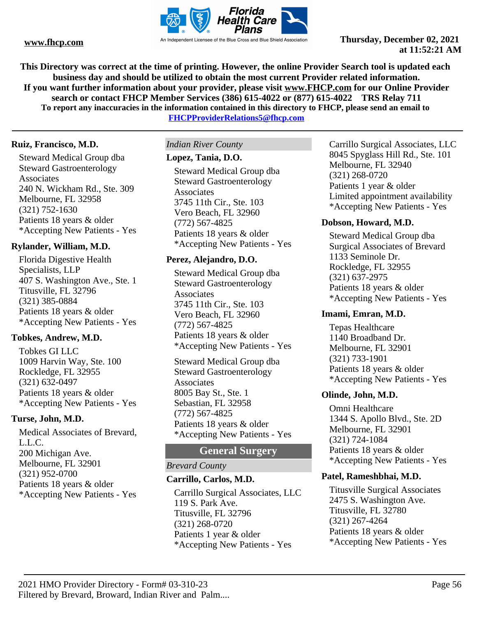

**This Directory was correct at the time of printing. However, the online Provider Search tool is updated each business day and should be utilized to obtain the most current Provider related information. If you want further information about your provider, please visit www.FHCP.com for our Online Provider search or contact FHCP Member Services (386) 615-4022 or (877) 615-4022 TRS Relay 711 To report any inaccuracies in the information contained in this directory to FHCP, please send an email to** 

**FHCPProviderRelations5@fhcp.com**

## **Ruiz, Francisco, M.D.**

Steward Medical Group dba Steward Gastroenterology **Associates** 240 N. Wickham Rd., Ste. 309 Melbourne, FL 32958 (321) 752-1630 Patients 18 years & older \*Accepting New Patients - Yes

## **Rylander, William, M.D.**

Florida Digestive Health Specialists, LLP 407 S. Washington Ave., Ste. 1 Titusville, FL 32796 (321) 385-0884 Patients 18 years & older \*Accepting New Patients - Yes

## **Tobkes, Andrew, M.D.**

Tobkes GI LLC 1009 Harvin Way, Ste. 100 Rockledge, FL 32955 (321) 632-0497 Patients 18 years & older \*Accepting New Patients - Yes

## **Turse, John, M.D.**

Medical Associates of Brevard, L.L.C. 200 Michigan Ave. Melbourne, FL 32901 (321) 952-0700 Patients 18 years & older \*Accepting New Patients - Yes

## *Indian River County*

#### **Lopez, Tania, D.O.**

Steward Medical Group dba Steward Gastroenterology **Associates** 3745 11th Cir., Ste. 103 Vero Beach, FL 32960 (772) 567-4825 Patients 18 years & older \*Accepting New Patients - Yes

## **Perez, Alejandro, D.O.**

Steward Medical Group dba Steward Gastroenterology **Associates** 3745 11th Cir., Ste. 103 Vero Beach, FL 32960 (772) 567-4825 Patients 18 years & older \*Accepting New Patients - Yes

Steward Medical Group dba Steward Gastroenterology Associates 8005 Bay St., Ste. 1 Sebastian, FL 32958 (772) 567-4825 Patients 18 years & older \*Accepting New Patients - Yes

# **General Surgery**

## *Brevard County*

## **Carrillo, Carlos, M.D.**

Carrillo Surgical Associates, LLC 119 S. Park Ave. Titusville, FL 32796 (321) 268-0720 Patients 1 year & older \*Accepting New Patients - Yes

Carrillo Surgical Associates, LLC 8045 Spyglass Hill Rd., Ste. 101 Melbourne, FL 32940 (321) 268-0720 Patients 1 year & older Limited appointment availability \*Accepting New Patients - Yes

## **Dobson, Howard, M.D.**

Steward Medical Group dba Surgical Associates of Brevard 1133 Seminole Dr. Rockledge, FL 32955 (321) 637-2975 Patients 18 years & older \*Accepting New Patients - Yes

## **Imami, Emran, M.D.**

Tepas Healthcare 1140 Broadband Dr. Melbourne, FL 32901 (321) 733-1901 Patients 18 years & older \*Accepting New Patients - Yes

## **Olinde, John, M.D.**

Omni Healthcare 1344 S. Apollo Blvd., Ste. 2D Melbourne, FL 32901 (321) 724-1084 Patients 18 years & older \*Accepting New Patients - Yes

#### **Patel, Rameshbhai, M.D.**

Titusville Surgical Associates 2475 S. Washington Ave. Titusville, FL 32780 (321) 267-4264 Patients 18 years & older \*Accepting New Patients - Yes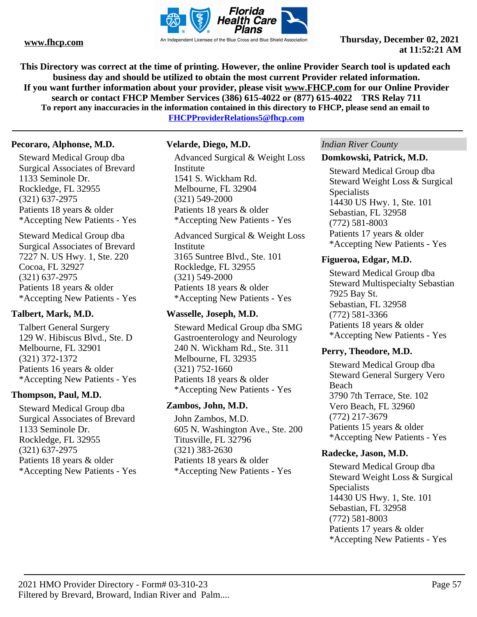

**This Directory was correct at the time of printing. However, the online Provider Search tool is updated each business day and should be utilized to obtain the most current Provider related information. If you want further information about your provider, please visit www.FHCP.com for our Online Provider search or contact FHCP Member Services (386) 615-4022 or (877) 615-4022 TRS Relay 711 To report any inaccuracies in the information contained in this directory to FHCP, please send an email to** 

**FHCPProviderRelations5@fhcp.com**

#### **Pecoraro, Alphonse, M.D.**

Steward Medical Group dba Surgical Associates of Brevard 1133 Seminole Dr. Rockledge, FL 32955 (321) 637-2975 Patients 18 years & older \*Accepting New Patients - Yes

Steward Medical Group dba Surgical Associates of Brevard 7227 N. US Hwy. 1, Ste. 220 Cocoa, FL 32927 (321) 637-2975 Patients 18 years & older \*Accepting New Patients - Yes

## **Talbert, Mark, M.D.**

Talbert General Surgery 129 W. Hibiscus Blvd., Ste. D Melbourne, FL 32901 (321) 372-1372 Patients 16 years & older \*Accepting New Patients - Yes

## **Thompson, Paul, M.D.**

Steward Medical Group dba Surgical Associates of Brevard 1133 Seminole Dr. Rockledge, FL 32955 (321) 637-2975 Patients 18 years & older \*Accepting New Patients - Yes

#### **Velarde, Diego, M.D.**

Advanced Surgical & Weight Loss Institute 1541 S. Wickham Rd. Melbourne, FL 32904 (321) 549-2000 Patients 18 years & older \*Accepting New Patients - Yes

Advanced Surgical & Weight Loss Institute 3165 Suntree Blvd., Ste. 101 Rockledge, FL 32955 (321) 549-2000 Patients 18 years & older \*Accepting New Patients - Yes

#### **Wasselle, Joseph, M.D.**

Steward Medical Group dba SMG Gastroenterology and Neurology 240 N. Wickham Rd., Ste. 311 Melbourne, FL 32935 (321) 752-1660 Patients 18 years & older \*Accepting New Patients - Yes

#### **Zambos, John, M.D.**

John Zambos, M.D. 605 N. Washington Ave., Ste. 200 Titusville, FL 32796 (321) 383-2630 Patients 18 years & older \*Accepting New Patients - Yes

#### *Indian River County*

#### **Domkowski, Patrick, M.D.**

Steward Medical Group dba Steward Weight Loss & Surgical Specialists 14430 US Hwy. 1, Ste. 101 Sebastian, FL 32958 (772) 581-8003 Patients 17 years & older \*Accepting New Patients - Yes

#### **Figueroa, Edgar, M.D.**

Steward Medical Group dba Steward Multispecialty Sebastian 7925 Bay St. Sebastian, FL 32958 (772) 581-3366 Patients 18 years & older \*Accepting New Patients - Yes

#### **Perry, Theodore, M.D.**

Steward Medical Group dba Steward General Surgery Vero Beach 3790 7th Terrace, Ste. 102 Vero Beach, FL 32960 (772) 217-3679 Patients 15 years & older \*Accepting New Patients - Yes

#### **Radecke, Jason, M.D.**

Steward Medical Group dba Steward Weight Loss & Surgical **Specialists** 14430 US Hwy. 1, Ste. 101 Sebastian, FL 32958 (772) 581-8003 Patients 17 years & older \*Accepting New Patients - Yes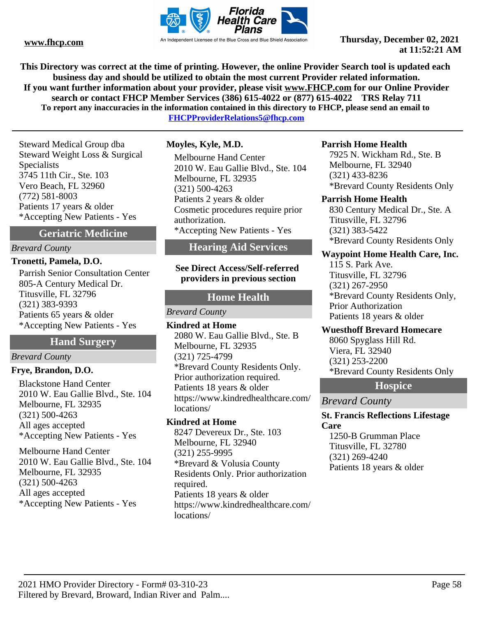

**This Directory was correct at the time of printing. However, the online Provider Search tool is updated each business day and should be utilized to obtain the most current Provider related information. If you want further information about your provider, please visit www.FHCP.com for our Online Provider search or contact FHCP Member Services (386) 615-4022 or (877) 615-4022 TRS Relay 711 To report any inaccuracies in the information contained in this directory to FHCP, please send an email to** 

**FHCPProviderRelations5@fhcp.com**

Steward Medical Group dba Steward Weight Loss & Surgical Specialists 3745 11th Cir., Ste. 103 Vero Beach, FL 32960 (772) 581-8003 Patients 17 years & older \*Accepting New Patients - Yes

## **Geriatric Medicine**

*Brevard County*

#### **Tronetti, Pamela, D.O.**

Parrish Senior Consultation Center 805-A Century Medical Dr. Titusville, FL 32796 (321) 383-9393 Patients 65 years & older \*Accepting New Patients - Yes

## **Hand Surgery**

## *Brevard County*

#### **Frye, Brandon, D.O.**

Blackstone Hand Center 2010 W. Eau Gallie Blvd., Ste. 104 Melbourne, FL 32935 (321) 500-4263 All ages accepted \*Accepting New Patients - Yes

Melbourne Hand Center 2010 W. Eau Gallie Blvd., Ste. 104 Melbourne, FL 32935 (321) 500-4263 All ages accepted \*Accepting New Patients - Yes

#### **Moyles, Kyle, M.D.**

Melbourne Hand Center 2010 W. Eau Gallie Blvd., Ste. 104 Melbourne, FL 32935 (321) 500-4263 Patients 2 years & older Cosmetic procedures require prior authorization. \*Accepting New Patients - Yes

# **Hearing Aid Services**

**See Direct Access/Self-referred providers in previous section**

## **Home Health**

*Brevard County*

**Kindred at Home** 2080 W. Eau Gallie Blvd., Ste. B Melbourne, FL 32935 (321) 725-4799 \*Brevard County Residents Only. Prior authorization required. Patients 18 years & older https://www.kindredhealthcare.com/ locations/

#### **Kindred at Home**

8247 Devereux Dr., Ste. 103 Melbourne, FL 32940 (321) 255-9995 \*Brevard & Volusia County Residents Only. Prior authorization required. Patients 18 years & older https://www.kindredhealthcare.com/ locations/

#### **Parrish Home Health**

7925 N. Wickham Rd., Ste. B Melbourne, FL 32940 (321) 433-8236 \*Brevard County Residents Only

#### **Parrish Home Health**

830 Century Medical Dr., Ste. A Titusville, FL 32796 (321) 383-5422 \*Brevard County Residents Only

## **Waypoint Home Health Care, Inc.**

115 S. Park Ave. Titusville, FL 32796 (321) 267-2950 \*Brevard County Residents Only, Prior Authorization Patients 18 years & older

## **Wuesthoff Brevard Homecare**

8060 Spyglass Hill Rd. Viera, FL 32940 (321) 253-2200 \*Brevard County Residents Only

#### **Hospice**

*Brevard County*

#### **St. Francis Reflections Lifestage Care**

1250-B Grumman Place Titusville, FL 32780 (321) 269-4240 Patients 18 years & older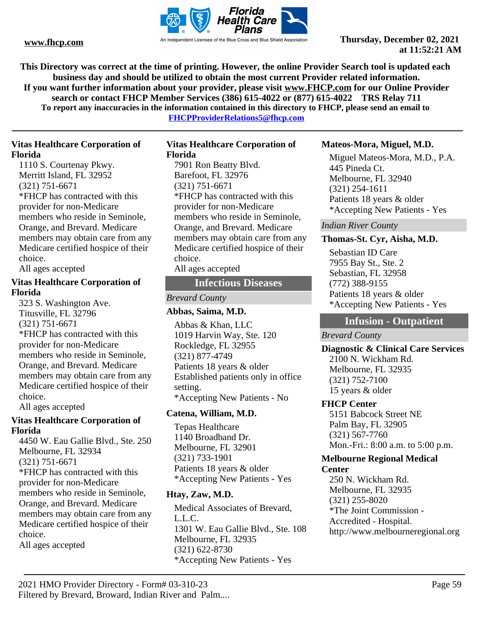

**This Directory was correct at the time of printing. However, the online Provider Search tool is updated each business day and should be utilized to obtain the most current Provider related information. If you want further information about your provider, please visit www.FHCP.com for our Online Provider search or contact FHCP Member Services (386) 615-4022 or (877) 615-4022 TRS Relay 711 To report any inaccuracies in the information contained in this directory to FHCP, please send an email to** 

**FHCPProviderRelations5@fhcp.com**

## **Vitas Healthcare Corporation of Florida**

1110 S. Courtenay Pkwy. Merritt Island, FL 32952 (321) 751-6671 \*FHCP has contracted with this provider for non-Medicare members who reside in Seminole, Orange, and Brevard. Medicare members may obtain care from any Medicare certified hospice of their choice.

All ages accepted

## **Vitas Healthcare Corporation of Florida**

323 S. Washington Ave. Titusville, FL 32796 (321) 751-6671 \*FHCP has contracted with this provider for non-Medicare members who reside in Seminole, Orange, and Brevard. Medicare members may obtain care from any Medicare certified hospice of their choice. All ages accepted

## **Vitas Healthcare Corporation of Florida**

4450 W. Eau Gallie Blvd., Ste. 250 Melbourne, FL 32934 (321) 751-6671 \*FHCP has contracted with this provider for non-Medicare members who reside in Seminole, Orange, and Brevard. Medicare members may obtain care from any Medicare certified hospice of their choice.

All ages accepted

#### **Vitas Healthcare Corporation of Florida**

7901 Ron Beatty Blvd. Barefoot, FL 32976 (321) 751-6671 \*FHCP has contracted with this provider for non-Medicare members who reside in Seminole, Orange, and Brevard. Medicare members may obtain care from any Medicare certified hospice of their choice. All ages accepted

## **Infectious Diseases**

## *Brevard County*

## **Abbas, Saima, M.D.**

Abbas & Khan, LLC 1019 Harvin Way, Ste. 120 Rockledge, FL 32955 (321) 877-4749 Patients 18 years & older Established patients only in office setting. \*Accepting New Patients - No

## **Catena, William, M.D.**

Tepas Healthcare 1140 Broadband Dr. Melbourne, FL 32901 (321) 733-1901 Patients 18 years & older \*Accepting New Patients - Yes

## **Htay, Zaw, M.D.**

Medical Associates of Brevard, L.L.C. 1301 W. Eau Gallie Blvd., Ste. 108 Melbourne, FL 32935 (321) 622-8730 \*Accepting New Patients - Yes

## **Mateos-Mora, Miguel, M.D.**

Miguel Mateos-Mora, M.D., P.A. 445 Pineda Ct. Melbourne, FL 32940 (321) 254-1611 Patients 18 years & older \*Accepting New Patients - Yes

## *Indian River County*

## **Thomas-St. Cyr, Aisha, M.D.**

Sebastian ID Care 7955 Bay St., Ste. 2 Sebastian, FL 32958 (772) 388-9155 Patients 18 years & older \*Accepting New Patients - Yes

# **Infusion - Outpatient**

*Brevard County*

**Diagnostic & Clinical Care Services** 2100 N. Wickham Rd. Melbourne, FL 32935 (321) 752-7100 15 years & older

## **FHCP Center**

5151 Babcock Street NE Palm Bay, FL 32905 (321) 567-7760 Mon.-Fri.: 8:00 a.m. to 5:00 p.m.

# **Melbourne Regional Medical**

## **Center**

250 N. Wickham Rd. Melbourne, FL 32935 (321) 255-8020 \*The Joint Commission - Accredited - Hospital. http://www.melbourneregional.org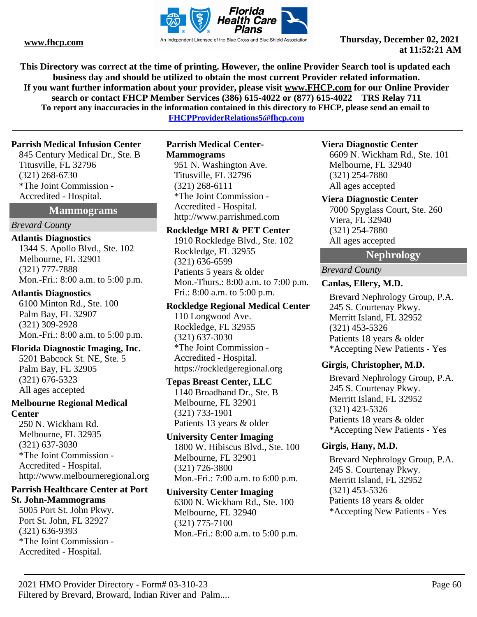

**This Directory was correct at the time of printing. However, the online Provider Search tool is updated each business day and should be utilized to obtain the most current Provider related information. If you want further information about your provider, please visit www.FHCP.com for our Online Provider search or contact FHCP Member Services (386) 615-4022 or (877) 615-4022 TRS Relay 711 To report any inaccuracies in the information contained in this directory to FHCP, please send an email to** 

**FHCPProviderRelations5@fhcp.com**

### **Parrish Medical Infusion Center**

845 Century Medical Dr., Ste. B Titusville, FL 32796 (321) 268-6730 \*The Joint Commission - Accredited - Hospital.

#### **Mammograms**

#### *Brevard County*

#### **Atlantis Diagnostics**

1344 S. Apollo Blvd., Ste. 102 Melbourne, FL 32901 (321) 777-7888 Mon.-Fri.: 8:00 a.m. to 5:00 p.m.

#### **Atlantis Diagnostics**

6100 Minton Rd., Ste. 100 Palm Bay, FL 32907 (321) 309-2928 Mon.-Fri.: 8:00 a.m. to 5:00 p.m.

#### **Florida Diagnostic Imaging, Inc.**

5201 Babcock St. NE, Ste. 5 Palm Bay, FL 32905 (321) 676-5323 All ages accepted

### **Melbourne Regional Medical Center**

250 N. Wickham Rd. Melbourne, FL 32935 (321) 637-3030 \*The Joint Commission - Accredited - Hospital. http://www.melbourneregional.org

#### **Parrish Healthcare Center at Port St. John-Mammograms**

5005 Port St. John Pkwy. Port St. John, FL 32927 (321) 636-9393 \*The Joint Commission - Accredited - Hospital.

## **Parrish Medical Center-Mammograms** 951 N. Washington Ave.

Titusville, FL 32796 (321) 268-6111 \*The Joint Commission - Accredited - Hospital. http://www.parrishmed.com

#### **Rockledge MRI & PET Center**

1910 Rockledge Blvd., Ste. 102 Rockledge, FL 32955 (321) 636-6599 Patients 5 years & older Mon.-Thurs.: 8:00 a.m. to 7:00 p.m. Fri.: 8:00 a.m. to 5:00 p.m.

#### **Rockledge Regional Medical Center**

110 Longwood Ave. Rockledge, FL 32955 (321) 637-3030 \*The Joint Commission - Accredited - Hospital. https://rockledgeregional.org

#### **Tepas Breast Center, LLC**

1140 Broadband Dr., Ste. B Melbourne, FL 32901 (321) 733-1901 Patients 13 years & older

### **University Center Imaging** 1800 W. Hibiscus Blvd., Ste. 100 Melbourne, FL 32901 (321) 726-3800 Mon.-Fri.: 7:00 a.m. to 6:00 p.m.

#### **University Center Imaging**

6300 N. Wickham Rd., Ste. 100 Melbourne, FL 32940 (321) 775-7100 Mon.-Fri.: 8:00 a.m. to 5:00 p.m.

#### **Viera Diagnostic Center**

6609 N. Wickham Rd., Ste. 101 Melbourne, FL 32940 (321) 254-7880 All ages accepted

#### **Viera Diagnostic Center**

7000 Spyglass Court, Ste. 260 Viera, FL 32940 (321) 254-7880 All ages accepted

## **Nephrology**

*Brevard County*

## **Canlas, Ellery, M.D.**

Brevard Nephrology Group, P.A. 245 S. Courtenay Pkwy. Merritt Island, FL 32952 (321) 453-5326 Patients 18 years & older \*Accepting New Patients - Yes

## **Girgis, Christopher, M.D.**

Brevard Nephrology Group, P.A. 245 S. Courtenay Pkwy. Merritt Island, FL 32952 (321) 423-5326 Patients 18 years & older \*Accepting New Patients - Yes

## **Girgis, Hany, M.D.**

Brevard Nephrology Group, P.A. 245 S. Courtenay Pkwy. Merritt Island, FL 32952 (321) 453-5326 Patients 18 years & older \*Accepting New Patients - Yes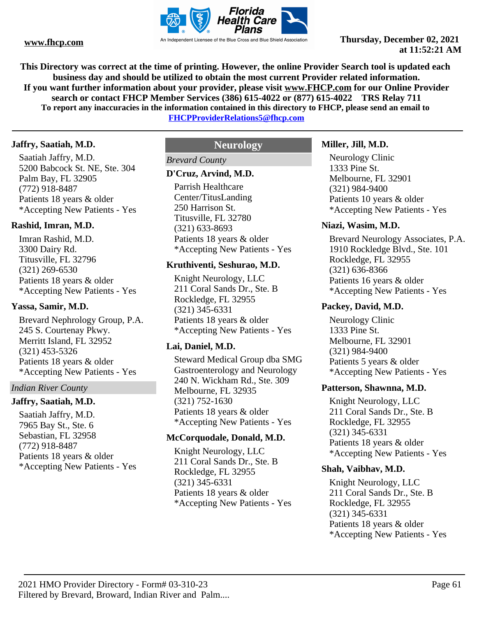

**This Directory was correct at the time of printing. However, the online Provider Search tool is updated each business day and should be utilized to obtain the most current Provider related information. If you want further information about your provider, please visit www.FHCP.com for our Online Provider search or contact FHCP Member Services (386) 615-4022 or (877) 615-4022 TRS Relay 711 To report any inaccuracies in the information contained in this directory to FHCP, please send an email to FHCPProviderRelations5@fhcp.com**

#### **Jaffry, Saatiah, M.D.**

Saatiah Jaffry, M.D. 5200 Babcock St. NE, Ste. 304 Palm Bay, FL 32905 (772) 918-8487 Patients 18 years & older \*Accepting New Patients - Yes

## **Rashid, Imran, M.D.**

Imran Rashid, M.D. 3300 Dairy Rd. Titusville, FL 32796 (321) 269-6530 Patients 18 years & older \*Accepting New Patients - Yes

#### **Yassa, Samir, M.D.**

Brevard Nephrology Group, P.A. 245 S. Courtenay Pkwy. Merritt Island, FL 32952 (321) 453-5326 Patients 18 years & older \*Accepting New Patients - Yes

#### *Indian River County*

## **Jaffry, Saatiah, M.D.**

Saatiah Jaffry, M.D. 7965 Bay St., Ste. 6 Sebastian, FL 32958 (772) 918-8487 Patients 18 years & older \*Accepting New Patients - Yes

## **Neurology**

## *Brevard County*

#### **D'Cruz, Arvind, M.D.**

Parrish Healthcare Center/TitusLanding 250 Harrison St. Titusville, FL 32780 (321) 633-8693 Patients 18 years & older \*Accepting New Patients - Yes

#### **Kruthiventi, Seshurao, M.D.**

Knight Neurology, LLC 211 Coral Sands Dr., Ste. B Rockledge, FL 32955 (321) 345-6331 Patients 18 years & older \*Accepting New Patients - Yes

#### **Lai, Daniel, M.D.**

Steward Medical Group dba SMG Gastroenterology and Neurology 240 N. Wickham Rd., Ste. 309 Melbourne, FL 32935 (321) 752-1630 Patients 18 years & older \*Accepting New Patients - Yes

### **McCorquodale, Donald, M.D.**

Knight Neurology, LLC 211 Coral Sands Dr., Ste. B Rockledge, FL 32955 (321) 345-6331 Patients 18 years & older \*Accepting New Patients - Yes

#### **Miller, Jill, M.D.**

Neurology Clinic 1333 Pine St. Melbourne, FL 32901 (321) 984-9400 Patients 10 years & older \*Accepting New Patients - Yes

#### **Niazi, Wasim, M.D.**

Brevard Neurology Associates, P.A. 1910 Rockledge Blvd., Ste. 101 Rockledge, FL 32955 (321) 636-8366 Patients 16 years & older \*Accepting New Patients - Yes

#### **Packey, David, M.D.**

Neurology Clinic 1333 Pine St. Melbourne, FL 32901 (321) 984-9400 Patients 5 years & older \*Accepting New Patients - Yes

#### **Patterson, Shawnna, M.D.**

Knight Neurology, LLC 211 Coral Sands Dr., Ste. B Rockledge, FL 32955 (321) 345-6331 Patients 18 years & older \*Accepting New Patients - Yes

#### **Shah, Vaibhav, M.D.**

Knight Neurology, LLC 211 Coral Sands Dr., Ste. B Rockledge, FL 32955 (321) 345-6331 Patients 18 years & older \*Accepting New Patients - Yes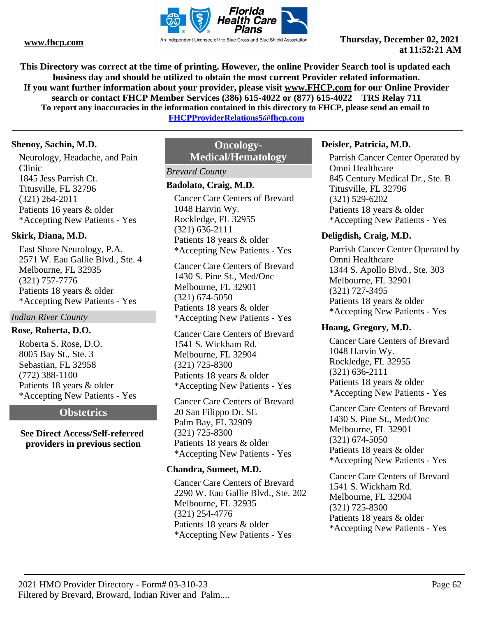

**This Directory was correct at the time of printing. However, the online Provider Search tool is updated each business day and should be utilized to obtain the most current Provider related information. If you want further information about your provider, please visit www.FHCP.com for our Online Provider search or contact FHCP Member Services (386) 615-4022 or (877) 615-4022 TRS Relay 711 To report any inaccuracies in the information contained in this directory to FHCP, please send an email to** 

**FHCPProviderRelations5@fhcp.com**

#### **Shenoy, Sachin, M.D.**

Neurology, Headache, and Pain Clinic 1845 Jess Parrish Ct. Titusville, FL 32796 (321) 264-2011 Patients 16 years & older \*Accepting New Patients - Yes

## **Skirk, Diana, M.D.**

East Shore Neurology, P.A. 2571 W. Eau Gallie Blvd., Ste. 4 Melbourne, FL 32935 (321) 757-7776 Patients 18 years & older \*Accepting New Patients - Yes

## *Indian River County*

## **Rose, Roberta, D.O.**

Roberta S. Rose, D.O. 8005 Bay St., Ste. 3 Sebastian, FL 32958 (772) 388-1100 Patients 18 years & older \*Accepting New Patients - Yes

## **Obstetrics**

## **See Direct Access/Self-referred providers in previous section**

# **Oncology-Medical/Hematology**

## *Brevard County*

### **Badolato, Craig, M.D.**

Cancer Care Centers of Brevard 1048 Harvin Wy. Rockledge, FL 32955 (321) 636-2111 Patients 18 years & older \*Accepting New Patients - Yes

Cancer Care Centers of Brevard 1430 S. Pine St., Med/Onc Melbourne, FL 32901 (321) 674-5050 Patients 18 years & older \*Accepting New Patients - Yes

Cancer Care Centers of Brevard 1541 S. Wickham Rd. Melbourne, FL 32904 (321) 725-8300 Patients 18 years & older \*Accepting New Patients - Yes

Cancer Care Centers of Brevard 20 San Filippo Dr. SE Palm Bay, FL 32909 (321) 725-8300 Patients 18 years & older \*Accepting New Patients - Yes

## **Chandra, Sumeet, M.D.**

Cancer Care Centers of Brevard 2290 W. Eau Gallie Blvd., Ste. 202 Melbourne, FL 32935 (321) 254-4776 Patients 18 years & older \*Accepting New Patients - Yes

## **Deisler, Patricia, M.D.**

Parrish Cancer Center Operated by Omni Healthcare 845 Century Medical Dr., Ste. B Titusville, FL 32796 (321) 529-6202 Patients 18 years & older \*Accepting New Patients - Yes

## **Deligdish, Craig, M.D.**

Parrish Cancer Center Operated by Omni Healthcare 1344 S. Apollo Blvd., Ste. 303 Melbourne, FL 32901 (321) 727-3495 Patients 18 years & older \*Accepting New Patients - Yes

## **Hoang, Gregory, M.D.**

Cancer Care Centers of Brevard 1048 Harvin Wy. Rockledge, FL 32955 (321) 636-2111 Patients 18 years & older \*Accepting New Patients - Yes

Cancer Care Centers of Brevard 1430 S. Pine St., Med/Onc Melbourne, FL 32901 (321) 674-5050 Patients 18 years & older \*Accepting New Patients - Yes

Cancer Care Centers of Brevard 1541 S. Wickham Rd. Melbourne, FL 32904 (321) 725-8300 Patients 18 years & older \*Accepting New Patients - Yes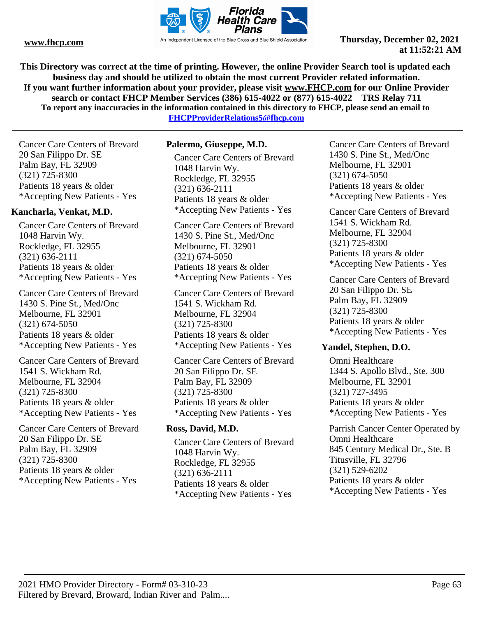

**This Directory was correct at the time of printing. However, the online Provider Search tool is updated each business day and should be utilized to obtain the most current Provider related information. If you want further information about your provider, please visit www.FHCP.com for our Online Provider search or contact FHCP Member Services (386) 615-4022 or (877) 615-4022 TRS Relay 711 To report any inaccuracies in the information contained in this directory to FHCP, please send an email to FHCPProviderRelations5@fhcp.com**

Cancer Care Centers of Brevard 20 San Filippo Dr. SE Palm Bay, FL 32909 (321) 725-8300 Patients 18 years & older \*Accepting New Patients - Yes

## **Kancharla, Venkat, M.D.**

Cancer Care Centers of Brevard 1048 Harvin Wy. Rockledge, FL 32955 (321) 636-2111 Patients 18 years & older \*Accepting New Patients - Yes

Cancer Care Centers of Brevard 1430 S. Pine St., Med/Onc Melbourne, FL 32901 (321) 674-5050 Patients 18 years & older \*Accepting New Patients - Yes

Cancer Care Centers of Brevard 1541 S. Wickham Rd. Melbourne, FL 32904 (321) 725-8300 Patients 18 years & older \*Accepting New Patients - Yes

Cancer Care Centers of Brevard 20 San Filippo Dr. SE Palm Bay, FL 32909 (321) 725-8300 Patients 18 years & older \*Accepting New Patients - Yes

#### **Palermo, Giuseppe, M.D.**

Cancer Care Centers of Brevard 1048 Harvin Wy. Rockledge, FL 32955 (321) 636-2111 Patients 18 years & older \*Accepting New Patients - Yes

Cancer Care Centers of Brevard 1430 S. Pine St., Med/Onc Melbourne, FL 32901 (321) 674-5050 Patients 18 years & older \*Accepting New Patients - Yes

Cancer Care Centers of Brevard 1541 S. Wickham Rd. Melbourne, FL 32904 (321) 725-8300 Patients 18 years & older \*Accepting New Patients - Yes

Cancer Care Centers of Brevard 20 San Filippo Dr. SE Palm Bay, FL 32909 (321) 725-8300 Patients 18 years & older \*Accepting New Patients - Yes

## **Ross, David, M.D.**

Cancer Care Centers of Brevard 1048 Harvin Wy. Rockledge, FL 32955 (321) 636-2111 Patients 18 years & older \*Accepting New Patients - Yes

Cancer Care Centers of Brevard 1430 S. Pine St., Med/Onc Melbourne, FL 32901 (321) 674-5050 Patients 18 years & older \*Accepting New Patients - Yes

Cancer Care Centers of Brevard 1541 S. Wickham Rd. Melbourne, FL 32904 (321) 725-8300 Patients 18 years & older \*Accepting New Patients - Yes

Cancer Care Centers of Brevard 20 San Filippo Dr. SE Palm Bay, FL 32909 (321) 725-8300 Patients 18 years & older \*Accepting New Patients - Yes

#### **Yandel, Stephen, D.O.**

Omni Healthcare 1344 S. Apollo Blvd., Ste. 300 Melbourne, FL 32901 (321) 727-3495 Patients 18 years & older \*Accepting New Patients - Yes

Parrish Cancer Center Operated by Omni Healthcare 845 Century Medical Dr., Ste. B Titusville, FL 32796 (321) 529-6202 Patients 18 years & older \*Accepting New Patients - Yes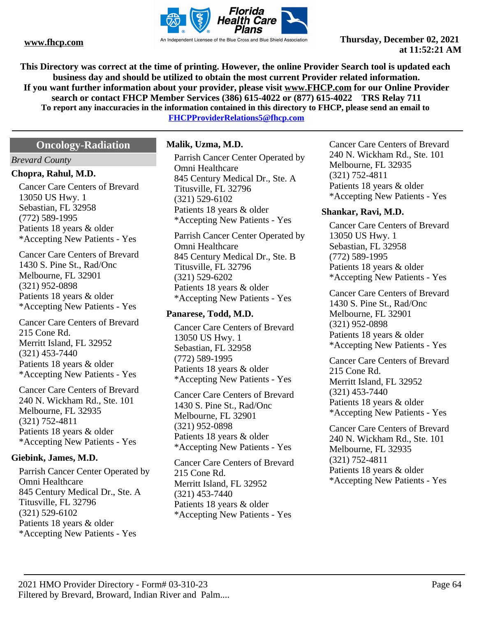

**This Directory was correct at the time of printing. However, the online Provider Search tool is updated each business day and should be utilized to obtain the most current Provider related information. If you want further information about your provider, please visit www.FHCP.com for our Online Provider search or contact FHCP Member Services (386) 615-4022 or (877) 615-4022 TRS Relay 711 To report any inaccuracies in the information contained in this directory to FHCP, please send an email to** 

**FHCPProviderRelations5@fhcp.com**

# **Oncology-Radiation**

#### *Brevard County*

#### **Chopra, Rahul, M.D.**

Cancer Care Centers of Brevard 13050 US Hwy. 1 Sebastian, FL 32958 (772) 589-1995 Patients 18 years & older \*Accepting New Patients - Yes

Cancer Care Centers of Brevard 1430 S. Pine St., Rad/Onc Melbourne, FL 32901 (321) 952-0898 Patients 18 years & older \*Accepting New Patients - Yes

Cancer Care Centers of Brevard 215 Cone Rd. Merritt Island, FL 32952 (321) 453-7440 Patients 18 years & older \*Accepting New Patients - Yes

Cancer Care Centers of Brevard 240 N. Wickham Rd., Ste. 101 Melbourne, FL 32935 (321) 752-4811 Patients 18 years & older \*Accepting New Patients - Yes

## **Giebink, James, M.D.**

Parrish Cancer Center Operated by Omni Healthcare 845 Century Medical Dr., Ste. A Titusville, FL 32796 (321) 529-6102 Patients 18 years & older \*Accepting New Patients - Yes

#### **Malik, Uzma, M.D.**

Parrish Cancer Center Operated by Omni Healthcare 845 Century Medical Dr., Ste. A Titusville, FL 32796 (321) 529-6102 Patients 18 years & older \*Accepting New Patients - Yes

Parrish Cancer Center Operated by Omni Healthcare 845 Century Medical Dr., Ste. B Titusville, FL 32796 (321) 529-6202 Patients 18 years & older \*Accepting New Patients - Yes

#### **Panarese, Todd, M.D.**

Cancer Care Centers of Brevard 13050 US Hwy. 1 Sebastian, FL 32958 (772) 589-1995 Patients 18 years & older \*Accepting New Patients - Yes

Cancer Care Centers of Brevard 1430 S. Pine St., Rad/Onc Melbourne, FL 32901 (321) 952-0898 Patients 18 years & older \*Accepting New Patients - Yes

Cancer Care Centers of Brevard 215 Cone Rd. Merritt Island, FL 32952 (321) 453-7440 Patients 18 years & older \*Accepting New Patients - Yes

Cancer Care Centers of Brevard 240 N. Wickham Rd., Ste. 101 Melbourne, FL 32935 (321) 752-4811 Patients 18 years & older \*Accepting New Patients - Yes

#### **Shankar, Ravi, M.D.**

Cancer Care Centers of Brevard 13050 US Hwy. 1 Sebastian, FL 32958 (772) 589-1995 Patients 18 years & older \*Accepting New Patients - Yes

Cancer Care Centers of Brevard 1430 S. Pine St., Rad/Onc Melbourne, FL 32901 (321) 952-0898 Patients 18 years & older \*Accepting New Patients - Yes

Cancer Care Centers of Brevard 215 Cone Rd. Merritt Island, FL 32952 (321) 453-7440 Patients 18 years & older \*Accepting New Patients - Yes

Cancer Care Centers of Brevard 240 N. Wickham Rd., Ste. 101 Melbourne, FL 32935 (321) 752-4811 Patients 18 years & older \*Accepting New Patients - Yes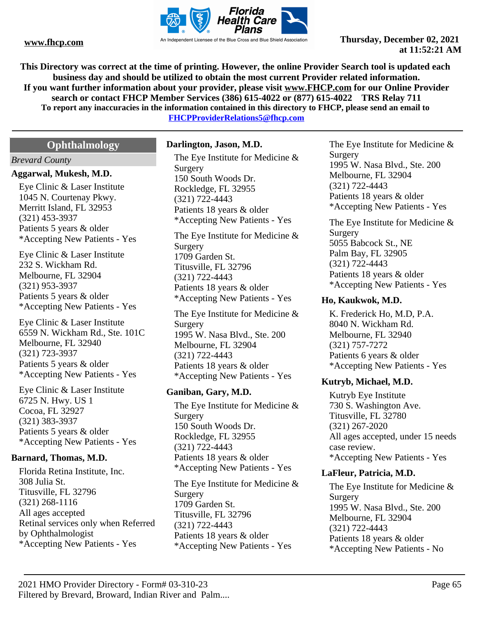

**This Directory was correct at the time of printing. However, the online Provider Search tool is updated each business day and should be utilized to obtain the most current Provider related information. If you want further information about your provider, please visit www.FHCP.com for our Online Provider search or contact FHCP Member Services (386) 615-4022 or (877) 615-4022 TRS Relay 711 To report any inaccuracies in the information contained in this directory to FHCP, please send an email to FHCPProviderRelations5@fhcp.com**

# **Ophthalmology**

#### *Brevard County*

#### **Aggarwal, Mukesh, M.D.**

Eye Clinic & Laser Institute 1045 N. Courtenay Pkwy. Merritt Island, FL 32953 (321) 453-3937 Patients 5 years & older \*Accepting New Patients - Yes

Eye Clinic & Laser Institute 232 S. Wickham Rd. Melbourne, FL 32904 (321) 953-3937 Patients 5 years & older \*Accepting New Patients - Yes

Eye Clinic & Laser Institute 6559 N. Wickham Rd., Ste. 101C Melbourne, FL 32940 (321) 723-3937 Patients 5 years & older \*Accepting New Patients - Yes

Eye Clinic & Laser Institute 6725 N. Hwy. US 1 Cocoa, FL 32927 (321) 383-3937 Patients 5 years & older \*Accepting New Patients - Yes

#### **Barnard, Thomas, M.D.**

Florida Retina Institute, Inc. 308 Julia St. Titusville, FL 32796 (321) 268-1116 All ages accepted Retinal services only when Referred by Ophthalmologist \*Accepting New Patients - Yes

#### **Darlington, Jason, M.D.**

The Eye Institute for Medicine & Surgery 150 South Woods Dr. Rockledge, FL 32955 (321) 722-4443 Patients 18 years & older \*Accepting New Patients - Yes

The Eye Institute for Medicine & Surgery 1709 Garden St. Titusville, FL 32796 (321) 722-4443 Patients 18 years & older \*Accepting New Patients - Yes

The Eye Institute for Medicine & Surgery 1995 W. Nasa Blvd., Ste. 200 Melbourne, FL 32904 (321) 722-4443 Patients 18 years & older \*Accepting New Patients - Yes

## **Ganiban, Gary, M.D.**

The Eye Institute for Medicine & Surgery 150 South Woods Dr. Rockledge, FL 32955 (321) 722-4443 Patients 18 years & older \*Accepting New Patients - Yes

The Eye Institute for Medicine & Surgery 1709 Garden St. Titusville, FL 32796 (321) 722-4443 Patients 18 years & older \*Accepting New Patients - Yes

The Eye Institute for Medicine & Surgery 1995 W. Nasa Blvd., Ste. 200 Melbourne, FL 32904 (321) 722-4443 Patients 18 years & older \*Accepting New Patients - Yes

The Eye Institute for Medicine & Surgery 5055 Babcock St., NE Palm Bay, FL 32905 (321) 722-4443 Patients 18 years & older \*Accepting New Patients - Yes

## **Ho, Kaukwok, M.D.**

K. Frederick Ho, M.D, P.A. 8040 N. Wickham Rd. Melbourne, FL 32940 (321) 757-7272 Patients 6 years & older \*Accepting New Patients - Yes

## **Kutryb, Michael, M.D.**

Kutryb Eye Institute 730 S. Washington Ave. Titusville, FL 32780 (321) 267-2020 All ages accepted, under 15 needs case review. \*Accepting New Patients - Yes

#### **LaFleur, Patricia, M.D.**

The Eye Institute for Medicine & Surgery 1995 W. Nasa Blvd., Ste. 200 Melbourne, FL 32904 (321) 722-4443 Patients 18 years & older \*Accepting New Patients - No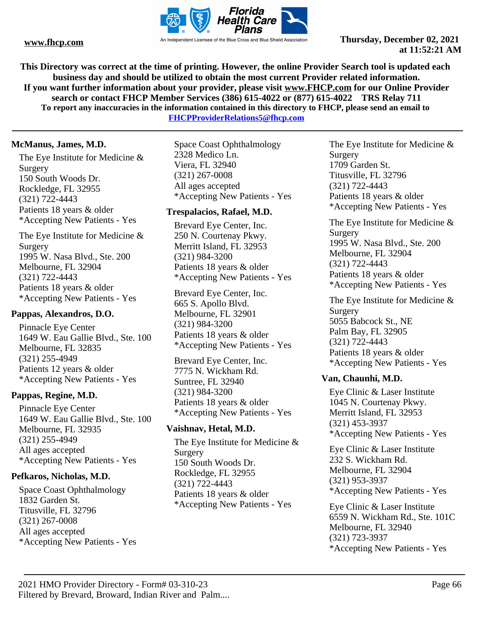

**This Directory was correct at the time of printing. However, the online Provider Search tool is updated each business day and should be utilized to obtain the most current Provider related information. If you want further information about your provider, please visit www.FHCP.com for our Online Provider search or contact FHCP Member Services (386) 615-4022 or (877) 615-4022 TRS Relay 711 To report any inaccuracies in the information contained in this directory to FHCP, please send an email to** 

**FHCPProviderRelations5@fhcp.com**

## **McManus, James, M.D.**

The Eye Institute for Medicine & Surgery 150 South Woods Dr. Rockledge, FL 32955 (321) 722-4443 Patients 18 years & older \*Accepting New Patients - Yes

The Eye Institute for Medicine & Surgery 1995 W. Nasa Blvd., Ste. 200 Melbourne, FL 32904 (321) 722-4443 Patients 18 years & older \*Accepting New Patients - Yes

## **Pappas, Alexandros, D.O.**

Pinnacle Eye Center 1649 W. Eau Gallie Blvd., Ste. 100 Melbourne, FL 32835 (321) 255-4949 Patients 12 years & older \*Accepting New Patients - Yes

## **Pappas, Regine, M.D.**

Pinnacle Eye Center 1649 W. Eau Gallie Blvd., Ste. 100 Melbourne, FL 32935 (321) 255-4949 All ages accepted \*Accepting New Patients - Yes

## **Pefkaros, Nicholas, M.D.**

Space Coast Ophthalmology 1832 Garden St. Titusville, FL 32796 (321) 267-0008 All ages accepted \*Accepting New Patients - Yes

Space Coast Ophthalmology 2328 Medico Ln. Viera, FL 32940 (321) 267-0008 All ages accepted \*Accepting New Patients - Yes

## **Trespalacios, Rafael, M.D.**

Brevard Eye Center, Inc. 250 N. Courtenay Pkwy. Merritt Island, FL 32953 (321) 984-3200 Patients 18 years & older \*Accepting New Patients - Yes

Brevard Eye Center, Inc. 665 S. Apollo Blvd. Melbourne, FL 32901 (321) 984-3200 Patients 18 years & older \*Accepting New Patients - Yes

Brevard Eye Center, Inc. 7775 N. Wickham Rd. Suntree, FL 32940 (321) 984-3200 Patients 18 years & older \*Accepting New Patients - Yes

## **Vaishnav, Hetal, M.D.**

The Eye Institute for Medicine & Surgery 150 South Woods Dr. Rockledge, FL 32955 (321) 722-4443 Patients 18 years & older \*Accepting New Patients - Yes

The Eye Institute for Medicine & Surgery 1709 Garden St. Titusville, FL 32796 (321) 722-4443 Patients 18 years & older \*Accepting New Patients - Yes

The Eye Institute for Medicine & Surgery 1995 W. Nasa Blvd., Ste. 200 Melbourne, FL 32904 (321) 722-4443 Patients 18 years & older \*Accepting New Patients - Yes

The Eye Institute for Medicine & Surgery 5055 Babcock St., NE Palm Bay, FL 32905 (321) 722-4443 Patients 18 years & older \*Accepting New Patients - Yes

#### **Van, Chaunhi, M.D.**

Eye Clinic & Laser Institute 1045 N. Courtenay Pkwy. Merritt Island, FL 32953 (321) 453-3937 \*Accepting New Patients - Yes

Eye Clinic & Laser Institute 232 S. Wickham Rd. Melbourne, FL 32904 (321) 953-3937 \*Accepting New Patients - Yes

Eye Clinic & Laser Institute 6559 N. Wickham Rd., Ste. 101C Melbourne, FL 32940 (321) 723-3937 \*Accepting New Patients - Yes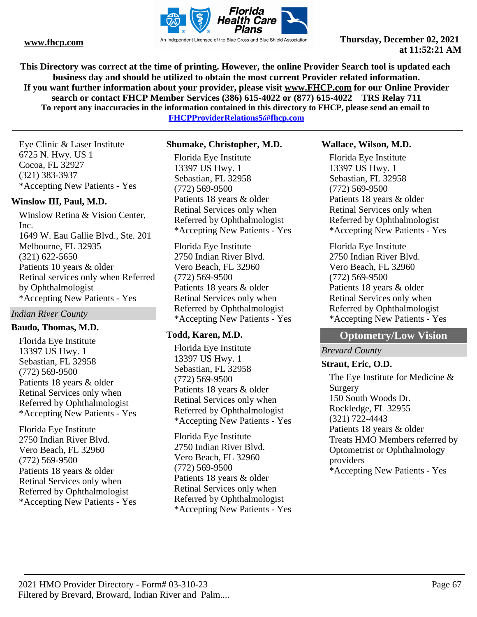

**This Directory was correct at the time of printing. However, the online Provider Search tool is updated each business day and should be utilized to obtain the most current Provider related information. If you want further information about your provider, please visit www.FHCP.com for our Online Provider search or contact FHCP Member Services (386) 615-4022 or (877) 615-4022 TRS Relay 711 To report any inaccuracies in the information contained in this directory to FHCP, please send an email to** 

**FHCPProviderRelations5@fhcp.com**

Eye Clinic & Laser Institute 6725 N. Hwy. US 1 Cocoa, FL 32927 (321) 383-3937 \*Accepting New Patients - Yes

## **Winslow III, Paul, M.D.**

Winslow Retina & Vision Center, Inc. 1649 W. Eau Gallie Blvd., Ste. 201 Melbourne, FL 32935 (321) 622-5650 Patients 10 years & older Retinal services only when Referred by Ophthalmologist \*Accepting New Patients - Yes

## *Indian River County*

#### **Baudo, Thomas, M.D.**

Florida Eye Institute 13397 US Hwy. 1 Sebastian, FL 32958 (772) 569-9500 Patients 18 years & older Retinal Services only when Referred by Ophthalmologist \*Accepting New Patients - Yes

Florida Eye Institute 2750 Indian River Blvd. Vero Beach, FL 32960 (772) 569-9500 Patients 18 years & older Retinal Services only when Referred by Ophthalmologist \*Accepting New Patients - Yes

#### **Shumake, Christopher, M.D.**

Florida Eye Institute 13397 US Hwy. 1 Sebastian, FL 32958 (772) 569-9500 Patients 18 years & older Retinal Services only when Referred by Ophthalmologist \*Accepting New Patients - Yes

Florida Eye Institute 2750 Indian River Blvd. Vero Beach, FL 32960 (772) 569-9500 Patients 18 years & older Retinal Services only when Referred by Ophthalmologist \*Accepting New Patients - Yes

## **Todd, Karen, M.D.**

Florida Eye Institute 13397 US Hwy. 1 Sebastian, FL 32958 (772) 569-9500 Patients 18 years & older Retinal Services only when Referred by Ophthalmologist \*Accepting New Patients - Yes

Florida Eye Institute 2750 Indian River Blvd. Vero Beach, FL 32960 (772) 569-9500 Patients 18 years & older Retinal Services only when Referred by Ophthalmologist \*Accepting New Patients - Yes

#### **Wallace, Wilson, M.D.**

Florida Eye Institute 13397 US Hwy. 1 Sebastian, FL 32958 (772) 569-9500 Patients 18 years & older Retinal Services only when Referred by Ophthalmologist \*Accepting New Patients - Yes

Florida Eye Institute 2750 Indian River Blvd. Vero Beach, FL 32960 (772) 569-9500 Patients 18 years & older Retinal Services only when Referred by Ophthalmologist \*Accepting New Patients - Yes

# **Optometry/Low Vision**

## *Brevard County*

## **Straut, Eric, O.D.**

The Eye Institute for Medicine & Surgery 150 South Woods Dr. Rockledge, FL 32955 (321) 722-4443 Patients 18 years & older Treats HMO Members referred by Optometrist or Ophthalmology providers \*Accepting New Patients - Yes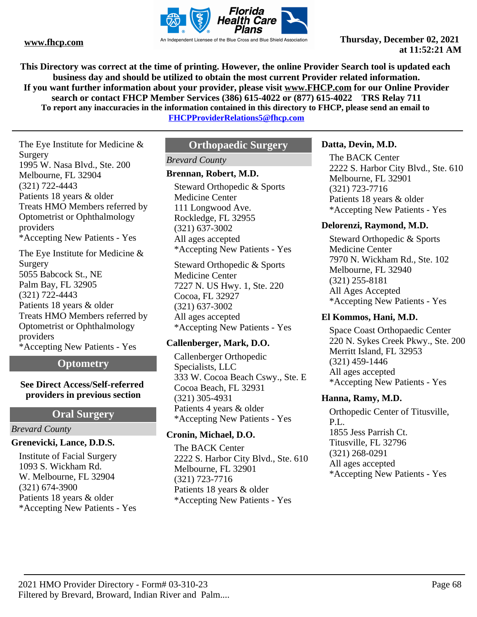

**This Directory was correct at the time of printing. However, the online Provider Search tool is updated each business day and should be utilized to obtain the most current Provider related information. If you want further information about your provider, please visit www.FHCP.com for our Online Provider search or contact FHCP Member Services (386) 615-4022 or (877) 615-4022 TRS Relay 711 To report any inaccuracies in the information contained in this directory to FHCP, please send an email to** 

**FHCPProviderRelations5@fhcp.com**

The Eye Institute for Medicine & Surgery 1995 W. Nasa Blvd., Ste. 200 Melbourne, FL 32904 (321) 722-4443 Patients 18 years & older Treats HMO Members referred by Optometrist or Ophthalmology providers \*Accepting New Patients - Yes

The Eye Institute for Medicine & Surgery 5055 Babcock St., NE Palm Bay, FL 32905 (321) 722-4443 Patients 18 years & older Treats HMO Members referred by Optometrist or Ophthalmology providers \*Accepting New Patients - Yes

## **Optometry**

#### **See Direct Access/Self-referred providers in previous section**

## **Oral Surgery**

#### *Brevard County*

## **Grenevicki, Lance, D.D.S.**

Institute of Facial Surgery 1093 S. Wickham Rd. W. Melbourne, FL 32904 (321) 674-3900 Patients 18 years & older \*Accepting New Patients - Yes

# **Orthopaedic Surgery**

## *Brevard County*

## **Brennan, Robert, M.D.**

Steward Orthopedic & Sports Medicine Center 111 Longwood Ave. Rockledge, FL 32955 (321) 637-3002 All ages accepted \*Accepting New Patients - Yes

Steward Orthopedic & Sports Medicine Center 7227 N. US Hwy. 1, Ste. 220 Cocoa, FL 32927 (321) 637-3002 All ages accepted \*Accepting New Patients - Yes

## **Callenberger, Mark, D.O.**

Callenberger Orthopedic Specialists, LLC 333 W. Cocoa Beach Cswy., Ste. E Cocoa Beach, FL 32931 (321) 305-4931 Patients 4 years & older \*Accepting New Patients - Yes

## **Cronin, Michael, D.O.**

The BACK Center 2222 S. Harbor City Blvd., Ste. 610 Melbourne, FL 32901 (321) 723-7716 Patients 18 years & older \*Accepting New Patients - Yes

## **Datta, Devin, M.D.**

The BACK Center 2222 S. Harbor City Blvd., Ste. 610 Melbourne, FL 32901 (321) 723-7716 Patients 18 years & older \*Accepting New Patients - Yes

## **Delorenzi, Raymond, M.D.**

Steward Orthopedic & Sports Medicine Center 7970 N. Wickham Rd., Ste. 102 Melbourne, FL 32940 (321) 255-8181 All Ages Accepted \*Accepting New Patients - Yes

## **El Kommos, Hani, M.D.**

Space Coast Orthopaedic Center 220 N. Sykes Creek Pkwy., Ste. 200 Merritt Island, FL 32953 (321) 459-1446 All ages accepted \*Accepting New Patients - Yes

## **Hanna, Ramy, M.D.**

Orthopedic Center of Titusville, P.L. 1855 Jess Parrish Ct. Titusville, FL 32796 (321) 268-0291 All ages accepted \*Accepting New Patients - Yes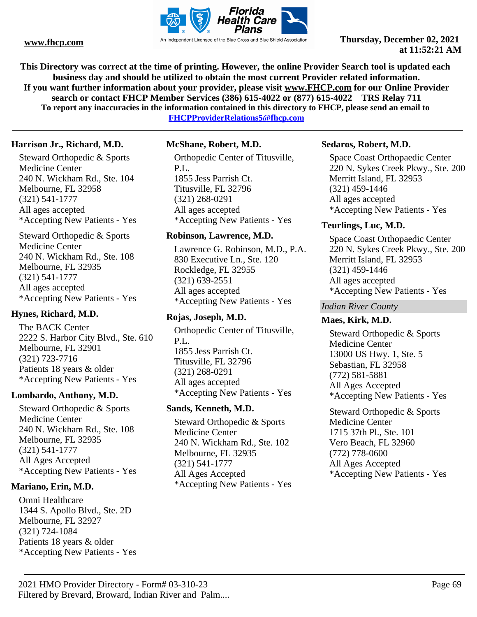

**This Directory was correct at the time of printing. However, the online Provider Search tool is updated each business day and should be utilized to obtain the most current Provider related information. If you want further information about your provider, please visit www.FHCP.com for our Online Provider search or contact FHCP Member Services (386) 615-4022 or (877) 615-4022 TRS Relay 711 To report any inaccuracies in the information contained in this directory to FHCP, please send an email to** 

**FHCPProviderRelations5@fhcp.com**

#### **Harrison Jr., Richard, M.D.**

Steward Orthopedic & Sports Medicine Center 240 N. Wickham Rd., Ste. 104 Melbourne, FL 32958 (321) 541-1777 All ages accepted \*Accepting New Patients - Yes

Steward Orthopedic & Sports Medicine Center 240 N. Wickham Rd., Ste. 108 Melbourne, FL 32935 (321) 541-1777 All ages accepted \*Accepting New Patients - Yes

## **Hynes, Richard, M.D.**

The BACK Center 2222 S. Harbor City Blvd., Ste. 610 Melbourne, FL 32901 (321) 723-7716 Patients 18 years & older \*Accepting New Patients - Yes

#### **Lombardo, Anthony, M.D.**

Steward Orthopedic & Sports Medicine Center 240 N. Wickham Rd., Ste. 108 Melbourne, FL 32935 (321) 541-1777 All Ages Accepted \*Accepting New Patients - Yes

#### **Mariano, Erin, M.D.**

Omni Healthcare 1344 S. Apollo Blvd., Ste. 2D Melbourne, FL 32927 (321) 724-1084 Patients 18 years & older \*Accepting New Patients - Yes

#### **McShane, Robert, M.D.**

Orthopedic Center of Titusville, P.L. 1855 Jess Parrish Ct. Titusville, FL 32796 (321) 268-0291 All ages accepted \*Accepting New Patients - Yes

#### **Robinson, Lawrence, M.D.**

Lawrence G. Robinson, M.D., P.A. 830 Executive Ln., Ste. 120 Rockledge, FL 32955 (321) 639-2551 All ages accepted \*Accepting New Patients - Yes

#### **Rojas, Joseph, M.D.**

Orthopedic Center of Titusville, P.L. 1855 Jess Parrish Ct. Titusville, FL 32796 (321) 268-0291 All ages accepted \*Accepting New Patients - Yes

## **Sands, Kenneth, M.D.**

Steward Orthopedic & Sports Medicine Center 240 N. Wickham Rd., Ste. 102 Melbourne, FL 32935 (321) 541-1777 All Ages Accepted \*Accepting New Patients - Yes

#### **Sedaros, Robert, M.D.**

Space Coast Orthopaedic Center 220 N. Sykes Creek Pkwy., Ste. 200 Merritt Island, FL 32953 (321) 459-1446 All ages accepted \*Accepting New Patients - Yes

#### **Teurlings, Luc, M.D.**

Space Coast Orthopaedic Center 220 N. Sykes Creek Pkwy., Ste. 200 Merritt Island, FL 32953 (321) 459-1446 All ages accepted \*Accepting New Patients - Yes

#### *Indian River County*

#### **Maes, Kirk, M.D.**

Steward Orthopedic & Sports Medicine Center 13000 US Hwy. 1, Ste. 5 Sebastian, FL 32958 (772) 581-5881 All Ages Accepted \*Accepting New Patients - Yes

Steward Orthopedic & Sports Medicine Center 1715 37th Pl., Ste. 101 Vero Beach, FL 32960 (772) 778-0600 All Ages Accepted \*Accepting New Patients - Yes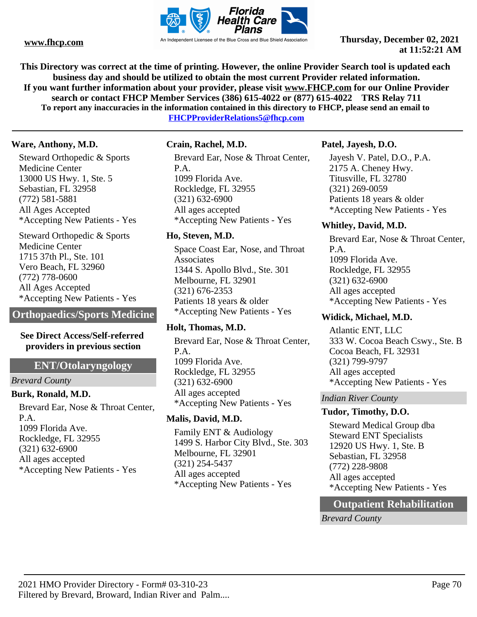

**This Directory was correct at the time of printing. However, the online Provider Search tool is updated each business day and should be utilized to obtain the most current Provider related information. If you want further information about your provider, please visit www.FHCP.com for our Online Provider search or contact FHCP Member Services (386) 615-4022 or (877) 615-4022 TRS Relay 711 To report any inaccuracies in the information contained in this directory to FHCP, please send an email to FHCPProviderRelations5@fhcp.com**

#### **Ware, Anthony, M.D.**

Steward Orthopedic & Sports Medicine Center 13000 US Hwy. 1, Ste. 5 Sebastian, FL 32958 (772) 581-5881 All Ages Accepted \*Accepting New Patients - Yes

Steward Orthopedic & Sports Medicine Center 1715 37th Pl., Ste. 101 Vero Beach, FL 32960 (772) 778-0600 All Ages Accepted \*Accepting New Patients - Yes

**Orthopaedics/Sports Medicine**

#### **See Direct Access/Self-referred providers in previous section**

## **ENT/Otolaryngology**

*Brevard County*

## **Burk, Ronald, M.D.**

Brevard Ear, Nose & Throat Center, P.A. 1099 Florida Ave. Rockledge, FL 32955 (321) 632-6900 All ages accepted \*Accepting New Patients - Yes

#### **Crain, Rachel, M.D.**

Brevard Ear, Nose & Throat Center, P.A. 1099 Florida Ave. Rockledge, FL 32955 (321) 632-6900 All ages accepted \*Accepting New Patients - Yes

## **Ho, Steven, M.D.**

Space Coast Ear, Nose, and Throat Associates 1344 S. Apollo Blvd., Ste. 301 Melbourne, FL 32901 (321) 676-2353 Patients 18 years & older \*Accepting New Patients - Yes

## **Holt, Thomas, M.D.**

Brevard Ear, Nose & Throat Center, P.A. 1099 Florida Ave. Rockledge, FL 32955 (321) 632-6900 All ages accepted \*Accepting New Patients - Yes

## **Malis, David, M.D.**

Family ENT & Audiology 1499 S. Harbor City Blvd., Ste. 303 Melbourne, FL 32901 (321) 254-5437 All ages accepted \*Accepting New Patients - Yes

## **Patel, Jayesh, D.O.**

Jayesh V. Patel, D.O., P.A. 2175 A. Cheney Hwy. Titusville, FL 32780 (321) 269-0059 Patients 18 years & older \*Accepting New Patients - Yes

## **Whitley, David, M.D.**

Brevard Ear, Nose & Throat Center, P.A. 1099 Florida Ave. Rockledge, FL 32955 (321) 632-6900 All ages accepted \*Accepting New Patients - Yes

## **Widick, Michael, M.D.**

Atlantic ENT, LLC 333 W. Cocoa Beach Cswy., Ste. B Cocoa Beach, FL 32931 (321) 799-9797 All ages accepted \*Accepting New Patients - Yes

## *Indian River County*

## **Tudor, Timothy, D.O.**

Steward Medical Group dba Steward ENT Specialists 12920 US Hwy. 1, Ste. B Sebastian, FL 32958 (772) 228-9808 All ages accepted \*Accepting New Patients - Yes

# **Outpatient Rehabilitation**

*Brevard County*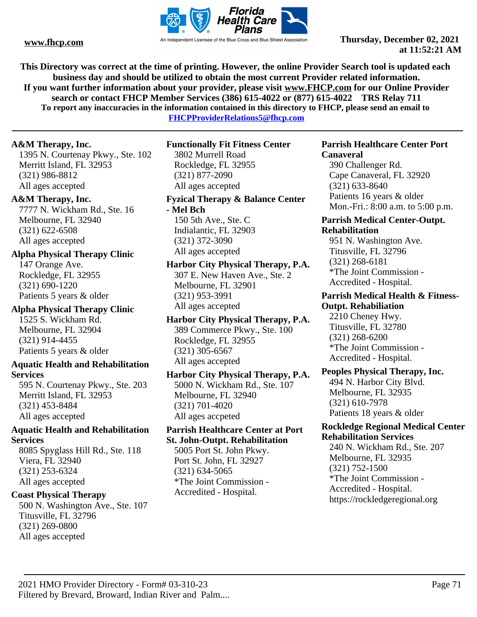

**This Directory was correct at the time of printing. However, the online Provider Search tool is updated each business day and should be utilized to obtain the most current Provider related information. If you want further information about your provider, please visit www.FHCP.com for our Online Provider search or contact FHCP Member Services (386) 615-4022 or (877) 615-4022 TRS Relay 711 To report any inaccuracies in the information contained in this directory to FHCP, please send an email to** 

**FHCPProviderRelations5@fhcp.com**

## **A&M Therapy, Inc.**

1395 N. Courtenay Pkwy., Ste. 102 Merritt Island, FL 32953 (321) 986-8812 All ages accepted

## **A&M Therapy, Inc.**

7777 N. Wickham Rd., Ste. 16 Melbourne, FL 32940 (321) 622-6508 All ages accepted

# **Alpha Physical Therapy Clinic**

147 Orange Ave. Rockledge, FL 32955 (321) 690-1220 Patients 5 years & older

**Alpha Physical Therapy Clinic** 1525 S. Wickham Rd. Melbourne, FL 32904 (321) 914-4455 Patients 5 years & older

## **Aquatic Health and Rehabilitation Services**

595 N. Courtenay Pkwy., Ste. 203 Merritt Island, FL 32953 (321) 453-8484 All ages accepted

## **Aquatic Health and Rehabilitation Services**

8085 Spyglass Hill Rd., Ste. 118 Viera, FL 32940 (321) 253-6324 All ages accepted

## **Coast Physical Therapy**

500 N. Washington Ave., Ste. 107 Titusville, FL 32796 (321) 269-0800 All ages accepted

**Functionally Fit Fitness Center**

3802 Murrell Road Rockledge, FL 32955 (321) 877-2090 All ages accepted

## **Fyzical Therapy & Balance Center**

**- Mel Bch** 150 5th Ave., Ste. C Indialantic, FL 32903 (321) 372-3090 All ages accepted

**Harbor City Physical Therapy, P.A.** 307 E. New Haven Ave., Ste. 2 Melbourne, FL 32901 (321) 953-3991 All ages accepted

**Harbor City Physical Therapy, P.A.** 389 Commerce Pkwy., Ste. 100 Rockledge, FL 32955 (321) 305-6567 All ages accepted

## **Harbor City Physical Therapy, P.A.** 5000 N. Wickham Rd., Ste. 107 Melbourne, FL 32940 (321) 701-4020 All ages accpeted

**Parrish Healthcare Center at Port St. John-Outpt. Rehabilitation**

5005 Port St. John Pkwy. Port St. John, FL 32927 (321) 634-5065 \*The Joint Commission - Accredited - Hospital.

#### **Parrish Healthcare Center Port Canaveral**

390 Challenger Rd. Cape Canaveral, FL 32920 (321) 633-8640 Patients 16 years & older Mon.-Fri.: 8:00 a.m. to 5:00 p.m.

#### **Parrish Medical Center-Outpt. Rehabilitation**

951 N. Washington Ave. Titusville, FL 32796 (321) 268-6181 \*The Joint Commission - Accredited - Hospital.

#### **Parrish Medical Health & Fitness-Outpt. Rehabiliation**

2210 Cheney Hwy. Titusville, FL 32780 (321) 268-6200 \*The Joint Commission - Accredited - Hospital.

#### **Peoples Physical Therapy, Inc.** 494 N. Harbor City Blvd.

Melbourne, FL 32935 (321) 610-7978 Patients 18 years & older

## **Rockledge Regional Medical Center Rehabilitation Services**

240 N. Wickham Rd., Ste. 207 Melbourne, FL 32935 (321) 752-1500 \*The Joint Commission - Accredited - Hospital. https://rockledgeregional.org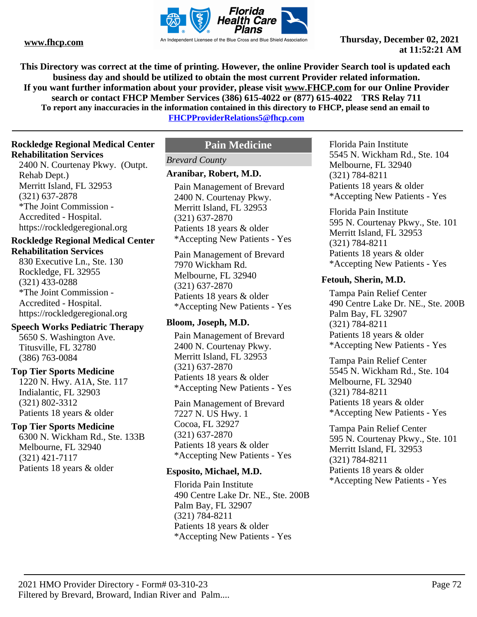

**This Directory was correct at the time of printing. However, the online Provider Search tool is updated each business day and should be utilized to obtain the most current Provider related information. If you want further information about your provider, please visit www.FHCP.com for our Online Provider search or contact FHCP Member Services (386) 615-4022 or (877) 615-4022 TRS Relay 711 To report any inaccuracies in the information contained in this directory to FHCP, please send an email to** 

**FHCPProviderRelations5@fhcp.com**

## **Rockledge Regional Medical Center Rehabilitation Services**

2400 N. Courtenay Pkwy. (Outpt. Rehab Dept.) Merritt Island, FL 32953 (321) 637-2878 \*The Joint Commission - Accredited - Hospital. https://rockledgeregional.org

#### **Rockledge Regional Medical Center Rehabilitation Services**

830 Executive Ln., Ste. 130 Rockledge, FL 32955 (321) 433-0288 \*The Joint Commission - Accredited - Hospital. https://rockledgeregional.org

## **Speech Works Pediatric Therapy**

5650 S. Washington Ave. Titusville, FL 32780 (386) 763-0084

#### **Top Tier Sports Medicine**

1220 N. Hwy. A1A, Ste. 117 Indialantic, FL 32903 (321) 802-3312 Patients 18 years & older

## **Top Tier Sports Medicine**

6300 N. Wickham Rd., Ste. 133B Melbourne, FL 32940 (321) 421-7117 Patients 18 years & older

## **Pain Medicine**

## *Brevard County*

## **Aranibar, Robert, M.D.**

Pain Management of Brevard 2400 N. Courtenay Pkwy. Merritt Island, FL 32953 (321) 637-2870 Patients 18 years & older \*Accepting New Patients - Yes

Pain Management of Brevard 7970 Wickham Rd. Melbourne, FL 32940 (321) 637-2870 Patients 18 years & older \*Accepting New Patients - Yes

#### **Bloom, Joseph, M.D.**

Pain Management of Brevard 2400 N. Courtenay Pkwy. Merritt Island, FL 32953 (321) 637-2870 Patients 18 years & older \*Accepting New Patients - Yes

Pain Management of Brevard 7227 N. US Hwy. 1 Cocoa, FL 32927 (321) 637-2870 Patients 18 years & older \*Accepting New Patients - Yes

#### **Esposito, Michael, M.D.**

Florida Pain Institute 490 Centre Lake Dr. NE., Ste. 200B Palm Bay, FL 32907 (321) 784-8211 Patients 18 years & older \*Accepting New Patients - Yes

Florida Pain Institute 5545 N. Wickham Rd., Ste. 104 Melbourne, FL 32940 (321) 784-8211 Patients 18 years & older \*Accepting New Patients - Yes

Florida Pain Institute 595 N. Courtenay Pkwy., Ste. 101 Merritt Island, FL 32953 (321) 784-8211 Patients 18 years & older \*Accepting New Patients - Yes

#### **Fetouh, Sherin, M.D.**

Tampa Pain Relief Center 490 Centre Lake Dr. NE., Ste. 200B Palm Bay, FL 32907 (321) 784-8211 Patients 18 years & older \*Accepting New Patients - Yes

Tampa Pain Relief Center 5545 N. Wickham Rd., Ste. 104 Melbourne, FL 32940 (321) 784-8211 Patients 18 years & older \*Accepting New Patients - Yes

Tampa Pain Relief Center 595 N. Courtenay Pkwy., Ste. 101 Merritt Island, FL 32953 (321) 784-8211 Patients 18 years & older \*Accepting New Patients - Yes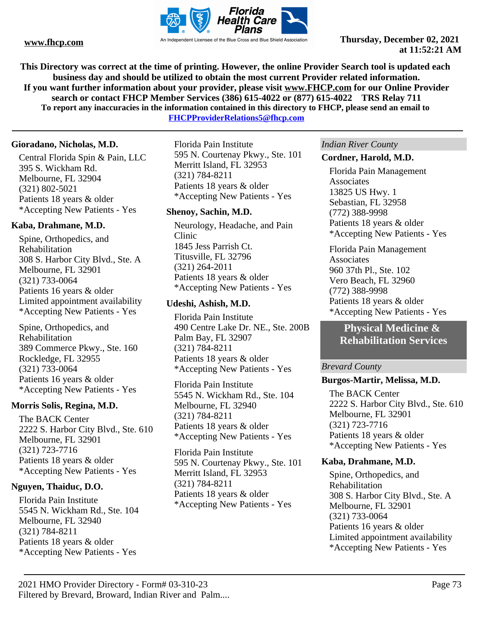

**This Directory was correct at the time of printing. However, the online Provider Search tool is updated each business day and should be utilized to obtain the most current Provider related information. If you want further information about your provider, please visit www.FHCP.com for our Online Provider search or contact FHCP Member Services (386) 615-4022 or (877) 615-4022 TRS Relay 711 To report any inaccuracies in the information contained in this directory to FHCP, please send an email to** 

**FHCPProviderRelations5@fhcp.com**

#### **Gioradano, Nicholas, M.D.**

Central Florida Spin & Pain, LLC 395 S. Wickham Rd. Melbourne, FL 32904 (321) 802-5021 Patients 18 years & older \*Accepting New Patients - Yes

#### **Kaba, Drahmane, M.D.**

Spine, Orthopedics, and Rehabilitation 308 S. Harbor City Blvd., Ste. A Melbourne, FL 32901 (321) 733-0064 Patients 16 years & older Limited appointment availability \*Accepting New Patients - Yes

Spine, Orthopedics, and Rehabilitation 389 Commerce Pkwy., Ste. 160 Rockledge, FL 32955 (321) 733-0064 Patients 16 years & older \*Accepting New Patients - Yes

#### **Morris Solis, Regina, M.D.**

The BACK Center 2222 S. Harbor City Blvd., Ste. 610 Melbourne, FL 32901 (321) 723-7716 Patients 18 years & older \*Accepting New Patients - Yes

#### **Nguyen, Thaiduc, D.O.**

Florida Pain Institute 5545 N. Wickham Rd., Ste. 104 Melbourne, FL 32940 (321) 784-8211 Patients 18 years & older \*Accepting New Patients - Yes

Florida Pain Institute 595 N. Courtenay Pkwy., Ste. 101 Merritt Island, FL 32953 (321) 784-8211 Patients 18 years & older \*Accepting New Patients - Yes

#### **Shenoy, Sachin, M.D.**

Neurology, Headache, and Pain Clinic 1845 Jess Parrish Ct. Titusville, FL 32796 (321) 264-2011 Patients 18 years & older \*Accepting New Patients - Yes

#### **Udeshi, Ashish, M.D.**

Florida Pain Institute 490 Centre Lake Dr. NE., Ste. 200B Palm Bay, FL 32907 (321) 784-8211 Patients 18 years & older \*Accepting New Patients - Yes

Florida Pain Institute 5545 N. Wickham Rd., Ste. 104 Melbourne, FL 32940 (321) 784-8211 Patients 18 years & older \*Accepting New Patients - Yes

Florida Pain Institute 595 N. Courtenay Pkwy., Ste. 101 Merritt Island, FL 32953 (321) 784-8211 Patients 18 years & older \*Accepting New Patients - Yes

#### *Indian River County*

#### **Cordner, Harold, M.D.**

Florida Pain Management **Associates** 13825 US Hwy. 1 Sebastian, FL 32958 (772) 388-9998 Patients 18 years & older \*Accepting New Patients - Yes

Florida Pain Management **Associates** 960 37th Pl., Ste. 102 Vero Beach, FL 32960 (772) 388-9998 Patients 18 years & older \*Accepting New Patients - Yes

# **Physical Medicine & Rehabilitation Services**

#### *Brevard County*

#### **Burgos-Martir, Melissa, M.D.**

The BACK Center 2222 S. Harbor City Blvd., Ste. 610 Melbourne, FL 32901 (321) 723-7716 Patients 18 years & older \*Accepting New Patients - Yes

#### **Kaba, Drahmane, M.D.**

Spine, Orthopedics, and Rehabilitation 308 S. Harbor City Blvd., Ste. A Melbourne, FL 32901 (321) 733-0064 Patients 16 years & older Limited appointment availability \*Accepting New Patients - Yes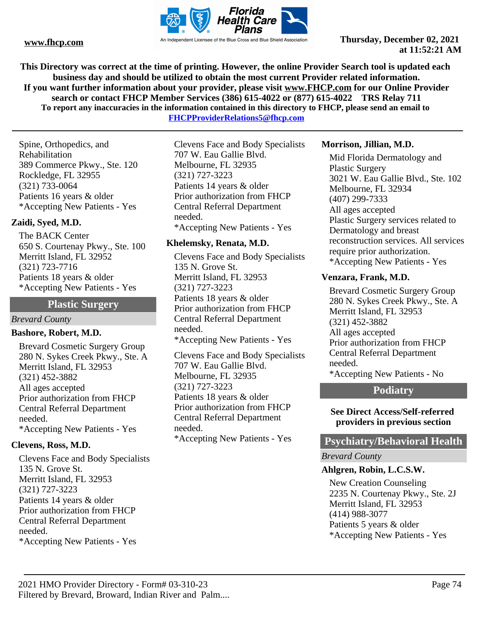

**This Directory was correct at the time of printing. However, the online Provider Search tool is updated each business day and should be utilized to obtain the most current Provider related information. If you want further information about your provider, please visit www.FHCP.com for our Online Provider search or contact FHCP Member Services (386) 615-4022 or (877) 615-4022 TRS Relay 711 To report any inaccuracies in the information contained in this directory to FHCP, please send an email to** 

**FHCPProviderRelations5@fhcp.com**

Spine, Orthopedics, and Rehabilitation 389 Commerce Pkwy., Ste. 120 Rockledge, FL 32955 (321) 733-0064 Patients 16 years & older \*Accepting New Patients - Yes

# **Zaidi, Syed, M.D.**

The BACK Center 650 S. Courtenay Pkwy., Ste. 100 Merritt Island, FL 32952 (321) 723-7716 Patients 18 years & older \*Accepting New Patients - Yes

#### **Plastic Surgery**

*Brevard County*

#### **Bashore, Robert, M.D.**

Brevard Cosmetic Surgery Group 280 N. Sykes Creek Pkwy., Ste. A Merritt Island, FL 32953 (321) 452-3882 All ages accepted Prior authorization from FHCP Central Referral Department needed. \*Accepting New Patients - Yes

### **Clevens, Ross, M.D.**

Clevens Face and Body Specialists 135 N. Grove St. Merritt Island, FL 32953 (321) 727-3223 Patients 14 years & older Prior authorization from FHCP Central Referral Department needed. \*Accepting New Patients - Yes

Clevens Face and Body Specialists 707 W. Eau Gallie Blvd. Melbourne, FL 32935 (321) 727-3223 Patients 14 years & older Prior authorization from FHCP Central Referral Department needed. \*Accepting New Patients - Yes

#### **Khelemsky, Renata, M.D.**

Clevens Face and Body Specialists 135 N. Grove St. Merritt Island, FL 32953 (321) 727-3223 Patients 18 years & older Prior authorization from FHCP Central Referral Department needed. \*Accepting New Patients - Yes Clevens Face and Body Specialists 707 W. Eau Gallie Blvd. Melbourne, FL 32935

(321) 727-3223 Patients 18 years & older Prior authorization from FHCP Central Referral Department needed. \*Accepting New Patients - Yes

#### **Morrison, Jillian, M.D.**

Mid Florida Dermatology and Plastic Surgery 3021 W. Eau Gallie Blvd., Ste. 102 Melbourne, FL 32934 (407) 299-7333 All ages accepted Plastic Surgery services related to Dermatology and breast reconstruction services. All services require prior authorization. \*Accepting New Patients - Yes

#### **Venzara, Frank, M.D.**

Brevard Cosmetic Surgery Group 280 N. Sykes Creek Pkwy., Ste. A Merritt Island, FL 32953 (321) 452-3882 All ages accepted Prior authorization from FHCP Central Referral Department needed. \*Accepting New Patients - No

# **Podiatry**

#### **See Direct Access/Self-referred providers in previous section**

### **Psychiatry/Behavioral Health**

#### *Brevard County*

### **Ahlgren, Robin, L.C.S.W.**

New Creation Counseling 2235 N. Courtenay Pkwy., Ste. 2J Merritt Island, FL 32953 (414) 988-3077 Patients 5 years & older \*Accepting New Patients - Yes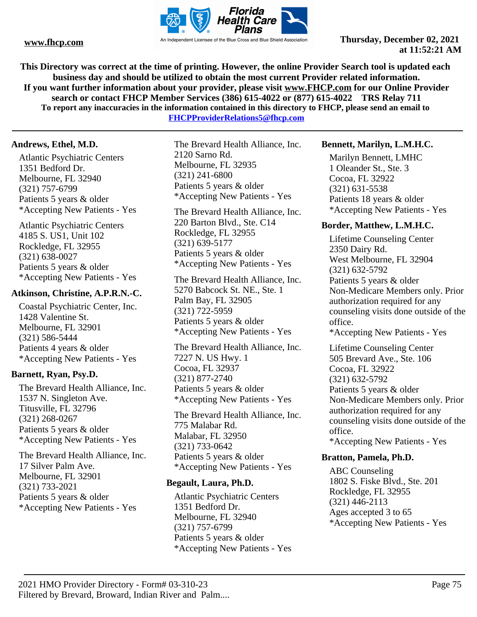

**This Directory was correct at the time of printing. However, the online Provider Search tool is updated each business day and should be utilized to obtain the most current Provider related information. If you want further information about your provider, please visit www.FHCP.com for our Online Provider search or contact FHCP Member Services (386) 615-4022 or (877) 615-4022 TRS Relay 711 To report any inaccuracies in the information contained in this directory to FHCP, please send an email to** 

**FHCPProviderRelations5@fhcp.com**

#### **Andrews, Ethel, M.D.**

Atlantic Psychiatric Centers 1351 Bedford Dr. Melbourne, FL 32940 (321) 757-6799 Patients 5 years & older \*Accepting New Patients - Yes

Atlantic Psychiatric Centers 4185 S. US1, Unit 102 Rockledge, FL 32955 (321) 638-0027 Patients 5 years & older \*Accepting New Patients - Yes

#### **Atkinson, Christine, A.P.R.N.-C.**

Coastal Psychiatric Center, Inc. 1428 Valentine St. Melbourne, FL 32901 (321) 586-5444 Patients 4 years & older \*Accepting New Patients - Yes

### **Barnett, Ryan, Psy.D.**

The Brevard Health Alliance, Inc. 1537 N. Singleton Ave. Titusville, FL 32796 (321) 268-0267 Patients 5 years & older \*Accepting New Patients - Yes

The Brevard Health Alliance, Inc. 17 Silver Palm Ave. Melbourne, FL 32901 (321) 733-2021 Patients 5 years & older \*Accepting New Patients - Yes

The Brevard Health Alliance, Inc. 2120 Sarno Rd. Melbourne, FL 32935 (321) 241-6800 Patients 5 years & older \*Accepting New Patients - Yes

The Brevard Health Alliance, Inc. 220 Barton Blvd., Ste. C14 Rockledge, FL 32955 (321) 639-5177 Patients 5 years & older \*Accepting New Patients - Yes

The Brevard Health Alliance, Inc. 5270 Babcock St. NE., Ste. 1 Palm Bay, FL 32905 (321) 722-5959 Patients 5 years & older \*Accepting New Patients - Yes

The Brevard Health Alliance, Inc. 7227 N. US Hwy. 1 Cocoa, FL 32937 (321) 877-2740 Patients 5 years & older \*Accepting New Patients - Yes

The Brevard Health Alliance, Inc. 775 Malabar Rd. Malabar, FL 32950 (321) 733-0642 Patients 5 years & older \*Accepting New Patients - Yes

#### **Begault, Laura, Ph.D.**

Atlantic Psychiatric Centers 1351 Bedford Dr. Melbourne, FL 32940 (321) 757-6799 Patients 5 years & older \*Accepting New Patients - Yes

#### **Bennett, Marilyn, L.M.H.C.**

Marilyn Bennett, LMHC 1 Oleander St., Ste. 3 Cocoa, FL 32922 (321) 631-5538 Patients 18 years & older \*Accepting New Patients - Yes

#### **Border, Matthew, L.M.H.C.**

Lifetime Counseling Center 2350 Dairy Rd. West Melbourne, FL 32904 (321) 632-5792 Patients 5 years & older Non-Medicare Members only. Prior authorization required for any counseling visits done outside of the office. \*Accepting New Patients - Yes

Lifetime Counseling Center 505 Brevard Ave., Ste. 106 Cocoa, FL 32922 (321) 632-5792 Patients 5 years & older Non-Medicare Members only. Prior authorization required for any counseling visits done outside of the office. \*Accepting New Patients - Yes

#### **Bratton, Pamela, Ph.D.**

ABC Counseling 1802 S. Fiske Blvd., Ste. 201 Rockledge, FL 32955 (321) 446-2113 Ages accepted 3 to 65 \*Accepting New Patients - Yes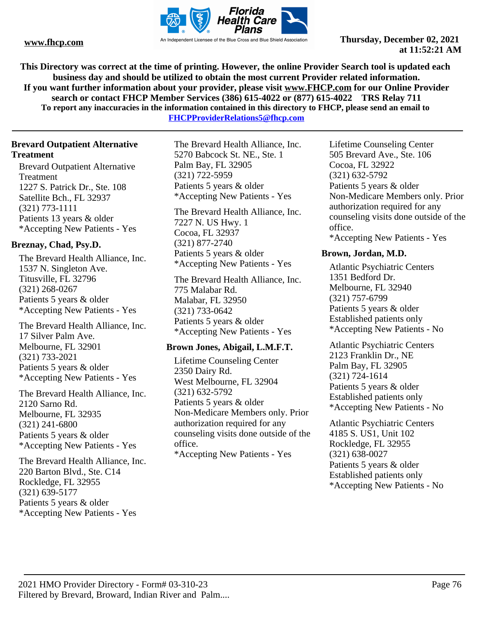

**This Directory was correct at the time of printing. However, the online Provider Search tool is updated each business day and should be utilized to obtain the most current Provider related information. If you want further information about your provider, please visit www.FHCP.com for our Online Provider search or contact FHCP Member Services (386) 615-4022 or (877) 615-4022 TRS Relay 711 To report any inaccuracies in the information contained in this directory to FHCP, please send an email to** 

**FHCPProviderRelations5@fhcp.com**

#### **Brevard Outpatient Alternative Treatment**

Brevard Outpatient Alternative Treatment 1227 S. Patrick Dr., Ste. 108 Satellite Bch., FL 32937 (321) 773-1111 Patients 13 years & older \*Accepting New Patients - Yes

#### **Breznay, Chad, Psy.D.**

The Brevard Health Alliance, Inc. 1537 N. Singleton Ave. Titusville, FL 32796 (321) 268-0267 Patients 5 years & older \*Accepting New Patients - Yes

The Brevard Health Alliance, Inc. 17 Silver Palm Ave. Melbourne, FL 32901 (321) 733-2021 Patients 5 years & older \*Accepting New Patients - Yes

The Brevard Health Alliance, Inc. 2120 Sarno Rd. Melbourne, FL 32935 (321) 241-6800 Patients 5 years & older \*Accepting New Patients - Yes

The Brevard Health Alliance, Inc. 220 Barton Blvd., Ste. C14 Rockledge, FL 32955 (321) 639-5177 Patients 5 years & older \*Accepting New Patients - Yes

The Brevard Health Alliance, Inc. 5270 Babcock St. NE., Ste. 1 Palm Bay, FL 32905 (321) 722-5959 Patients 5 years & older \*Accepting New Patients - Yes

The Brevard Health Alliance, Inc. 7227 N. US Hwy. 1 Cocoa, FL 32937 (321) 877-2740 Patients 5 years & older \*Accepting New Patients - Yes

The Brevard Health Alliance, Inc. 775 Malabar Rd. Malabar, FL 32950 (321) 733-0642 Patients 5 years & older \*Accepting New Patients - Yes

#### **Brown Jones, Abigail, L.M.F.T.**

Lifetime Counseling Center 2350 Dairy Rd. West Melbourne, FL 32904 (321) 632-5792 Patients 5 years & older Non-Medicare Members only. Prior authorization required for any counseling visits done outside of the office. \*Accepting New Patients - Yes

Lifetime Counseling Center 505 Brevard Ave., Ste. 106 Cocoa, FL 32922 (321) 632-5792 Patients 5 years & older Non-Medicare Members only. Prior authorization required for any counseling visits done outside of the office. \*Accepting New Patients - Yes

#### **Brown, Jordan, M.D.**

Atlantic Psychiatric Centers 1351 Bedford Dr. Melbourne, FL 32940 (321) 757-6799 Patients 5 years & older Established patients only \*Accepting New Patients - No

Atlantic Psychiatric Centers 2123 Franklin Dr., NE Palm Bay, FL 32905 (321) 724-1614 Patients 5 years & older Established patients only \*Accepting New Patients - No

Atlantic Psychiatric Centers 4185 S. US1, Unit 102 Rockledge, FL 32955 (321) 638-0027 Patients 5 years & older Established patients only \*Accepting New Patients - No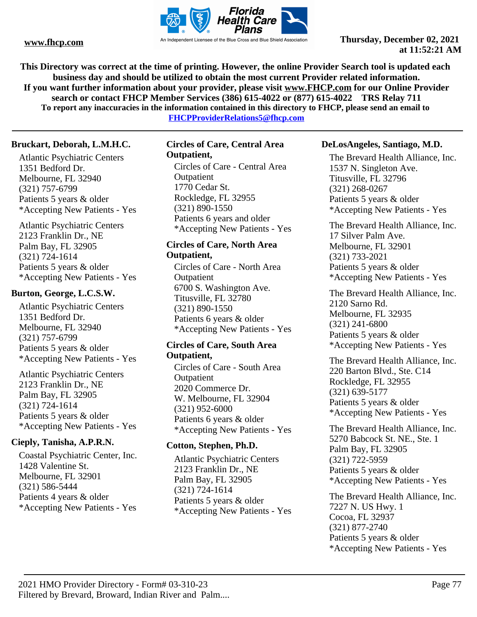

**This Directory was correct at the time of printing. However, the online Provider Search tool is updated each business day and should be utilized to obtain the most current Provider related information. If you want further information about your provider, please visit www.FHCP.com for our Online Provider search or contact FHCP Member Services (386) 615-4022 or (877) 615-4022 TRS Relay 711 To report any inaccuracies in the information contained in this directory to FHCP, please send an email to** 

**FHCPProviderRelations5@fhcp.com**

#### **Bruckart, Deborah, L.M.H.C.**

Atlantic Psychiatric Centers 1351 Bedford Dr. Melbourne, FL 32940 (321) 757-6799 Patients 5 years & older \*Accepting New Patients - Yes

Atlantic Psychiatric Centers 2123 Franklin Dr., NE Palm Bay, FL 32905 (321) 724-1614 Patients 5 years & older \*Accepting New Patients - Yes

#### **Burton, George, L.C.S.W.**

Atlantic Psychiatric Centers 1351 Bedford Dr. Melbourne, FL 32940 (321) 757-6799 Patients 5 years & older \*Accepting New Patients - Yes

Atlantic Psychiatric Centers 2123 Franklin Dr., NE Palm Bay, FL 32905 (321) 724-1614 Patients 5 years & older \*Accepting New Patients - Yes

### **Cieply, Tanisha, A.P.R.N.**

Coastal Psychiatric Center, Inc. 1428 Valentine St. Melbourne, FL 32901 (321) 586-5444 Patients 4 years & older \*Accepting New Patients - Yes

#### **Circles of Care, Central Area Outpatient,**  Circles of Care - Central Area

**Outpatient** 1770 Cedar St. Rockledge, FL 32955 (321) 890-1550 Patients 6 years and older \*Accepting New Patients - Yes

#### **Circles of Care, North Area Outpatient,**

Circles of Care - North Area **Outpatient** 6700 S. Washington Ave. Titusville, FL 32780 (321) 890-1550 Patients 6 years & older \*Accepting New Patients - Yes

#### **Circles of Care, South Area Outpatient,**

Circles of Care - South Area **Outpatient** 2020 Commerce Dr. W. Melbourne, FL 32904 (321) 952-6000 Patients 6 years & older \*Accepting New Patients - Yes

#### **Cotton, Stephen, Ph.D.**

Atlantic Psychiatric Centers 2123 Franklin Dr., NE Palm Bay, FL 32905 (321) 724-1614 Patients 5 years & older \*Accepting New Patients - Yes

#### **DeLosAngeles, Santiago, M.D.**

The Brevard Health Alliance, Inc. 1537 N. Singleton Ave. Titusville, FL 32796 (321) 268-0267 Patients 5 years & older \*Accepting New Patients - Yes

The Brevard Health Alliance, Inc. 17 Silver Palm Ave. Melbourne, FL 32901 (321) 733-2021 Patients 5 years & older \*Accepting New Patients - Yes

The Brevard Health Alliance, Inc. 2120 Sarno Rd. Melbourne, FL 32935 (321) 241-6800 Patients 5 years & older \*Accepting New Patients - Yes

The Brevard Health Alliance, Inc. 220 Barton Blvd., Ste. C14 Rockledge, FL 32955 (321) 639-5177 Patients 5 years & older \*Accepting New Patients - Yes

The Brevard Health Alliance, Inc. 5270 Babcock St. NE., Ste. 1 Palm Bay, FL 32905 (321) 722-5959 Patients 5 years & older \*Accepting New Patients - Yes

The Brevard Health Alliance, Inc. 7227 N. US Hwy. 1 Cocoa, FL 32937 (321) 877-2740 Patients 5 years & older \*Accepting New Patients - Yes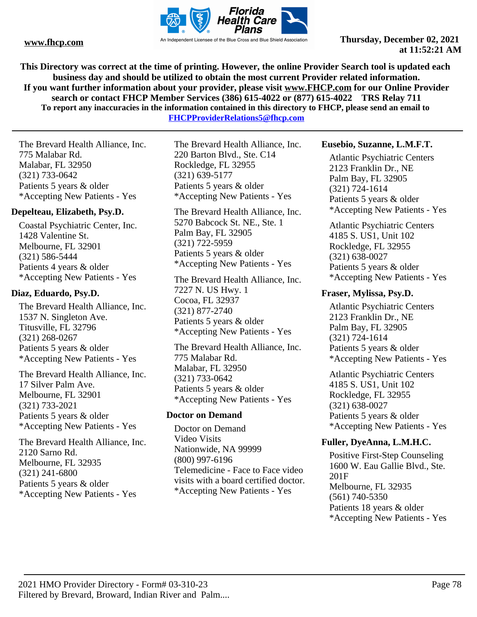

**This Directory was correct at the time of printing. However, the online Provider Search tool is updated each business day and should be utilized to obtain the most current Provider related information. If you want further information about your provider, please visit www.FHCP.com for our Online Provider search or contact FHCP Member Services (386) 615-4022 or (877) 615-4022 TRS Relay 711 To report any inaccuracies in the information contained in this directory to FHCP, please send an email to** 

**FHCPProviderRelations5@fhcp.com**

The Brevard Health Alliance, Inc. 775 Malabar Rd. Malabar, FL 32950 (321) 733-0642 Patients 5 years & older \*Accepting New Patients - Yes

#### **Depelteau, Elizabeth, Psy.D.**

Coastal Psychiatric Center, Inc. 1428 Valentine St. Melbourne, FL 32901 (321) 586-5444 Patients 4 years & older \*Accepting New Patients - Yes

#### **Diaz, Eduardo, Psy.D.**

The Brevard Health Alliance, Inc. 1537 N. Singleton Ave. Titusville, FL 32796 (321) 268-0267 Patients 5 years & older \*Accepting New Patients - Yes

The Brevard Health Alliance, Inc. 17 Silver Palm Ave. Melbourne, FL 32901 (321) 733-2021 Patients 5 years & older \*Accepting New Patients - Yes

The Brevard Health Alliance, Inc. 2120 Sarno Rd. Melbourne, FL 32935 (321) 241-6800 Patients 5 years & older \*Accepting New Patients - Yes

The Brevard Health Alliance, Inc. 220 Barton Blvd., Ste. C14 Rockledge, FL 32955 (321) 639-5177 Patients 5 years & older \*Accepting New Patients - Yes

The Brevard Health Alliance, Inc. 5270 Babcock St. NE., Ste. 1 Palm Bay, FL 32905 (321) 722-5959 Patients 5 years & older \*Accepting New Patients - Yes

The Brevard Health Alliance, Inc. 7227 N. US Hwy. 1 Cocoa, FL 32937 (321) 877-2740 Patients 5 years & older \*Accepting New Patients - Yes

The Brevard Health Alliance, Inc. 775 Malabar Rd. Malabar, FL 32950 (321) 733-0642 Patients 5 years & older \*Accepting New Patients - Yes

### **Doctor on Demand**

Doctor on Demand Video Visits Nationwide, NA 99999 (800) 997-6196 Telemedicine - Face to Face video visits with a board certified doctor. \*Accepting New Patients - Yes

#### **Eusebio, Suzanne, L.M.F.T.**

Atlantic Psychiatric Centers 2123 Franklin Dr., NE Palm Bay, FL 32905 (321) 724-1614 Patients 5 years & older \*Accepting New Patients - Yes

Atlantic Psychiatric Centers 4185 S. US1, Unit 102 Rockledge, FL 32955 (321) 638-0027 Patients 5 years & older \*Accepting New Patients - Yes

#### **Fraser, Mylissa, Psy.D.**

Atlantic Psychiatric Centers 2123 Franklin Dr., NE Palm Bay, FL 32905 (321) 724-1614 Patients 5 years & older \*Accepting New Patients - Yes

Atlantic Psychiatric Centers 4185 S. US1, Unit 102 Rockledge, FL 32955 (321) 638-0027 Patients 5 years & older \*Accepting New Patients - Yes

### **Fuller, DyeAnna, L.M.H.C.**

Positive First-Step Counseling 1600 W. Eau Gallie Blvd., Ste. 201F Melbourne, FL 32935 (561) 740-5350 Patients 18 years & older \*Accepting New Patients - Yes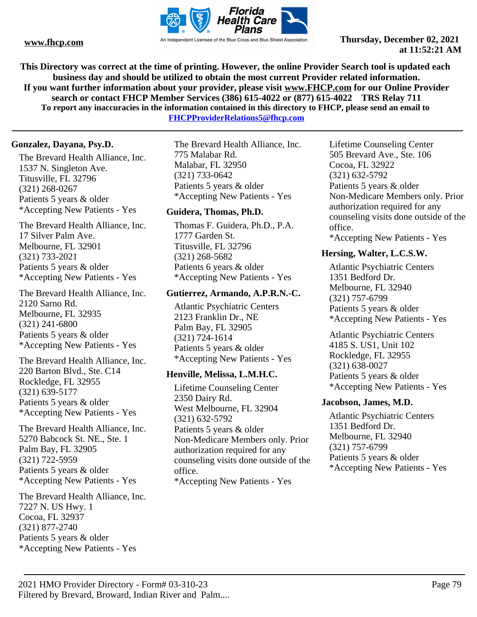

**This Directory was correct at the time of printing. However, the online Provider Search tool is updated each business day and should be utilized to obtain the most current Provider related information. If you want further information about your provider, please visit www.FHCP.com for our Online Provider search or contact FHCP Member Services (386) 615-4022 or (877) 615-4022 TRS Relay 711 To report any inaccuracies in the information contained in this directory to FHCP, please send an email to** 

**FHCPProviderRelations5@fhcp.com**

#### **Gonzalez, Dayana, Psy.D.**

The Brevard Health Alliance, Inc. 1537 N. Singleton Ave. Titusville, FL 32796 (321) 268-0267 Patients 5 years & older \*Accepting New Patients - Yes

The Brevard Health Alliance, Inc. 17 Silver Palm Ave. Melbourne, FL 32901 (321) 733-2021 Patients 5 years & older \*Accepting New Patients - Yes

The Brevard Health Alliance, Inc. 2120 Sarno Rd. Melbourne, FL 32935 (321) 241-6800 Patients 5 years & older \*Accepting New Patients - Yes

The Brevard Health Alliance, Inc. 220 Barton Blvd., Ste. C14 Rockledge, FL 32955 (321) 639-5177 Patients 5 years & older \*Accepting New Patients - Yes

The Brevard Health Alliance, Inc. 5270 Babcock St. NE., Ste. 1 Palm Bay, FL 32905 (321) 722-5959 Patients 5 years & older \*Accepting New Patients - Yes

The Brevard Health Alliance, Inc. 7227 N. US Hwy. 1 Cocoa, FL 32937 (321) 877-2740 Patients 5 years & older \*Accepting New Patients - Yes

The Brevard Health Alliance, Inc. 775 Malabar Rd. Malabar, FL 32950 (321) 733-0642 Patients 5 years & older \*Accepting New Patients - Yes

#### **Guidera, Thomas, Ph.D.**

Thomas F. Guidera, Ph.D., P.A. 1777 Garden St. Titusville, FL 32796 (321) 268-5682 Patients 6 years & older \*Accepting New Patients - Yes

#### **Gutierrez, Armando, A.P.R.N.-C.**

Atlantic Psychiatric Centers 2123 Franklin Dr., NE Palm Bay, FL 32905 (321) 724-1614 Patients 5 years & older \*Accepting New Patients - Yes

### **Henville, Melissa, L.M.H.C.**

Lifetime Counseling Center 2350 Dairy Rd. West Melbourne, FL 32904 (321) 632-5792 Patients 5 years & older Non-Medicare Members only. Prior authorization required for any counseling visits done outside of the office. \*Accepting New Patients - Yes

Lifetime Counseling Center 505 Brevard Ave., Ste. 106 Cocoa, FL 32922 (321) 632-5792 Patients 5 years & older Non-Medicare Members only. Prior authorization required for any counseling visits done outside of the office. \*Accepting New Patients - Yes

#### **Hersing, Walter, L.C.S.W.**

Atlantic Psychiatric Centers 1351 Bedford Dr. Melbourne, FL 32940 (321) 757-6799 Patients 5 years & older \*Accepting New Patients - Yes

Atlantic Psychiatric Centers 4185 S. US1, Unit 102 Rockledge, FL 32955 (321) 638-0027 Patients 5 years & older \*Accepting New Patients - Yes

#### **Jacobson, James, M.D.**

Atlantic Psychiatric Centers 1351 Bedford Dr. Melbourne, FL 32940 (321) 757-6799 Patients 5 years & older \*Accepting New Patients - Yes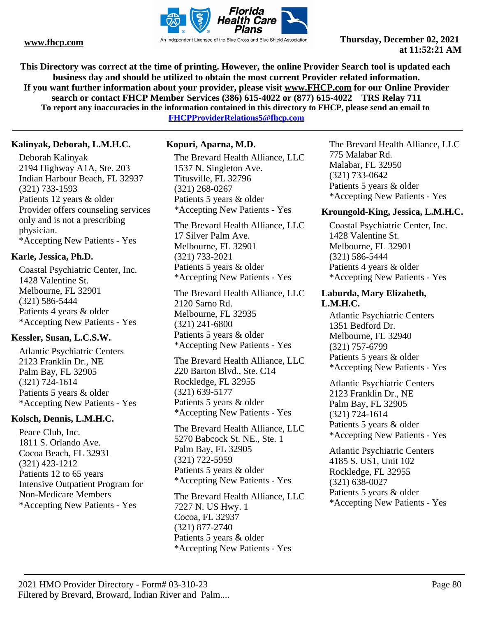

**This Directory was correct at the time of printing. However, the online Provider Search tool is updated each business day and should be utilized to obtain the most current Provider related information. If you want further information about your provider, please visit www.FHCP.com for our Online Provider search or contact FHCP Member Services (386) 615-4022 or (877) 615-4022 TRS Relay 711 To report any inaccuracies in the information contained in this directory to FHCP, please send an email to FHCPProviderRelations5@fhcp.com**

**Kalinyak, Deborah, L.M.H.C.**

Deborah Kalinyak 2194 Highway A1A, Ste. 203 Indian Harbour Beach, FL 32937 (321) 733-1593 Patients 12 years & older Provider offers counseling services only and is not a prescribing physician. \*Accepting New Patients - Yes

#### **Karle, Jessica, Ph.D.**

Coastal Psychiatric Center, Inc. 1428 Valentine St. Melbourne, FL 32901 (321) 586-5444 Patients 4 years & older \*Accepting New Patients - Yes

### **Kessler, Susan, L.C.S.W.**

Atlantic Psychiatric Centers 2123 Franklin Dr., NE Palm Bay, FL 32905 (321) 724-1614 Patients 5 years & older \*Accepting New Patients - Yes

#### **Kolsch, Dennis, L.M.H.C.**

Peace Club, Inc. 1811 S. Orlando Ave. Cocoa Beach, FL 32931 (321) 423-1212 Patients 12 to 65 years Intensive Outpatient Program for Non-Medicare Members \*Accepting New Patients - Yes

#### **Kopuri, Aparna, M.D.**

The Brevard Health Alliance, LLC 1537 N. Singleton Ave. Titusville, FL 32796 (321) 268-0267 Patients 5 years & older \*Accepting New Patients - Yes

The Brevard Health Alliance, LLC 17 Silver Palm Ave. Melbourne, FL 32901 (321) 733-2021 Patients 5 years & older \*Accepting New Patients - Yes

The Brevard Health Alliance, LLC 2120 Sarno Rd. Melbourne, FL 32935 (321) 241-6800 Patients 5 years & older \*Accepting New Patients - Yes

The Brevard Health Alliance, LLC 220 Barton Blvd., Ste. C14 Rockledge, FL 32955 (321) 639-5177 Patients 5 years & older \*Accepting New Patients - Yes

The Brevard Health Alliance, LLC 5270 Babcock St. NE., Ste. 1 Palm Bay, FL 32905 (321) 722-5959 Patients 5 years & older \*Accepting New Patients - Yes

The Brevard Health Alliance, LLC 7227 N. US Hwy. 1 Cocoa, FL 32937 (321) 877-2740 Patients 5 years & older \*Accepting New Patients - Yes

The Brevard Health Alliance, LLC 775 Malabar Rd. Malabar, FL 32950 (321) 733-0642 Patients 5 years & older \*Accepting New Patients - Yes

#### **Kroungold-King, Jessica, L.M.H.C.**

Coastal Psychiatric Center, Inc. 1428 Valentine St. Melbourne, FL 32901 (321) 586-5444 Patients 4 years & older \*Accepting New Patients - Yes

#### **Laburda, Mary Elizabeth, L.M.H.C.**

Atlantic Psychiatric Centers 1351 Bedford Dr. Melbourne, FL 32940 (321) 757-6799 Patients 5 years & older \*Accepting New Patients - Yes

Atlantic Psychiatric Centers 2123 Franklin Dr., NE Palm Bay, FL 32905 (321) 724-1614 Patients 5 years & older \*Accepting New Patients - Yes

Atlantic Psychiatric Centers 4185 S. US1, Unit 102 Rockledge, FL 32955 (321) 638-0027 Patients 5 years & older \*Accepting New Patients - Yes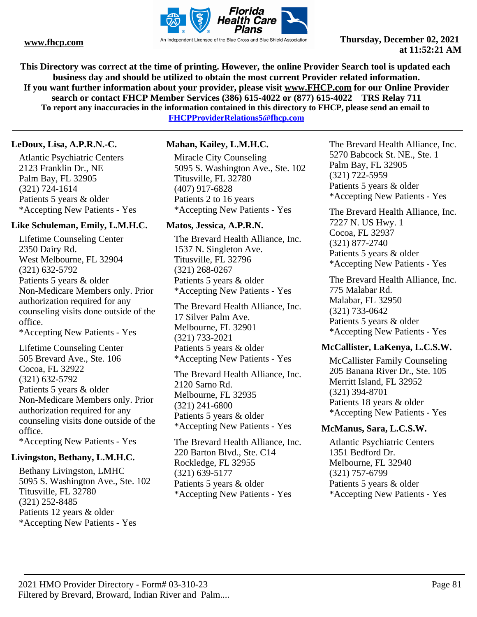

**This Directory was correct at the time of printing. However, the online Provider Search tool is updated each business day and should be utilized to obtain the most current Provider related information. If you want further information about your provider, please visit www.FHCP.com for our Online Provider search or contact FHCP Member Services (386) 615-4022 or (877) 615-4022 TRS Relay 711 To report any inaccuracies in the information contained in this directory to FHCP, please send an email to FHCPProviderRelations5@fhcp.com**

**LeDoux, Lisa, A.P.R.N.-C.**

Atlantic Psychiatric Centers 2123 Franklin Dr., NE Palm Bay, FL 32905 (321) 724-1614 Patients 5 years & older \*Accepting New Patients - Yes

### **Like Schuleman, Emily, L.M.H.C.**

Lifetime Counseling Center 2350 Dairy Rd. West Melbourne, FL 32904 (321) 632-5792 Patients 5 years & older Non-Medicare Members only. Prior authorization required for any counseling visits done outside of the office. \*Accepting New Patients - Yes

Lifetime Counseling Center 505 Brevard Ave., Ste. 106 Cocoa, FL 32922 (321) 632-5792 Patients 5 years & older Non-Medicare Members only. Prior authorization required for any counseling visits done outside of the office. \*Accepting New Patients - Yes

#### **Livingston, Bethany, L.M.H.C.**

Bethany Livingston, LMHC 5095 S. Washington Ave., Ste. 102 Titusville, FL 32780 (321) 252-8485 Patients 12 years & older \*Accepting New Patients - Yes

#### **Mahan, Kailey, L.M.H.C.**

Miracle City Counseling 5095 S. Washington Ave., Ste. 102 Titusville, FL 32780 (407) 917-6828 Patients 2 to 16 years \*Accepting New Patients - Yes

#### **Matos, Jessica, A.P.R.N.**

The Brevard Health Alliance, Inc. 1537 N. Singleton Ave. Titusville, FL 32796 (321) 268-0267 Patients 5 years & older \*Accepting New Patients - Yes

The Brevard Health Alliance, Inc. 17 Silver Palm Ave. Melbourne, FL 32901 (321) 733-2021 Patients 5 years & older \*Accepting New Patients - Yes

The Brevard Health Alliance, Inc. 2120 Sarno Rd. Melbourne, FL 32935 (321) 241-6800 Patients 5 years & older \*Accepting New Patients - Yes

The Brevard Health Alliance, Inc. 220 Barton Blvd., Ste. C14 Rockledge, FL 32955 (321) 639-5177 Patients 5 years & older \*Accepting New Patients - Yes

The Brevard Health Alliance, Inc. 5270 Babcock St. NE., Ste. 1 Palm Bay, FL 32905 (321) 722-5959 Patients 5 years & older \*Accepting New Patients - Yes

The Brevard Health Alliance, Inc. 7227 N. US Hwy. 1 Cocoa, FL 32937 (321) 877-2740 Patients 5 years & older \*Accepting New Patients - Yes

The Brevard Health Alliance, Inc. 775 Malabar Rd. Malabar, FL 32950 (321) 733-0642 Patients 5 years & older \*Accepting New Patients - Yes

### **McCallister, LaKenya, L.C.S.W.**

McCallister Family Counseling 205 Banana River Dr., Ste. 105 Merritt Island, FL 32952 (321) 394-8701 Patients 18 years & older \*Accepting New Patients - Yes

#### **McManus, Sara, L.C.S.W.**

Atlantic Psychiatric Centers 1351 Bedford Dr. Melbourne, FL 32940 (321) 757-6799 Patients 5 years & older \*Accepting New Patients - Yes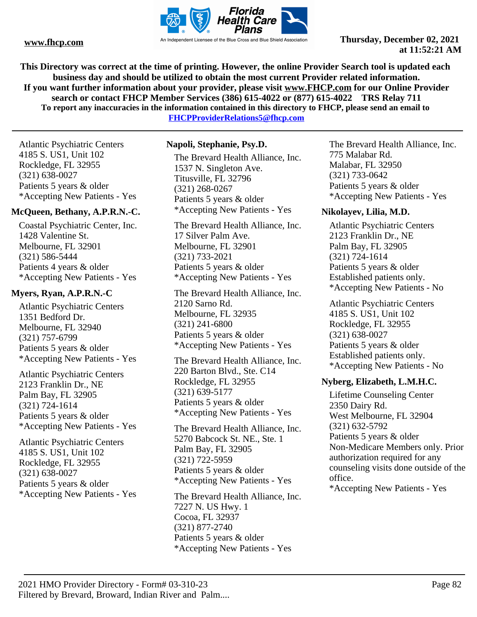

**This Directory was correct at the time of printing. However, the online Provider Search tool is updated each business day and should be utilized to obtain the most current Provider related information. If you want further information about your provider, please visit www.FHCP.com for our Online Provider search or contact FHCP Member Services (386) 615-4022 or (877) 615-4022 TRS Relay 711 To report any inaccuracies in the information contained in this directory to FHCP, please send an email to FHCPProviderRelations5@fhcp.com**

Atlantic Psychiatric Centers 4185 S. US1, Unit 102 Rockledge, FL 32955 (321) 638-0027 Patients 5 years & older \*Accepting New Patients - Yes

#### **McQueen, Bethany, A.P.R.N.-C.**

Coastal Psychiatric Center, Inc. 1428 Valentine St. Melbourne, FL 32901 (321) 586-5444 Patients 4 years & older \*Accepting New Patients - Yes

#### **Myers, Ryan, A.P.R.N.-C**

Atlantic Psychiatric Centers 1351 Bedford Dr. Melbourne, FL 32940 (321) 757-6799 Patients 5 years & older \*Accepting New Patients - Yes

Atlantic Psychiatric Centers 2123 Franklin Dr., NE Palm Bay, FL 32905 (321) 724-1614 Patients 5 years & older \*Accepting New Patients - Yes

Atlantic Psychiatric Centers 4185 S. US1, Unit 102 Rockledge, FL 32955 (321) 638-0027 Patients 5 years & older \*Accepting New Patients - Yes

### **Napoli, Stephanie, Psy.D.**

The Brevard Health Alliance, Inc. 1537 N. Singleton Ave. Titusville, FL 32796 (321) 268-0267 Patients 5 years & older \*Accepting New Patients - Yes

The Brevard Health Alliance, Inc. 17 Silver Palm Ave. Melbourne, FL 32901 (321) 733-2021 Patients 5 years & older \*Accepting New Patients - Yes

The Brevard Health Alliance, Inc. 2120 Sarno Rd. Melbourne, FL 32935 (321) 241-6800 Patients 5 years & older \*Accepting New Patients - Yes

The Brevard Health Alliance, Inc. 220 Barton Blvd., Ste. C14 Rockledge, FL 32955 (321) 639-5177 Patients 5 years & older \*Accepting New Patients - Yes

The Brevard Health Alliance, Inc. 5270 Babcock St. NE., Ste. 1 Palm Bay, FL 32905 (321) 722-5959 Patients 5 years & older \*Accepting New Patients - Yes

The Brevard Health Alliance, Inc. 7227 N. US Hwy. 1 Cocoa, FL 32937 (321) 877-2740 Patients 5 years & older \*Accepting New Patients - Yes

The Brevard Health Alliance, Inc. 775 Malabar Rd. Malabar, FL 32950 (321) 733-0642 Patients 5 years & older \*Accepting New Patients - Yes

### **Nikolayev, Lilia, M.D.**

Atlantic Psychiatric Centers 2123 Franklin Dr., NE Palm Bay, FL 32905 (321) 724-1614 Patients 5 years & older Established patients only. \*Accepting New Patients - No

Atlantic Psychiatric Centers 4185 S. US1, Unit 102 Rockledge, FL 32955 (321) 638-0027 Patients 5 years & older Established patients only. \*Accepting New Patients - No

#### **Nyberg, Elizabeth, L.M.H.C.**

Lifetime Counseling Center 2350 Dairy Rd. West Melbourne, FL 32904 (321) 632-5792 Patients 5 years & older Non-Medicare Members only. Prior authorization required for any counseling visits done outside of the office.

\*Accepting New Patients - Yes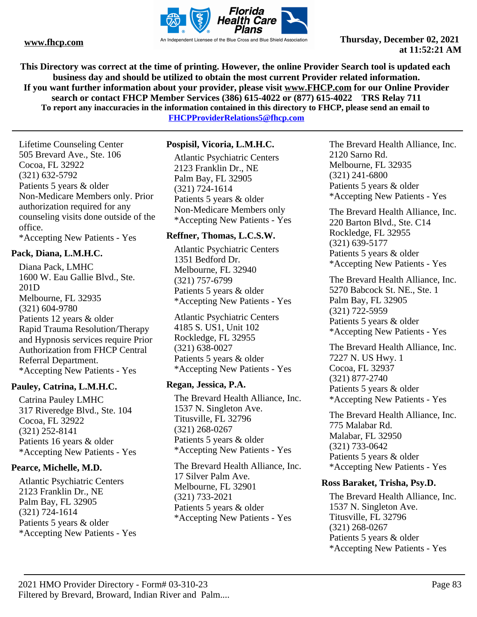

**This Directory was correct at the time of printing. However, the online Provider Search tool is updated each business day and should be utilized to obtain the most current Provider related information. If you want further information about your provider, please visit www.FHCP.com for our Online Provider search or contact FHCP Member Services (386) 615-4022 or (877) 615-4022 TRS Relay 711 To report any inaccuracies in the information contained in this directory to FHCP, please send an email to FHCPProviderRelations5@fhcp.com**

Lifetime Counseling Center 505 Brevard Ave., Ste. 106 Cocoa, FL 32922 (321) 632-5792 Patients 5 years & older Non-Medicare Members only. Prior

authorization required for any counseling visits done outside of the office.

\*Accepting New Patients - Yes

#### **Pack, Diana, L.M.H.C.**

Diana Pack, LMHC 1600 W. Eau Gallie Blvd., Ste. 201D Melbourne, FL 32935 (321) 604-9780 Patients 12 years & older Rapid Trauma Resolution/Therapy and Hypnosis services require Prior Authorization from FHCP Central Referral Department. \*Accepting New Patients - Yes

#### **Pauley, Catrina, L.M.H.C.**

Catrina Pauley LMHC 317 Riveredge Blvd., Ste. 104 Cocoa, FL 32922 (321) 252-8141 Patients 16 years & older \*Accepting New Patients - Yes

### **Pearce, Michelle, M.D.**

Atlantic Psychiatric Centers 2123 Franklin Dr., NE Palm Bay, FL 32905 (321) 724-1614 Patients 5 years & older \*Accepting New Patients - Yes

#### **Pospisil, Vicoria, L.M.H.C.**

Atlantic Psychiatric Centers 2123 Franklin Dr., NE Palm Bay, FL 32905 (321) 724-1614 Patients 5 years & older Non-Medicare Members only \*Accepting New Patients - Yes

#### **Reffner, Thomas, L.C.S.W.**

Atlantic Psychiatric Centers 1351 Bedford Dr. Melbourne, FL 32940 (321) 757-6799 Patients 5 years & older \*Accepting New Patients - Yes

Atlantic Psychiatric Centers 4185 S. US1, Unit 102 Rockledge, FL 32955 (321) 638-0027 Patients 5 years & older \*Accepting New Patients - Yes

### **Regan, Jessica, P.A.**

The Brevard Health Alliance, Inc. 1537 N. Singleton Ave. Titusville, FL 32796 (321) 268-0267 Patients 5 years & older \*Accepting New Patients - Yes

The Brevard Health Alliance, Inc. 17 Silver Palm Ave. Melbourne, FL 32901 (321) 733-2021 Patients 5 years & older \*Accepting New Patients - Yes

The Brevard Health Alliance, Inc. 2120 Sarno Rd. Melbourne, FL 32935 (321) 241-6800 Patients 5 years & older \*Accepting New Patients - Yes

The Brevard Health Alliance, Inc. 220 Barton Blvd., Ste. C14 Rockledge, FL 32955 (321) 639-5177 Patients 5 years & older \*Accepting New Patients - Yes

The Brevard Health Alliance, Inc. 5270 Babcock St. NE., Ste. 1 Palm Bay, FL 32905 (321) 722-5959 Patients 5 years & older \*Accepting New Patients - Yes

The Brevard Health Alliance, Inc. 7227 N. US Hwy. 1 Cocoa, FL 32937 (321) 877-2740 Patients 5 years & older \*Accepting New Patients - Yes

The Brevard Health Alliance, Inc. 775 Malabar Rd. Malabar, FL 32950 (321) 733-0642 Patients 5 years & older \*Accepting New Patients - Yes

#### **Ross Baraket, Trisha, Psy.D.**

The Brevard Health Alliance, Inc. 1537 N. Singleton Ave. Titusville, FL 32796 (321) 268-0267 Patients 5 years & older \*Accepting New Patients - Yes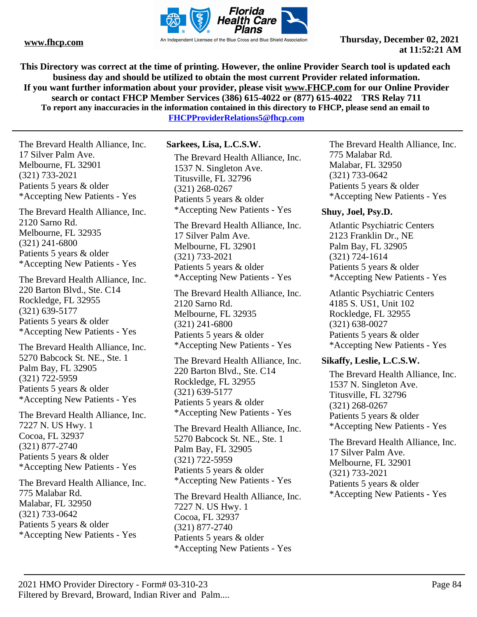

**This Directory was correct at the time of printing. However, the online Provider Search tool is updated each business day and should be utilized to obtain the most current Provider related information. If you want further information about your provider, please visit www.FHCP.com for our Online Provider search or contact FHCP Member Services (386) 615-4022 or (877) 615-4022 TRS Relay 711 To report any inaccuracies in the information contained in this directory to FHCP, please send an email to FHCPProviderRelations5@fhcp.com**

The Brevard Health Alliance, Inc. 17 Silver Palm Ave. Melbourne, FL 32901 (321) 733-2021 Patients 5 years & older \*Accepting New Patients - Yes

The Brevard Health Alliance, Inc. 2120 Sarno Rd. Melbourne, FL 32935 (321) 241-6800 Patients 5 years & older \*Accepting New Patients - Yes

The Brevard Health Alliance, Inc. 220 Barton Blvd., Ste. C14 Rockledge, FL 32955 (321) 639-5177 Patients 5 years & older \*Accepting New Patients - Yes

The Brevard Health Alliance, Inc. 5270 Babcock St. NE., Ste. 1 Palm Bay, FL 32905 (321) 722-5959 Patients 5 years & older \*Accepting New Patients - Yes

The Brevard Health Alliance, Inc. 7227 N. US Hwy. 1 Cocoa, FL 32937 (321) 877-2740 Patients 5 years & older \*Accepting New Patients - Yes

The Brevard Health Alliance, Inc. 775 Malabar Rd. Malabar, FL 32950 (321) 733-0642 Patients 5 years & older \*Accepting New Patients - Yes

**Sarkees, Lisa, L.C.S.W.**

The Brevard Health Alliance, Inc. 1537 N. Singleton Ave. Titusville, FL 32796 (321) 268-0267 Patients 5 years & older \*Accepting New Patients - Yes

The Brevard Health Alliance, Inc. 17 Silver Palm Ave. Melbourne, FL 32901 (321) 733-2021 Patients 5 years & older \*Accepting New Patients - Yes

The Brevard Health Alliance, Inc. 2120 Sarno Rd. Melbourne, FL 32935 (321) 241-6800 Patients 5 years & older \*Accepting New Patients - Yes

The Brevard Health Alliance, Inc. 220 Barton Blvd., Ste. C14 Rockledge, FL 32955 (321) 639-5177 Patients 5 years & older \*Accepting New Patients - Yes

The Brevard Health Alliance, Inc. 5270 Babcock St. NE., Ste. 1 Palm Bay, FL 32905 (321) 722-5959 Patients 5 years & older \*Accepting New Patients - Yes

The Brevard Health Alliance, Inc. 7227 N. US Hwy. 1 Cocoa, FL 32937 (321) 877-2740 Patients 5 years & older \*Accepting New Patients - Yes

The Brevard Health Alliance, Inc. 775 Malabar Rd. Malabar, FL 32950 (321) 733-0642 Patients 5 years & older \*Accepting New Patients - Yes

#### **Shuy, Joel, Psy.D.**

Atlantic Psychiatric Centers 2123 Franklin Dr., NE Palm Bay, FL 32905 (321) 724-1614 Patients 5 years & older \*Accepting New Patients - Yes

Atlantic Psychiatric Centers 4185 S. US1, Unit 102 Rockledge, FL 32955 (321) 638-0027 Patients 5 years & older \*Accepting New Patients - Yes

### **Sikaffy, Leslie, L.C.S.W.**

The Brevard Health Alliance, Inc. 1537 N. Singleton Ave. Titusville, FL 32796 (321) 268-0267 Patients 5 years & older \*Accepting New Patients - Yes

The Brevard Health Alliance, Inc. 17 Silver Palm Ave. Melbourne, FL 32901 (321) 733-2021 Patients 5 years & older \*Accepting New Patients - Yes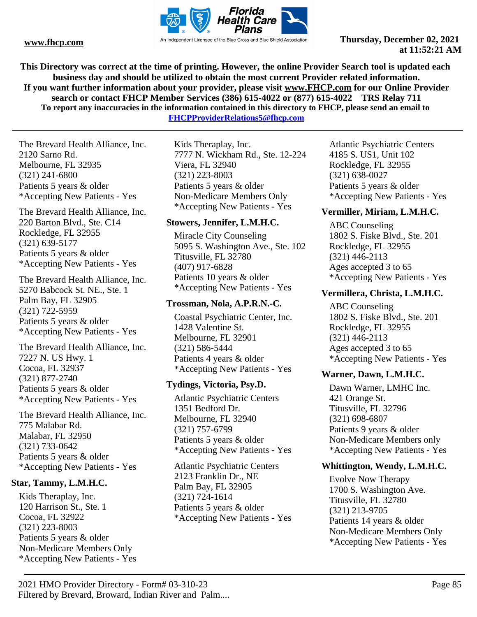

**This Directory was correct at the time of printing. However, the online Provider Search tool is updated each business day and should be utilized to obtain the most current Provider related information. If you want further information about your provider, please visit www.FHCP.com for our Online Provider search or contact FHCP Member Services (386) 615-4022 or (877) 615-4022 TRS Relay 711 To report any inaccuracies in the information contained in this directory to FHCP, please send an email to** 

**FHCPProviderRelations5@fhcp.com**

The Brevard Health Alliance, Inc. 2120 Sarno Rd. Melbourne, FL 32935 (321) 241-6800 Patients 5 years & older \*Accepting New Patients - Yes

The Brevard Health Alliance, Inc. 220 Barton Blvd., Ste. C14 Rockledge, FL 32955 (321) 639-5177 Patients 5 years & older \*Accepting New Patients - Yes

The Brevard Health Alliance, Inc. 5270 Babcock St. NE., Ste. 1 Palm Bay, FL 32905 (321) 722-5959 Patients 5 years & older \*Accepting New Patients - Yes

The Brevard Health Alliance, Inc. 7227 N. US Hwy. 1 Cocoa, FL 32937 (321) 877-2740 Patients 5 years & older \*Accepting New Patients - Yes

The Brevard Health Alliance, Inc. 775 Malabar Rd. Malabar, FL 32950 (321) 733-0642 Patients 5 years & older \*Accepting New Patients - Yes

#### **Star, Tammy, L.M.H.C.**

Kids Theraplay, Inc. 120 Harrison St., Ste. 1 Cocoa, FL 32922 (321) 223-8003 Patients 5 years & older Non-Medicare Members Only \*Accepting New Patients - Yes

Kids Theraplay, Inc. 7777 N. Wickham Rd., Ste. 12-224 Viera, FL 32940 (321) 223-8003 Patients 5 years & older Non-Medicare Members Only \*Accepting New Patients - Yes

#### **Stowers, Jennifer, L.M.H.C.**

Miracle City Counseling 5095 S. Washington Ave., Ste. 102 Titusville, FL 32780 (407) 917-6828 Patients 10 years & older \*Accepting New Patients - Yes

#### **Trossman, Nola, A.P.R.N.-C.**

Coastal Psychiatric Center, Inc. 1428 Valentine St. Melbourne, FL 32901 (321) 586-5444 Patients 4 years & older \*Accepting New Patients - Yes

#### **Tydings, Victoria, Psy.D.**

Atlantic Psychiatric Centers 1351 Bedford Dr. Melbourne, FL 32940 (321) 757-6799 Patients 5 years & older \*Accepting New Patients - Yes

Atlantic Psychiatric Centers 2123 Franklin Dr., NE Palm Bay, FL 32905 (321) 724-1614 Patients 5 years & older \*Accepting New Patients - Yes Atlantic Psychiatric Centers 4185 S. US1, Unit 102 Rockledge, FL 32955 (321) 638-0027 Patients 5 years & older \*Accepting New Patients - Yes

#### **Vermiller, Miriam, L.M.H.C.**

ABC Counseling 1802 S. Fiske Blvd., Ste. 201 Rockledge, FL 32955 (321) 446-2113 Ages accepted 3 to 65 \*Accepting New Patients - Yes

#### **Vermillera, Christa, L.M.H.C.**

ABC Counseling 1802 S. Fiske Blvd., Ste. 201 Rockledge, FL 32955 (321) 446-2113 Ages accepted 3 to 65 \*Accepting New Patients - Yes

#### **Warner, Dawn, L.M.H.C.**

Dawn Warner, LMHC Inc. 421 Orange St. Titusville, FL 32796 (321) 698-6807 Patients 9 years & older Non-Medicare Members only \*Accepting New Patients - Yes

#### **Whittington, Wendy, L.M.H.C.**

Evolve Now Therapy 1700 S. Washington Ave. Titusville, FL 32780 (321) 213-9705 Patients 14 years & older Non-Medicare Members Only \*Accepting New Patients - Yes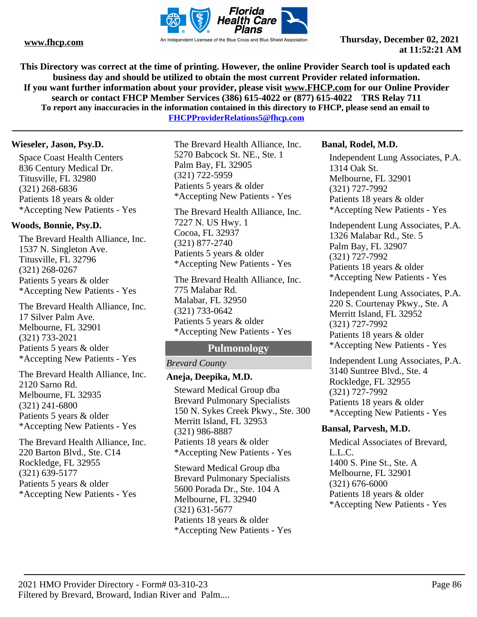

**This Directory was correct at the time of printing. However, the online Provider Search tool is updated each business day and should be utilized to obtain the most current Provider related information. If you want further information about your provider, please visit www.FHCP.com for our Online Provider search or contact FHCP Member Services (386) 615-4022 or (877) 615-4022 TRS Relay 711 To report any inaccuracies in the information contained in this directory to FHCP, please send an email to** 

**FHCPProviderRelations5@fhcp.com**

#### **Wieseler, Jason, Psy.D.**

Space Coast Health Centers 836 Century Medical Dr. Titusville, FL 32980 (321) 268-6836 Patients 18 years & older \*Accepting New Patients - Yes

#### **Woods, Bonnie, Psy.D.**

The Brevard Health Alliance, Inc. 1537 N. Singleton Ave. Titusville, FL 32796 (321) 268-0267 Patients 5 years & older \*Accepting New Patients - Yes

The Brevard Health Alliance, Inc. 17 Silver Palm Ave. Melbourne, FL 32901 (321) 733-2021 Patients 5 years & older \*Accepting New Patients - Yes

The Brevard Health Alliance, Inc. 2120 Sarno Rd. Melbourne, FL 32935 (321) 241-6800 Patients 5 years & older \*Accepting New Patients - Yes

The Brevard Health Alliance, Inc. 220 Barton Blvd., Ste. C14 Rockledge, FL 32955 (321) 639-5177 Patients 5 years & older \*Accepting New Patients - Yes

The Brevard Health Alliance, Inc. 5270 Babcock St. NE., Ste. 1 Palm Bay, FL 32905 (321) 722-5959 Patients 5 years & older \*Accepting New Patients - Yes

The Brevard Health Alliance, Inc. 7227 N. US Hwy. 1 Cocoa, FL 32937 (321) 877-2740 Patients 5 years & older \*Accepting New Patients - Yes

The Brevard Health Alliance, Inc. 775 Malabar Rd. Malabar, FL 32950 (321) 733-0642 Patients 5 years & older \*Accepting New Patients - Yes

## **Pulmonology**

#### *Brevard County*

#### **Aneja, Deepika, M.D.**

Steward Medical Group dba Brevard Pulmonary Specialists 150 N. Sykes Creek Pkwy., Ste. 300 Merritt Island, FL 32953 (321) 986-8887 Patients 18 years & older \*Accepting New Patients - Yes

Steward Medical Group dba Brevard Pulmonary Specialists 5600 Porada Dr., Ste. 104 A Melbourne, FL 32940 (321) 631-5677 Patients 18 years & older \*Accepting New Patients - Yes

#### **Banal, Rodel, M.D.**

Independent Lung Associates, P.A. 1314 Oak St. Melbourne, FL 32901 (321) 727-7992 Patients 18 years & older \*Accepting New Patients - Yes

Independent Lung Associates, P.A. 1326 Malabar Rd., Ste. 5 Palm Bay, FL 32907 (321) 727-7992 Patients 18 years & older \*Accepting New Patients - Yes

Independent Lung Associates, P.A. 220 S. Courtenay Pkwy., Ste. A Merritt Island, FL 32952 (321) 727-7992 Patients 18 years & older \*Accepting New Patients - Yes

Independent Lung Associates, P.A. 3140 Suntree Blvd., Ste. 4 Rockledge, FL 32955 (321) 727-7992 Patients 18 years & older \*Accepting New Patients - Yes

#### **Bansal, Parvesh, M.D.**

Medical Associates of Brevard, L.L.C. 1400 S. Pine St., Ste. A Melbourne, FL 32901 (321) 676-6000 Patients 18 years & older \*Accepting New Patients - Yes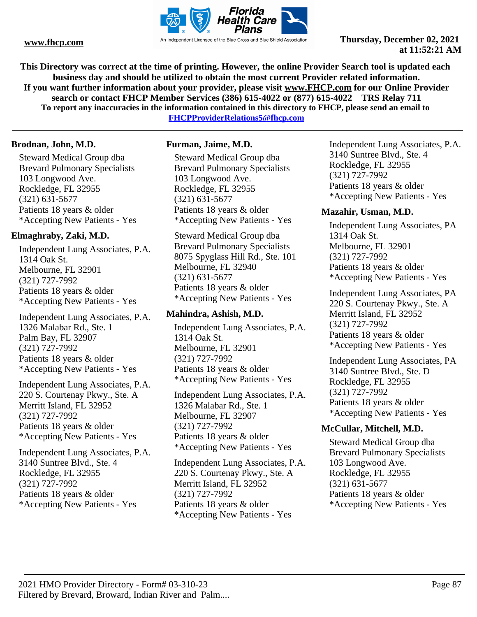

**This Directory was correct at the time of printing. However, the online Provider Search tool is updated each business day and should be utilized to obtain the most current Provider related information. If you want further information about your provider, please visit www.FHCP.com for our Online Provider search or contact FHCP Member Services (386) 615-4022 or (877) 615-4022 TRS Relay 711 To report any inaccuracies in the information contained in this directory to FHCP, please send an email to** 

**FHCPProviderRelations5@fhcp.com**

#### **Brodnan, John, M.D.**

Steward Medical Group dba Brevard Pulmonary Specialists 103 Longwood Ave. Rockledge, FL 32955 (321) 631-5677 Patients 18 years & older \*Accepting New Patients - Yes

#### **Elmaghraby, Zaki, M.D.**

Independent Lung Associates, P.A. 1314 Oak St. Melbourne, FL 32901 (321) 727-7992 Patients 18 years & older \*Accepting New Patients - Yes

Independent Lung Associates, P.A. 1326 Malabar Rd., Ste. 1 Palm Bay, FL 32907 (321) 727-7992 Patients 18 years & older \*Accepting New Patients - Yes

Independent Lung Associates, P.A. 220 S. Courtenay Pkwy., Ste. A Merritt Island, FL 32952 (321) 727-7992 Patients 18 years & older \*Accepting New Patients - Yes

Independent Lung Associates, P.A. 3140 Suntree Blvd., Ste. 4 Rockledge, FL 32955 (321) 727-7992 Patients 18 years & older \*Accepting New Patients - Yes

#### **Furman, Jaime, M.D.**

Steward Medical Group dba Brevard Pulmonary Specialists 103 Longwood Ave. Rockledge, FL 32955 (321) 631-5677 Patients 18 years & older \*Accepting New Patients - Yes

Steward Medical Group dba Brevard Pulmonary Specialists 8075 Spyglass Hill Rd., Ste. 101 Melbourne, FL 32940 (321) 631-5677 Patients 18 years & older \*Accepting New Patients - Yes

#### **Mahindra, Ashish, M.D.**

Independent Lung Associates, P.A. 1314 Oak St. Melbourne, FL 32901 (321) 727-7992 Patients 18 years & older \*Accepting New Patients - Yes

Independent Lung Associates, P.A. 1326 Malabar Rd., Ste. 1 Melbourne, FL 32907 (321) 727-7992 Patients 18 years & older \*Accepting New Patients - Yes

Independent Lung Associates, P.A. 220 S. Courtenay Pkwy., Ste. A Merritt Island, FL 32952 (321) 727-7992 Patients 18 years & older \*Accepting New Patients - Yes

Independent Lung Associates, P.A. 3140 Suntree Blvd., Ste. 4 Rockledge, FL 32955 (321) 727-7992 Patients 18 years & older \*Accepting New Patients - Yes

#### **Mazahir, Usman, M.D.**

Independent Lung Associates, PA 1314 Oak St. Melbourne, FL 32901 (321) 727-7992 Patients 18 years & older \*Accepting New Patients - Yes

Independent Lung Associates, PA 220 S. Courtenay Pkwy., Ste. A Merritt Island, FL 32952 (321) 727-7992 Patients 18 years & older \*Accepting New Patients - Yes

Independent Lung Associates, PA 3140 Suntree Blvd., Ste. D Rockledge, FL 32955 (321) 727-7992 Patients 18 years & older \*Accepting New Patients - Yes

#### **McCullar, Mitchell, M.D.**

Steward Medical Group dba Brevard Pulmonary Specialists 103 Longwood Ave. Rockledge, FL 32955 (321) 631-5677 Patients 18 years & older \*Accepting New Patients - Yes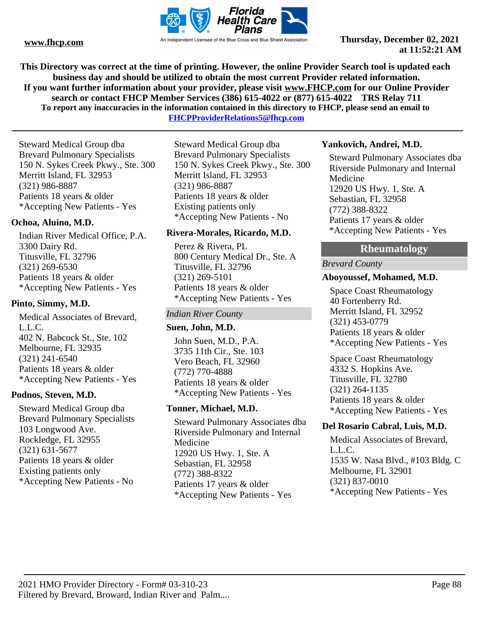

**This Directory was correct at the time of printing. However, the online Provider Search tool is updated each business day and should be utilized to obtain the most current Provider related information. If you want further information about your provider, please visit www.FHCP.com for our Online Provider search or contact FHCP Member Services (386) 615-4022 or (877) 615-4022 TRS Relay 711 To report any inaccuracies in the information contained in this directory to FHCP, please send an email to** 

**FHCPProviderRelations5@fhcp.com**

Steward Medical Group dba Brevard Pulmonary Specialists 150 N. Sykes Creek Pkwy., Ste. 300 Merritt Island, FL 32953 (321) 986-8887 Patients 18 years & older \*Accepting New Patients - Yes

#### **Ochoa, Aluino, M.D.**

Indian River Medical Office, P.A. 3300 Dairy Rd. Titusville, FL 32796 (321) 269-6530 Patients 18 years & older \*Accepting New Patients - Yes

#### **Pinto, Simmy, M.D.**

Medical Associates of Brevard, L.L.C. 402 N. Babcock St., Ste. 102 Melbourne, FL 32935 (321) 241-6540 Patients 18 years & older \*Accepting New Patients - Yes

#### **Podnos, Steven, M.D.**

Steward Medical Group dba Brevard Pulmonary Specialists 103 Longwood Ave. Rockledge, FL 32955 (321) 631-5677 Patients 18 years & older Existing patients only \*Accepting New Patients - No

Steward Medical Group dba Brevard Pulmonary Specialists 150 N. Sykes Creek Pkwy., Ste. 300 Merritt Island, FL 32953 (321) 986-8887 Patients 18 years & older Existing patients only \*Accepting New Patients - No

#### **Rivera-Morales, Ricardo, M.D.**

Perez & Rivera, PL 800 Century Medical Dr., Ste. A Titusville, FL 32796 (321) 269-5101 Patients 18 years & older \*Accepting New Patients - Yes

#### *Indian River County*

#### **Suen, John, M.D.**

John Suen, M.D., P.A. 3735 11th Cir., Ste. 103 Vero Beach, FL 32960 (772) 770-4888 Patients 18 years & older \*Accepting New Patients - Yes

#### **Tonner, Michael, M.D.**

Steward Pulmonary Associates dba Riverside Pulmonary and Internal Medicine 12920 US Hwy. 1, Ste. A Sebastian, FL 32958 (772) 388-8322 Patients 17 years & older \*Accepting New Patients - Yes

#### **Yankovich, Andrei, M.D.**

Steward Pulmonary Associates dba Riverside Pulmonary and Internal Medicine 12920 US Hwy. 1, Ste. A Sebastian, FL 32958 (772) 388-8322 Patients 17 years & older \*Accepting New Patients - Yes

# **Rheumatology**

#### *Brevard County*

#### **Aboyoussef, Mohamed, M.D.**

Space Coast Rheumatology 40 Fortenberry Rd. Merritt Island, FL 32952 (321) 453-0779 Patients 18 years & older \*Accepting New Patients - Yes

Space Coast Rheumatology 4332 S. Hopkins Ave. Titusville, FL 32780 (321) 264-1135 Patients 18 years & older \*Accepting New Patients - Yes

#### **Del Rosario Cabral, Luis, M.D.**

Medical Associates of Brevard, L.L.C. 1535 W. Nasa Blvd., #103 Bldg. C Melbourne, FL 32901 (321) 837-0010 \*Accepting New Patients - Yes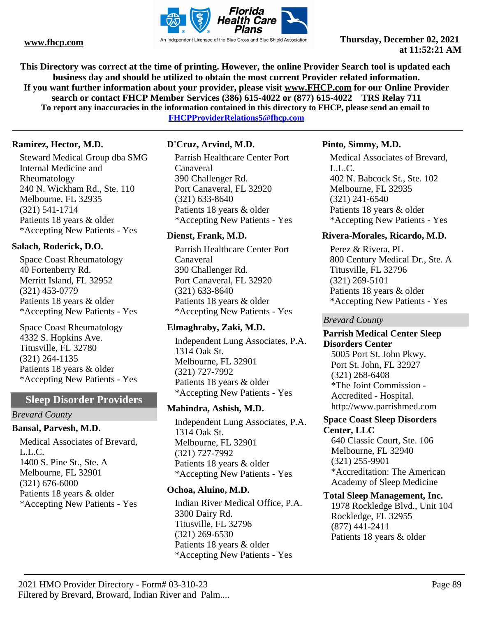

**This Directory was correct at the time of printing. However, the online Provider Search tool is updated each business day and should be utilized to obtain the most current Provider related information. If you want further information about your provider, please visit www.FHCP.com for our Online Provider search or contact FHCP Member Services (386) 615-4022 or (877) 615-4022 TRS Relay 711 To report any inaccuracies in the information contained in this directory to FHCP, please send an email to** 

**FHCPProviderRelations5@fhcp.com**

#### **Ramirez, Hector, M.D.**

Steward Medical Group dba SMG Internal Medicine and Rheumatology 240 N. Wickham Rd., Ste. 110 Melbourne, FL 32935 (321) 541-1714 Patients 18 years & older \*Accepting New Patients - Yes

#### **Salach, Roderick, D.O.**

Space Coast Rheumatology 40 Fortenberry Rd. Merritt Island, FL 32952 (321) 453-0779 Patients 18 years & older \*Accepting New Patients - Yes

Space Coast Rheumatology 4332 S. Hopkins Ave. Titusville, FL 32780 (321) 264-1135 Patients 18 years & older \*Accepting New Patients - Yes

### **Sleep Disorder Providers**

#### *Brevard County*

#### **Bansal, Parvesh, M.D.**

Medical Associates of Brevard, L.L.C. 1400 S. Pine St., Ste. A Melbourne, FL 32901 (321) 676-6000 Patients 18 years & older \*Accepting New Patients - Yes

#### **D'Cruz, Arvind, M.D.**

Parrish Healthcare Center Port Canaveral 390 Challenger Rd. Port Canaveral, FL 32920 (321) 633-8640 Patients 18 years & older \*Accepting New Patients - Yes

#### **Dienst, Frank, M.D.**

Parrish Healthcare Center Port Canaveral 390 Challenger Rd. Port Canaveral, FL 32920 (321) 633-8640 Patients 18 years & older \*Accepting New Patients - Yes

#### **Elmaghraby, Zaki, M.D.**

Independent Lung Associates, P.A. 1314 Oak St. Melbourne, FL 32901 (321) 727-7992 Patients 18 years & older \*Accepting New Patients - Yes

#### **Mahindra, Ashish, M.D.**

Independent Lung Associates, P.A. 1314 Oak St. Melbourne, FL 32901 (321) 727-7992 Patients 18 years & older \*Accepting New Patients - Yes

#### **Ochoa, Aluino, M.D.**

Indian River Medical Office, P.A. 3300 Dairy Rd. Titusville, FL 32796 (321) 269-6530 Patients 18 years & older \*Accepting New Patients - Yes

#### **Pinto, Simmy, M.D.**

Medical Associates of Brevard, L.L.C. 402 N. Babcock St., Ste. 102 Melbourne, FL 32935 (321) 241-6540 Patients 18 years & older \*Accepting New Patients - Yes

#### **Rivera-Morales, Ricardo, M.D.**

Perez & Rivera, PL 800 Century Medical Dr., Ste. A Titusville, FL 32796 (321) 269-5101 Patients 18 years & older \*Accepting New Patients - Yes

*Brevard County*

#### **Parrish Medical Center Sleep Disorders Center**

5005 Port St. John Pkwy. Port St. John, FL 32927 (321) 268-6408 \*The Joint Commission - Accredited - Hospital. http://www.parrishmed.com

#### **Space Coast Sleep Disorders Center, LLC**

640 Classic Court, Ste. 106 Melbourne, FL 32940 (321) 255-9901 \*Accreditation: The American Academy of Sleep Medicine

#### **Total Sleep Management, Inc.**

1978 Rockledge Blvd., Unit 104 Rockledge, FL 32955 (877) 441-2411 Patients 18 years & older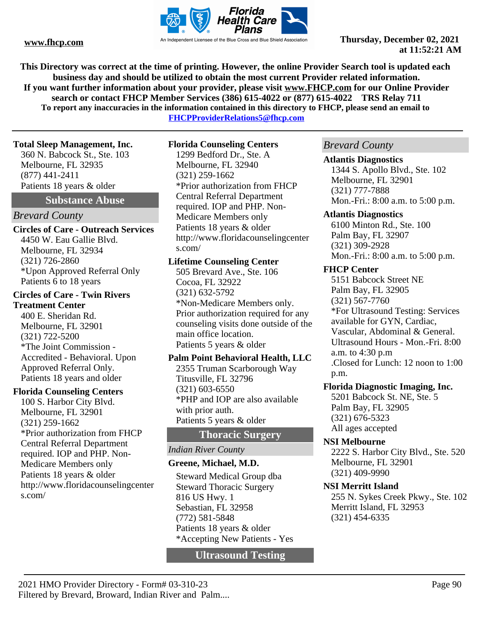

**This Directory was correct at the time of printing. However, the online Provider Search tool is updated each business day and should be utilized to obtain the most current Provider related information. If you want further information about your provider, please visit www.FHCP.com for our Online Provider search or contact FHCP Member Services (386) 615-4022 or (877) 615-4022 TRS Relay 711 To report any inaccuracies in the information contained in this directory to FHCP, please send an email to** 

**FHCPProviderRelations5@fhcp.com**

#### **Total Sleep Management, Inc.**

360 N. Babcock St., Ste. 103 Melbourne, FL 32935 (877) 441-2411 Patients 18 years & older

#### **Substance Abuse**

#### *Brevard County*

#### **Circles of Care - Outreach Services** 4450 W. Eau Gallie Blvd. Melbourne, FL 32934 (321) 726-2860 \*Upon Approved Referral Only Patients 6 to 18 years

#### **Circles of Care - Twin Rivers Treatment Center**

400 E. Sheridan Rd. Melbourne, FL 32901 (321) 722-5200 \*The Joint Commission - Accredited - Behavioral. Upon Approved Referral Only. Patients 18 years and older

#### **Florida Counseling Centers**

100 S. Harbor City Blvd. Melbourne, FL 32901 (321) 259-1662 \*Prior authorization from FHCP Central Referral Department required. IOP and PHP. Non-Medicare Members only Patients 18 years & older http://www.floridacounselingcenter s.com/

#### **Florida Counseling Centers**

1299 Bedford Dr., Ste. A Melbourne, FL 32940 (321) 259-1662 \*Prior authorization from FHCP Central Referral Department required. IOP and PHP. Non-Medicare Members only Patients 18 years & older http://www.floridacounselingcenter s.com/

#### **Lifetime Counseling Center**

505 Brevard Ave., Ste. 106 Cocoa, FL 32922 (321) 632-5792 \*Non-Medicare Members only. Prior authorization required for any counseling visits done outside of the main office location. Patients 5 years & older

# **Palm Point Behavioral Health, LLC**

2355 Truman Scarborough Way Titusville, FL 32796 (321) 603-6550 \*PHP and IOP are also available with prior auth. Patients 5 years & older

# **Thoracic Surgery**

#### *Indian River County*

### **Greene, Michael, M.D.**

Steward Medical Group dba Steward Thoracic Surgery 816 US Hwy. 1 Sebastian, FL 32958 (772) 581-5848 Patients 18 years & older \*Accepting New Patients - Yes

**Ultrasound Testing**

# *Brevard County*

#### **Atlantis Diagnostics**

1344 S. Apollo Blvd., Ste. 102 Melbourne, FL 32901 (321) 777-7888 Mon.-Fri.: 8:00 a.m. to 5:00 p.m.

#### **Atlantis Diagnostics**

6100 Minton Rd., Ste. 100 Palm Bay, FL 32907 (321) 309-2928 Mon.-Fri.: 8:00 a.m. to 5:00 p.m.

#### **FHCP Center**

5151 Babcock Street NE Palm Bay, FL 32905 (321) 567-7760 \*For Ultrasound Testing: Services available for GYN, Cardiac, Vascular, Abdominal & General. Ultrasound Hours - Mon.-Fri. 8:00 a.m. to 4:30 p.m .Closed for Lunch: 12 noon to 1:00 p.m.

### **Florida Diagnostic Imaging, Inc.**

5201 Babcock St. NE, Ste. 5 Palm Bay, FL 32905 (321) 676-5323 All ages accepted

#### **NSI Melbourne**

2222 S. Harbor City Blvd., Ste. 520 Melbourne, FL 32901 (321) 409-9990

#### **NSI Merritt Island**

255 N. Sykes Creek Pkwy., Ste. 102 Merritt Island, FL 32953 (321) 454-6335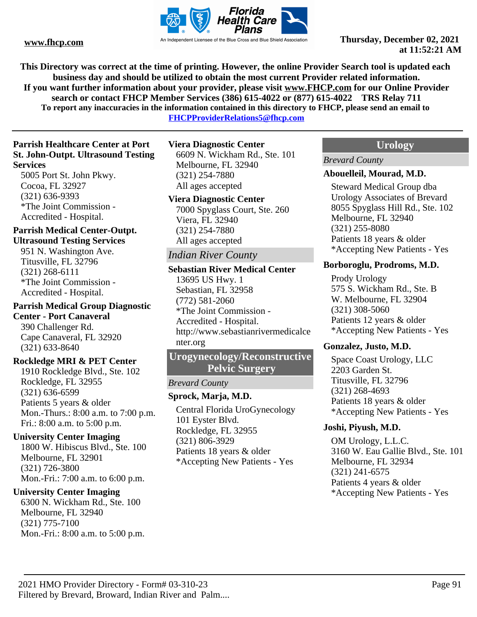

**This Directory was correct at the time of printing. However, the online Provider Search tool is updated each business day and should be utilized to obtain the most current Provider related information. If you want further information about your provider, please visit www.FHCP.com for our Online Provider search or contact FHCP Member Services (386) 615-4022 or (877) 615-4022 TRS Relay 711 To report any inaccuracies in the information contained in this directory to FHCP, please send an email to** 

**FHCPProviderRelations5@fhcp.com**

#### **Parrish Healthcare Center at Port St. John-Outpt. Ultrasound Testing Services**

5005 Port St. John Pkwy. Cocoa, FL 32927 (321) 636-9393 \*The Joint Commission - Accredited - Hospital.

# **Parrish Medical Center-Outpt.**

**Ultrasound Testing Services** 951 N. Washington Ave. Titusville, FL 32796 (321) 268-6111 \*The Joint Commission - Accredited - Hospital.

# **Parrish Medical Group Diagnostic Center - Port Canaveral**

390 Challenger Rd. Cape Canaveral, FL 32920 (321) 633-8640

#### **Rockledge MRI & PET Center**

1910 Rockledge Blvd., Ste. 102 Rockledge, FL 32955 (321) 636-6599 Patients 5 years & older Mon.-Thurs.: 8:00 a.m. to 7:00 p.m. Fri.: 8:00 a.m. to 5:00 p.m.

#### **University Center Imaging**

1800 W. Hibiscus Blvd., Ste. 100 Melbourne, FL 32901 (321) 726-3800 Mon.-Fri.: 7:00 a.m. to 6:00 p.m.

#### **University Center Imaging**

6300 N. Wickham Rd., Ste. 100 Melbourne, FL 32940 (321) 775-7100 Mon.-Fri.: 8:00 a.m. to 5:00 p.m.

#### **Viera Diagnostic Center**

6609 N. Wickham Rd., Ste. 101 Melbourne, FL 32940 (321) 254-7880 All ages accepted

#### **Viera Diagnostic Center**

7000 Spyglass Court, Ste. 260 Viera, FL 32940 (321) 254-7880 All ages accepted

# *Indian River County*

**Sebastian River Medical Center** 13695 US Hwy. 1 Sebastian, FL 32958 (772) 581-2060 \*The Joint Commission - Accredited - Hospital. http://www.sebastianrivermedicalce nter.org

# **Urogynecology/Reconstructive Pelvic Surgery**

#### *Brevard County*

### **Sprock, Marja, M.D.**

Central Florida UroGynecology 101 Eyster Blvd. Rockledge, FL 32955 (321) 806-3929 Patients 18 years & older \*Accepting New Patients - Yes

#### **Urology**

#### *Brevard County*

#### **Abouelleil, Mourad, M.D.**

Steward Medical Group dba Urology Associates of Brevard 8055 Spyglass Hill Rd., Ste. 102 Melbourne, FL 32940 (321) 255-8080 Patients 18 years & older \*Accepting New Patients - Yes

#### **Borboroglu, Prodroms, M.D.**

Prody Urology 575 S. Wickham Rd., Ste. B W. Melbourne, FL 32904 (321) 308-5060 Patients 12 years & older \*Accepting New Patients - Yes

#### **Gonzalez, Justo, M.D.**

Space Coast Urology, LLC 2203 Garden St. Titusville, FL 32796 (321) 268-4693 Patients 18 years & older \*Accepting New Patients - Yes

#### **Joshi, Piyush, M.D.**

OM Urology, L.L.C. 3160 W. Eau Gallie Blvd., Ste. 101 Melbourne, FL 32934 (321) 241-6575 Patients 4 years & older \*Accepting New Patients - Yes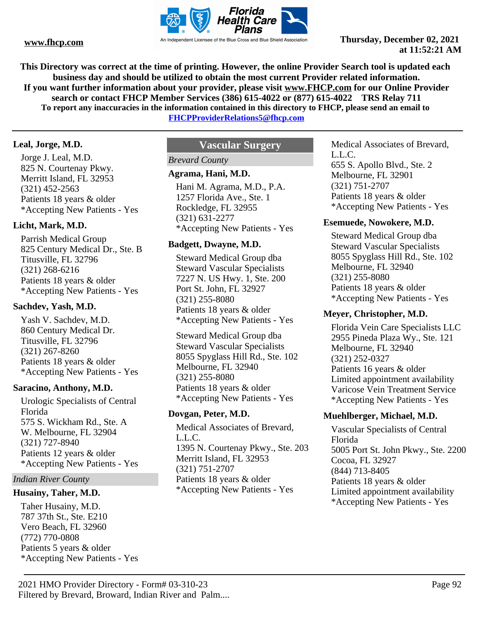

**This Directory was correct at the time of printing. However, the online Provider Search tool is updated each business day and should be utilized to obtain the most current Provider related information. If you want further information about your provider, please visit www.FHCP.com for our Online Provider search or contact FHCP Member Services (386) 615-4022 or (877) 615-4022 TRS Relay 711 To report any inaccuracies in the information contained in this directory to FHCP, please send an email to** 

**FHCPProviderRelations5@fhcp.com**

#### **Leal, Jorge, M.D.**

Jorge J. Leal, M.D. 825 N. Courtenay Pkwy. Merritt Island, FL 32953 (321) 452-2563 Patients 18 years & older \*Accepting New Patients - Yes

#### **Licht, Mark, M.D.**

Parrish Medical Group 825 Century Medical Dr., Ste. B Titusville, FL 32796 (321) 268-6216 Patients 18 years & older \*Accepting New Patients - Yes

#### **Sachdev, Yash, M.D.**

Yash V. Sachdev, M.D. 860 Century Medical Dr. Titusville, FL 32796 (321) 267-8260 Patients 18 years & older \*Accepting New Patients - Yes

#### **Saracino, Anthony, M.D.**

Urologic Specialists of Central Florida 575 S. Wickham Rd., Ste. A W. Melbourne, FL 32904 (321) 727-8940 Patients 12 years & older \*Accepting New Patients - Yes

#### *Indian River County*

#### **Husainy, Taher, M.D.**

Taher Husainy, M.D. 787 37th St., Ste. E210 Vero Beach, FL 32960 (772) 770-0808 Patients 5 years & older \*Accepting New Patients - Yes

# **Vascular Surgery**

# *Brevard County*

#### **Agrama, Hani, M.D.**

Hani M. Agrama, M.D., P.A. 1257 Florida Ave., Ste. 1 Rockledge, FL 32955 (321) 631-2277 \*Accepting New Patients - Yes

#### **Badgett, Dwayne, M.D.**

Steward Medical Group dba Steward Vascular Specialists 7227 N. US Hwy. 1, Ste. 200 Port St. John, FL 32927 (321) 255-8080 Patients 18 years & older \*Accepting New Patients - Yes

Steward Medical Group dba Steward Vascular Specialists 8055 Spyglass Hill Rd., Ste. 102 Melbourne, FL 32940 (321) 255-8080 Patients 18 years & older \*Accepting New Patients - Yes

#### **Dovgan, Peter, M.D.**

Medical Associates of Brevard, L.L.C. 1395 N. Courtenay Pkwy., Ste. 203 Merritt Island, FL 32953 (321) 751-2707 Patients 18 years & older \*Accepting New Patients - Yes

Medical Associates of Brevard, L.L.C. 655 S. Apollo Blvd., Ste. 2 Melbourne, FL 32901 (321) 751-2707 Patients 18 years & older \*Accepting New Patients - Yes

#### **Esemuede, Nowokere, M.D.**

Steward Medical Group dba Steward Vascular Specialists 8055 Spyglass Hill Rd., Ste. 102 Melbourne, FL 32940 (321) 255-8080 Patients 18 years & older \*Accepting New Patients - Yes

#### **Meyer, Christopher, M.D.**

Florida Vein Care Specialists LLC 2955 Pineda Plaza Wy., Ste. 121 Melbourne, FL 32940 (321) 252-0327 Patients 16 years & older Limited appointment availability Varicose Vein Treatment Service \*Accepting New Patients - Yes

#### **Muehlberger, Michael, M.D.**

Vascular Specialists of Central Florida 5005 Port St. John Pkwy., Ste. 2200 Cocoa, FL 32927 (844) 713-8405 Patients 18 years & older Limited appointment availability \*Accepting New Patients - Yes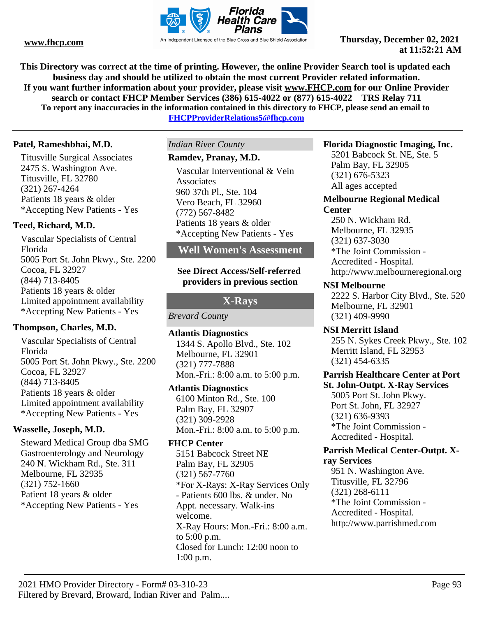

**This Directory was correct at the time of printing. However, the online Provider Search tool is updated each business day and should be utilized to obtain the most current Provider related information. If you want further information about your provider, please visit www.FHCP.com for our Online Provider search or contact FHCP Member Services (386) 615-4022 or (877) 615-4022 TRS Relay 711 To report any inaccuracies in the information contained in this directory to FHCP, please send an email to FHCPProviderRelations5@fhcp.com**

#### **Patel, Rameshbhai, M.D.**

Titusville Surgical Associates 2475 S. Washington Ave. Titusville, FL 32780 (321) 267-4264 Patients 18 years & older \*Accepting New Patients - Yes

#### **Teed, Richard, M.D.**

Vascular Specialists of Central Florida 5005 Port St. John Pkwy., Ste. 2200 Cocoa, FL 32927 (844) 713-8405 Patients 18 years & older Limited appointment availability \*Accepting New Patients - Yes

#### **Thompson, Charles, M.D.**

Vascular Specialists of Central Florida 5005 Port St. John Pkwy., Ste. 2200 Cocoa, FL 32927 (844) 713-8405 Patients 18 years & older Limited appointment availability \*Accepting New Patients - Yes

#### **Wasselle, Joseph, M.D.**

Steward Medical Group dba SMG Gastroenterology and Neurology 240 N. Wickham Rd., Ste. 311 Melbourne, FL 32935 (321) 752-1660 Patient 18 years & older \*Accepting New Patients - Yes

# *Indian River County*

# **Ramdev, Pranay, M.D.**

Vascular Interventional & Vein **Associates** 960 37th Pl., Ste. 104 Vero Beach, FL 32960 (772) 567-8482 Patients 18 years & older \*Accepting New Patients - Yes

# **Well Women's Assessment**

#### **See Direct Access/Self-referred providers in previous section**

### **X-Rays**

*Brevard County*

**Atlantis Diagnostics** 1344 S. Apollo Blvd., Ste. 102 Melbourne, FL 32901 (321) 777-7888 Mon.-Fri.: 8:00 a.m. to 5:00 p.m.

#### **Atlantis Diagnostics**

6100 Minton Rd., Ste. 100 Palm Bay, FL 32907 (321) 309-2928 Mon.-Fri.: 8:00 a.m. to 5:00 p.m.

#### **FHCP Center**

5151 Babcock Street NE Palm Bay, FL 32905 (321) 567-7760 \*For X-Rays: X-Ray Services Only - Patients 600 lbs. & under. No Appt. necessary. Walk-ins welcome. X-Ray Hours: Mon.-Fri.: 8:00 a.m. to 5:00 p.m. Closed for Lunch: 12:00 noon to 1:00 p.m.

#### **Florida Diagnostic Imaging, Inc.**

5201 Babcock St. NE, Ste. 5 Palm Bay, FL 32905 (321) 676-5323 All ages accepted

# **Melbourne Regional Medical**

# **Center**

250 N. Wickham Rd. Melbourne, FL 32935 (321) 637-3030 \*The Joint Commission - Accredited - Hospital. http://www.melbourneregional.org

#### **NSI Melbourne**

2222 S. Harbor City Blvd., Ste. 520 Melbourne, FL 32901 (321) 409-9990

#### **NSI Merritt Island**

255 N. Sykes Creek Pkwy., Ste. 102 Merritt Island, FL 32953 (321) 454-6335

#### **Parrish Healthcare Center at Port St. John-Outpt. X-Ray Services**

5005 Port St. John Pkwy. Port St. John, FL 32927 (321) 636-9393 \*The Joint Commission - Accredited - Hospital.

#### **Parrish Medical Center-Outpt. Xray Services**

951 N. Washington Ave. Titusville, FL 32796 (321) 268-6111 \*The Joint Commission - Accredited - Hospital. http://www.parrishmed.com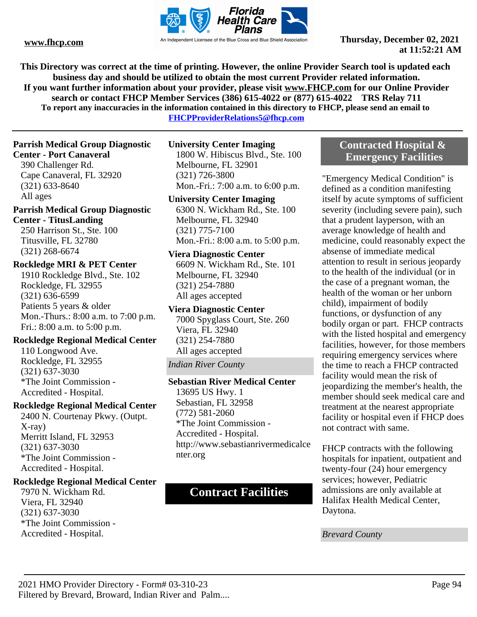

**This Directory was correct at the time of printing. However, the online Provider Search tool is updated each business day and should be utilized to obtain the most current Provider related information. If you want further information about your provider, please visit www.FHCP.com for our Online Provider search or contact FHCP Member Services (386) 615-4022 or (877) 615-4022 TRS Relay 711 To report any inaccuracies in the information contained in this directory to FHCP, please send an email to** 

**FHCPProviderRelations5@fhcp.com**

# **Parrish Medical Group Diagnostic**

# **Center - Port Canaveral**

390 Challenger Rd. Cape Canaveral, FL 32920 (321) 633-8640 All ages

#### **Parrish Medical Group Diagnostic Center - TitusLanding**

250 Harrison St., Ste. 100 Titusville, FL 32780 (321) 268-6674

#### **Rockledge MRI & PET Center**

1910 Rockledge Blvd., Ste. 102 Rockledge, FL 32955 (321) 636-6599 Patients 5 years & older Mon.-Thurs.: 8:00 a.m. to 7:00 p.m. Fri.: 8:00 a.m. to 5:00 p.m.

### **Rockledge Regional Medical Center**

110 Longwood Ave. Rockledge, FL 32955 (321) 637-3030 \*The Joint Commission - Accredited - Hospital.

#### **Rockledge Regional Medical Center**

2400 N. Courtenay Pkwy. (Outpt. X-ray) Merritt Island, FL 32953 (321) 637-3030 \*The Joint Commission - Accredited - Hospital.

#### **Rockledge Regional Medical Center**

7970 N. Wickham Rd. Viera, FL 32940 (321) 637-3030 \*The Joint Commission - Accredited - Hospital.

#### **University Center Imaging** 1800 W. Hibiscus Blvd., Ste. 100 Melbourne, FL 32901

(321) 726-3800 Mon.-Fri.: 7:00 a.m. to 6:00 p.m.

#### **University Center Imaging**

6300 N. Wickham Rd., Ste. 100 Melbourne, FL 32940 (321) 775-7100 Mon.-Fri.: 8:00 a.m. to 5:00 p.m.

#### **Viera Diagnostic Center**

6609 N. Wickham Rd., Ste. 101 Melbourne, FL 32940 (321) 254-7880 All ages accepted

**Viera Diagnostic Center** 7000 Spyglass Court, Ste. 260 Viera, FL 32940

(321) 254-7880 All ages accepted

*Indian River County*

## **Sebastian River Medical Center** 13695 US Hwy. 1 Sebastian, FL 32958

(772) 581-2060 \*The Joint Commission - Accredited - Hospital. http://www.sebastianrivermedicalce nter.org

# **Contract Facilities**

## **Contracted Hospital & Emergency Facilities**

"Emergency Medical Condition" is defined as a condition manifesting itself by acute symptoms of sufficient severity (including severe pain), such that a prudent layperson, with an average knowledge of health and medicine, could reasonably expect the absense of immediate medical attention to result in serious jeopardy to the health of the individual (or in the case of a pregnant woman, the health of the woman or her unborn child), impairment of bodily functions, or dysfunction of any bodily organ or part. FHCP contracts with the listed hospital and emergency facilities, however, for those members requiring emergency services where the time to reach a FHCP contracted facility would mean the risk of jeopardizing the member's health, the member should seek medical care and treatment at the nearest appropriate facility or hospital even if FHCP does not contract with same.

FHCP contracts with the following hospitals for inpatient, outpatient and twenty-four (24) hour emergency services; however, Pediatric admissions are only available at Halifax Health Medical Center, Daytona.

*Brevard County*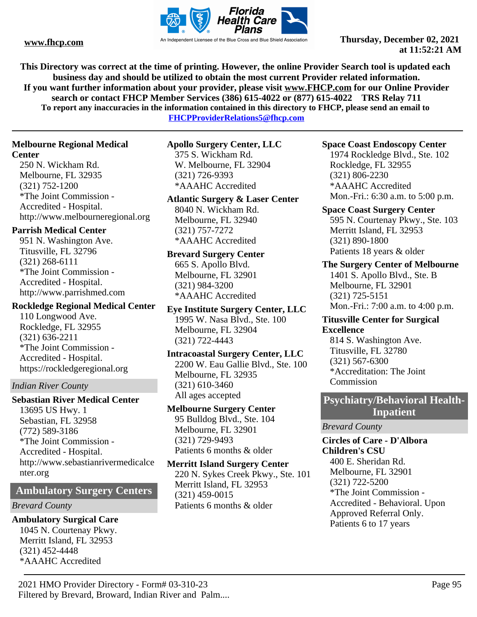

**This Directory was correct at the time of printing. However, the online Provider Search tool is updated each business day and should be utilized to obtain the most current Provider related information. If you want further information about your provider, please visit www.FHCP.com for our Online Provider search or contact FHCP Member Services (386) 615-4022 or (877) 615-4022 TRS Relay 711 To report any inaccuracies in the information contained in this directory to FHCP, please send an email to** 

**FHCPProviderRelations5@fhcp.com**

### **Melbourne Regional Medical**

#### **Center**

250 N. Wickham Rd. Melbourne, FL 32935 (321) 752-1200 \*The Joint Commission - Accredited - Hospital. http://www.melbourneregional.org

### **Parrish Medical Center**

951 N. Washington Ave. Titusville, FL 32796 (321) 268-6111 \*The Joint Commission - Accredited - Hospital. http://www.parrishmed.com

#### **Rockledge Regional Medical Center**

110 Longwood Ave. Rockledge, FL 32955 (321) 636-2211 \*The Joint Commission - Accredited - Hospital. https://rockledgeregional.org

#### *Indian River County*

**Sebastian River Medical Center** 13695 US Hwy. 1 Sebastian, FL 32958 (772) 589-3186 \*The Joint Commission - Accredited - Hospital. http://www.sebastianrivermedicalce nter.org

# **Ambulatory Surgery Centers**

#### *Brevard County*

# **Ambulatory Surgical Care** 1045 N. Courtenay Pkwy. Merritt Island, FL 32953

(321) 452-4448 \*AAAHC Accredited **Apollo Surgery Center, LLC**

375 S. Wickham Rd. W. Melbourne, FL 32904 (321) 726-9393 \*AAAHC Accredited

## **Atlantic Surgery & Laser Center**

8040 N. Wickham Rd. Melbourne, FL 32940 (321) 757-7272 \*AAAHC Accredited

**Brevard Surgery Center** 665 S. Apollo Blvd. Melbourne, FL 32901 (321) 984-3200

\*AAAHC Accredited

**Eye Institute Surgery Center, LLC** 1995 W. Nasa Blvd., Ste. 100 Melbourne, FL 32904 (321) 722-4443

#### **Intracoastal Surgery Center, LLC** 2200 W. Eau Gallie Blvd., Ste. 100 Melbourne, FL 32935 (321) 610-3460

All ages accepted

#### **Melbourne Surgery Center** 95 Bulldog Blvd., Ste. 104 Melbourne, FL 32901 (321) 729-9493 Patients 6 months & older

Patients 6 months & older

**Merritt Island Surgery Center** 220 N. Sykes Creek Pkwy., Ste. 101 Merritt Island, FL 32953 (321) 459-0015

## **Space Coast Endoscopy Center**

1974 Rockledge Blvd., Ste. 102 Rockledge, FL 32955 (321) 806-2230 \*AAAHC Accredited Mon.-Fri.: 6:30 a.m. to 5:00 p.m.

**Space Coast Surgery Center** 595 N. Courtenay Pkwy., Ste. 103 Merritt Island, FL 32953 (321) 890-1800 Patients 18 years & older

#### **The Surgery Center of Melbourne** 1401 S. Apollo Blvd., Ste. B Melbourne, FL 32901 (321) 725-5151 Mon.-Fri.: 7:00 a.m. to 4:00 p.m.

# **Titusville Center for Surgical Excellence**

814 S. Washington Ave. Titusville, FL 32780 (321) 567-6300 \*Accreditation: The Joint Commission

### **Psychiatry/Behavioral Health-Inpatient**

#### *Brevard County*

# **Circles of Care - D'Albora Children's CSU**

400 E. Sheridan Rd. Melbourne, FL 32901 (321) 722-5200 \*The Joint Commission - Accredited - Behavioral. Upon Approved Referral Only. Patients 6 to 17 years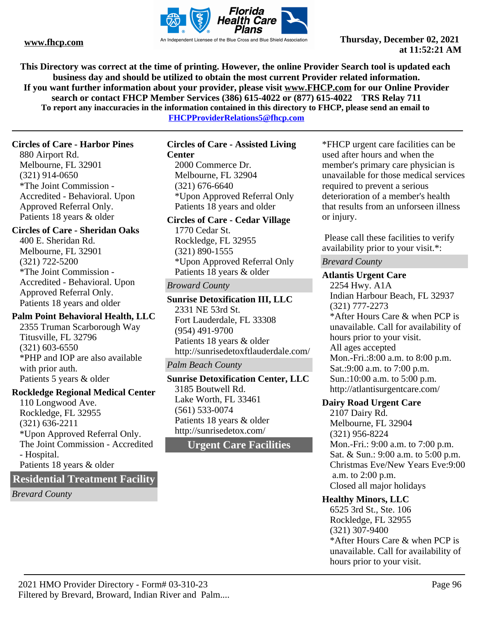

**This Directory was correct at the time of printing. However, the online Provider Search tool is updated each business day and should be utilized to obtain the most current Provider related information. If you want further information about your provider, please visit www.FHCP.com for our Online Provider search or contact FHCP Member Services (386) 615-4022 or (877) 615-4022 TRS Relay 711 To report any inaccuracies in the information contained in this directory to FHCP, please send an email to** 

**FHCPProviderRelations5@fhcp.com**

#### **Circles of Care - Harbor Pines**

880 Airport Rd. Melbourne, FL 32901 (321) 914-0650 \*The Joint Commission - Accredited - Behavioral. Upon Approved Referral Only. Patients 18 years & older

#### **Circles of Care - Sheridan Oaks**

400 E. Sheridan Rd. Melbourne, FL 32901 (321) 722-5200 \*The Joint Commission - Accredited - Behavioral. Upon Approved Referral Only. Patients 18 years and older

#### **Palm Point Behavioral Health, LLC**

2355 Truman Scarborough Way Titusville, FL 32796 (321) 603-6550 \*PHP and IOP are also available with prior auth. Patients 5 years & older

#### **Rockledge Regional Medical Center**

110 Longwood Ave. Rockledge, FL 32955 (321) 636-2211 \*Upon Approved Referral Only. The Joint Commission - Accredited - Hospital. Patients 18 years & older

### **Residential Treatment Facility**

*Brevard County*

#### **Circles of Care - Assisted Living Center**

2000 Commerce Dr. Melbourne, FL 32904 (321) 676-6640 \*Upon Approved Referral Only Patients 18 years and older

#### **Circles of Care - Cedar Village**

1770 Cedar St. Rockledge, FL 32955 (321) 890-1555 \*Upon Approved Referral Only Patients 18 years & older

#### *Broward County*

**Sunrise Detoxification III, LLC** 2331 NE 53rd St. Fort Lauderdale, FL 33308 (954) 491-9700 Patients 18 years & older http://sunrisedetoxftlauderdale.com/

#### *Palm Beach County*

**Sunrise Detoxification Center, LLC** 3185 Boutwell Rd. Lake Worth, FL 33461 (561) 533-0074 Patients 18 years & older http://sunrisedetox.com/

# **Urgent Care Facilities**

\*FHCP urgent care facilities can be used after hours and when the member's primary care physician is unavailable for those medical services required to prevent a serious deterioration of a member's health that results from an unforseen illness or injury.

 Please call these facilities to verify availability prior to your visit.\*:

#### *Brevard County*

#### **Atlantis Urgent Care**

2254 Hwy. A1A Indian Harbour Beach, FL 32937 (321) 777-2273 \*After Hours Care & when PCP is unavailable. Call for availability of hours prior to your visit. All ages accepted Mon.-Fri.:8:00 a.m. to 8:00 p.m. Sat.:9:00 a.m. to 7:00 p.m. Sun.:10:00 a.m. to 5:00 p.m. http://atlantisurgentcare.com/

#### **Dairy Road Urgent Care**

2107 Dairy Rd. Melbourne, FL 32904 (321) 956-8224 Mon.-Fri.: 9:00 a.m. to 7:00 p.m. Sat. & Sun.: 9:00 a.m. to 5:00 p.m. Christmas Eve/New Years Eve:9:00 a.m. to 2:00 p.m. Closed all major holidays

#### **Healthy Minors, LLC**

6525 3rd St., Ste. 106 Rockledge, FL 32955 (321) 307-9400 \*After Hours Care & when PCP is unavailable. Call for availability of hours prior to your visit.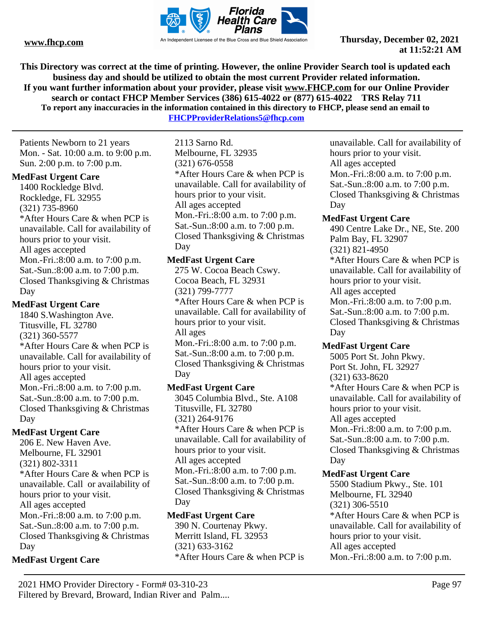

**This Directory was correct at the time of printing. However, the online Provider Search tool is updated each business day and should be utilized to obtain the most current Provider related information. If you want further information about your provider, please visit www.FHCP.com for our Online Provider search or contact FHCP Member Services (386) 615-4022 or (877) 615-4022 TRS Relay 711 To report any inaccuracies in the information contained in this directory to FHCP, please send an email to FHCPProviderRelations5@fhcp.com**

Patients Newborn to 21 years Mon. - Sat. 10:00 a.m. to 9:00 p.m. Sun. 2:00 p.m. to 7:00 p.m.

#### **MedFast Urgent Care**

1400 Rockledge Blvd. Rockledge, FL 32955 (321) 735-8960 \*After Hours Care & when PCP is unavailable. Call for availability of hours prior to your visit. All ages accepted Mon.-Fri.:8:00 a.m. to 7:00 p.m. Sat.-Sun.:8:00 a.m. to 7:00 p.m. Closed Thanksgiving & Christmas Day

#### **MedFast Urgent Care**

1840 S.Washington Ave. Titusville, FL 32780 (321) 360-5577 \*After Hours Care & when PCP is unavailable. Call for availability of hours prior to your visit. All ages accepted Mon.-Fri.:8:00 a.m. to 7:00 p.m. Sat.-Sun.:8:00 a.m. to 7:00 p.m. Closed Thanksgiving & Christmas Day

### **MedFast Urgent Care**

206 E. New Haven Ave. Melbourne, FL 32901 (321) 802-3311 \*After Hours Care & when PCP is unavailable. Call or availability of hours prior to your visit. All ages accepted Mon.-Fri.:8:00 a.m. to 7:00 p.m. Sat.-Sun.:8:00 a.m. to 7:00 p.m. Closed Thanksgiving & Christmas Day

### **MedFast Urgent Care**

2113 Sarno Rd. Melbourne, FL 32935 (321) 676-0558 \*After Hours Care & when PCP is unavailable. Call for availability of hours prior to your visit. All ages accepted Mon.-Fri.:8:00 a.m. to 7:00 p.m. Sat.-Sun.:8:00 a.m. to 7:00 p.m. Closed Thanksgiving & Christmas Day

#### **MedFast Urgent Care**

275 W. Cocoa Beach Cswy. Cocoa Beach, FL 32931 (321) 799-7777

\*After Hours Care & when PCP is unavailable. Call for availability of hours prior to your visit. All ages

Mon.-Fri.:8:00 a.m. to 7:00 p.m. Sat.-Sun.:8:00 a.m. to 7:00 p.m. Closed Thanksgiving & Christmas Day

#### **MedFast Urgent Care**

3045 Columbia Blvd., Ste. A108 Titusville, FL 32780 (321) 264-9176 \*After Hours Care & when PCP is unavailable. Call for availability of hours prior to your visit. All ages accepted Mon.-Fri.:8:00 a.m. to 7:00 p.m. Sat.-Sun.:8:00 a.m. to 7:00 p.m. Closed Thanksgiving & Christmas Day

#### **MedFast Urgent Care**

390 N. Courtenay Pkwy. Merritt Island, FL 32953 (321) 633-3162 \*After Hours Care & when PCP is unavailable. Call for availability of hours prior to your visit. All ages accepted Mon.-Fri.:8:00 a.m. to 7:00 p.m. Sat.-Sun.:8:00 a.m. to 7:00 p.m. Closed Thanksgiving & Christmas Day

#### **MedFast Urgent Care**

490 Centre Lake Dr., NE, Ste. 200 Palm Bay, FL 32907 (321) 821-4950 \*After Hours Care & when PCP is unavailable. Call for availability of hours prior to your visit. All ages accepted Mon.-Fri.:8:00 a.m. to 7:00 p.m. Sat.-Sun.:8:00 a.m. to 7:00 p.m. Closed Thanksgiving & Christmas Day

#### **MedFast Urgent Care**

5005 Port St. John Pkwy. Port St. John, FL 32927 (321) 633-8620 \*After Hours Care & when PCP is unavailable. Call for availability of hours prior to your visit. All ages accepted Mon.-Fri.:8:00 a.m. to 7:00 p.m. Sat.-Sun.:8:00 a.m. to 7:00 p.m. Closed Thanksgiving & Christmas Day

#### **MedFast Urgent Care**

5500 Stadium Pkwy., Ste. 101 Melbourne, FL 32940 (321) 306-5510 \*After Hours Care & when PCP is unavailable. Call for availability of hours prior to your visit. All ages accepted Mon.-Fri.:8:00 a.m. to 7:00 p.m.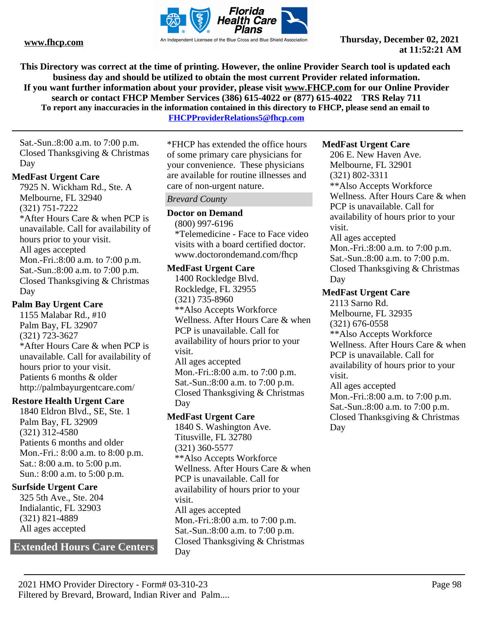

**This Directory was correct at the time of printing. However, the online Provider Search tool is updated each business day and should be utilized to obtain the most current Provider related information. If you want further information about your provider, please visit www.FHCP.com for our Online Provider search or contact FHCP Member Services (386) 615-4022 or (877) 615-4022 TRS Relay 711 To report any inaccuracies in the information contained in this directory to FHCP, please send an email to** 

**FHCPProviderRelations5@fhcp.com**

Sat.-Sun.:8:00 a.m. to 7:00 p.m. Closed Thanksgiving & Christmas Day

#### **MedFast Urgent Care**

7925 N. Wickham Rd., Ste. A Melbourne, FL 32940 (321) 751-7222 \*After Hours Care & when PCP is unavailable. Call for availability of hours prior to your visit. All ages accepted Mon.-Fri.:8:00 a.m. to 7:00 p.m. Sat.-Sun.:8:00 a.m. to 7:00 p.m. Closed Thanksgiving & Christmas Day

#### **Palm Bay Urgent Care**

1155 Malabar Rd., #10 Palm Bay, FL 32907 (321) 723-3627 \*After Hours Care & when PCP is unavailable. Call for availability of hours prior to your visit. Patients 6 months & older http://palmbayurgentcare.com/

#### **Restore Health Urgent Care**

1840 Eldron Blvd., SE, Ste. 1 Palm Bay, FL 32909 (321) 312-4580 Patients 6 months and older Mon.-Fri.: 8:00 a.m. to 8:00 p.m. Sat.: 8:00 a.m. to 5:00 p.m. Sun.: 8:00 a.m. to 5:00 p.m.

### **Surfside Urgent Care**

325 5th Ave., Ste. 204 Indialantic, FL 32903 (321) 821-4889 All ages accepted

# **Extended Hours Care Centers**

\*FHCP has extended the office hours of some primary care physicians for your convenience. These physicians are available for routine illnesses and care of non-urgent nature.

#### *Brevard County*

#### **Doctor on Demand**

(800) 997-6196 \*Telemedicine - Face to Face video visits with a board certified doctor. www.doctorondemand.com/fhcp

#### **MedFast Urgent Care**

1400 Rockledge Blvd. Rockledge, FL 32955 (321) 735-8960 \*\*Also Accepts Workforce Wellness. After Hours Care & when PCP is unavailable. Call for availability of hours prior to your visit. All ages accepted Mon.-Fri.:8:00 a.m. to 7:00 p.m. Sat.-Sun.:8:00 a.m. to 7:00 p.m. Closed Thanksgiving & Christmas Day

### **MedFast Urgent Care**

1840 S. Washington Ave. Titusville, FL 32780 (321) 360-5577 \*\*Also Accepts Workforce Wellness. After Hours Care & when PCP is unavailable. Call for availability of hours prior to your visit. All ages accepted Mon.-Fri.:8:00 a.m. to 7:00 p.m. Sat.-Sun.:8:00 a.m. to 7:00 p.m. Closed Thanksgiving & Christmas Day

#### **MedFast Urgent Care**

206 E. New Haven Ave. Melbourne, FL 32901 (321) 802-3311 \*\*Also Accepts Workforce Wellness. After Hours Care & when PCP is unavailable. Call for availability of hours prior to your visit. All ages accepted Mon.-Fri.:8:00 a.m. to 7:00 p.m. Sat.-Sun.:8:00 a.m. to 7:00 p.m. Closed Thanksgiving & Christmas Day

### **MedFast Urgent Care**

Day

2113 Sarno Rd. Melbourne, FL 32935 (321) 676-0558 \*\*Also Accepts Workforce Wellness. After Hours Care & when PCP is unavailable. Call for availability of hours prior to your visit. All ages accepted Mon.-Fri.:8:00 a.m. to 7:00 p.m. Sat.-Sun.:8:00 a.m. to 7:00 p.m. Closed Thanksgiving & Christmas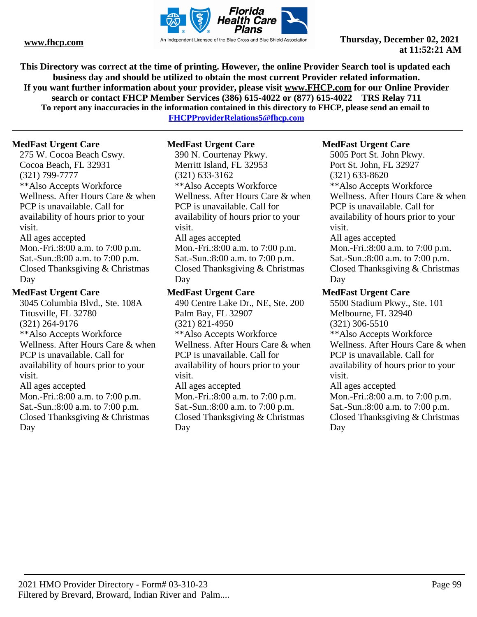

**This Directory was correct at the time of printing. However, the online Provider Search tool is updated each business day and should be utilized to obtain the most current Provider related information. If you want further information about your provider, please visit www.FHCP.com for our Online Provider search or contact FHCP Member Services (386) 615-4022 or (877) 615-4022 TRS Relay 711 To report any inaccuracies in the information contained in this directory to FHCP, please send an email to** 

**FHCPProviderRelations5@fhcp.com**

#### **MedFast Urgent Care**

275 W. Cocoa Beach Cswy. Cocoa Beach, FL 32931 (321) 799-7777 \*\*Also Accepts Workforce Wellness. After Hours Care & when PCP is unavailable. Call for availability of hours prior to your visit. All ages accepted Mon.-Fri.:8:00 a.m. to 7:00 p.m. Sat.-Sun.:8:00 a.m. to 7:00 p.m. Closed Thanksgiving & Christmas Day

#### **MedFast Urgent Care**

3045 Columbia Blvd., Ste. 108A Titusville, FL 32780 (321) 264-9176 \*\*Also Accepts Workforce Wellness. After Hours Care & when PCP is unavailable. Call for availability of hours prior to your visit. All ages accepted Mon.-Fri.:8:00 a.m. to 7:00 p.m. Sat.-Sun.:8:00 a.m. to 7:00 p.m. Closed Thanksgiving & Christmas Day

#### **MedFast Urgent Care**

390 N. Courtenay Pkwy. Merritt Island, FL 32953 (321) 633-3162 \*\*Also Accepts Workforce Wellness. After Hours Care & when PCP is unavailable. Call for availability of hours prior to your visit. All ages accepted Mon.-Fri.:8:00 a.m. to 7:00 p.m. Sat.-Sun.:8:00 a.m. to 7:00 p.m. Closed Thanksgiving & Christmas Day

#### **MedFast Urgent Care**

490 Centre Lake Dr., NE, Ste. 200 Palm Bay, FL 32907 (321) 821-4950 \*\*Also Accepts Workforce Wellness. After Hours Care & when PCP is unavailable. Call for availability of hours prior to your visit. All ages accepted Mon.-Fri.:8:00 a.m. to 7:00 p.m. Sat.-Sun.:8:00 a.m. to 7:00 p.m. Closed Thanksgiving & Christmas Day

#### **MedFast Urgent Care**

5005 Port St. John Pkwy. Port St. John, FL 32927 (321) 633-8620 \*\*Also Accepts Workforce Wellness. After Hours Care & when PCP is unavailable. Call for availability of hours prior to your visit. All ages accepted Mon.-Fri.:8:00 a.m. to 7:00 p.m. Sat.-Sun.:8:00 a.m. to 7:00 p.m. Closed Thanksgiving & Christmas Day

### **MedFast Urgent Care**

Day

5500 Stadium Pkwy., Ste. 101 Melbourne, FL 32940 (321) 306-5510 \*\*Also Accepts Workforce Wellness. After Hours Care & when PCP is unavailable. Call for availability of hours prior to your visit. All ages accepted Mon.-Fri.:8:00 a.m. to 7:00 p.m. Sat.-Sun.:8:00 a.m. to 7:00 p.m. Closed Thanksgiving & Christmas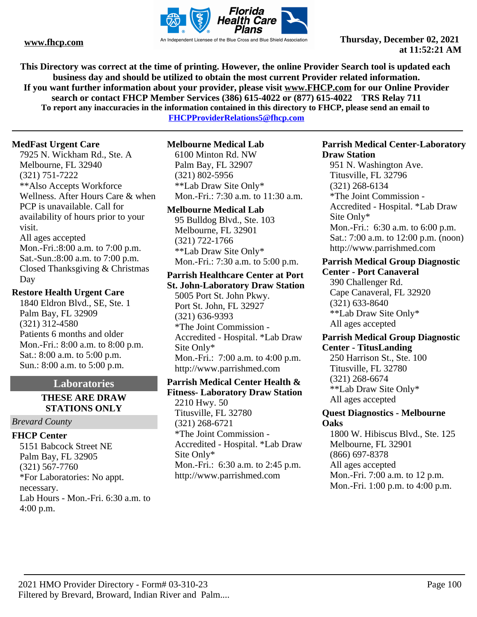![](_page_99_Picture_0.jpeg)

**This Directory was correct at the time of printing. However, the online Provider Search tool is updated each business day and should be utilized to obtain the most current Provider related information. If you want further information about your provider, please visit www.FHCP.com for our Online Provider search or contact FHCP Member Services (386) 615-4022 or (877) 615-4022 TRS Relay 711 To report any inaccuracies in the information contained in this directory to FHCP, please send an email to** 

**FHCPProviderRelations5@fhcp.com**

#### **MedFast Urgent Care**

7925 N. Wickham Rd., Ste. A Melbourne, FL 32940 (321) 751-7222 \*\*Also Accepts Workforce Wellness. After Hours Care & when PCP is unavailable. Call for availability of hours prior to your visit. All ages accepted Mon.-Fri.:8:00 a.m. to 7:00 p.m. Sat.-Sun.:8:00 a.m. to 7:00 p.m. Closed Thanksgiving & Christmas Day

#### **Restore Health Urgent Care**

1840 Eldron Blvd., SE, Ste. 1 Palm Bay, FL 32909 (321) 312-4580 Patients 6 months and older Mon.-Fri.: 8:00 a.m. to 8:00 p.m. Sat.: 8:00 a.m. to 5:00 p.m. Sun.: 8:00 a.m. to 5:00 p.m.

#### **Laboratories**

#### **THESE ARE DRAW STATIONS ONLY**

#### *Brevard County*

### **FHCP Center**

5151 Babcock Street NE Palm Bay, FL 32905 (321) 567-7760 \*For Laboratories: No appt. necessary. Lab Hours - Mon.-Fri. 6:30 a.m. to 4:00 p.m.

#### **Melbourne Medical Lab**

6100 Minton Rd. NW Palm Bay, FL 32907 (321) 802-5956 \*\*Lab Draw Site Only\* Mon.-Fri.: 7:30 a.m. to 11:30 a.m.

#### **Melbourne Medical Lab**

95 Bulldog Blvd., Ste. 103 Melbourne, FL 32901 (321) 722-1766 \*\*Lab Draw Site Only\* Mon.-Fri.: 7:30 a.m. to 5:00 p.m.

# **Parrish Healthcare Center at Port**

**St. John-Laboratory Draw Station** 5005 Port St. John Pkwy. Port St. John, FL 32927 (321) 636-9393 \*The Joint Commission - Accredited - Hospital. \*Lab Draw Site Only\* Mon.-Fri.: 7:00 a.m. to 4:00 p.m. http://www.parrishmed.com

# **Parrish Medical Center Health &**

**Fitness- Laboratory Draw Station** 2210 Hwy. 50 Titusville, FL 32780 (321) 268-6721 \*The Joint Commission - Accredited - Hospital. \*Lab Draw Site Only\* Mon.-Fri.: 6:30 a.m. to 2:45 p.m. http://www.parrishmed.com

#### **Parrish Medical Center-Laboratory Draw Station**

951 N. Washington Ave. Titusville, FL 32796 (321) 268-6134 \*The Joint Commission - Accredited - Hospital. \*Lab Draw Site Only\* Mon.-Fri.: 6:30 a.m. to 6:00 p.m. Sat.: 7:00 a.m. to 12:00 p.m. (noon) http://www.parrishmed.com

#### **Parrish Medical Group Diagnostic Center - Port Canaveral**

390 Challenger Rd. Cape Canaveral, FL 32920 (321) 633-8640 \*\*Lab Draw Site Only\* All ages accepted

#### **Parrish Medical Group Diagnostic Center - TitusLanding**

250 Harrison St., Ste. 100 Titusville, FL 32780 (321) 268-6674 \*\*Lab Draw Site Only\* All ages accepted

#### **Quest Diagnostics - Melbourne Oaks**

1800 W. Hibiscus Blvd., Ste. 125 Melbourne, FL 32901 (866) 697-8378 All ages accepted Mon.-Fri. 7:00 a.m. to 12 p.m. Mon.-Fri. 1:00 p.m. to 4:00 p.m.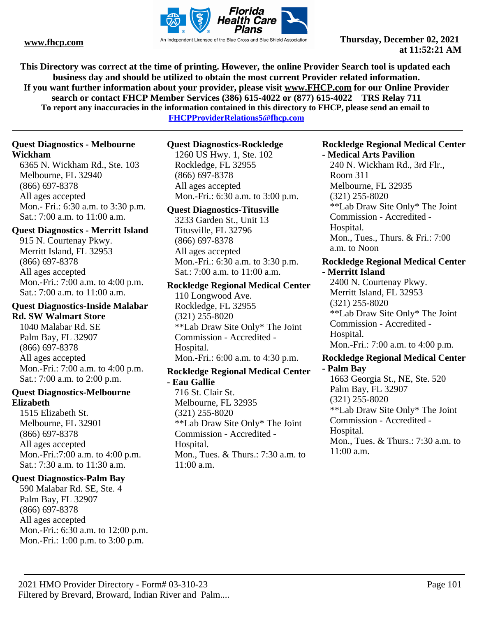![](_page_100_Picture_0.jpeg)

**This Directory was correct at the time of printing. However, the online Provider Search tool is updated each business day and should be utilized to obtain the most current Provider related information. If you want further information about your provider, please visit www.FHCP.com for our Online Provider search or contact FHCP Member Services (386) 615-4022 or (877) 615-4022 TRS Relay 711 To report any inaccuracies in the information contained in this directory to FHCP, please send an email to** 

**FHCPProviderRelations5@fhcp.com**

## **Quest Diagnostics - Melbourne Wickham**

6365 N. Wickham Rd., Ste. 103 Melbourne, FL 32940 (866) 697-8378 All ages accepted Mon.- Fri.: 6:30 a.m. to 3:30 p.m. Sat.: 7:00 a.m. to 11:00 a.m.

#### **Quest Diagnostics - Merritt Island**

915 N. Courtenay Pkwy. Merritt Island, FL 32953 (866) 697-8378 All ages accepted Mon.-Fri.: 7:00 a.m. to 4:00 p.m. Sat.: 7:00 a.m. to 11:00 a.m.

# **Quest Diagnostics-Inside Malabar Rd. SW Walmart Store**

1040 Malabar Rd. SE Palm Bay, FL 32907 (866) 697-8378 All ages accepted Mon.-Fri.: 7:00 a.m. to 4:00 p.m. Sat.: 7:00 a.m. to 2:00 p.m.

#### **Quest Diagnostics-Melbourne Elizabeth**

1515 Elizabeth St. Melbourne, FL 32901 (866) 697-8378 All ages accepted Mon.-Fri.:7:00 a.m. to 4:00 p.m. Sat.: 7:30 a.m. to 11:30 a.m.

### **Quest Diagnostics-Palm Bay**

590 Malabar Rd. SE, Ste. 4 Palm Bay, FL 32907 (866) 697-8378 All ages accepted Mon.-Fri.: 6:30 a.m. to 12:00 p.m. Mon.-Fri.: 1:00 p.m. to 3:00 p.m.

#### **Quest Diagnostics-Rockledge**

1260 US Hwy. 1, Ste. 102 Rockledge, FL 32955 (866) 697-8378 All ages accepted Mon.-Fri.: 6:30 a.m. to 3:00 p.m.

#### **Quest Diagnostics-Titusville**

3233 Garden St., Unit 13 Titusville, FL 32796 (866) 697-8378 All ages accepted Mon.-Fri.: 6:30 a.m. to 3:30 p.m. Sat.: 7:00 a.m. to 11:00 a.m.

**Rockledge Regional Medical Center**

110 Longwood Ave. Rockledge, FL 32955 (321) 255-8020 \*\*Lab Draw Site Only\* The Joint Commission - Accredited - Hospital. Mon.-Fri.: 6:00 a.m. to 4:30 p.m.

#### **Rockledge Regional Medical Center - Eau Gallie**

716 St. Clair St. Melbourne, FL 32935 (321) 255-8020 \*\*Lab Draw Site Only\* The Joint Commission - Accredited - Hospital. Mon., Tues. & Thurs.: 7:30 a.m. to 11:00 a.m.

#### **Rockledge Regional Medical Center - Medical Arts Pavilion**

240 N. Wickham Rd., 3rd Flr., Room 311 Melbourne, FL 32935 (321) 255-8020 \*\*Lab Draw Site Only\* The Joint Commission - Accredited - Hospital. Mon., Tues., Thurs. & Fri.: 7:00 a.m. to Noon

#### **Rockledge Regional Medical Center - Merritt Island**

2400 N. Courtenay Pkwy. Merritt Island, FL 32953 (321) 255-8020 \*\*Lab Draw Site Only\* The Joint Commission - Accredited - Hospital. Mon.-Fri.: 7:00 a.m. to 4:00 p.m.

#### **Rockledge Regional Medical Center - Palm Bay**

1663 Georgia St., NE, Ste. 520 Palm Bay, FL 32907 (321) 255-8020 \*\*Lab Draw Site Only\* The Joint Commission - Accredited - Hospital. Mon., Tues. & Thurs.: 7:30 a.m. to 11:00 a.m.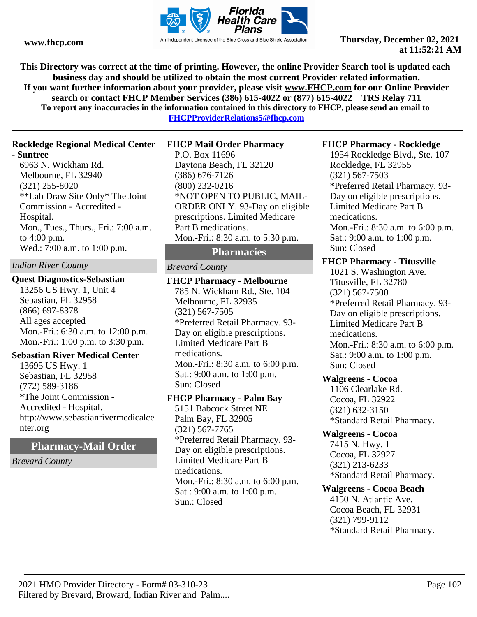![](_page_101_Picture_0.jpeg)

**This Directory was correct at the time of printing. However, the online Provider Search tool is updated each business day and should be utilized to obtain the most current Provider related information. If you want further information about your provider, please visit www.FHCP.com for our Online Provider search or contact FHCP Member Services (386) 615-4022 or (877) 615-4022 TRS Relay 711 To report any inaccuracies in the information contained in this directory to FHCP, please send an email to** 

**FHCPProviderRelations5@fhcp.com**

#### **Rockledge Regional Medical Center**

#### **- Suntree**

6963 N. Wickham Rd. Melbourne, FL 32940 (321) 255-8020 \*\*Lab Draw Site Only\* The Joint Commission - Accredited - Hospital. Mon., Tues., Thurs., Fri.: 7:00 a.m. to 4:00 p.m. Wed.: 7:00 a.m. to 1:00 p.m.

#### *Indian River County*

#### **Quest Diagnostics-Sebastian**

13256 US Hwy. 1, Unit 4 Sebastian, FL 32958 (866) 697-8378 All ages accepted Mon.-Fri.: 6:30 a.m. to 12:00 p.m. Mon.-Fri.: 1:00 p.m. to 3:30 p.m.

#### **Sebastian River Medical Center**

13695 US Hwy. 1 Sebastian, FL 32958 (772) 589-3186 \*The Joint Commission - Accredited - Hospital. http://www.sebastianrivermedicalce nter.org

**Pharmacy-Mail Order**

*Brevard County*

#### **FHCP Mail Order Pharmacy**

P.O. Box 11696 Daytona Beach, FL 32120 (386) 676-7126 (800) 232-0216 \*NOT OPEN TO PUBLIC, MAIL-ORDER ONLY. 93-Day on eligible prescriptions. Limited Medicare Part B medications. Mon.-Fri.: 8:30 a.m. to 5:30 p.m.

## **Pharmacies**

#### *Brevard County*

**FHCP Pharmacy - Melbourne** 785 N. Wickham Rd., Ste. 104 Melbourne, FL 32935 (321) 567-7505 \*Preferred Retail Pharmacy. 93- Day on eligible prescriptions. Limited Medicare Part B medications. Mon.-Fri.: 8:30 a.m. to 6:00 p.m. Sat.: 9:00 a.m. to 1:00 p.m. Sun: Closed

#### **FHCP Pharmacy - Palm Bay**

5151 Babcock Street NE Palm Bay, FL 32905 (321) 567-7765 \*Preferred Retail Pharmacy. 93- Day on eligible prescriptions. Limited Medicare Part B medications. Mon.-Fri.: 8:30 a.m. to 6:00 p.m. Sat.: 9:00 a.m. to 1:00 p.m. Sun.: Closed

#### **FHCP Pharmacy - Rockledge**

1954 Rockledge Blvd., Ste. 107 Rockledge, FL 32955 (321) 567-7503 \*Preferred Retail Pharmacy. 93- Day on eligible prescriptions. Limited Medicare Part B medications. Mon.-Fri.: 8:30 a.m. to 6:00 p.m. Sat.: 9:00 a.m. to 1:00 p.m. Sun: Closed

#### **FHCP Pharmacy - Titusville**

1021 S. Washington Ave. Titusville, FL 32780 (321) 567-7500 \*Preferred Retail Pharmacy. 93- Day on eligible prescriptions. Limited Medicare Part B medications. Mon.-Fri.: 8:30 a.m. to 6:00 p.m. Sat.: 9:00 a.m. to 1:00 p.m. Sun: Closed

#### **Walgreens - Cocoa**

1106 Clearlake Rd. Cocoa, FL 32922 (321) 632-3150 \*Standard Retail Pharmacy.

#### **Walgreens - Cocoa**

7415 N. Hwy. 1 Cocoa, FL 32927 (321) 213-6233 \*Standard Retail Pharmacy.

#### **Walgreens - Cocoa Beach**

4150 N. Atlantic Ave. Cocoa Beach, FL 32931 (321) 799-9112 \*Standard Retail Pharmacy.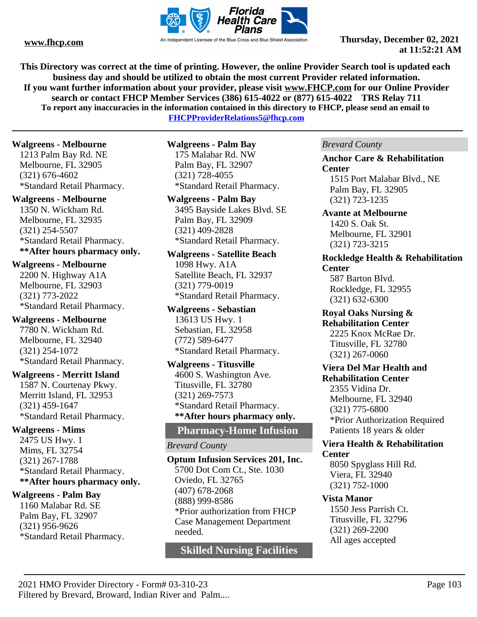![](_page_102_Picture_0.jpeg)

**This Directory was correct at the time of printing. However, the online Provider Search tool is updated each business day and should be utilized to obtain the most current Provider related information. If you want further information about your provider, please visit www.FHCP.com for our Online Provider search or contact FHCP Member Services (386) 615-4022 or (877) 615-4022 TRS Relay 711 To report any inaccuracies in the information contained in this directory to FHCP, please send an email to** 

**FHCPProviderRelations5@fhcp.com**

#### **Walgreens - Melbourne**

1213 Palm Bay Rd. NE Melbourne, FL 32905 (321) 676-4602 \*Standard Retail Pharmacy.

#### **Walgreens - Melbourne**

1350 N. Wickham Rd. Melbourne, FL 32935 (321) 254-5507 \*Standard Retail Pharmacy. **\*\*After hours pharmacy only.** 

#### **Walgreens - Melbourne**

2200 N. Highway A1A Melbourne, FL 32903 (321) 773-2022 \*Standard Retail Pharmacy.

**Walgreens - Melbourne** 7780 N. Wickham Rd. Melbourne, FL 32940 (321) 254-1072 \*Standard Retail Pharmacy.

#### **Walgreens - Merritt Island**

1587 N. Courtenay Pkwy. Merritt Island, FL 32953 (321) 459-1647 \*Standard Retail Pharmacy.

#### **Walgreens - Mims**

2475 US Hwy. 1 Mims, FL 32754 (321) 267-1788 \*Standard Retail Pharmacy. **\*\*After hours pharmacy only.** 

#### **Walgreens - Palm Bay**

1160 Malabar Rd. SE Palm Bay, FL 32907 (321) 956-9626 \*Standard Retail Pharmacy. **Walgreens - Palm Bay** 175 Malabar Rd. NW Palm Bay, FL 32907 (321) 728-4055 \*Standard Retail Pharmacy.

# **Walgreens - Palm Bay**

3495 Bayside Lakes Blvd. SE Palm Bay, FL 32909 (321) 409-2828 \*Standard Retail Pharmacy.

#### **Walgreens - Satellite Beach**

1098 Hwy. A1A Satellite Beach, FL 32937 (321) 779-0019 \*Standard Retail Pharmacy.

**Walgreens - Sebastian** 13613 US Hwy. 1 Sebastian, FL 32958 (772) 589-6477 \*Standard Retail Pharmacy.

**Walgreens - Titusville** 4600 S. Washington Ave. Titusville, FL 32780 (321) 269-7573 \*Standard Retail Pharmacy. **\*\*After hours pharmacy only.** 

# **Pharmacy-Home Infusion**

#### *Brevard County*

**Optum Infusion Services 201, Inc.** 5700 Dot Com Ct., Ste. 1030 Oviedo, FL 32765 (407) 678-2068 (888) 999-8586 \*Prior authorization from FHCP Case Management Department needed.

**Skilled Nursing Facilities**

*Brevard County*

#### **Anchor Care & Rehabilitation Center**

1515 Port Malabar Blvd., NE Palm Bay, FL 32905 (321) 723-1235

#### **Avante at Melbourne** 1420 S. Oak St. Melbourne, FL 32901 (321) 723-3215

#### **Rockledge Health & Rehabilitation Center**

587 Barton Blvd. Rockledge, FL 32955 (321) 632-6300

#### **Royal Oaks Nursing & Rehabilitation Center** 2225 Knox McRae Dr. Titusville, FL 32780 (321) 267-0060

#### **Viera Del Mar Health and Rehabilitation Center**

2355 Vidina Dr. Melbourne, FL 32940 (321) 775-6800 \*Prior Authorization Required Patients 18 years & older

#### **Viera Health & Rehabilitation Center**

8050 Spyglass Hill Rd. Viera, FL 32940 (321) 752-1000

## **Vista Manor**

1550 Jess Parrish Ct. Titusville, FL 32796 (321) 269-2200 All ages accepted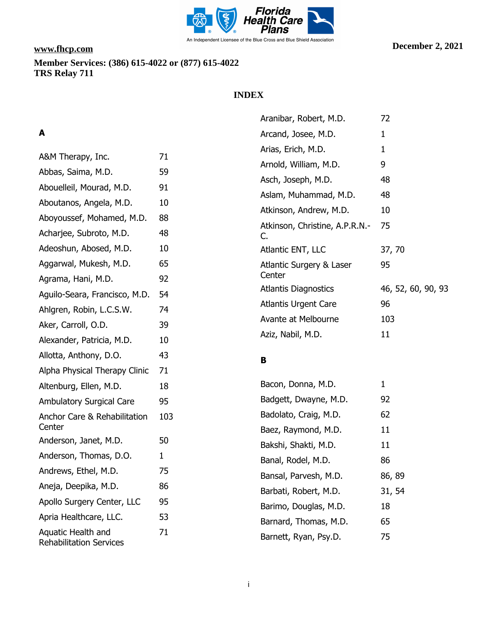![](_page_103_Picture_0.jpeg)

# **INDEX**

# **A**

| A&M Therapy, Inc.                                    | 71  |
|------------------------------------------------------|-----|
| Abbas, Saima, M.D.                                   | 59  |
| Abouelleil, Mourad, M.D.                             | 91  |
| Aboutanos, Angela, M.D.                              | 10  |
| Aboyoussef, Mohamed, M.D.                            | 88  |
| Acharjee, Subroto, M.D.                              | 48  |
| Adeoshun, Abosed, M.D.                               | 10  |
| Aggarwal, Mukesh, M.D.                               | 65  |
| Agrama, Hani, M.D.                                   | 92  |
| Aquilo-Seara, Francisco, M.D.                        | 54  |
| Ahlgren, Robin, L.C.S.W.                             | 74  |
| Aker, Carroll, O.D.                                  | 39  |
| Alexander, Patricia, M.D.                            | 10  |
| Allotta, Anthony, D.O.                               | 43  |
| Alpha Physical Therapy Clinic                        | 71  |
| Altenburg, Ellen, M.D.                               | 18  |
| <b>Ambulatory Surgical Care</b>                      | 95  |
| <b>Anchor Care &amp; Rehabilitation</b><br>Center    | 103 |
| Anderson, Janet, M.D.                                | 50  |
| Anderson, Thomas, D.O.                               | 1   |
| Andrews, Ethel, M.D.                                 | 75  |
| Aneja, Deepika, M.D.                                 | 86  |
| Apollo Surgery Center, LLC                           | 95  |
| Apria Healthcare, LLC.                               | 53  |
| Aquatic Health and<br><b>Rehabilitation Services</b> | 71  |

| Aranibar, Robert, M.D.               | 72                 |
|--------------------------------------|--------------------|
| Arcand, Josee, M.D.                  | 1                  |
| Arias, Erich, M.D.                   | 1                  |
| Arnold, William, M.D.                | 9                  |
| Asch, Joseph, M.D.                   | 48                 |
| Aslam, Muhammad, M.D.                | 48                 |
| Atkinson, Andrew, M.D.               | 10                 |
| Atkinson, Christine, A.P.R.N.-<br>C. | 75                 |
| Atlantic ENT, LLC                    | 37, 70             |
| Atlantic Surgery & Laser<br>Center   | 95                 |
| <b>Atlantis Diagnostics</b>          | 46, 52, 60, 90, 93 |
| Atlantis Urgent Care                 | 96                 |
| Avante at Melbourne                  | 103                |
| Aziz, Nabil, M.D.                    | 11                 |

# **B**

| Bacon, Donna, M.D.    | 1      |
|-----------------------|--------|
| Badgett, Dwayne, M.D. | 92     |
| Badolato, Craig, M.D. | 62     |
| Baez, Raymond, M.D.   | 11     |
| Bakshi, Shakti, M.D.  | 11     |
| Banal, Rodel, M.D.    | 86     |
| Bansal, Parvesh, M.D. | 86, 89 |
| Barbati, Robert, M.D. | 31, 54 |
| Barimo, Douglas, M.D. | 18     |
| Barnard, Thomas, M.D. | 65     |
| Barnett, Ryan, Psy.D. | 75     |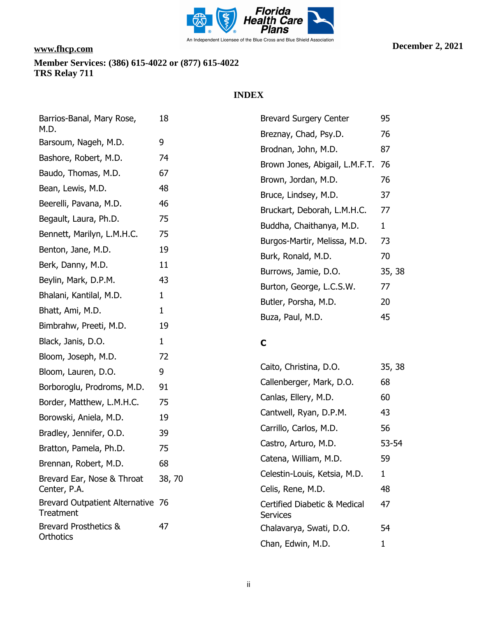![](_page_104_Picture_0.jpeg)

# **INDEX**

| Barrios-Banal, Mary Rose,                             | 18           | <b>Brevard Surgery Center</b>                   | 95           |
|-------------------------------------------------------|--------------|-------------------------------------------------|--------------|
| M.D.<br>Barsoum, Nageh, M.D.                          | 9            | Breznay, Chad, Psy.D.                           | 76           |
|                                                       |              | Brodnan, John, M.D.                             | 87           |
| Bashore, Robert, M.D.                                 | 74           | Brown Jones, Abigail, L.M.F.T.                  | 76           |
| Baudo, Thomas, M.D.                                   | 67           | Brown, Jordan, M.D.                             | 76           |
| Bean, Lewis, M.D.                                     | 48           | Bruce, Lindsey, M.D.                            | 37           |
| Beerelli, Pavana, M.D.                                | 46           | Bruckart, Deborah, L.M.H.C.                     | 77           |
| Begault, Laura, Ph.D.                                 | 75           | Buddha, Chaithanya, M.D.                        | $\mathbf{1}$ |
| Bennett, Marilyn, L.M.H.C.                            | 75           | Burgos-Martir, Melissa, M.D.                    | 73           |
| Benton, Jane, M.D.                                    | 19           | Burk, Ronald, M.D.                              | 70           |
| Berk, Danny, M.D.                                     | 11           | Burrows, Jamie, D.O.                            | 35, 38       |
| Beylin, Mark, D.P.M.                                  | 43           | Burton, George, L.C.S.W.                        | 77           |
| Bhalani, Kantilal, M.D.                               | $\mathbf 1$  | Butler, Porsha, M.D.                            | 20           |
| Bhatt, Ami, M.D.                                      | $\mathbf{1}$ | Buza, Paul, M.D.                                | 45           |
| Bimbrahw, Preeti, M.D.                                | 19           |                                                 |              |
| Black, Janis, D.O.                                    | $\mathbf{1}$ | $\mathbf C$                                     |              |
| Bloom, Joseph, M.D.                                   | 72           |                                                 |              |
| Bloom, Lauren, D.O.                                   | 9            | Caito, Christina, D.O.                          | 35, 38       |
| Borboroglu, Prodroms, M.D.                            | 91           | Callenberger, Mark, D.O.                        | 68           |
| Border, Matthew, L.M.H.C.                             | 75           | Canlas, Ellery, M.D.                            | 60           |
| Borowski, Aniela, M.D.                                | 19           | Cantwell, Ryan, D.P.M.                          | 43           |
| Bradley, Jennifer, O.D.                               | 39           | Carrillo, Carlos, M.D.                          | 56           |
| Bratton, Pamela, Ph.D.                                | 75           | Castro, Arturo, M.D.                            | 53-54        |
| Brennan, Robert, M.D.                                 | 68           | Catena, William, M.D.                           | 59           |
| Brevard Ear, Nose & Throat                            | 38,70        | Celestin-Louis, Ketsia, M.D.                    | $\mathbf{1}$ |
| Center, P.A.                                          |              | Celis, Rene, M.D.                               | 48           |
| Brevard Outpatient Alternative 76<br><b>Treatment</b> |              | Certified Diabetic & Medical<br><b>Services</b> | 47           |
| <b>Brevard Prosthetics &amp;</b><br>Orthotics         | 47           | Chalavarya, Swati, D.O.                         | 54           |
|                                                       |              |                                                 |              |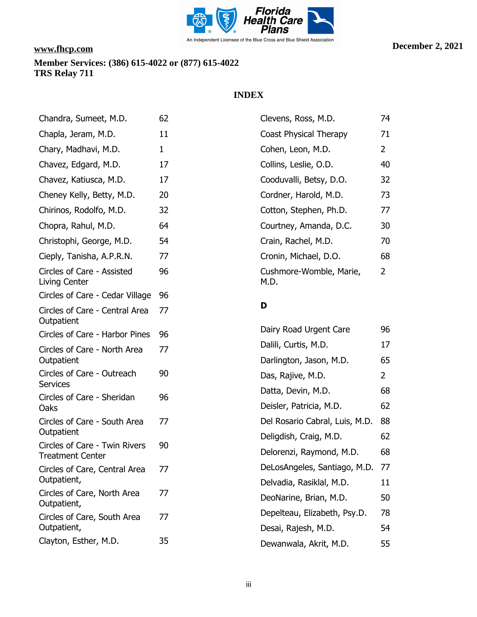![](_page_105_Picture_0.jpeg)

# **INDEX**

| Chandra, Sumeet, M.D.                         | 62 | Clevens, Ross, M.D.                             | 74             |
|-----------------------------------------------|----|-------------------------------------------------|----------------|
| Chapla, Jeram, M.D.                           | 11 | Coast Physical Therapy                          | 71             |
| Chary, Madhavi, M.D.                          | 1  | Cohen, Leon, M.D.                               | $\overline{2}$ |
| Chavez, Edgard, M.D.                          | 17 | Collins, Leslie, O.D.                           | 40             |
| Chavez, Katiusca, M.D.                        | 17 | Cooduvalli, Betsy, D.O.                         | 32             |
| Cheney Kelly, Betty, M.D.                     | 20 | Cordner, Harold, M.D.                           | 73             |
| Chirinos, Rodolfo, M.D.                       | 32 | Cotton, Stephen, Ph.D.                          | 77             |
| Chopra, Rahul, M.D.                           | 64 | Courtney, Amanda, D.C.                          | 30             |
| Christophi, George, M.D.                      | 54 | Crain, Rachel, M.D.                             | 70             |
| Cieply, Tanisha, A.P.R.N.                     | 77 | Cronin, Michael, D.O.                           | 68             |
| Circles of Care - Assisted<br>Living Center   | 96 | Cushmore-Womble, Marie,<br>M.D.                 | $\overline{2}$ |
| Circles of Care - Cedar Village               | 96 |                                                 |                |
| Circles of Care - Central Area<br>Outpatient  | 77 | D                                               |                |
| Circles of Care - Harbor Pines                | 96 | Dairy Road Urgent Care                          | 96             |
| Circles of Care - North Area<br>Outpatient    | 77 | Dalili, Curtis, M.D.<br>Darlington, Jason, M.D. | 17<br>65       |
| Circles of Care - Outreach                    | 90 | Das, Rajive, M.D.                               | 2              |
| <b>Services</b><br>Circles of Care - Sheridan | 96 | Datta, Devin, M.D.                              | 68             |
| Oaks                                          |    | Deisler, Patricia, M.D.                         | 62             |
| Circles of Care - South Area<br>Outpatient    | 77 | Del Rosario Cabral, Luis, M.D.                  | 88             |
| Circles of Care - Twin Rivers                 | 90 | Deligdish, Craig, M.D.                          | 62             |
| <b>Treatment Center</b>                       |    | Delorenzi, Raymond, M.D.                        | 68             |
| Circles of Care, Central Area                 | 77 | DeLosAngeles, Santiago, M.D.                    | 77             |
| Outpatient,<br>Circles of Care, North Area    | 77 | Delvadia, Rasiklal, M.D.                        | 11             |
| Outpatient,                                   |    | DeoNarine, Brian, M.D.                          | 50             |
| Circles of Care, South Area                   | 77 | Depelteau, Elizabeth, Psy.D.                    | 78             |
| Outpatient,                                   |    | Desai, Rajesh, M.D.                             | 54             |
| Clayton, Esther, M.D.                         | 35 | Dewanwala, Akrit, M.D.                          | 55             |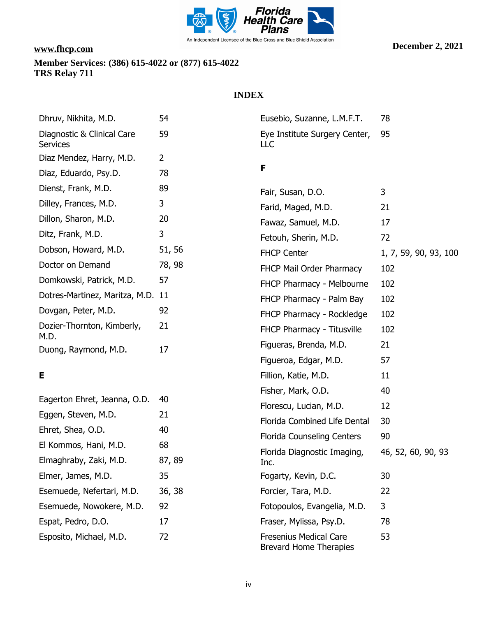![](_page_106_Picture_0.jpeg)

Esposito, Michael, M.D. 72

# **INDEX**

| Dhruv, Nikhita, M.D.                          | 54             | Eusebio, Suzanne, L.M.F.T.           | 78                    |
|-----------------------------------------------|----------------|--------------------------------------|-----------------------|
| Diagnostic & Clinical Care<br><b>Services</b> | 59             | Eye Institute Surgery Center,<br>LLC | 95                    |
| Diaz Mendez, Harry, M.D.                      | $\overline{2}$ |                                      |                       |
| Diaz, Eduardo, Psy.D.                         | 78             | F                                    |                       |
| Dienst, Frank, M.D.                           | 89             | Fair, Susan, D.O.                    | 3                     |
| Dilley, Frances, M.D.                         | 3              | Farid, Maged, M.D.                   | 21                    |
| Dillon, Sharon, M.D.                          | 20             | Fawaz, Samuel, M.D.                  | 17                    |
| Ditz, Frank, M.D.                             | 3              | Fetouh, Sherin, M.D.                 | 72                    |
| Dobson, Howard, M.D.                          | 51, 56         | <b>FHCP Center</b>                   | 1, 7, 59, 90, 93, 100 |
| Doctor on Demand                              | 78, 98         | FHCP Mail Order Pharmacy             | 102                   |
| Domkowski, Patrick, M.D.                      | 57             | FHCP Pharmacy - Melbourne            | 102                   |
| Dotres-Martinez, Maritza, M.D. 11             |                | FHCP Pharmacy - Palm Bay             | 102                   |
| Dovgan, Peter, M.D.                           | 92             | FHCP Pharmacy - Rockledge            | 102                   |
| Dozier-Thornton, Kimberly,<br>M.D.            | 21             | FHCP Pharmacy - Titusville           | 102                   |
| Duong, Raymond, M.D.                          | 17             | Figueras, Brenda, M.D.               | 21                    |
|                                               |                | Figueroa, Edgar, M.D.                | 57                    |
| Е                                             |                | Fillion, Katie, M.D.                 | 11                    |
|                                               |                | Fisher, Mark, O.D.                   | 40                    |
| Eagerton Ehret, Jeanna, O.D.                  | 40             | Florescu, Lucian, M.D.               | 12                    |
| Eggen, Steven, M.D.                           | 21             | Florida Combined Life Dental         | 30                    |
| Ehret, Shea, O.D.                             | 40             | <b>Florida Counseling Centers</b>    | 90                    |
| El Kommos, Hani, M.D.                         | 68             | Florida Diagnostic Imaging,          | 46, 52, 60, 90, 93    |
| Elmaghraby, Zaki, M.D.                        | 87, 89         | Inc.                                 |                       |
| Elmer, James, M.D.                            | 35             | Fogarty, Kevin, D.C.                 | 30                    |
| Esemuede, Nefertari, M.D.                     | 36, 38         | Forcier, Tara, M.D.                  | 22                    |
| Esemuede, Nowokere, M.D.                      | 92             | Fotopoulos, Evangelia, M.D.          | 3                     |
| Espat, Pedro, D.O.                            | 17             | Fraser, Mylissa, Psy.D.              | 78                    |

Fresenius Medical Care Brevard Home Therapies

53

iv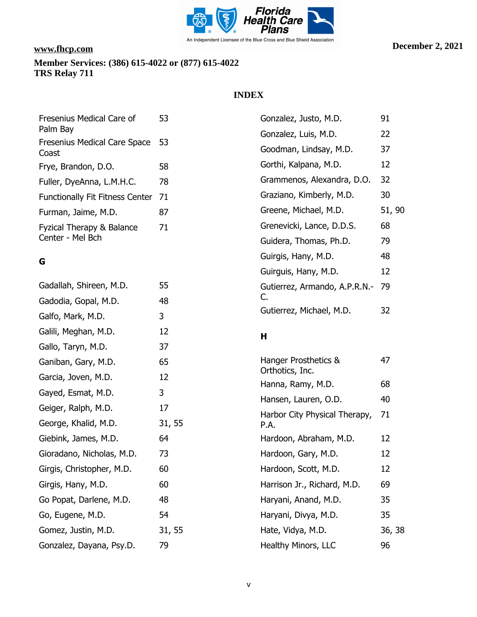![](_page_107_Picture_0.jpeg)

George, Khalid, M.D. 31, 55

Giebink, James, M.D. 64 Gioradano, Nicholas, M.D. 73 Girgis, Christopher, M.D. 60

Girgis, Hany, M.D. 60 Go Popat, Darlene, M.D. 48

Go, Eugene, M.D. 54

Gonzalez, Dayana, Psy.D. 79

Gomez, Justin, M.D. 31, 55

# **INDEX**

| Fresenius Medical Care of              | 53 | Gonzalez, Justo, M.D.         | 91     |
|----------------------------------------|----|-------------------------------|--------|
| Palm Bay                               |    | Gonzalez, Luis, M.D.          | 22     |
| Fresenius Medical Care Space<br>Coast  | 53 | Goodman, Lindsay, M.D.        | 37     |
| Frye, Brandon, D.O.                    | 58 | Gorthi, Kalpana, M.D.         | 12     |
| Fuller, DyeAnna, L.M.H.C.              | 78 | Grammenos, Alexandra, D.O.    | 32     |
| <b>Functionally Fit Fitness Center</b> | 71 | Graziano, Kimberly, M.D.      | 30     |
| Furman, Jaime, M.D.                    | 87 | Greene, Michael, M.D.         | 51, 90 |
| Fyzical Therapy & Balance              | 71 | Grenevicki, Lance, D.D.S.     | 68     |
| Center - Mel Bch                       |    | Guidera, Thomas, Ph.D.        | 79     |
| G                                      |    | Guirgis, Hany, M.D.           | 48     |
|                                        |    | Guirguis, Hany, M.D.          | 12     |
| Gadallah, Shireen, M.D.                | 55 | Gutierrez, Armando, A.P.R.N.- | 79     |
| Gadodia, Gopal, M.D.                   | 48 | C.                            |        |
| Galfo, Mark, M.D.                      | 3  | Gutierrez, Michael, M.D.      | 32     |
| Galili, Meghan, M.D.                   | 12 | Н                             |        |
| Gallo, Taryn, M.D.                     | 37 |                               |        |
| Ganiban, Gary, M.D.                    | 65 | Hanger Prosthetics &          | 47     |
| Garcia, Joven, M.D.                    | 12 | Orthotics, Inc.               | 68     |
| Gayed, Esmat, M.D.                     | 3  | Hanna, Ramy, M.D.             |        |
| Geiger, Ralph, M.D.                    | 17 | Hansen, Lauren, O.D.          | 40     |

| − 7    |
|--------|
| 68     |
| 40     |
| 71     |
| 12     |
| 12     |
| 12     |
| 69     |
| 35     |
| 35     |
| 36, 38 |
| 96     |
|        |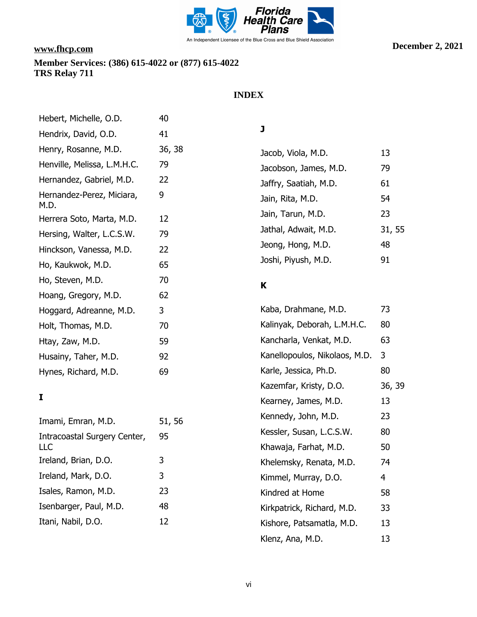

# **INDEX**

| Hebert, Michelle, O.D.            | 40     |
|-----------------------------------|--------|
| Hendrix, David, O.D.              | 41     |
| Henry, Rosanne, M.D.              | 36, 38 |
| Henville, Melissa, L.M.H.C.       | 79     |
| Hernandez, Gabriel, M.D.          | 22     |
| Hernandez-Perez, Miciara,<br>M.D. | 9      |
| Herrera Soto, Marta, M.D.         | 12     |
| Hersing, Walter, L.C.S.W.         | 79     |
| Hinckson, Vanessa, M.D.           | 22     |
| Ho, Kaukwok, M.D.                 | 65     |
| Ho, Steven, M.D.                  | 70     |
| Hoang, Gregory, M.D.              | 62     |
| Hoggard, Adreanne, M.D.           | 3      |
| Holt, Thomas, M.D.                | 70     |
| Htay, Zaw, M.D.                   | 59     |
| Husainy, Taher, M.D.              | 92     |
| Hynes, Richard, M.D.              | 69     |

# **I**

| 95<br>LLC<br>3<br>3<br>23<br>48<br>12 | Imami, Emran, M.D.           | 51, 56 |
|---------------------------------------|------------------------------|--------|
|                                       | Intracoastal Surgery Center, |        |
|                                       | Ireland, Brian, D.O.         |        |
|                                       | Ireland, Mark, D.O.          |        |
|                                       | Isales, Ramon, M.D.          |        |
|                                       | Isenbarger, Paul, M.D.       |        |
|                                       | Itani, Nabil, D.O.           |        |

# **J**

| Jacob, Viola, M.D.    | 13     |
|-----------------------|--------|
| Jacobson, James, M.D. | 79     |
| Jaffry, Saatiah, M.D. | 61     |
| Jain, Rita, M.D.      | 54     |
| Jain, Tarun, M.D.     | 23     |
| Jathal, Adwait, M.D.  | 31, 55 |
| Jeong, Hong, M.D.     | 48     |
| Joshi, Piyush, M.D.   | 91     |

# **K**

| Kaba, Drahmane, M.D.          | 73     |
|-------------------------------|--------|
| Kalinyak, Deborah, L.M.H.C.   | 80     |
| Kancharla, Venkat, M.D.       | 63     |
| Kanellopoulos, Nikolaos, M.D. | 3      |
| Karle, Jessica, Ph.D.         | 80     |
| Kazemfar, Kristy, D.O.        | 36, 39 |
| Kearney, James, M.D.          | 13     |
| Kennedy, John, M.D.           | 23     |
| Kessler, Susan, L.C.S.W.      | 80     |
| Khawaja, Farhat, M.D.         | 50     |
| Khelemsky, Renata, M.D.       | 74     |
| Kimmel, Murray, D.O.          | 4      |
| Kindred at Home               | 58     |
| Kirkpatrick, Richard, M.D.    | 33     |
| Kishore, Patsamatla, M.D.     | 13     |
| Klenz, Ana, M.D.              | 13     |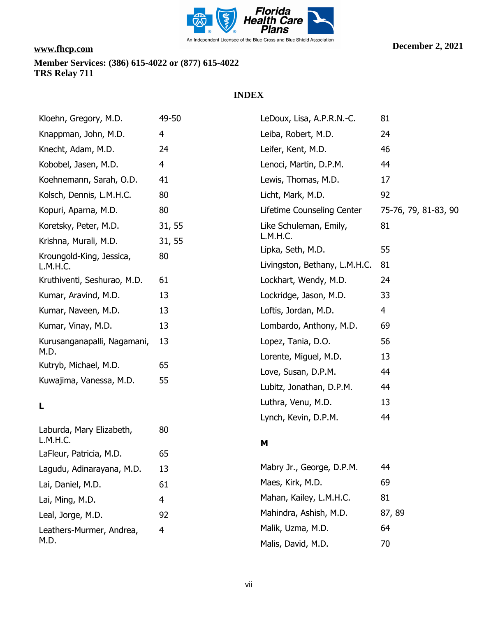

### **INDEX**

| 49-50          | LeDoux, Lisa, A.P.R.N.-C.     | 81                                                                                                                                                           |
|----------------|-------------------------------|--------------------------------------------------------------------------------------------------------------------------------------------------------------|
| 4              | Leiba, Robert, M.D.           | 24                                                                                                                                                           |
| 24             | Leifer, Kent, M.D.            | 46                                                                                                                                                           |
| $\overline{4}$ | Lenoci, Martin, D.P.M.        | 44                                                                                                                                                           |
| 41             | Lewis, Thomas, M.D.           | 17                                                                                                                                                           |
| 80             | Licht, Mark, M.D.             | 92                                                                                                                                                           |
| 80             | Lifetime Counseling Center    | 75-76, 79, 81-83, 90                                                                                                                                         |
| 31, 55         | Like Schuleman, Emily,        | 81                                                                                                                                                           |
| 31, 55         |                               |                                                                                                                                                              |
| 80             | Livingston, Bethany, L.M.H.C. | 55<br>81                                                                                                                                                     |
| 61             | Lockhart, Wendy, M.D.         | 24                                                                                                                                                           |
| 13             | Lockridge, Jason, M.D.        | 33                                                                                                                                                           |
| 13             | Loftis, Jordan, M.D.          | 4                                                                                                                                                            |
| 13             | Lombardo, Anthony, M.D.       | 69                                                                                                                                                           |
| 13             | Lopez, Tania, D.O.            | 56                                                                                                                                                           |
| 65             |                               | 13                                                                                                                                                           |
|                |                               | 44                                                                                                                                                           |
|                |                               | 44                                                                                                                                                           |
|                |                               | 13                                                                                                                                                           |
| 80             |                               | 44                                                                                                                                                           |
| 65             |                               |                                                                                                                                                              |
| 13             | Mabry Jr., George, D.P.M.     | 44                                                                                                                                                           |
| 61             | Maes, Kirk, M.D.              | 69                                                                                                                                                           |
| 4              | Mahan, Kailey, L.M.H.C.       | 81                                                                                                                                                           |
| 92             | Mahindra, Ashish, M.D.        | 87, 89                                                                                                                                                       |
|                | 55                            | L.M.H.C.<br>Lipka, Seth, M.D.<br>Lorente, Miguel, M.D.<br>Love, Susan, D.P.M.<br>Lubitz, Jonathan, D.P.M.<br>Luthra, Venu, M.D.<br>Lynch, Kevin, D.P.M.<br>M |

Leathers-Murmer, Andrea, M.D. 4 Malik, Uzma, M.D. 64 Malis, David, M.D. 70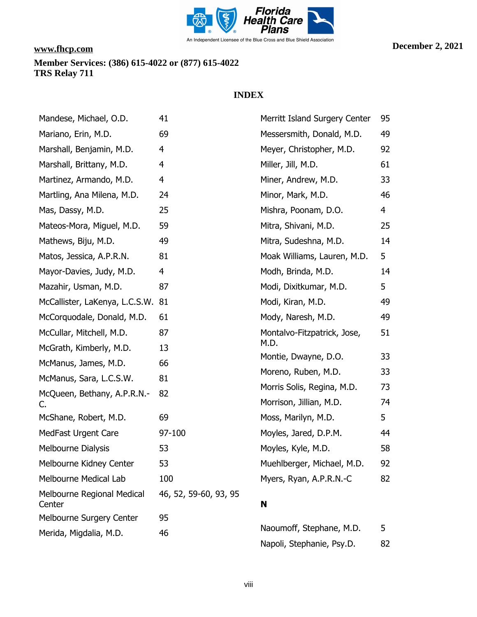

| Mandese, Michael, O.D.               | 41                    | Merritt Island Surgery Center | 95 |
|--------------------------------------|-----------------------|-------------------------------|----|
| Mariano, Erin, M.D.                  | 69                    | Messersmith, Donald, M.D.     | 49 |
| Marshall, Benjamin, M.D.             | 4                     | Meyer, Christopher, M.D.      | 92 |
| Marshall, Brittany, M.D.             | 4                     | Miller, Jill, M.D.            | 61 |
| Martinez, Armando, M.D.              | 4                     | Miner, Andrew, M.D.           | 33 |
| Martling, Ana Milena, M.D.           | 24                    | Minor, Mark, M.D.             | 46 |
| Mas, Dassy, M.D.                     | 25                    | Mishra, Poonam, D.O.          | 4  |
| Mateos-Mora, Miguel, M.D.            | 59                    | Mitra, Shivani, M.D.          | 25 |
| Mathews, Biju, M.D.                  | 49                    | Mitra, Sudeshna, M.D.         | 14 |
| Matos, Jessica, A.P.R.N.             | 81                    | Moak Williams, Lauren, M.D.   | 5  |
| Mayor-Davies, Judy, M.D.             | 4                     | Modh, Brinda, M.D.            | 14 |
| Mazahir, Usman, M.D.                 | 87                    | Modi, Dixitkumar, M.D.        | 5  |
| McCallister, LaKenya, L.C.S.W. 81    |                       | Modi, Kiran, M.D.             | 49 |
| McCorquodale, Donald, M.D.           | 61                    | Mody, Naresh, M.D.            | 49 |
| McCullar, Mitchell, M.D.             | 87                    | Montalvo-Fitzpatrick, Jose,   | 51 |
| McGrath, Kimberly, M.D.              | 13                    | M.D.                          |    |
| McManus, James, M.D.                 | 66                    | Montie, Dwayne, D.O.          | 33 |
| McManus, Sara, L.C.S.W.              | 81                    | Moreno, Ruben, M.D.           | 33 |
| McQueen, Bethany, A.P.R.N.-          | 82                    | Morris Solis, Regina, M.D.    | 73 |
| C.                                   |                       | Morrison, Jillian, M.D.       | 74 |
| McShane, Robert, M.D.                | 69                    | Moss, Marilyn, M.D.           | 5  |
| MedFast Urgent Care                  | 97-100                | Moyles, Jared, D.P.M.         | 44 |
| Melbourne Dialysis                   | 53                    | Moyles, Kyle, M.D.            | 58 |
| Melbourne Kidney Center              | 53                    | Muehlberger, Michael, M.D.    | 92 |
| Melbourne Medical Lab                | 100                   | Myers, Ryan, A.P.R.N.-C       | 82 |
| Melbourne Regional Medical<br>Center | 46, 52, 59-60, 93, 95 | N                             |    |
| Melbourne Surgery Center             | 95                    |                               |    |
| Merida, Migdalia, M.D.               | 46                    | Naoumoff, Stephane, M.D.      | 5  |
|                                      |                       | Napoli, Stephanie, Psy.D.     | 82 |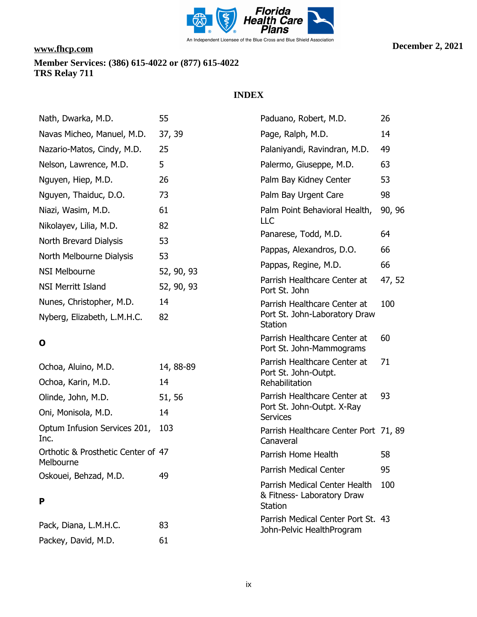

## **INDEX**

| Nath, Dwarka, M.D.                   | 55         | Paduano, Robert, M.D.                                                                | 26     |
|--------------------------------------|------------|--------------------------------------------------------------------------------------|--------|
| Navas Micheo, Manuel, M.D.           | 37, 39     | Page, Ralph, M.D.                                                                    | 14     |
| Nazario-Matos, Cindy, M.D.           | 25         | Palaniyandi, Ravindran, M.D.                                                         | 49     |
| Nelson, Lawrence, M.D.               | 5          | Palermo, Giuseppe, M.D.                                                              | 63     |
| Nguyen, Hiep, M.D.                   | 26         | Palm Bay Kidney Center                                                               | 53     |
| Nguyen, Thaiduc, D.O.                | 73         | Palm Bay Urgent Care                                                                 | 98     |
| Niazi, Wasim, M.D.                   | 61         | Palm Point Behavioral Health,                                                        | 90, 96 |
| Nikolayev, Lilia, M.D.               | 82         | LLC                                                                                  |        |
| North Brevard Dialysis               | 53         | Panarese, Todd, M.D.                                                                 | 64     |
| North Melbourne Dialysis             | 53         | Pappas, Alexandros, D.O.                                                             | 66     |
| <b>NSI Melbourne</b>                 | 52, 90, 93 | Pappas, Regine, M.D.                                                                 | 66     |
| <b>NSI Merritt Island</b>            | 52, 90, 93 | Parrish Healthcare Center at<br>Port St. John                                        | 47, 52 |
| Nunes, Christopher, M.D.             | 14         | Parrish Healthcare Center at                                                         | 100    |
| Nyberg, Elizabeth, L.M.H.C.          | 82         | Port St. John-Laboratory Draw<br><b>Station</b>                                      |        |
| O                                    |            | Parrish Healthcare Center at<br>Port St. John-Mammograms                             | 60     |
| Ochoa, Aluino, M.D.                  | 14, 88-89  | Parrish Healthcare Center at<br>Port St. John-Outpt.                                 | 71     |
| Ochoa, Karin, M.D.                   | 14         | Rehabilitation                                                                       |        |
| Olinde, John, M.D.                   | 51, 56     | Parrish Healthcare Center at                                                         | 93     |
| Oni, Monisola, M.D.                  | 14         | Port St. John-Outpt. X-Ray<br><b>Services</b>                                        |        |
| Optum Infusion Services 201,<br>Inc. | 103        | Parrish Healthcare Center Port 71, 89<br>Canaveral                                   |        |
| Orthotic & Prosthetic Center of 47   |            | Parrish Home Health                                                                  | 58     |
| Melbourne<br>Oskouei, Behzad, M.D.   | 49         | Parrish Medical Center                                                               | 95     |
| P                                    |            | <b>Parrish Medical Center Health</b><br>& Fitness- Laboratory Draw<br><b>Station</b> | 100    |
|                                      |            | Parrish Medical Center Port St. 43                                                   |        |

Pack, Diana, L.M.H.C. 83 Packey, David, M.D. 61

John-Pelvic HealthProgram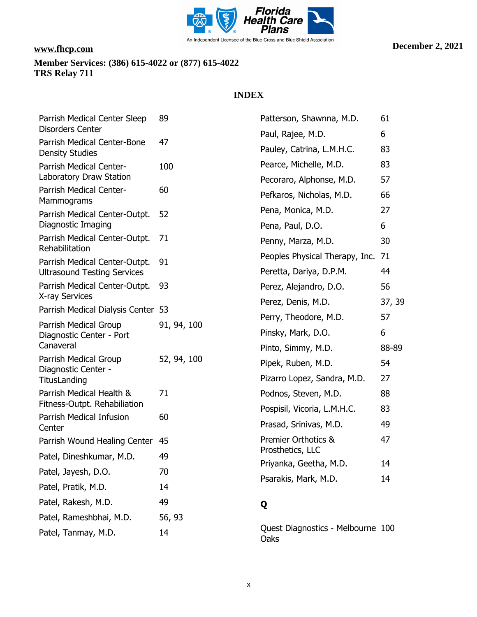

| Parrish Medical Center Sleep                          | 89          | Patterson, Shawnna, M.D.                   | 61     |
|-------------------------------------------------------|-------------|--------------------------------------------|--------|
| <b>Disorders Center</b>                               |             | Paul, Rajee, M.D.                          | 6      |
| Parrish Medical Center-Bone<br><b>Density Studies</b> | 47          | Pauley, Catrina, L.M.H.C.                  | 83     |
| Parrish Medical Center-                               | 100         | Pearce, Michelle, M.D.                     | 83     |
| Laboratory Draw Station                               |             | Pecoraro, Alphonse, M.D.                   | 57     |
| Parrish Medical Center-<br>Mammograms                 | 60          | Pefkaros, Nicholas, M.D.                   | 66     |
| Parrish Medical Center-Outpt.                         | 52          | Pena, Monica, M.D.                         | 27     |
| Diagnostic Imaging                                    |             | Pena, Paul, D.O.                           | 6      |
| Parrish Medical Center-Outpt.<br>Rehabilitation       | 71          | Penny, Marza, M.D.                         | 30     |
| Parrish Medical Center-Outpt.                         | 91          | Peoples Physical Therapy, Inc.             | 71     |
| <b>Ultrasound Testing Services</b>                    |             | Peretta, Dariya, D.P.M.                    | 44     |
| Parrish Medical Center-Outpt.<br>X-ray Services       | 93          | Perez, Alejandro, D.O.                     | 56     |
| Parrish Medical Dialysis Center 53                    |             | Perez, Denis, M.D.                         | 37, 39 |
| Parrish Medical Group                                 | 91, 94, 100 | Perry, Theodore, M.D.                      | 57     |
| Diagnostic Center - Port                              |             | Pinsky, Mark, D.O.                         | 6      |
| Canaveral                                             |             | Pinto, Simmy, M.D.                         | 88-89  |
| Parrish Medical Group<br>Diagnostic Center -          | 52, 94, 100 | Pipek, Ruben, M.D.                         | 54     |
| TitusLanding                                          |             | Pizarro Lopez, Sandra, M.D.                | 27     |
| Parrish Medical Health &                              | 71          | Podnos, Steven, M.D.                       | 88     |
| Fitness-Outpt. Rehabiliation                          |             | Pospisil, Vicoria, L.M.H.C.                | 83     |
| Parrish Medical Infusion<br>Center                    | 60          | Prasad, Srinivas, M.D.                     | 49     |
| Parrish Wound Healing Center                          | 45          | Premier Orthotics &                        | 47     |
| Patel, Dineshkumar, M.D.                              | 49          | Prosthetics, LLC<br>Priyanka, Geetha, M.D. | 14     |
| Patel, Jayesh, D.O.                                   | 70          |                                            | 14     |
| Patel, Pratik, M.D.                                   | 14          | Psarakis, Mark, M.D.                       |        |
| Patel, Rakesh, M.D.                                   | 49          | Q                                          |        |
| Patel, Rameshbhai, M.D.                               | 56, 93      |                                            |        |
| Patel, Tanmay, M.D.                                   | 14          | Quest Diagnostics - Melbourne 100<br>Oaks  |        |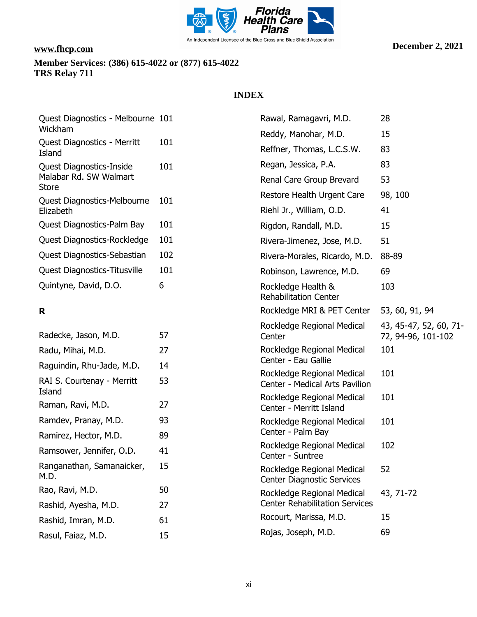

### **INDEX**

| Quest Diagnostics - Melbourne 101<br>Wickham |     | Rawal, Ramagavri, M.D.                                          | 28                                           |
|----------------------------------------------|-----|-----------------------------------------------------------------|----------------------------------------------|
| Quest Diagnostics - Merritt                  | 101 | Reddy, Manohar, M.D.                                            | 15                                           |
| Island                                       |     | Reffner, Thomas, L.C.S.W.                                       | 83                                           |
| <b>Quest Diagnostics-Inside</b>              | 101 | Regan, Jessica, P.A.                                            | 83                                           |
| Malabar Rd. SW Walmart<br><b>Store</b>       |     | Renal Care Group Brevard                                        | 53                                           |
| Quest Diagnostics-Melbourne                  | 101 | Restore Health Urgent Care                                      | 98, 100                                      |
| Elizabeth                                    |     | Riehl Jr., William, O.D.                                        | 41                                           |
| Quest Diagnostics-Palm Bay                   | 101 | Rigdon, Randall, M.D.                                           | 15                                           |
| Quest Diagnostics-Rockledge                  | 101 | Rivera-Jimenez, Jose, M.D.                                      | 51                                           |
| Quest Diagnostics-Sebastian                  | 102 | Rivera-Morales, Ricardo, M.D.                                   | 88-89                                        |
| <b>Quest Diagnostics-Titusville</b>          | 101 | Robinson, Lawrence, M.D.                                        | 69                                           |
| Quintyne, David, D.O.                        | 6   | Rockledge Health &<br><b>Rehabilitation Center</b>              | 103                                          |
| R                                            |     | Rockledge MRI & PET Center                                      | 53, 60, 91, 94                               |
| Radecke, Jason, M.D.                         | 57  | Rockledge Regional Medical<br>Center                            | 43, 45-47, 52, 60, 71-<br>72, 94-96, 101-102 |
| Radu, Mihai, M.D.                            | 27  | Rockledge Regional Medical                                      | 101                                          |
| Raguindin, Rhu-Jade, M.D.                    | 14  | Center - Eau Gallie                                             |                                              |
| RAI S. Courtenay - Merritt<br>Island         | 53  | Rockledge Regional Medical<br>Center - Medical Arts Pavilion    | 101                                          |
| Raman, Ravi, M.D.                            | 27  | Rockledge Regional Medical<br>Center - Merritt Island           | 101                                          |
| Ramdev, Pranay, M.D.                         | 93  | Rockledge Regional Medical                                      | 101                                          |
| Ramirez, Hector, M.D.                        | 89  | Center - Palm Bay                                               |                                              |
| Ramsower, Jennifer, O.D.                     | 41  | Rockledge Regional Medical<br>Center - Suntree                  | 102                                          |
| Ranganathan, Samanaicker,<br>M.D.            | 15  | Rockledge Regional Medical<br><b>Center Diagnostic Services</b> | 52                                           |
| Rao, Ravi, M.D.                              | 50  | Rockledge Regional Medical                                      | 43, 71-72                                    |
| Rashid, Ayesha, M.D.                         | 27  | <b>Center Rehabilitation Services</b>                           |                                              |
| Rachid Imran M D                             | 61  | Rocourt, Marissa, M.D.                                          | 15                                           |

Rojas, Joseph, M.D. 69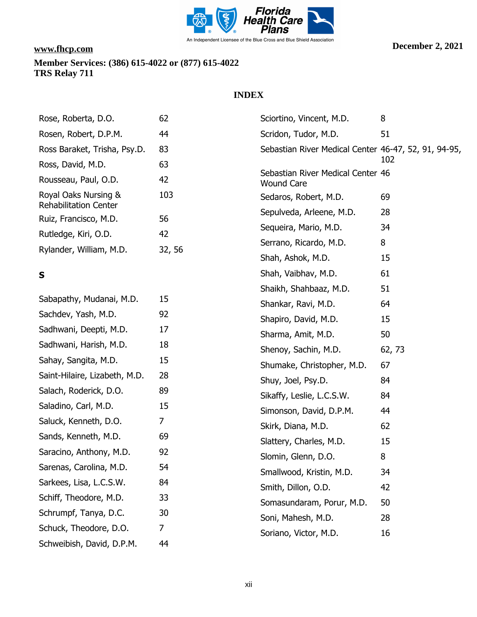

| 62  | Sciortino, Vincent, M.D.                             | 8                                                                                                                                                                                                                                                                                                                                                                                                                                                      |
|-----|------------------------------------------------------|--------------------------------------------------------------------------------------------------------------------------------------------------------------------------------------------------------------------------------------------------------------------------------------------------------------------------------------------------------------------------------------------------------------------------------------------------------|
| 44  | Scridon, Tudor, M.D.                                 | 51                                                                                                                                                                                                                                                                                                                                                                                                                                                     |
| 83  | Sebastian River Medical Center 46-47, 52, 91, 94-95, |                                                                                                                                                                                                                                                                                                                                                                                                                                                        |
| 63  |                                                      | 102                                                                                                                                                                                                                                                                                                                                                                                                                                                    |
| 42  |                                                      |                                                                                                                                                                                                                                                                                                                                                                                                                                                        |
| 103 | Sedaros, Robert, M.D.                                | 69                                                                                                                                                                                                                                                                                                                                                                                                                                                     |
| 56  |                                                      | 28                                                                                                                                                                                                                                                                                                                                                                                                                                                     |
| 42  |                                                      | 34                                                                                                                                                                                                                                                                                                                                                                                                                                                     |
|     | Serrano, Ricardo, M.D.                               | 8                                                                                                                                                                                                                                                                                                                                                                                                                                                      |
|     | Shah, Ashok, M.D.                                    | 15                                                                                                                                                                                                                                                                                                                                                                                                                                                     |
|     | Shah, Vaibhav, M.D.                                  | 61                                                                                                                                                                                                                                                                                                                                                                                                                                                     |
|     | Shaikh, Shahbaaz, M.D.                               | 51                                                                                                                                                                                                                                                                                                                                                                                                                                                     |
| 15  | Shankar, Ravi, M.D.                                  | 64                                                                                                                                                                                                                                                                                                                                                                                                                                                     |
| 92  | Shapiro, David, M.D.                                 | 15                                                                                                                                                                                                                                                                                                                                                                                                                                                     |
| 17  | Sharma, Amit, M.D.                                   | 50                                                                                                                                                                                                                                                                                                                                                                                                                                                     |
| 18  |                                                      | 62, 73                                                                                                                                                                                                                                                                                                                                                                                                                                                 |
| 15  |                                                      | 67                                                                                                                                                                                                                                                                                                                                                                                                                                                     |
| 28  |                                                      | 84                                                                                                                                                                                                                                                                                                                                                                                                                                                     |
| 89  |                                                      | 84                                                                                                                                                                                                                                                                                                                                                                                                                                                     |
| 15  |                                                      | 44                                                                                                                                                                                                                                                                                                                                                                                                                                                     |
| 7   |                                                      | 62                                                                                                                                                                                                                                                                                                                                                                                                                                                     |
| 69  |                                                      | 15                                                                                                                                                                                                                                                                                                                                                                                                                                                     |
| 92  |                                                      | 8                                                                                                                                                                                                                                                                                                                                                                                                                                                      |
| 54  |                                                      | 34                                                                                                                                                                                                                                                                                                                                                                                                                                                     |
| 84  |                                                      | 42                                                                                                                                                                                                                                                                                                                                                                                                                                                     |
| 33  |                                                      | 50                                                                                                                                                                                                                                                                                                                                                                                                                                                     |
| 30  |                                                      | 28                                                                                                                                                                                                                                                                                                                                                                                                                                                     |
| 7   |                                                      | 16                                                                                                                                                                                                                                                                                                                                                                                                                                                     |
| 44  |                                                      |                                                                                                                                                                                                                                                                                                                                                                                                                                                        |
|     | 32, 56                                               | Sebastian River Medical Center 46<br><b>Wound Care</b><br>Sepulveda, Arleene, M.D.<br>Sequeira, Mario, M.D.<br>Shenoy, Sachin, M.D.<br>Shumake, Christopher, M.D.<br>Shuy, Joel, Psy.D.<br>Sikaffy, Leslie, L.C.S.W.<br>Simonson, David, D.P.M.<br>Skirk, Diana, M.D.<br>Slattery, Charles, M.D.<br>Slomin, Glenn, D.O.<br>Smallwood, Kristin, M.D.<br>Smith, Dillon, O.D.<br>Somasundaram, Porur, M.D.<br>Soni, Mahesh, M.D.<br>Soriano, Victor, M.D. |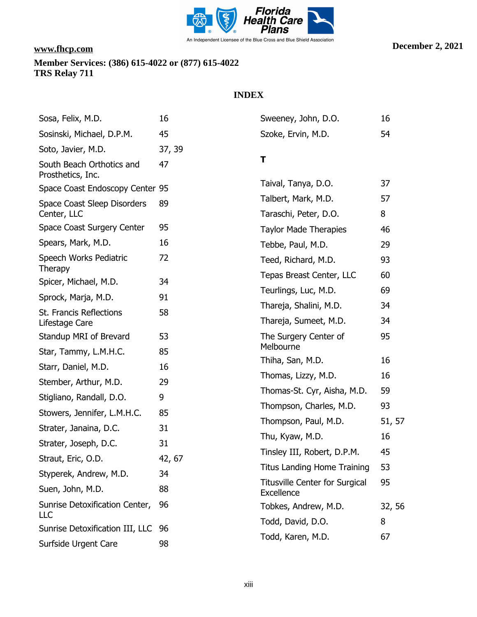

| Sosa, Felix, M.D.                              | 16     | Sweeney, John, D.O.                                 | 16      |
|------------------------------------------------|--------|-----------------------------------------------------|---------|
| Sosinski, Michael, D.P.M.                      | 45     | Szoke, Ervin, M.D.                                  | 54      |
| Soto, Javier, M.D.                             | 37, 39 |                                                     |         |
| South Beach Orthotics and<br>Prosthetics, Inc. | 47     | T                                                   |         |
| Space Coast Endoscopy Center 95                |        | Taival, Tanya, D.O.                                 | 37      |
| Space Coast Sleep Disorders<br>Center, LLC     | 89     | Talbert, Mark, M.D.<br>Taraschi, Peter, D.O.        | 57<br>8 |
| Space Coast Surgery Center                     | 95     | <b>Taylor Made Therapies</b>                        | 46      |
| Spears, Mark, M.D.                             | 16     | Tebbe, Paul, M.D.                                   | 29      |
| Speech Works Pediatric                         | 72     | Teed, Richard, M.D.                                 | 93      |
| Therapy<br>Spicer, Michael, M.D.               | 34     | Tepas Breast Center, LLC                            | 60      |
| Sprock, Marja, M.D.                            | 91     | Teurlings, Luc, M.D.                                | 69      |
|                                                |        | Thareja, Shalini, M.D.                              | 34      |
| St. Francis Reflections<br>Lifestage Care      | 58     | Thareja, Sumeet, M.D.                               | 34      |
| Standup MRI of Brevard                         | 53     | The Surgery Center of                               | 95      |
| Star, Tammy, L.M.H.C.                          | 85     | Melbourne                                           |         |
| Starr, Daniel, M.D.                            | 16     | Thiha, San, M.D.                                    | 16      |
| Stember, Arthur, M.D.                          | 29     | Thomas, Lizzy, M.D.                                 | 16      |
| Stigliano, Randall, D.O.                       | 9      | Thomas-St. Cyr, Aisha, M.D.                         | 59      |
| Stowers, Jennifer, L.M.H.C.                    | 85     | Thompson, Charles, M.D.                             | 93      |
| Strater, Janaina, D.C.                         | 31     | Thompson, Paul, M.D.                                | 51, 57  |
| Strater, Joseph, D.C.                          | 31     | Thu, Kyaw, M.D.                                     | 16      |
| Straut, Eric, O.D.                             | 42, 67 | Tinsley III, Robert, D.P.M.                         | 45      |
| Styperek, Andrew, M.D.                         | 34     | <b>Titus Landing Home Training</b>                  | 53      |
| Suen, John, M.D.                               | 88     | <b>Titusville Center for Surgical</b><br>Excellence | 95      |
| Sunrise Detoxification Center,<br>LLC          | 96     | Tobkes, Andrew, M.D.                                | 32, 56  |
| Sunrise Detoxification III, LLC                | 96     | Todd, David, D.O.                                   | 8       |
| Surfside Urgent Care                           | 98     | Todd, Karen, M.D.                                   | 67      |
|                                                |        |                                                     |         |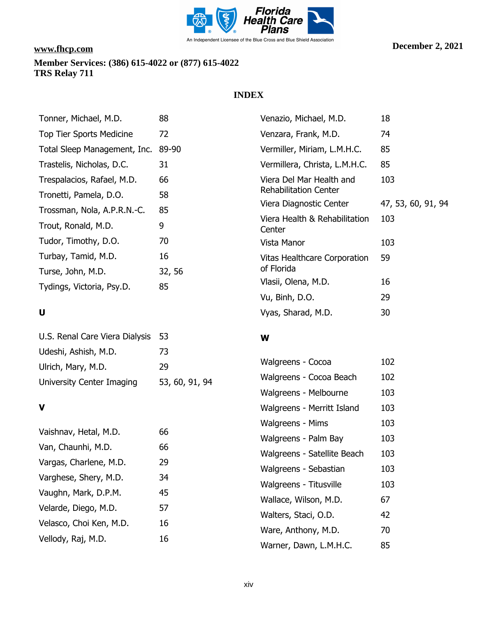

### **INDEX**

**W**

| Tonner, Michael, M.D.        | 88     | Venazio, Michael, M.D.              | 18                 |
|------------------------------|--------|-------------------------------------|--------------------|
| Top Tier Sports Medicine     | 72     | Venzara, Frank, M.D.                | 74                 |
| Total Sleep Management, Inc. | 89-90  | Vermiller, Miriam, L.M.H.C.         | 85                 |
| Trastelis, Nicholas, D.C.    | 31     | Vermillera, Christa, L.M.H.C.       | 85                 |
| Trespalacios, Rafael, M.D.   | 66     | Viera Del Mar Health and            | 103                |
| Tronetti, Pamela, D.O.       | 58     | <b>Rehabilitation Center</b>        |                    |
| Trossman, Nola, A.P.R.N.-C.  | 85     | Viera Diagnostic Center             | 47, 53, 60, 91, 94 |
|                              |        | Viera Health & Rehabilitation       | 103                |
| Trout, Ronald, M.D.          | 9      | Center                              |                    |
| Tudor, Timothy, D.O.         | 70     | Vista Manor                         | 103                |
| Turbay, Tamid, M.D.          | 16     | <b>Vitas Healthcare Corporation</b> | 59                 |
| Turse, John, M.D.            | 32, 56 | of Florida                          |                    |
| Tydings, Victoria, Psy.D.    | 85     | Vlasii, Olena, M.D.                 | 16                 |
|                              |        | Vu, Binh, D.O.                      | 29                 |
|                              |        |                                     |                    |

# **U**

| U.S. Renal Care Viera Dialysis 53 |                |
|-----------------------------------|----------------|
| Udeshi, Ashish, M.D.              | 73             |
| Ulrich, Mary, M.D.                | 29             |
| University Center Imaging         | 53, 60, 91, 94 |

### **V**

| Vaishnav, Hetal, M.D.   | 66 |
|-------------------------|----|
| Van, Chaunhi, M.D.      | 66 |
| Vargas, Charlene, M.D.  | 29 |
| Varghese, Shery, M.D.   | 34 |
| Vaughn, Mark, D.P.M.    | 45 |
| Velarde, Diego, M.D.    | 57 |
| Velasco, Choi Ken, M.D. | 16 |
| Vellody, Raj, M.D.      | 16 |

| Walgreens - Cocoa           | 102 |
|-----------------------------|-----|
| Walgreens - Cocoa Beach     | 102 |
| Walgreens - Melbourne       | 103 |
| Walgreens - Merritt Island  | 103 |
| Walgreens - Mims            | 103 |
| Walgreens - Palm Bay        | 103 |
| Walgreens - Satellite Beach | 103 |
| Walgreens - Sebastian       | 103 |
| Walgreens - Titusville      | 103 |
| Wallace, Wilson, M.D.       | 67  |
| Walters, Staci, O.D.        | 42  |
| Ware, Anthony, M.D.         | 70  |
| Warner, Dawn, L.M.H.C.      | 85  |

Vyas, Sharad, M.D. 30